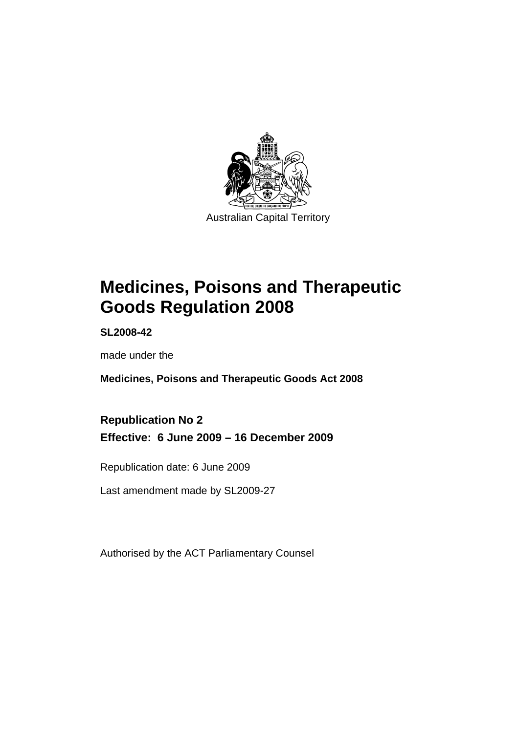

# **[Medicines, Poisons and Therapeutic](#page-24-0)  [Goods Regulation 2008](#page-24-0)**

**SL2008-42** 

made under the

**[Medicines, Poisons and Therapeutic Goods Act 2008](#page-24-0)** 

**Republication No 2 Effective: 6 June 2009 – 16 December 2009** 

Republication date: 6 June 2009

Last amendment made by SL2009-27

Authorised by the ACT Parliamentary Counsel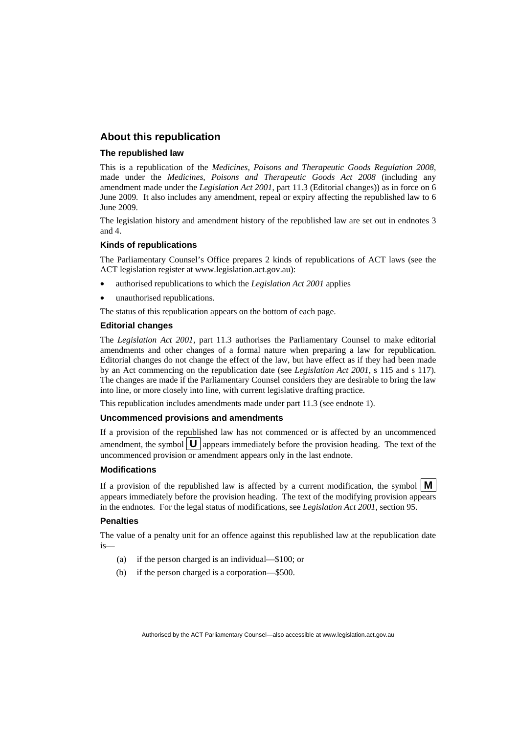#### **About this republication**

#### **The republished law**

This is a republication of the *Medicines, Poisons and Therapeutic Goods Regulation 2008*, made under the *[Medicines, Poisons and Therapeutic Goods Act 2008](#page-24-0)* (including any amendment made under the *Legislation Act 2001*, part 11.3 (Editorial changes)) as in force on 6 June 2009*.* It also includes any amendment, repeal or expiry affecting the republished law to 6 June 2009.

The legislation history and amendment history of the republished law are set out in endnotes 3 and 4.

#### **Kinds of republications**

The Parliamentary Counsel's Office prepares 2 kinds of republications of ACT laws (see the ACT legislation register at www.legislation.act.gov.au):

- authorised republications to which the *Legislation Act 2001* applies
- unauthorised republications.

The status of this republication appears on the bottom of each page.

#### **Editorial changes**

The *Legislation Act 2001*, part 11.3 authorises the Parliamentary Counsel to make editorial amendments and other changes of a formal nature when preparing a law for republication. Editorial changes do not change the effect of the law, but have effect as if they had been made by an Act commencing on the republication date (see *Legislation Act 2001*, s 115 and s 117). The changes are made if the Parliamentary Counsel considers they are desirable to bring the law into line, or more closely into line, with current legislative drafting practice.

This republication includes amendments made under part 11.3 (see endnote 1).

#### **Uncommenced provisions and amendments**

If a provision of the republished law has not commenced or is affected by an uncommenced amendment, the symbol  $\mathbf{U}$  appears immediately before the provision heading. The text of the uncommenced provision or amendment appears only in the last endnote.

#### **Modifications**

If a provision of the republished law is affected by a current modification, the symbol  $\vert \mathbf{M} \vert$ appears immediately before the provision heading. The text of the modifying provision appears in the endnotes. For the legal status of modifications, see *Legislation Act 2001*, section 95.

#### **Penalties**

The value of a penalty unit for an offence against this republished law at the republication date  $i<sub>s</sub>$ 

- (a) if the person charged is an individual—\$100; or
- (b) if the person charged is a corporation—\$500.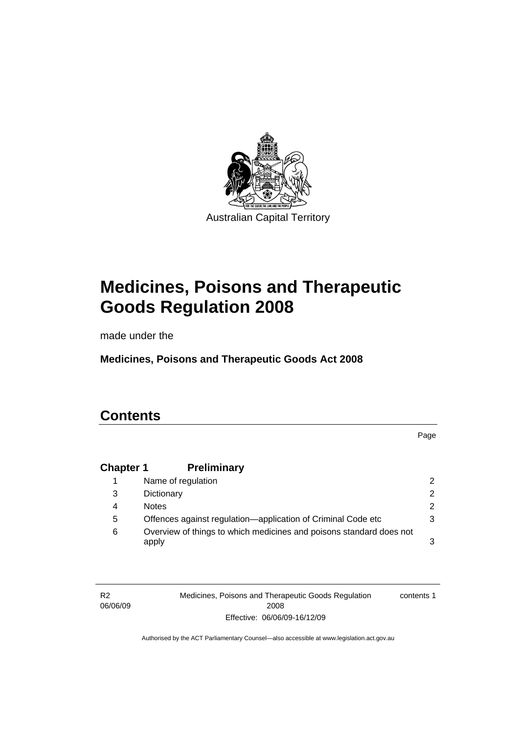

# **[Medicines, Poisons and Therapeutic](#page-24-0)  [Goods Regulation 2008](#page-24-0)**

made under the

**[Medicines, Poisons and Therapeutic Goods Act 2008](#page-24-0)** 

# **Contents**

Page

# **Chapter 1 Preliminary**

|   | Name of regulation                                                           |               |
|---|------------------------------------------------------------------------------|---------------|
| 3 | Dictionary                                                                   | $\mathcal{P}$ |
| 4 | <b>Notes</b>                                                                 | $\mathcal{P}$ |
| 5 | Offences against regulation—application of Criminal Code etc                 | 3             |
| 6 | Overview of things to which medicines and poisons standard does not<br>apply | 3             |

R2 06/06/09 Medicines, Poisons and Therapeutic Goods Regulation 2008 Effective: 06/06/09-16/12/09 contents 1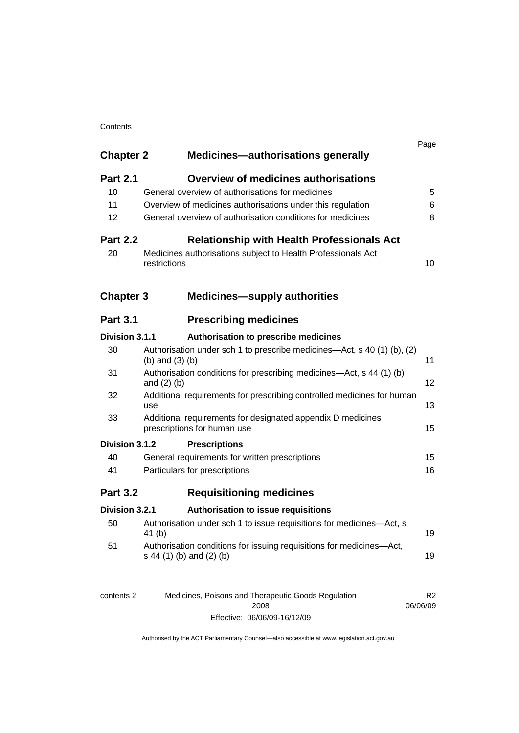#### **Contents**

| <b>Chapter 2</b> | <b>Medicines-authorisations generally</b>                                                        |    |
|------------------|--------------------------------------------------------------------------------------------------|----|
| <b>Part 2.1</b>  | <b>Overview of medicines authorisations</b>                                                      |    |
| 10               | General overview of authorisations for medicines                                                 |    |
| 11               | Overview of medicines authorisations under this regulation                                       |    |
| 12               | General overview of authorisation conditions for medicines                                       |    |
| <b>Part 2.2</b>  | <b>Relationship with Health Professionals Act</b>                                                |    |
| 20               | Medicines authorisations subject to Health Professionals Act<br>restrictions                     |    |
| <b>Chapter 3</b> | <b>Medicines-supply authorities</b>                                                              |    |
| <b>Part 3.1</b>  | <b>Prescribing medicines</b>                                                                     |    |
| Division 3.1.1   | Authorisation to prescribe medicines                                                             |    |
| 30               | Authorisation under sch 1 to prescribe medicines—Act, s 40 (1) (b), (2)<br>(b) and $(3)$ (b)     | 11 |
| 31               | Authorisation conditions for prescribing medicines—Act, s 44 (1) (b)<br>and $(2)$ $(b)$          | 12 |
| 32               | Additional requirements for prescribing controlled medicines for human<br>use                    | 13 |
| 33               | Additional requirements for designated appendix D medicines<br>prescriptions for human use       | 15 |
| Division 3.1.2   | <b>Prescriptions</b>                                                                             |    |
| 40               | General requirements for written prescriptions                                                   | 15 |
| 41               | Particulars for prescriptions                                                                    | 16 |
| <b>Part 3.2</b>  | <b>Requisitioning medicines</b>                                                                  |    |
| Division 3.2.1   | Authorisation to issue requisitions                                                              |    |
| 50               | Authorisation under sch 1 to issue requisitions for medicines-Act, s<br>41 (b)                   | 19 |
| 51               | Authorisation conditions for issuing requisitions for medicines-Act,<br>s 44 (1) (b) and (2) (b) | 19 |

| contents 2 | Medicines, Poisons and Therapeutic Goods Regulation | R <sub>2</sub> |
|------------|-----------------------------------------------------|----------------|
|            | 2008                                                | 06/06/09       |
|            | Effective: 06/06/09-16/12/09                        |                |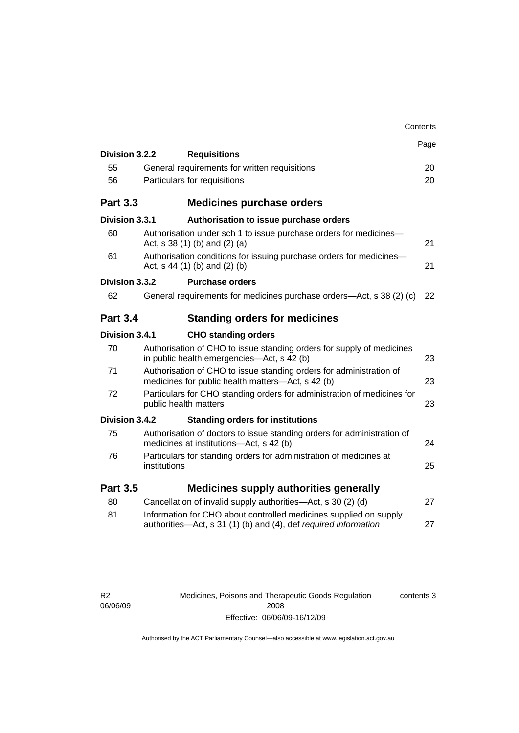|                 | Contents                                                                                                                             |      |
|-----------------|--------------------------------------------------------------------------------------------------------------------------------------|------|
|                 |                                                                                                                                      | Page |
| Division 3.2.2  | <b>Requisitions</b>                                                                                                                  |      |
| 55              | General requirements for written requisitions                                                                                        | 20   |
| 56              | Particulars for requisitions                                                                                                         | 20   |
| <b>Part 3.3</b> | <b>Medicines purchase orders</b>                                                                                                     |      |
| Division 3.3.1  | Authorisation to issue purchase orders                                                                                               |      |
| 60              | Authorisation under sch 1 to issue purchase orders for medicines-<br>Act, $s$ 38 (1) (b) and (2) (a)                                 | 21   |
| 61              | Authorisation conditions for issuing purchase orders for medicines-<br>Act, $s$ 44 (1) (b) and (2) (b)                               | 21   |
| Division 3.3.2  | <b>Purchase orders</b>                                                                                                               |      |
| 62              | General requirements for medicines purchase orders—Act, s 38 (2) (c)                                                                 | 22   |
| <b>Part 3.4</b> | <b>Standing orders for medicines</b>                                                                                                 |      |
| Division 3.4.1  | <b>CHO standing orders</b>                                                                                                           |      |
| 70              | Authorisation of CHO to issue standing orders for supply of medicines<br>in public health emergencies-Act, s 42 (b)                  | 23   |
| 71              | Authorisation of CHO to issue standing orders for administration of<br>medicines for public health matters—Act, s 42 (b)             | 23   |
| 72              | Particulars for CHO standing orders for administration of medicines for<br>public health matters                                     | 23   |
| Division 3.4.2  | <b>Standing orders for institutions</b>                                                                                              |      |
| 75              | Authorisation of doctors to issue standing orders for administration of<br>medicines at institutions-Act, s 42 (b)                   | 24   |
| 76              | Particulars for standing orders for administration of medicines at<br>institutions                                                   | 25   |
| <b>Part 3.5</b> | <b>Medicines supply authorities generally</b>                                                                                        |      |
| 80              | Cancellation of invalid supply authorities—Act, s 30 (2) (d)                                                                         | 27   |
| 81              | Information for CHO about controlled medicines supplied on supply<br>authorities-Act, s 31 (1) (b) and (4), def required information | 27   |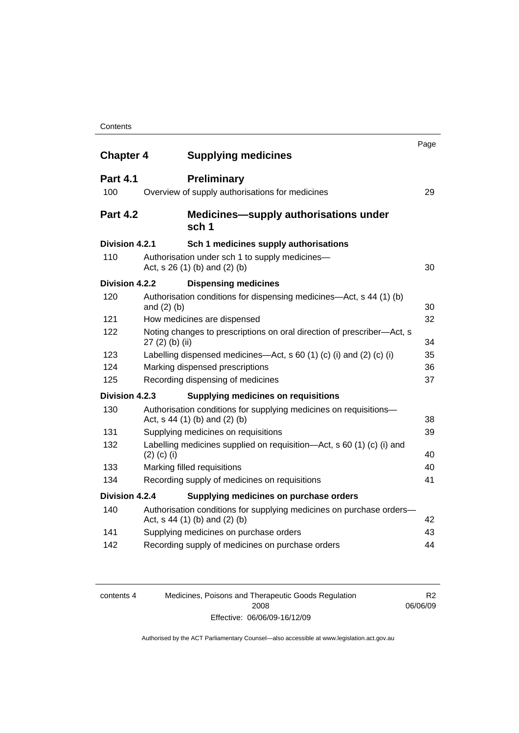| <b>Chapter 4</b> |                  | <b>Supplying medicines</b>                                                                            | Page |
|------------------|------------------|-------------------------------------------------------------------------------------------------------|------|
|                  |                  |                                                                                                       |      |
| <b>Part 4.1</b>  |                  | <b>Preliminary</b>                                                                                    |      |
| 100              |                  | Overview of supply authorisations for medicines                                                       | 29   |
| <b>Part 4.2</b>  |                  | <b>Medicines—supply authorisations under</b><br>sch <sub>1</sub>                                      |      |
| Division 4.2.1   |                  | Sch 1 medicines supply authorisations                                                                 |      |
| 110              |                  | Authorisation under sch 1 to supply medicines-<br>Act, s 26 (1) (b) and (2) (b)                       | 30   |
| Division 4.2.2   |                  | <b>Dispensing medicines</b>                                                                           |      |
| 120              |                  | Authorisation conditions for dispensing medicines—Act, s 44 (1) (b)                                   |      |
|                  | and $(2)$ $(b)$  |                                                                                                       | 30   |
| 121              |                  | How medicines are dispensed                                                                           | 32   |
| 122              | $27(2)$ (b) (ii) | Noting changes to prescriptions on oral direction of prescriber—Act, s                                | 34   |
| 123              |                  | Labelling dispensed medicines—Act, s 60 (1) (c) (i) and (2) (c) (i)                                   | 35   |
| 124              |                  | Marking dispensed prescriptions                                                                       | 36   |
| 125              |                  | Recording dispensing of medicines                                                                     | 37   |
| Division 4.2.3   |                  | <b>Supplying medicines on requisitions</b>                                                            |      |
| 130              |                  | Authorisation conditions for supplying medicines on requisitions-<br>Act, s 44 (1) (b) and (2) (b)    | 38   |
| 131              |                  | Supplying medicines on requisitions                                                                   | 39   |
| 132              | $(2)$ (c) (i)    | Labelling medicines supplied on requisition-Act, s 60 (1) (c) (i) and                                 | 40   |
| 133              |                  | Marking filled requisitions                                                                           | 40   |
| 134              |                  | Recording supply of medicines on requisitions                                                         | 41   |
| Division 4.2.4   |                  | Supplying medicines on purchase orders                                                                |      |
| 140              |                  | Authorisation conditions for supplying medicines on purchase orders-<br>Act, s 44 (1) (b) and (2) (b) | 42   |
| 141              |                  | Supplying medicines on purchase orders                                                                | 43   |
| 142              |                  | Recording supply of medicines on purchase orders                                                      | 44   |
|                  |                  |                                                                                                       |      |

| contents 4 |
|------------|
|------------|

4 Medicines, Poisons and Therapeutic Goods Regulation 2008 Effective: 06/06/09-16/12/09

R2 06/06/09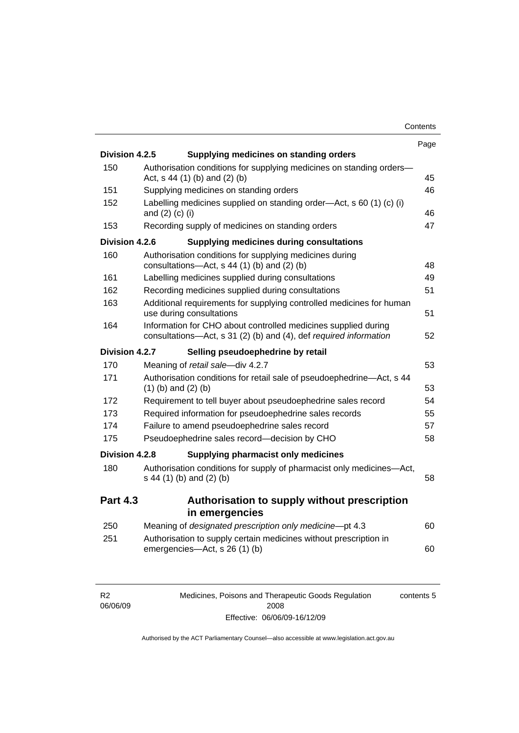| Contents |
|----------|
|----------|

|                 |                                                                                                                                     | Page |
|-----------------|-------------------------------------------------------------------------------------------------------------------------------------|------|
| Division 4.2.5  | Supplying medicines on standing orders                                                                                              |      |
| 150             | Authorisation conditions for supplying medicines on standing orders-<br>Act, s 44 (1) (b) and (2) (b)                               | 45   |
| 151             | Supplying medicines on standing orders                                                                                              | 46   |
| 152             | Labelling medicines supplied on standing order-Act, s 60 (1) (c) (i)<br>and (2) (c) (i)                                             | 46   |
| 153             | Recording supply of medicines on standing orders                                                                                    | 47   |
| Division 4.2.6  | <b>Supplying medicines during consultations</b>                                                                                     |      |
| 160             | Authorisation conditions for supplying medicines during<br>consultations- $-\text{Act}$ , s 44 (1) (b) and (2) (b)                  | 48   |
| 161             | Labelling medicines supplied during consultations                                                                                   | 49   |
| 162             | Recording medicines supplied during consultations                                                                                   | 51   |
| 163             | Additional requirements for supplying controlled medicines for human<br>use during consultations                                    | 51   |
| 164             | Information for CHO about controlled medicines supplied during<br>consultations-Act, s 31 (2) (b) and (4), def required information | 52   |
| Division 4.2.7  | Selling pseudoephedrine by retail                                                                                                   |      |
| 170             | Meaning of retail sale-div 4.2.7                                                                                                    | 53   |
| 171             | Authorisation conditions for retail sale of pseudoephedrine-Act, s 44<br>$(1)$ (b) and $(2)$ (b)                                    | 53   |
| 172             | Requirement to tell buyer about pseudoephedrine sales record                                                                        | 54   |
| 173             | Required information for pseudoephedrine sales records                                                                              | 55   |
| 174             | Failure to amend pseudoephedrine sales record                                                                                       | 57   |
| 175             | Pseudoephedrine sales record-decision by CHO                                                                                        | 58   |
| Division 4.2.8  | Supplying pharmacist only medicines                                                                                                 |      |
| 180             | Authorisation conditions for supply of pharmacist only medicines-Act,<br>s 44 (1) (b) and (2) (b)                                   | 58   |
| <b>Part 4.3</b> | Authorisation to supply without prescription<br>in emergencies                                                                      |      |
| 250             | Meaning of designated prescription only medicine-pt 4.3                                                                             | 60   |
| 251             | Authorisation to supply certain medicines without prescription in                                                                   |      |
|                 | emergencies-Act, s 26 (1) (b)                                                                                                       | 60   |

| К2       |
|----------|
| 06/06/09 |

Medicines, Poisons and Therapeutic Goods Regulation 2008 Effective: 06/06/09-16/12/09 contents 5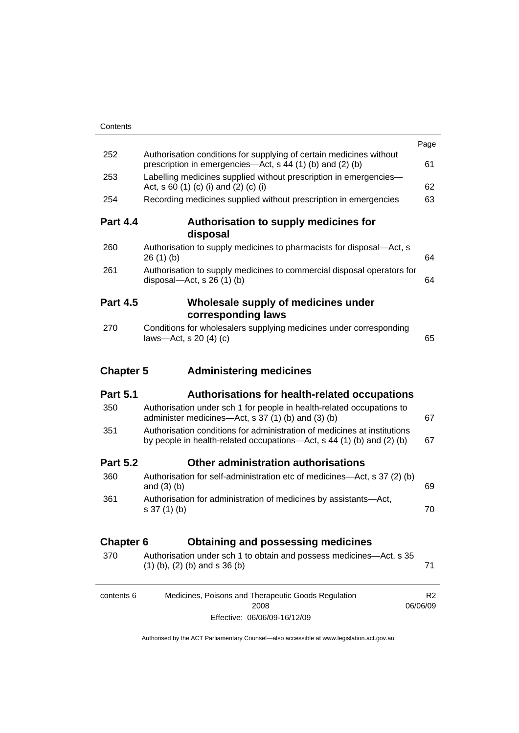|                  |                                                                                                                                                   | Page                       |
|------------------|---------------------------------------------------------------------------------------------------------------------------------------------------|----------------------------|
| 252              | Authorisation conditions for supplying of certain medicines without<br>prescription in emergencies—Act, s 44 (1) (b) and (2) (b)                  | 61                         |
| 253              | Labelling medicines supplied without prescription in emergencies-<br>Act, s 60 (1) (c) (i) and (2) (c) (i)                                        | 62                         |
| 254              | Recording medicines supplied without prescription in emergencies                                                                                  | 63                         |
| <b>Part 4.4</b>  | Authorisation to supply medicines for<br>disposal                                                                                                 |                            |
| 260              | Authorisation to supply medicines to pharmacists for disposal-Act, s<br>26(1)(b)                                                                  | 64                         |
| 261              | Authorisation to supply medicines to commercial disposal operators for<br>disposal- $-\text{Act}$ , s 26 (1) (b)                                  | 64                         |
| <b>Part 4.5</b>  | Wholesale supply of medicines under<br>corresponding laws                                                                                         |                            |
| 270              | Conditions for wholesalers supplying medicines under corresponding<br>laws-Act, s 20 (4) (c)                                                      | 65                         |
| <b>Chapter 5</b> | <b>Administering medicines</b>                                                                                                                    |                            |
| <b>Part 5.1</b>  | Authorisations for health-related occupations                                                                                                     |                            |
| 350              | Authorisation under sch 1 for people in health-related occupations to<br>administer medicines—Act, s 37 (1) (b) and (3) (b)                       | 67                         |
| 351              | Authorisation conditions for administration of medicines at institutions<br>by people in health-related occupations-Act, s 44 (1) (b) and (2) (b) | 67                         |
| <b>Part 5.2</b>  | Other administration authorisations                                                                                                               |                            |
| 360              | Authorisation for self-administration etc of medicines-Act, s 37 (2) (b)<br>and $(3)$ $(b)$                                                       | 69                         |
| 361              | Authorisation for administration of medicines by assistants-Act,<br>s 37 (1) (b)                                                                  | 70                         |
| <b>Chapter 6</b> | <b>Obtaining and possessing medicines</b>                                                                                                         |                            |
| 370              | Authorisation under sch 1 to obtain and possess medicines—Act, s 35<br>$(1)$ (b), (2) (b) and s 36 (b)                                            | 71                         |
| contents 6       | Medicines, Poisons and Therapeutic Goods Regulation<br>2008                                                                                       | R <sub>2</sub><br>06/06/09 |

Effective: 06/06/09-16/12/09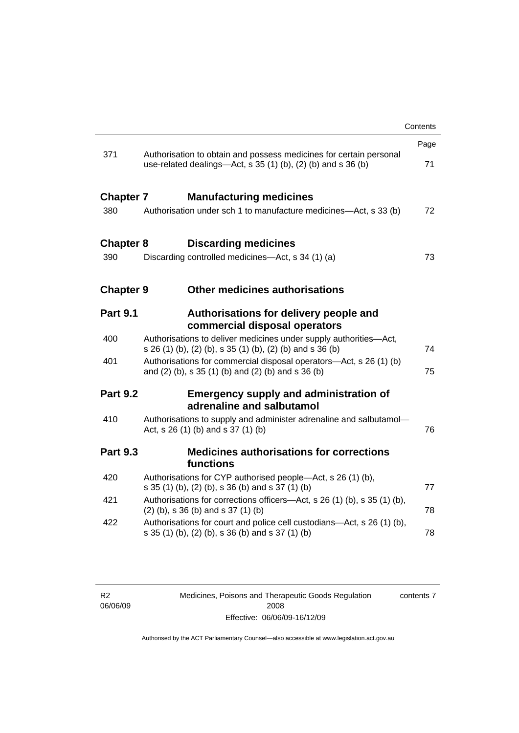|                  |                                                                                                                                    | Contents |
|------------------|------------------------------------------------------------------------------------------------------------------------------------|----------|
|                  |                                                                                                                                    | Page     |
| 371              | Authorisation to obtain and possess medicines for certain personal<br>use-related dealings—Act, s 35 (1) (b), (2) (b) and s 36 (b) | 71       |
| <b>Chapter 7</b> | <b>Manufacturing medicines</b>                                                                                                     |          |
| 380              | Authorisation under sch 1 to manufacture medicines—Act, s 33 (b)                                                                   | 72       |
| <b>Chapter 8</b> | <b>Discarding medicines</b>                                                                                                        |          |
| 390              | Discarding controlled medicines—Act, s 34 (1) (a)                                                                                  | 73       |
| <b>Chapter 9</b> | Other medicines authorisations                                                                                                     |          |
| <b>Part 9.1</b>  | Authorisations for delivery people and<br>commercial disposal operators                                                            |          |
| 400              | Authorisations to deliver medicines under supply authorities-Act,<br>s 26 (1) (b), (2) (b), s 35 (1) (b), (2) (b) and s 36 (b)     | 74       |
| 401              | Authorisations for commercial disposal operators—Act, s 26 (1) (b)<br>and (2) (b), s 35 (1) (b) and (2) (b) and s 36 (b)           | 75       |
| <b>Part 9.2</b>  | <b>Emergency supply and administration of</b><br>adrenaline and salbutamol                                                         |          |
| 410              | Authorisations to supply and administer adrenaline and salbutamol-<br>Act, s 26 (1) (b) and s 37 (1) (b)                           | 76       |
| <b>Part 9.3</b>  | <b>Medicines authorisations for corrections</b><br>functions                                                                       |          |
| 420              | Authorisations for CYP authorised people-Act, s 26 (1) (b),<br>s 35 (1) (b), (2) (b), s 36 (b) and s 37 (1) (b)                    | 77       |
| 421              | Authorisations for corrections officers—Act, s 26 (1) (b), s 35 (1) (b),<br>$(2)$ (b), s 36 (b) and s 37 (1) (b)                   | 78       |
| 422              | Authorisations for court and police cell custodians—Act, s 26 (1) (b),<br>s 35 (1) (b), (2) (b), s 36 (b) and s 37 (1) (b)         | 78       |
|                  |                                                                                                                                    |          |

Medicines, Poisons and Therapeutic Goods Regulation 2008 Effective: 06/06/09-16/12/09 contents 7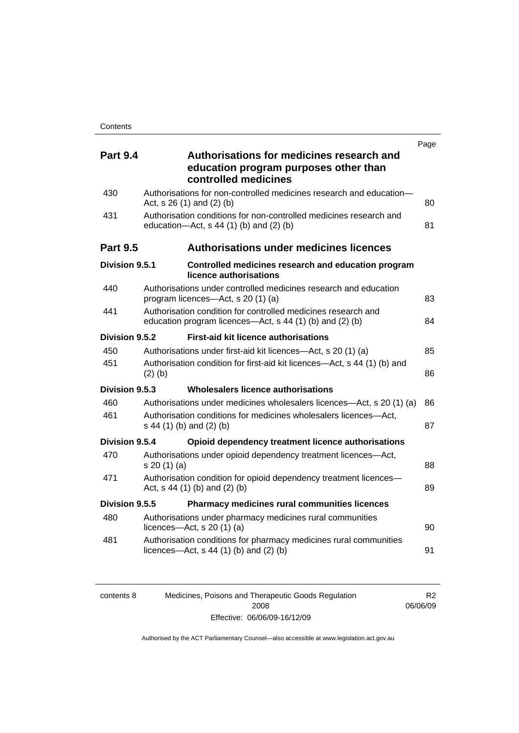| <b>Part 9.4</b> | Authorisations for medicines research and<br>education program purposes other than<br>controlled medicines                | Page |
|-----------------|---------------------------------------------------------------------------------------------------------------------------|------|
| 430             | Authorisations for non-controlled medicines research and education-<br>Act, s 26 (1) and (2) (b)                          | 80   |
| 431             | Authorisation conditions for non-controlled medicines research and<br>education- $Act$ , s 44 (1) (b) and (2) (b)         | 81   |
| <b>Part 9.5</b> | <b>Authorisations under medicines licences</b>                                                                            |      |
| Division 9.5.1  | Controlled medicines research and education program<br>licence authorisations                                             |      |
| 440             | Authorisations under controlled medicines research and education<br>program licences-Act, s 20 (1) (a)                    | 83   |
| 441             | Authorisation condition for controlled medicines research and<br>education program licences—Act, s 44 (1) (b) and (2) (b) | 84   |
| Division 9.5.2  | <b>First-aid kit licence authorisations</b>                                                                               |      |
| 450             | Authorisations under first-aid kit licences—Act, s 20 (1) (a)                                                             | 85   |
| 451             | Authorisation condition for first-aid kit licences-Act, s 44 (1) (b) and<br>$(2)$ (b)                                     | 86   |
| Division 9.5.3  | Wholesalers licence authorisations                                                                                        |      |
| 460             | Authorisations under medicines wholesalers licences—Act, s 20 (1) (a)                                                     | 86   |
| 461             | Authorisation conditions for medicines wholesalers licences-Act,<br>s 44 (1) (b) and (2) (b)                              | 87   |
| Division 9.5.4  | Opioid dependency treatment licence authorisations                                                                        |      |
| 470             | Authorisations under opioid dependency treatment licences-Act,<br>s 20(1)(a)                                              | 88   |
| 471             | Authorisation condition for opioid dependency treatment licences-<br>Act, $s$ 44 (1) (b) and (2) (b)                      | 89   |
| Division 9.5.5  | Pharmacy medicines rural communities licences                                                                             |      |
| 480             | Authorisations under pharmacy medicines rural communities<br>licences- $-\text{Act}$ , s 20 (1) (a)                       | 90   |
| 481             | Authorisation conditions for pharmacy medicines rural communities<br>licences—Act, $s$ 44 (1) (b) and (2) (b)             | 91   |
|                 |                                                                                                                           |      |

| contents 8 | Medicines, Poisons and Therapeutic Goods Regulation |  |
|------------|-----------------------------------------------------|--|
|            | 2008                                                |  |
|            | Effective: 06/06/09-16/12/09                        |  |

Authorised by the ACT Parliamentary Counsel—also accessible at www.legislation.act.gov.au

R2 06/06/09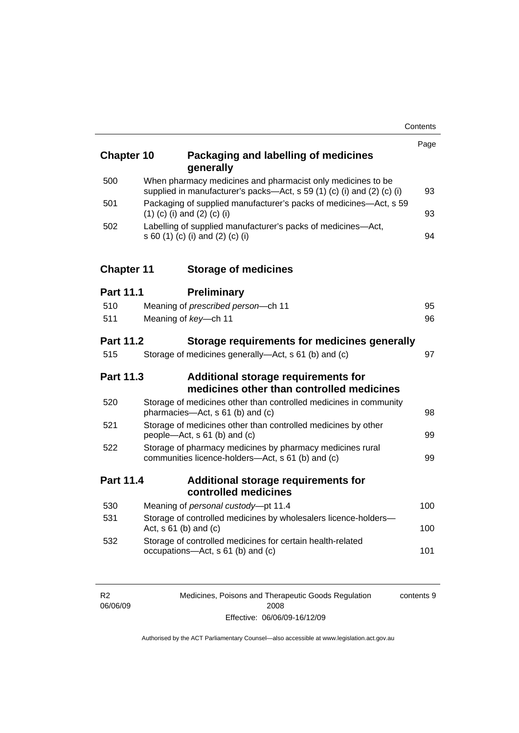| <b>Chapter 10</b> | Packaging and labelling of medicines<br>generally                                                                                     | Page |
|-------------------|---------------------------------------------------------------------------------------------------------------------------------------|------|
| 500               | When pharmacy medicines and pharmacist only medicines to be<br>supplied in manufacturer's packs-Act, s 59 (1) (c) (i) and (2) (c) (i) | 93   |
| 501               | Packaging of supplied manufacturer's packs of medicines-Act, s 59<br>$(1)$ (c) (i) and (2) (c) (i)                                    | 93   |
| 502               | Labelling of supplied manufacturer's packs of medicines-Act,<br>s 60 (1) (c) (i) and (2) (c) (i)                                      | 94   |
| <b>Chapter 11</b> | <b>Storage of medicines</b>                                                                                                           |      |
| <b>Part 11.1</b>  | <b>Preliminary</b>                                                                                                                    |      |
| 510               | Meaning of prescribed person-ch 11                                                                                                    | 95   |
| 511               | Meaning of key-ch 11                                                                                                                  | 96   |
| <b>Part 11.2</b>  | Storage requirements for medicines generally                                                                                          |      |
| 515               | Storage of medicines generally-Act, s 61 (b) and (c)                                                                                  | 97   |
| <b>Part 11.3</b>  | Additional storage requirements for<br>medicines other than controlled medicines                                                      |      |
| 520               | Storage of medicines other than controlled medicines in community<br>pharmacies-Act, s 61 (b) and (c)                                 | 98   |
| 521               | Storage of medicines other than controlled medicines by other<br>people—Act, s 61 (b) and (c)                                         | 99   |
| 522               | Storage of pharmacy medicines by pharmacy medicines rural<br>communities licence-holders-Act, s 61 (b) and (c)                        | 99   |
| <b>Part 11.4</b>  | Additional storage requirements for<br>controlled medicines                                                                           |      |
| 530               | Meaning of personal custody-pt 11.4                                                                                                   | 100  |
| 531               | Storage of controlled medicines by wholesalers licence-holders-<br>Act, $s \, 61$ (b) and (c)                                         | 100  |
| 532               | Storage of controlled medicines for certain health-related<br>occupations-Act, s 61 (b) and (c)                                       | 101  |

| R <sub>2</sub> | Medicines, Poisons and Therapeutic Goods Regulation | contents 9 |
|----------------|-----------------------------------------------------|------------|
| 06/06/09       | 2008                                                |            |
|                | Effective: 06/06/09-16/12/09                        |            |

Authorised by the ACT Parliamentary Counsel—also accessible at www.legislation.act.gov.au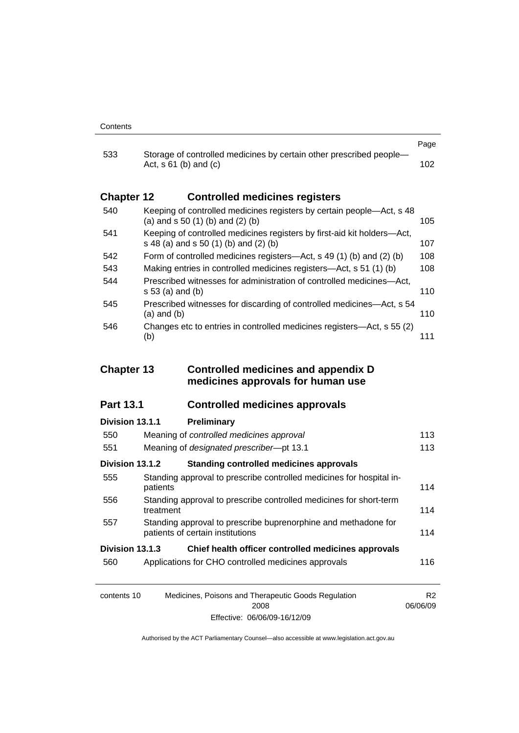| 533               |                                                                                                                  | Page |
|-------------------|------------------------------------------------------------------------------------------------------------------|------|
|                   | Storage of controlled medicines by certain other prescribed people-<br>Act, $s \, 61$ (b) and (c)                | 102. |
| <b>Chapter 12</b> | <b>Controlled medicines registers</b>                                                                            |      |
| 540               | Keeping of controlled medicines registers by certain people—Act, s 48<br>(a) and $s$ 50 (1) (b) and (2) (b)      | 105  |
| 541               | Keeping of controlled medicines registers by first-aid kit holders—Act,<br>s 48 (a) and s 50 (1) (b) and (2) (b) | 107  |
| 542               | Form of controlled medicines registers—Act, s 49 (1) (b) and (2) (b)                                             | 108  |
| 543               | Making entries in controlled medicines registers—Act, s 51 (1) (b)                                               | 108  |
| 544               | Prescribed witnesses for administration of controlled medicines—Act,<br>s 53 (a) and (b)                         | 110  |
| 545               | Prescribed witnesses for discarding of controlled medicines—Act, s 54<br>$(a)$ and $(b)$                         | 110  |
| 546               | Changes etc to entries in controlled medicines registers—Act, s 55 (2)<br>(b)                                    | 111  |

## **Chapter 13 Controlled medicines and appendix D medicines approvals for human use**

### **Part 13.1 Controlled medicines approvals**

# **Division 13.1.1 Preliminary** 550 Meaning of *controlled medicines approval* [113](#page-136-0) 551 Meaning of *designated prescriber*—pt 13.1 [113](#page-136-0) **Division 13.1.2 Standing controlled medicines approvals** 555 Standing approval to prescribe controlled medicines for hospital in-patients [114](#page-137-0) 556 Standing approval to prescribe controlled medicines for short-term treatment [114](#page-137-0) 557 Standing approval to prescribe buprenorphine and methadone for patients of certain institutions [114](#page-137-0) **Division 13.1.3 Chief health officer controlled medicines approvals** 560 Applications for CHO controlled medicines approvals [116](#page-139-0)

| contents 10 | Medicines, Poisons and Therapeutic Goods Regulation | R <sub>2</sub> |
|-------------|-----------------------------------------------------|----------------|
|             | 2008                                                | 06/06/09       |
|             | Effective: 06/06/09-16/12/09                        |                |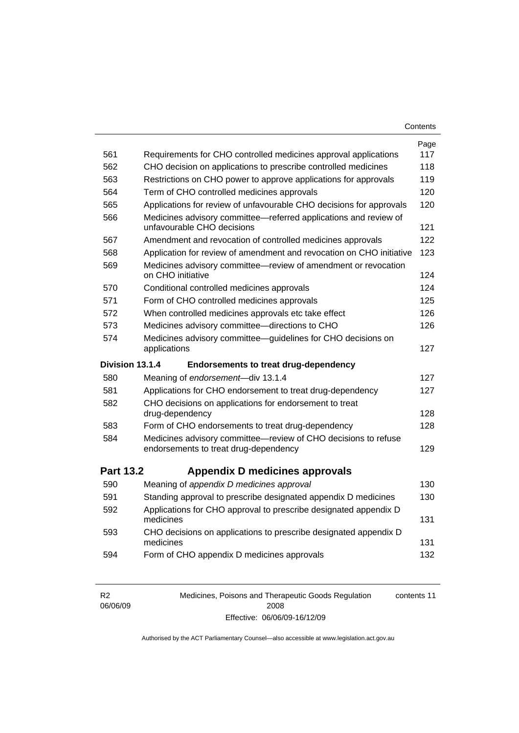| Contents |
|----------|
|----------|

|                  |                                                                                                         | Page |
|------------------|---------------------------------------------------------------------------------------------------------|------|
| 561              | Requirements for CHO controlled medicines approval applications                                         | 117  |
| 562              | CHO decision on applications to prescribe controlled medicines                                          | 118  |
| 563              | Restrictions on CHO power to approve applications for approvals                                         | 119  |
| 564              | Term of CHO controlled medicines approvals                                                              | 120  |
| 565              | Applications for review of unfavourable CHO decisions for approvals                                     | 120  |
| 566              | Medicines advisory committee-referred applications and review of<br>unfavourable CHO decisions          | 121  |
| 567              | Amendment and revocation of controlled medicines approvals                                              | 122  |
| 568              | Application for review of amendment and revocation on CHO initiative                                    | 123  |
| 569              | Medicines advisory committee-review of amendment or revocation<br>on CHO initiative                     | 124  |
| 570              | Conditional controlled medicines approvals                                                              | 124  |
| 571              | Form of CHO controlled medicines approvals                                                              | 125  |
| 572              | When controlled medicines approvals etc take effect                                                     | 126  |
| 573              | Medicines advisory committee-directions to CHO                                                          | 126  |
| 574              | Medicines advisory committee-guidelines for CHO decisions on<br>applications                            | 127  |
|                  |                                                                                                         |      |
| Division 13.1.4  | <b>Endorsements to treat drug-dependency</b>                                                            |      |
| 580              | Meaning of endorsement-div 13.1.4                                                                       | 127  |
| 581              | Applications for CHO endorsement to treat drug-dependency                                               | 127  |
| 582              | CHO decisions on applications for endorsement to treat<br>drug-dependency                               | 128  |
| 583              | Form of CHO endorsements to treat drug-dependency                                                       | 128  |
| 584              | Medicines advisory committee-review of CHO decisions to refuse<br>endorsements to treat drug-dependency | 129  |
| <b>Part 13.2</b> | <b>Appendix D medicines approvals</b>                                                                   |      |
| 590              | Meaning of appendix D medicines approval                                                                | 130  |
| 591              | Standing approval to prescribe designated appendix D medicines                                          | 130  |
| 592              | Applications for CHO approval to prescribe designated appendix D<br>medicines                           | 131  |
| 593              | CHO decisions on applications to prescribe designated appendix D<br>medicines                           | 131  |

| R <sub>2</sub> | Medicines, Poisons and Therapeutic Goods Regulation | contents 11 |
|----------------|-----------------------------------------------------|-------------|
| 06/06/09       | 2008                                                |             |
|                | Effective: 06/06/09-16/12/09                        |             |

Authorised by the ACT Parliamentary Counsel—also accessible at www.legislation.act.gov.au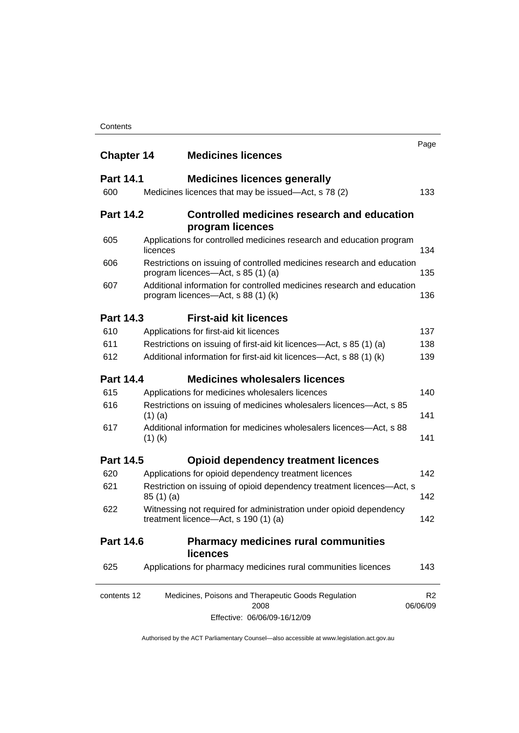| <b>Chapter 14</b> |           | <b>Medicines licences</b>                                                                                    | Page     |
|-------------------|-----------|--------------------------------------------------------------------------------------------------------------|----------|
| <b>Part 14.1</b>  |           | <b>Medicines licences generally</b>                                                                          |          |
| 600               |           | Medicines licences that may be issued—Act, s 78 (2)                                                          |          |
| <b>Part 14.2</b>  |           | Controlled medicines research and education<br>program licences                                              |          |
| 605               | licences  | Applications for controlled medicines research and education program                                         |          |
| 606               |           | Restrictions on issuing of controlled medicines research and education<br>program licences-Act, s 85 (1) (a) |          |
| 607               |           | Additional information for controlled medicines research and education<br>program licences—Act, s 88 (1) (k) |          |
| <b>Part 14.3</b>  |           | <b>First-aid kit licences</b>                                                                                |          |
| 610               |           | Applications for first-aid kit licences                                                                      |          |
| 611               |           | Restrictions on issuing of first-aid kit licences—Act, s 85 (1) (a)                                          |          |
| 612               |           | Additional information for first-aid kit licences—Act, s 88 (1) (k)                                          |          |
| <b>Part 14.4</b>  |           | <b>Medicines wholesalers licences</b>                                                                        |          |
| 615               |           | Applications for medicines wholesalers licences                                                              |          |
| 616               | $(1)$ (a) | Restrictions on issuing of medicines wholesalers licences—Act, s 85                                          |          |
| 617               | $(1)$ (k) | Additional information for medicines wholesalers licences-Act, s 88                                          |          |
| <b>Part 14.5</b>  |           | <b>Opioid dependency treatment licences</b>                                                                  |          |
| 620               |           | Applications for opioid dependency treatment licences                                                        |          |
| 621               | 85(1)(a)  | Restriction on issuing of opioid dependency treatment licences-Act, s                                        |          |
| 622               |           | Witnessing not required for administration under opioid dependency<br>treatment licence-Act, s 190 (1) (a)   |          |
| <b>Part 14.6</b>  |           | <b>Pharmacy medicines rural communities</b><br><b>licences</b>                                               |          |
| 625               |           | Applications for pharmacy medicines rural communities licences                                               |          |
| contents 12       |           | Medicines, Poisons and Therapeutic Goods Regulation<br>2008                                                  | 06/06/09 |
|                   |           | Effective: 06/06/09-16/12/09                                                                                 |          |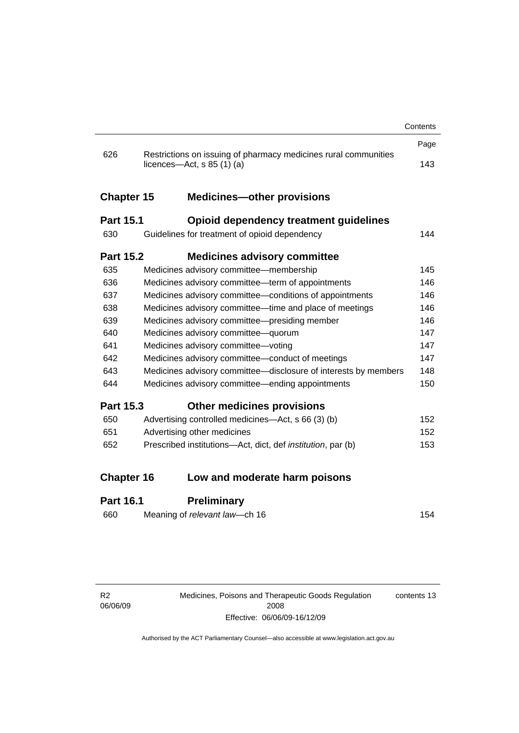|                   |                                                                                                 | Contents |
|-------------------|-------------------------------------------------------------------------------------------------|----------|
|                   |                                                                                                 | Page     |
| 626               | Restrictions on issuing of pharmacy medicines rural communities<br>licences—Act, $s$ 85 (1) (a) | 143      |
| <b>Chapter 15</b> | <b>Medicines-other provisions</b>                                                               |          |
| <b>Part 15.1</b>  | <b>Opioid dependency treatment guidelines</b>                                                   |          |
| 630               | Guidelines for treatment of opioid dependency                                                   | 144      |
| <b>Part 15.2</b>  | <b>Medicines advisory committee</b>                                                             |          |
| 635               | Medicines advisory committee-membership                                                         | 145      |
| 636               | Medicines advisory committee—term of appointments                                               | 146      |
| 637               | Medicines advisory committee-conditions of appointments                                         | 146      |
| 638               | Medicines advisory committee-time and place of meetings                                         | 146      |
| 639               | Medicines advisory committee-presiding member                                                   | 146      |
| 640               | Medicines advisory committee-quorum                                                             | 147      |
| 641               | Medicines advisory committee-voting                                                             | 147      |
| 642               | Medicines advisory committee-conduct of meetings                                                | 147      |
| 643               | Medicines advisory committee-disclosure of interests by members                                 | 148      |
| 644               | Medicines advisory committee—ending appointments                                                | 150      |
| <b>Part 15.3</b>  | <b>Other medicines provisions</b>                                                               |          |
| 650               | Advertising controlled medicines—Act, s 66 (3) (b)                                              | 152      |
| 651               | Advertising other medicines                                                                     | 152      |
| 652               | Prescribed institutions-Act, dict, def <i>institution</i> , par (b)                             | 153      |
| <b>Chapter 16</b> | Low and moderate harm poisons                                                                   |          |
|                   |                                                                                                 |          |
| Part 16.1         | <b>Preliminary</b>                                                                              |          |

### **Part 16.1 Preliminary**

| 154 |
|-----|
|     |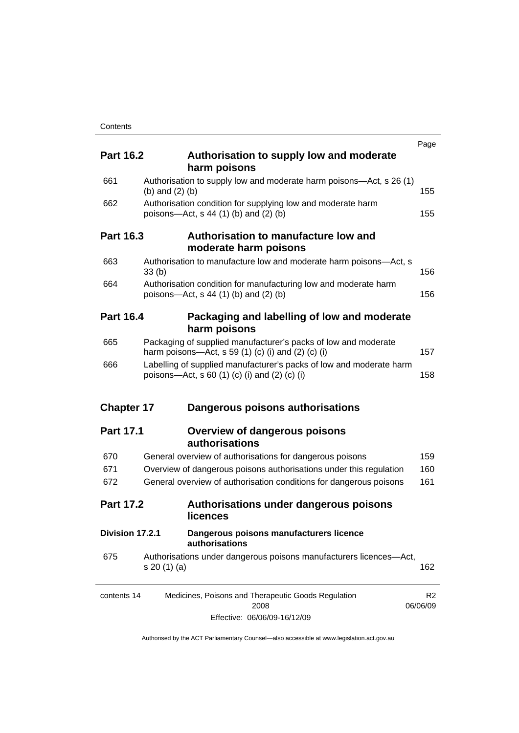|                   |                   |                                                                                                                      | Page                       |
|-------------------|-------------------|----------------------------------------------------------------------------------------------------------------------|----------------------------|
| <b>Part 16.2</b>  |                   | Authorisation to supply low and moderate<br>harm poisons                                                             |                            |
| 661               | (b) and $(2)$ (b) | Authorisation to supply low and moderate harm poisons—Act, s 26 (1)                                                  | 155                        |
| 662               |                   | Authorisation condition for supplying low and moderate harm<br>poisons-Act, $s$ 44 (1) (b) and (2) (b)               | 155                        |
| <b>Part 16.3</b>  |                   | Authorisation to manufacture low and<br>moderate harm poisons                                                        |                            |
| 663               | 33(b)             | Authorisation to manufacture low and moderate harm poisons-Act, s                                                    | 156                        |
| 664               |                   | Authorisation condition for manufacturing low and moderate harm<br>poisons-Act, $s$ 44 (1) (b) and (2) (b)           | 156                        |
| <b>Part 16.4</b>  |                   | Packaging and labelling of low and moderate<br>harm poisons                                                          |                            |
| 665               |                   | Packaging of supplied manufacturer's packs of low and moderate<br>harm poisons—Act, s 59 (1) (c) (i) and (2) (c) (i) | 157                        |
| 666               |                   | Labelling of supplied manufacturer's packs of low and moderate harm<br>poisons—Act, s 60 (1) (c) (i) and (2) (c) (i) | 158                        |
| <b>Chapter 17</b> |                   | Dangerous poisons authorisations                                                                                     |                            |
| <b>Part 17.1</b>  |                   | <b>Overview of dangerous poisons</b><br>authorisations                                                               |                            |
| 670               |                   | General overview of authorisations for dangerous poisons                                                             | 159                        |
| 671               |                   | Overview of dangerous poisons authorisations under this regulation                                                   | 160                        |
| 672               |                   | General overview of authorisation conditions for dangerous poisons                                                   | 161                        |
| <b>Part 17.2</b>  |                   | Authorisations under dangerous poisons<br>licences                                                                   |                            |
| Division 17.2.1   |                   | Dangerous poisons manufacturers licence<br>authorisations                                                            |                            |
| 675               | s 20 (1) (a)      | Authorisations under dangerous poisons manufacturers licences-Act,                                                   | 162                        |
| contents 14       |                   | Medicines, Poisons and Therapeutic Goods Regulation<br>2008                                                          | R <sub>2</sub><br>06/06/09 |
|                   |                   | Effective: 06/06/09-16/12/09                                                                                         |                            |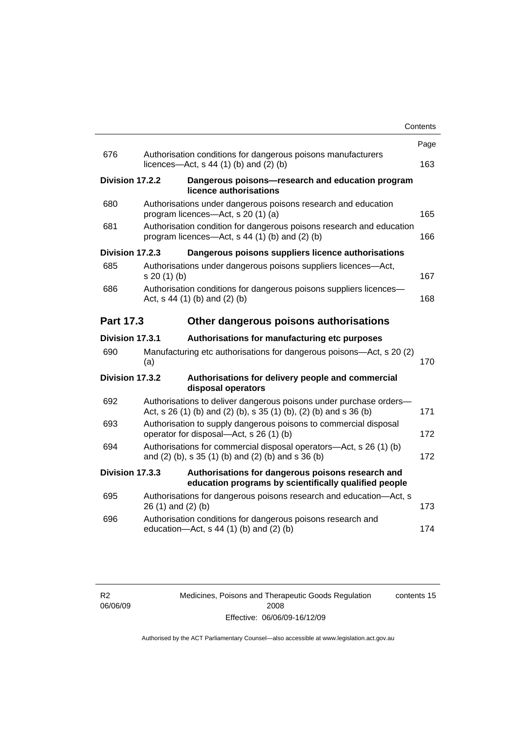|                  |                                                                                                                                         | Contents |
|------------------|-----------------------------------------------------------------------------------------------------------------------------------------|----------|
|                  |                                                                                                                                         | Page     |
| 676              | Authorisation conditions for dangerous poisons manufacturers<br>licences- $-\text{Act}$ , s 44 (1) (b) and (2) (b)                      | 163      |
| Division 17.2.2  | Dangerous poisons-research and education program<br>licence authorisations                                                              |          |
| 680              | Authorisations under dangerous poisons research and education<br>program licences—Act, s 20 (1) (a)                                     | 165      |
| 681              | Authorisation condition for dangerous poisons research and education<br>program licences—Act, $s$ 44 (1) (b) and (2) (b)                | 166      |
| Division 17.2.3  | Dangerous poisons suppliers licence authorisations                                                                                      |          |
| 685              | Authorisations under dangerous poisons suppliers licences-Act,<br>$s 20(1)$ (b)                                                         | 167      |
| 686              | Authorisation conditions for dangerous poisons suppliers licences-<br>Act, $s$ 44 (1) (b) and (2) (b)                                   | 168      |
| <b>Part 17.3</b> | Other dangerous poisons authorisations                                                                                                  |          |
| Division 17.3.1  | Authorisations for manufacturing etc purposes                                                                                           |          |
| 690              | Manufacturing etc authorisations for dangerous poisons-Act, s 20 (2)<br>(a)                                                             | 170      |
| Division 17.3.2  | Authorisations for delivery people and commercial<br>disposal operators                                                                 |          |
| 692              | Authorisations to deliver dangerous poisons under purchase orders-<br>Act, s 26 (1) (b) and (2) (b), s 35 (1) (b), (2) (b) and s 36 (b) | 171      |
| 693              | Authorisation to supply dangerous poisons to commercial disposal<br>operator for disposal-Act, s 26 (1) (b)                             | 172      |
| 694              | Authorisations for commercial disposal operators—Act, s 26 (1) (b)<br>and (2) (b), s 35 (1) (b) and (2) (b) and s 36 (b)                | 172      |
| Division 17.3.3  | Authorisations for dangerous poisons research and<br>education programs by scientifically qualified people                              |          |
| 695              | Authorisations for dangerous poisons research and education-Act, s<br>26 (1) and (2) (b)                                                | 173      |
| 696              | Authorisation conditions for dangerous poisons research and<br>education-Act, s 44 (1) (b) and (2) (b)                                  | 174      |
|                  |                                                                                                                                         |          |

Medicines, Poisons and Therapeutic Goods Regulation 2008 Effective: 06/06/09-16/12/09 contents 15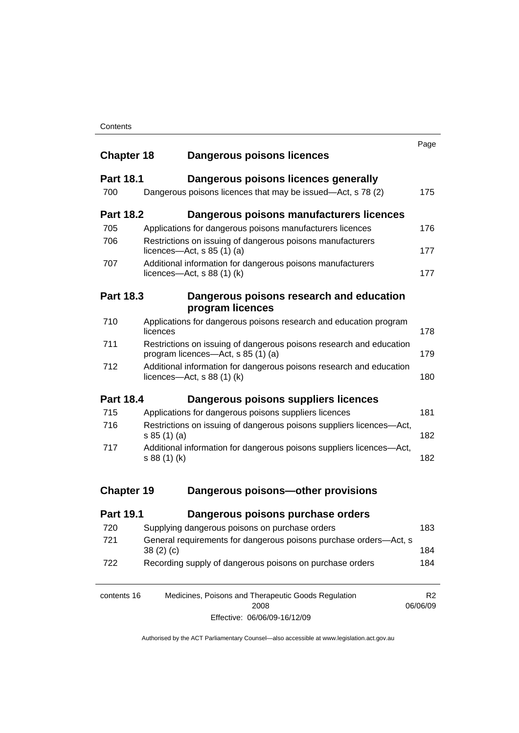| <b>Chapter 18</b> | Dangerous poisons licences                                                                                | Page                       |
|-------------------|-----------------------------------------------------------------------------------------------------------|----------------------------|
| <b>Part 18.1</b>  | Dangerous poisons licences generally                                                                      |                            |
| 700               | Dangerous poisons licences that may be issued-Act, s 78 (2)                                               | 175                        |
| <b>Part 18.2</b>  | Dangerous poisons manufacturers licences                                                                  |                            |
| 705               | Applications for dangerous poisons manufacturers licences                                                 | 176                        |
| 706               | Restrictions on issuing of dangerous poisons manufacturers<br>licences—Act, $s$ 85 (1) (a)                | 177                        |
| 707               | Additional information for dangerous poisons manufacturers<br>licences—Act, s $88(1)(k)$                  | 177                        |
| <b>Part 18.3</b>  | Dangerous poisons research and education<br>program licences                                              |                            |
| 710               | Applications for dangerous poisons research and education program<br>licences                             | 178                        |
| 711               | Restrictions on issuing of dangerous poisons research and education<br>program licences—Act, s 85 (1) (a) | 179                        |
| 712               | Additional information for dangerous poisons research and education<br>licences—Act, $s$ 88 (1) (k)       | 180                        |
| <b>Part 18.4</b>  | Dangerous poisons suppliers licences                                                                      |                            |
| 715               | Applications for dangerous poisons suppliers licences                                                     | 181                        |
| 716               | Restrictions on issuing of dangerous poisons suppliers licences-Act,<br>s 85(1)(a)                        | 182                        |
| 717               | Additional information for dangerous poisons suppliers licences-Act,<br>s 88 (1) (k)                      | 182                        |
| <b>Chapter 19</b> | Dangerous poisons-other provisions                                                                        |                            |
| <b>Part 19.1</b>  | Dangerous poisons purchase orders                                                                         |                            |
| 720               | Supplying dangerous poisons on purchase orders                                                            | 183                        |
| 721               | General requirements for dangerous poisons purchase orders-Act, s<br>38(2)(c)                             | 184                        |
| 722               | Recording supply of dangerous poisons on purchase orders                                                  | 184                        |
| contents 16       | Medicines, Poisons and Therapeutic Goods Regulation<br>2008                                               | R <sub>2</sub><br>06/06/09 |

Effective: 06/06/09-16/12/09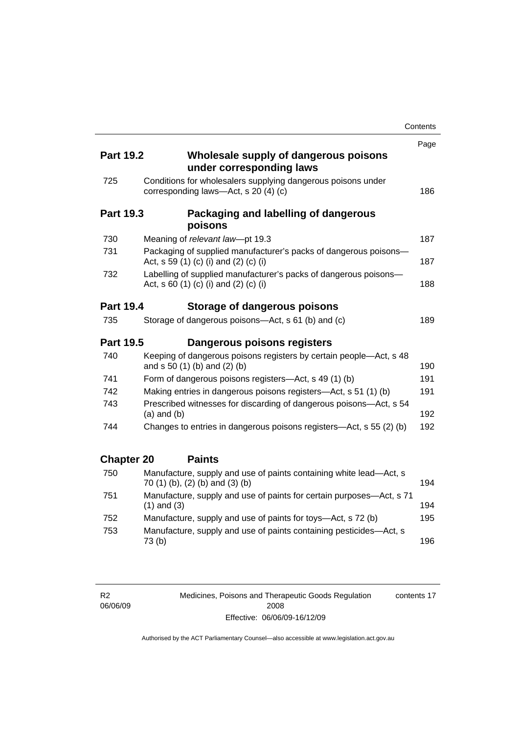|                   |                                                                                                           | Contents |
|-------------------|-----------------------------------------------------------------------------------------------------------|----------|
|                   |                                                                                                           | Page     |
| <b>Part 19.2</b>  | Wholesale supply of dangerous poisons<br>under corresponding laws                                         |          |
| 725               | Conditions for wholesalers supplying dangerous poisons under<br>corresponding laws-Act, s 20 (4) (c)      | 186      |
| <b>Part 19.3</b>  | Packaging and labelling of dangerous<br>poisons                                                           |          |
| 730               | Meaning of relevant law-pt 19.3                                                                           | 187      |
| 731               | Packaging of supplied manufacturer's packs of dangerous poisons-<br>Act, s 59 (1) (c) (i) and (2) (c) (i) | 187      |
| 732               | Labelling of supplied manufacturer's packs of dangerous poisons-<br>Act, s 60 (1) (c) (i) and (2) (c) (i) | 188      |
| <b>Part 19.4</b>  | Storage of dangerous poisons                                                                              |          |
| 735               | Storage of dangerous poisons-Act, s 61 (b) and (c)                                                        | 189      |
| <b>Part 19.5</b>  | Dangerous poisons registers                                                                               |          |
| 740               | Keeping of dangerous poisons registers by certain people-Act, s 48<br>and s 50 (1) (b) and (2) (b)        | 190      |
| 741               | Form of dangerous poisons registers—Act, s 49 (1) (b)                                                     | 191      |
| 742               | Making entries in dangerous poisons registers-Act, s 51 (1) (b)                                           | 191      |
| 743               | Prescribed witnesses for discarding of dangerous poisons-Act, s 54<br>$(a)$ and $(b)$                     | 192      |
| 744               | Changes to entries in dangerous poisons registers—Act, s 55 (2) (b)                                       | 192      |
| <b>Chapter 20</b> | <b>Paints</b>                                                                                             |          |
| 750               | Manufacture, supply and use of paints containing white lead-Act, s<br>70 (1) (b), (2) (b) and (3) (b)     | 194      |
| 751               | Manufacture, supply and use of paints for certain purposes—Act, s 71<br>$(1)$ and $(3)$                   | 194      |
| 752               | Manufacture, supply and use of paints for toys—Act, s 72 (b)                                              | 195      |
| 753               | Manufacture, supply and use of paints containing pesticides-Act, s<br>73(b)                               | 196      |

R2 06/06/09 Medicines, Poisons and Therapeutic Goods Regulation 2008 Effective: 06/06/09-16/12/09 contents 17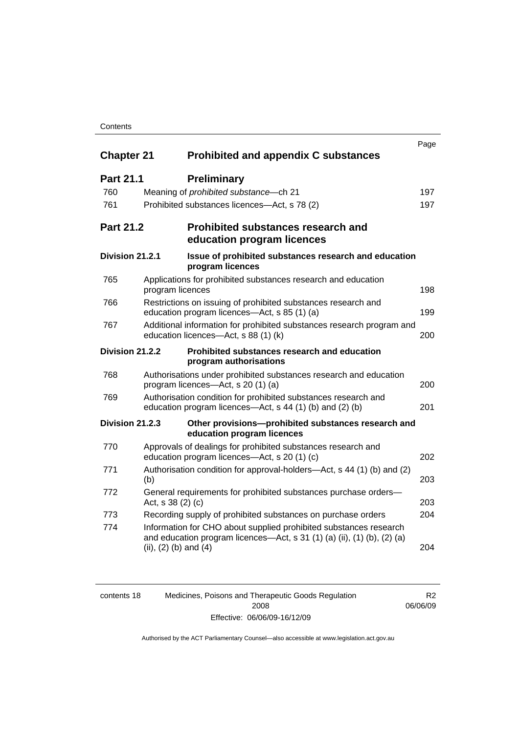### **Contents**

|                   |                                              |                                                                                                                                                | Page |
|-------------------|----------------------------------------------|------------------------------------------------------------------------------------------------------------------------------------------------|------|
| <b>Chapter 21</b> |                                              | <b>Prohibited and appendix C substances</b>                                                                                                    |      |
| <b>Part 21.1</b>  | <b>Preliminary</b>                           |                                                                                                                                                |      |
| 760               | Meaning of prohibited substance-ch 21        |                                                                                                                                                | 197  |
| 761               | Prohibited substances licences—Act, s 78 (2) |                                                                                                                                                | 197  |
| <b>Part 21.2</b>  |                                              | <b>Prohibited substances research and</b><br>education program licences                                                                        |      |
| Division 21.2.1   | program licences                             | Issue of prohibited substances research and education                                                                                          |      |
| 765               | program licences                             | Applications for prohibited substances research and education                                                                                  | 198  |
| 766               | education program licences-Act, s 85 (1) (a) | Restrictions on issuing of prohibited substances research and                                                                                  | 199  |
| 767               | education licences-Act, s 88 (1) (k)         | Additional information for prohibited substances research program and                                                                          | 200  |
| Division 21.2.2   | program authorisations                       | Prohibited substances research and education                                                                                                   |      |
| 768               | program licences-Act, s 20 (1) (a)           | Authorisations under prohibited substances research and education                                                                              | 200  |
| 769               |                                              | Authorisation condition for prohibited substances research and<br>education program licences—Act, s 44 (1) (b) and (2) (b)                     | 201  |
| Division 21.2.3   | education program licences                   | Other provisions-prohibited substances research and                                                                                            |      |
| 770               | education program licences—Act, s 20 (1) (c) | Approvals of dealings for prohibited substances research and                                                                                   | 202  |
| 771               | (b)                                          | Authorisation condition for approval-holders—Act, s 44 (1) (b) and (2)                                                                         | 203  |
| 772               | Act, s 38 (2) (c)                            | General requirements for prohibited substances purchase orders-                                                                                | 203  |
| 773               |                                              | Recording supply of prohibited substances on purchase orders                                                                                   | 204  |
| 774               | (ii), $(2)$ (b) and $(4)$                    | Information for CHO about supplied prohibited substances research<br>and education program licences—Act, s $31$ (1) (a) (ii), (1) (b), (2) (a) | 204  |

| contents 18 | Medicines, Poisons and Therapeutic Goods Regulation | R <sub>2</sub> |
|-------------|-----------------------------------------------------|----------------|
|             | 2008                                                | 06/06/09       |
|             | Effective: 06/06/09-16/12/09                        |                |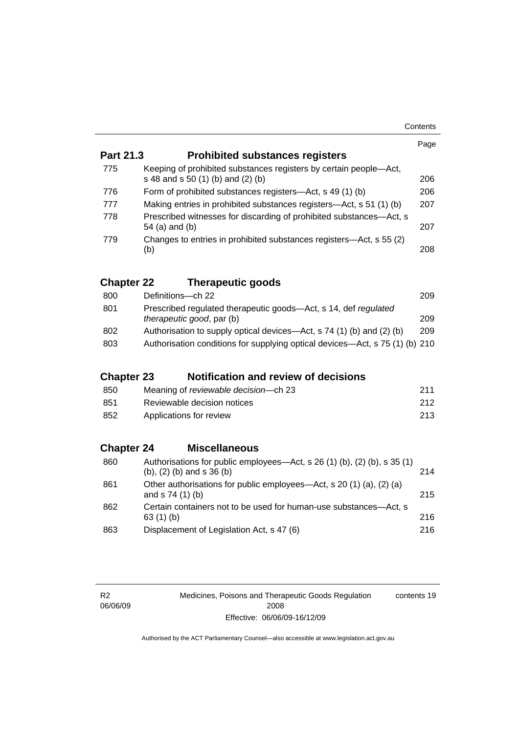|                   |                                                                                                                | Page |
|-------------------|----------------------------------------------------------------------------------------------------------------|------|
| <b>Part 21.3</b>  | <b>Prohibited substances registers</b>                                                                         |      |
| 775               | Keeping of prohibited substances registers by certain people-Act,<br>s 48 and s 50 (1) (b) and (2) (b)         | 206  |
| 776               | Form of prohibited substances registers-Act, s 49 (1) (b)                                                      | 206  |
| 777               | Making entries in prohibited substances registers—Act, s 51 (1) (b)                                            | 207  |
| 778               | Prescribed witnesses for discarding of prohibited substances-Act, s<br>54 (a) and (b)                          | 207  |
| 779               | Changes to entries in prohibited substances registers—Act, s 55 (2)<br>(b)                                     | 208  |
| <b>Chapter 22</b> | <b>Therapeutic goods</b>                                                                                       |      |
| 800               | Definitions-ch 22                                                                                              | 209  |
| 801               | Prescribed regulated therapeutic goods-Act, s 14, def regulated<br>therapeutic good, par (b)                   | 209  |
| 802               | Authorisation to supply optical devices—Act, s 74 (1) (b) and (2) (b)                                          | 209  |
| 803               | Authorisation conditions for supplying optical devices-Act, s 75 (1) (b) 210                                   |      |
| <b>Chapter 23</b> | <b>Notification and review of decisions</b>                                                                    |      |
| 850               | Meaning of reviewable decision-ch 23                                                                           | 211  |
| 851               | Reviewable decision notices                                                                                    | 212  |
| 852               | Applications for review                                                                                        | 213  |
| <b>Chapter 24</b> | <b>Miscellaneous</b>                                                                                           |      |
| 860               | Authorisations for public employees-Act, s 26 (1) (b), (2) (b), s 35 (1)<br>$(b)$ , $(2)$ $(b)$ and s 36 $(b)$ | 214  |
| 861               | Other authorisations for public employees-Act, s 20 (1) (a), (2) (a)<br>and s 74 (1) (b)                       | 215  |
| 862               | Certain containers not to be used for human-use substances-Act, s<br>63 (1) (b)                                | 216  |
| 863               | Displacement of Legislation Act, s 47 (6)                                                                      | 216  |

R2 06/06/09 Medicines, Poisons and Therapeutic Goods Regulation 2008 Effective: 06/06/09-16/12/09 contents 19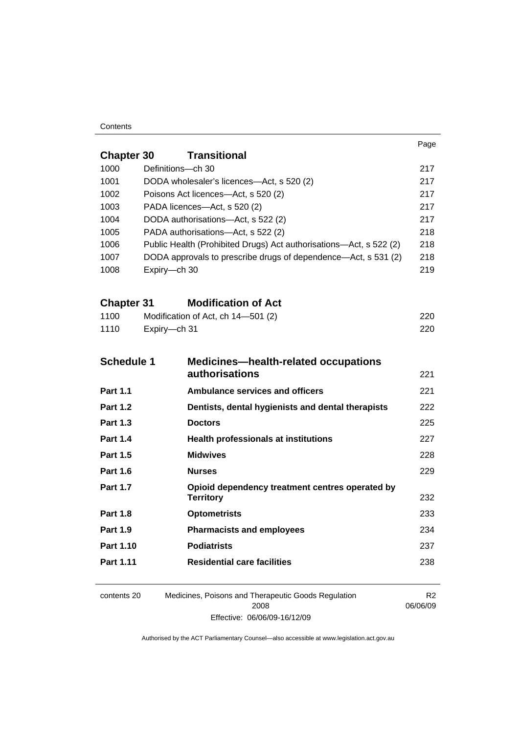#### **Contents**

|                   |                                                                    |                                                                     | Page                       |
|-------------------|--------------------------------------------------------------------|---------------------------------------------------------------------|----------------------------|
| <b>Chapter 30</b> |                                                                    | <b>Transitional</b>                                                 |                            |
| 1000              | Definitions-ch 30                                                  |                                                                     | 217                        |
| 1001              | DODA wholesaler's licences-Act, s 520 (2)                          |                                                                     | 217                        |
| 1002              | Poisons Act licences—Act, s 520 (2)                                |                                                                     |                            |
| 1003              | PADA licences-Act, s 520 (2)                                       |                                                                     |                            |
| 1004              | DODA authorisations-Act, s 522 (2)                                 | 217                                                                 |                            |
| 1005              | PADA authorisations-Act, s 522 (2)                                 |                                                                     |                            |
| 1006              | Public Health (Prohibited Drugs) Act authorisations—Act, s 522 (2) |                                                                     |                            |
| 1007              | DODA approvals to prescribe drugs of dependence—Act, s 531 (2)     |                                                                     | 218<br>219                 |
| 1008              | Expiry-ch 30                                                       |                                                                     |                            |
| <b>Chapter 31</b> |                                                                    | <b>Modification of Act</b>                                          |                            |
| 1100              |                                                                    | Modification of Act, ch 14-501 (2)                                  | 220                        |
| 1110              | Expiry-ch 31                                                       |                                                                     | 220                        |
|                   |                                                                    |                                                                     |                            |
| <b>Schedule 1</b> |                                                                    | <b>Medicines-health-related occupations</b>                         |                            |
|                   |                                                                    | <b>authorisations</b>                                               | 221                        |
| <b>Part 1.1</b>   |                                                                    | <b>Ambulance services and officers</b>                              | 221                        |
| <b>Part 1.2</b>   |                                                                    | Dentists, dental hygienists and dental therapists                   | 222                        |
| <b>Part 1.3</b>   |                                                                    | <b>Doctors</b>                                                      | 225                        |
| <b>Part 1.4</b>   |                                                                    | <b>Health professionals at institutions</b>                         | 227                        |
| <b>Part 1.5</b>   |                                                                    | <b>Midwives</b>                                                     | 228                        |
| <b>Part 1.6</b>   |                                                                    | <b>Nurses</b>                                                       | 229                        |
| <b>Part 1.7</b>   |                                                                    | Opioid dependency treatment centres operated by<br><b>Territory</b> | 232                        |
| <b>Part 1.8</b>   |                                                                    | <b>Optometrists</b>                                                 | 233                        |
| <b>Part 1.9</b>   |                                                                    | <b>Pharmacists and employees</b>                                    | 234                        |
| Part 1.10         |                                                                    | <b>Podiatrists</b>                                                  | 237                        |
| Part 1.11         |                                                                    | <b>Residential care facilities</b>                                  | 238                        |
| contents 20       |                                                                    | Medicines, Poisons and Therapeutic Goods Regulation<br>2008         | R <sub>2</sub><br>06/06/09 |

Authorised by the ACT Parliamentary Counsel—also accessible at www.legislation.act.gov.au

Effective: 06/06/09-16/12/09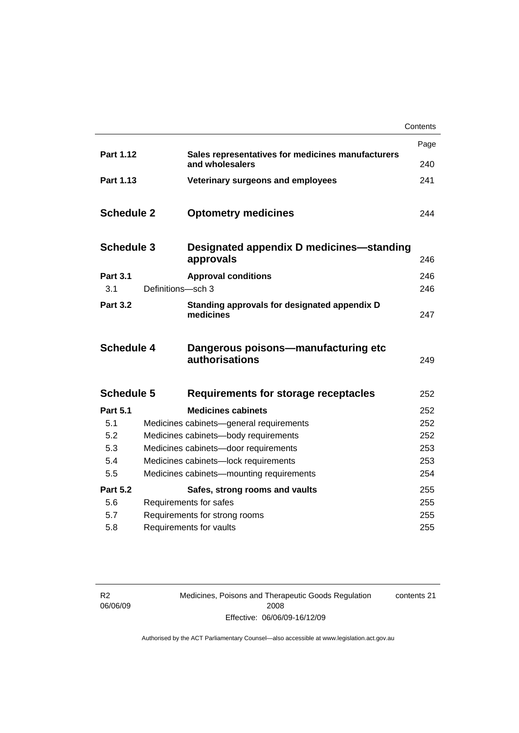|                   |                                      |                                                                      | Contents |
|-------------------|--------------------------------------|----------------------------------------------------------------------|----------|
|                   |                                      |                                                                      | Page     |
| Part 1.12         |                                      | Sales representatives for medicines manufacturers<br>and wholesalers | 240      |
| Part 1.13         |                                      | Veterinary surgeons and employees                                    | 241      |
| <b>Schedule 2</b> |                                      | <b>Optometry medicines</b>                                           | 244      |
| <b>Schedule 3</b> |                                      | Designated appendix D medicines—standing<br>approvals                | 246      |
| <b>Part 3.1</b>   |                                      | <b>Approval conditions</b>                                           | 246      |
| 3.1               | Definitions-sch 3                    |                                                                      | 246      |
| <b>Part 3.2</b>   |                                      | Standing approvals for designated appendix D<br>medicines            | 247      |
| <b>Schedule 4</b> |                                      | Dangerous poisons-manufacturing etc<br>authorisations                | 249      |
| <b>Schedule 5</b> |                                      | Requirements for storage receptacles                                 | 252      |
| <b>Part 5.1</b>   |                                      | <b>Medicines cabinets</b>                                            | 252      |
| 5.1               |                                      | Medicines cabinets-general requirements                              | 252      |
| 5.2               | Medicines cabinets-body requirements |                                                                      | 252      |
| 5.3               |                                      | Medicines cabinets-door requirements                                 | 253      |
| 5.4               | Medicines cabinets-lock requirements |                                                                      | 253      |
| 5.5               |                                      | Medicines cabinets-mounting requirements                             | 254      |
| <b>Part 5.2</b>   |                                      | Safes, strong rooms and vaults                                       | 255      |
| 5.6               |                                      | Requirements for safes                                               | 255      |
| 5.7               |                                      | Requirements for strong rooms                                        | 255      |
| 5.8               |                                      | Requirements for vaults                                              | 255      |

R2 06/06/09 Medicines, Poisons and Therapeutic Goods Regulation 2008 Effective: 06/06/09-16/12/09 contents 21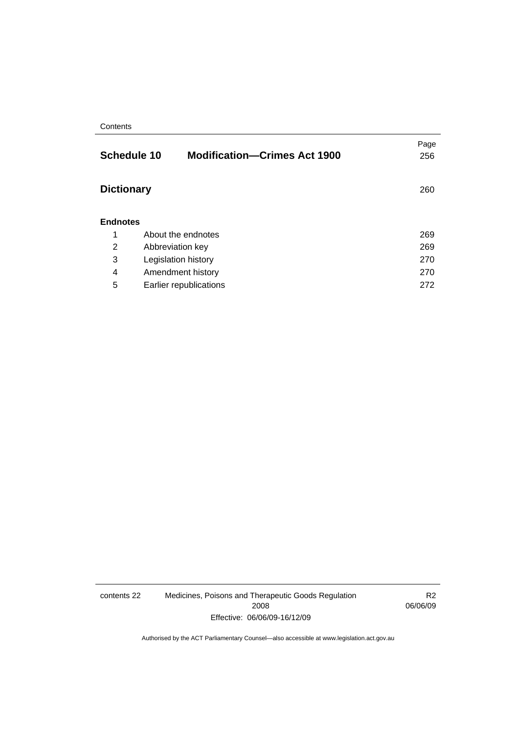#### **Contents**

|                   | <b>Schedule 10</b><br><b>Modification-Crimes Act 1900</b> | Page<br>256 |
|-------------------|-----------------------------------------------------------|-------------|
| <b>Dictionary</b> |                                                           | 260         |
| <b>Endnotes</b>   |                                                           |             |
| 1                 | About the endnotes                                        | 269         |
| 2                 | Abbreviation key                                          | 269         |
| 3                 | Legislation history                                       | 270         |
| 4                 | Amendment history                                         | 270         |
| 5                 | Earlier republications                                    | 272         |

contents 22 Medicines, Poisons and Therapeutic Goods Regulation 2008 Effective: 06/06/09-16/12/09

R2 06/06/09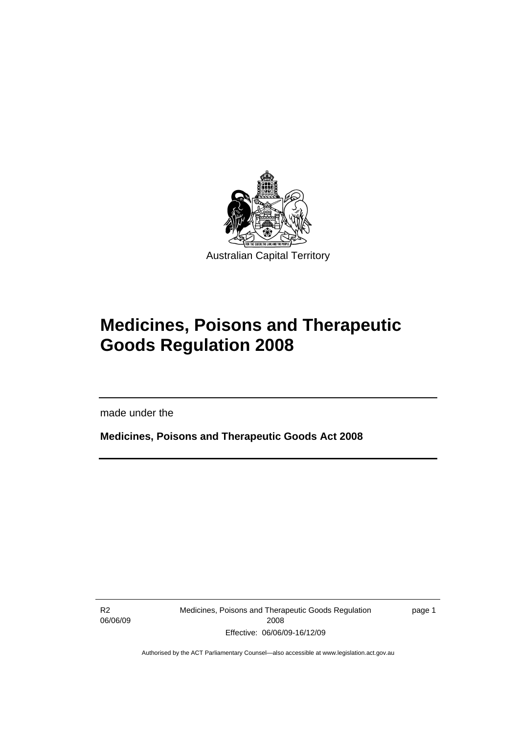<span id="page-24-0"></span>

# **Medicines, Poisons and Therapeutic Goods Regulation 2008**

made under the

**Medicines, Poisons and Therapeutic Goods Act 2008** 

R2 06/06/09

l

Medicines, Poisons and Therapeutic Goods Regulation 2008 Effective: 06/06/09-16/12/09

page 1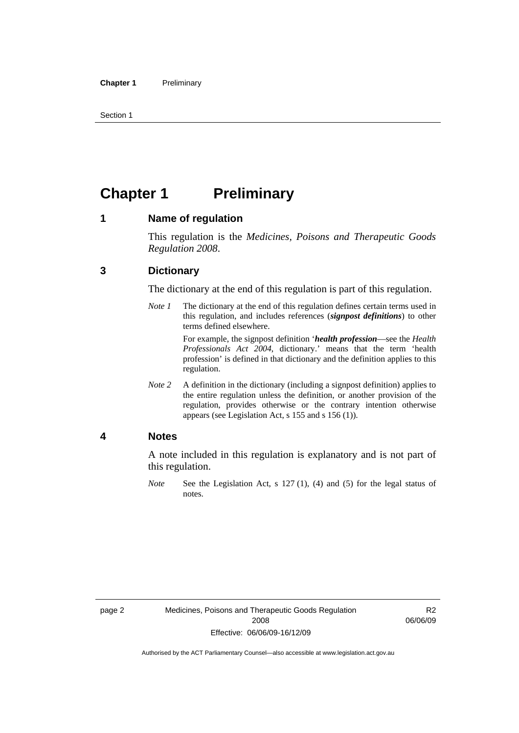<span id="page-25-0"></span>Section 1

# **Chapter 1 Preliminary**

### **1 Name of regulation**

This regulation is the *Medicines, Poisons and Therapeutic Goods Regulation 2008*.

## **3 Dictionary**

The dictionary at the end of this regulation is part of this regulation.

*Note 1* The dictionary at the end of this regulation defines certain terms used in this regulation, and includes references (*signpost definitions*) to other terms defined elsewhere.

> For example, the signpost definition '*health profession*—see the *Health Professionals Act 2004*, dictionary.' means that the term 'health profession' is defined in that dictionary and the definition applies to this regulation.

*Note 2* A definition in the dictionary (including a signpost definition) applies to the entire regulation unless the definition, or another provision of the regulation, provides otherwise or the contrary intention otherwise appears (see Legislation Act, s 155 and s 156 (1)).

### **4 Notes**

A note included in this regulation is explanatory and is not part of this regulation.

*Note* See the Legislation Act, s 127 (1), (4) and (5) for the legal status of notes.

R2 06/06/09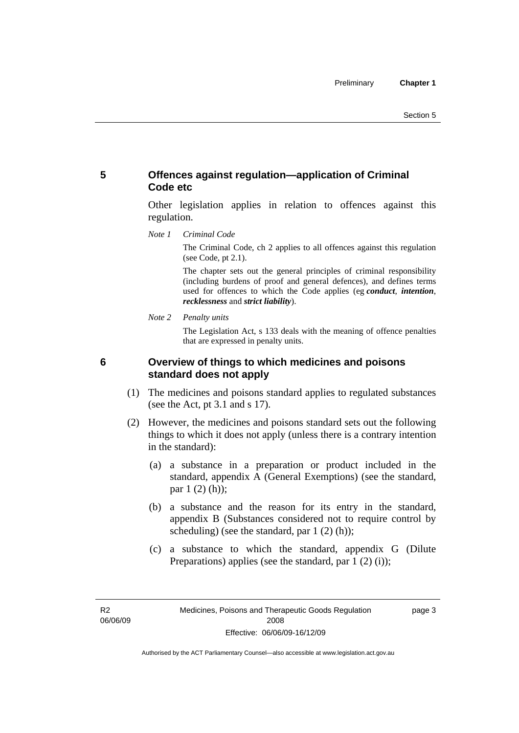# <span id="page-26-0"></span>**5 Offences against regulation—application of Criminal Code etc**

Other legislation applies in relation to offences against this regulation.

*Note 1 Criminal Code*

The Criminal Code, ch 2 applies to all offences against this regulation (see Code, pt 2.1).

The chapter sets out the general principles of criminal responsibility (including burdens of proof and general defences), and defines terms used for offences to which the Code applies (eg *conduct*, *intention*, *recklessness* and *strict liability*).

*Note 2 Penalty units* 

The Legislation Act, s 133 deals with the meaning of offence penalties that are expressed in penalty units.

## **6 Overview of things to which medicines and poisons standard does not apply**

- (1) The medicines and poisons standard applies to regulated substances (see the Act, pt 3.1 and s 17).
- (2) However, the medicines and poisons standard sets out the following things to which it does not apply (unless there is a contrary intention in the standard):
	- (a) a substance in a preparation or product included in the standard, appendix A (General Exemptions) (see the standard, par 1 (2) (h));
	- (b) a substance and the reason for its entry in the standard, appendix B (Substances considered not to require control by scheduling) (see the standard, par 1 (2) (h));
	- (c) a substance to which the standard, appendix G (Dilute Preparations) applies (see the standard, par  $1(2)(i)$ );

R2 06/06/09 page 3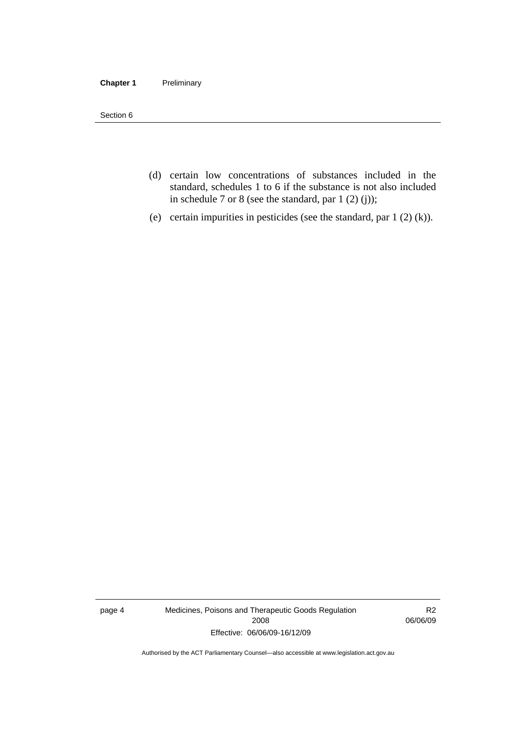#### **Chapter 1** Preliminary

Section 6

- (d) certain low concentrations of substances included in the standard, schedules 1 to 6 if the substance is not also included in schedule 7 or 8 (see the standard, par 1 (2) (j));
- (e) certain impurities in pesticides (see the standard, par 1 (2) (k)).

page 4 Medicines, Poisons and Therapeutic Goods Regulation 2008 Effective: 06/06/09-16/12/09

R2 06/06/09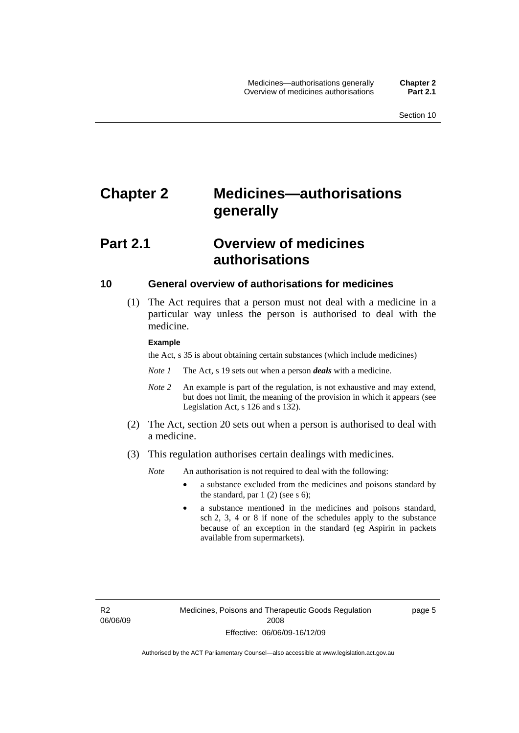# <span id="page-28-0"></span>**Chapter 2 Medicines—authorisations generally**

# **Part 2.1 Overview of medicines authorisations**

#### **10 General overview of authorisations for medicines**

 (1) The Act requires that a person must not deal with a medicine in a particular way unless the person is authorised to deal with the medicine.

#### **Example**

the Act, s 35 is about obtaining certain substances (which include medicines)

- *Note 1* The Act, s 19 sets out when a person *deals* with a medicine.
- *Note 2* An example is part of the regulation, is not exhaustive and may extend, but does not limit, the meaning of the provision in which it appears (see Legislation Act, s 126 and s 132).
- (2) The Act, section 20 sets out when a person is authorised to deal with a medicine.
- (3) This regulation authorises certain dealings with medicines.

*Note* An authorisation is not required to deal with the following:

- a substance excluded from the medicines and poisons standard by the standard, par  $1(2)$  (see s 6);
- a substance mentioned in the medicines and poisons standard, sch 2, 3, 4 or 8 if none of the schedules apply to the substance because of an exception in the standard (eg Aspirin in packets available from supermarkets).

R2 06/06/09 page 5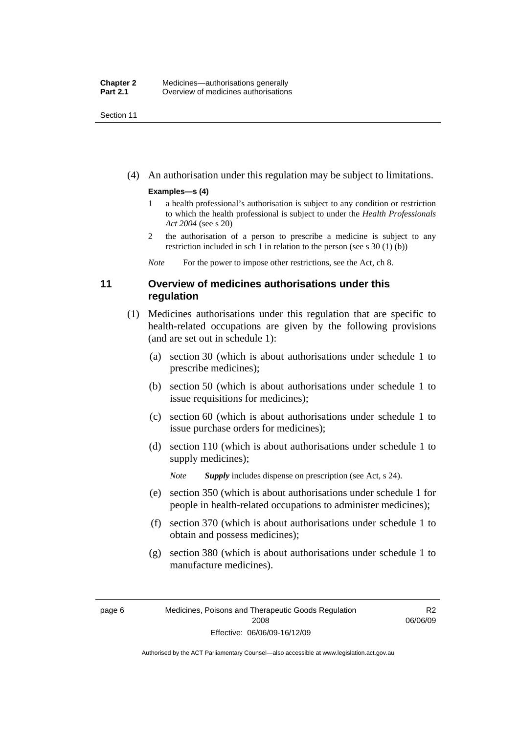<span id="page-29-0"></span>Section 11

(4) An authorisation under this regulation may be subject to limitations.

#### **Examples—s (4)**

- 1 a health professional's authorisation is subject to any condition or restriction to which the health professional is subject to under the *Health Professionals Act 2004* (see s 20)
- 2 the authorisation of a person to prescribe a medicine is subject to any restriction included in sch 1 in relation to the person (see s 30 (1) (b))

*Note* For the power to impose other restrictions, see the Act, ch 8.

# **11 Overview of medicines authorisations under this regulation**

- (1) Medicines authorisations under this regulation that are specific to health-related occupations are given by the following provisions (and are set out in schedule 1):
	- (a) section 30 (which is about authorisations under schedule 1 to prescribe medicines);
	- (b) section 50 (which is about authorisations under schedule 1 to issue requisitions for medicines);
	- (c) section 60 (which is about authorisations under schedule 1 to issue purchase orders for medicines);
	- (d) section 110 (which is about authorisations under schedule 1 to supply medicines);

*Note Supply* includes dispense on prescription (see Act, s 24).

- (e) section 350 (which is about authorisations under schedule 1 for people in health-related occupations to administer medicines);
- (f) section 370 (which is about authorisations under schedule 1 to obtain and possess medicines);
- (g) section 380 (which is about authorisations under schedule 1 to manufacture medicines).

R2 06/06/09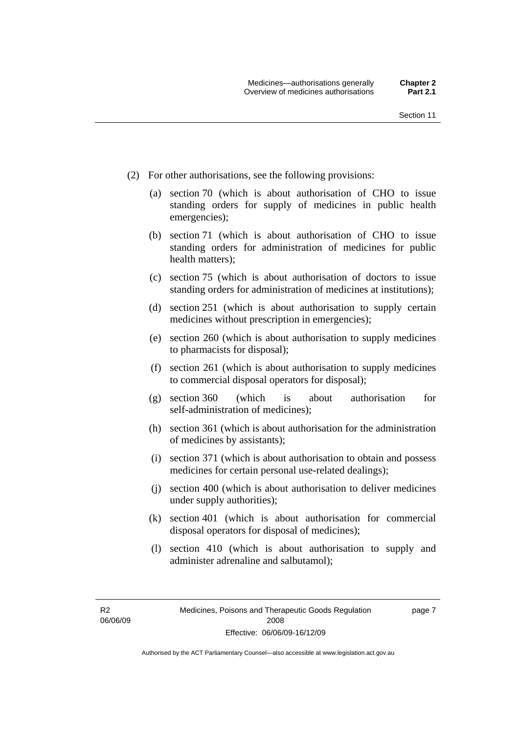- (2) For other authorisations, see the following provisions:
	- (a) section 70 (which is about authorisation of CHO to issue standing orders for supply of medicines in public health emergencies);
	- (b) section 71 (which is about authorisation of CHO to issue standing orders for administration of medicines for public health matters);
	- (c) section 75 (which is about authorisation of doctors to issue standing orders for administration of medicines at institutions);
	- (d) section 251 (which is about authorisation to supply certain medicines without prescription in emergencies);
	- (e) section 260 (which is about authorisation to supply medicines to pharmacists for disposal);
	- (f) section 261 (which is about authorisation to supply medicines to commercial disposal operators for disposal);
	- (g) section 360 (which is about authorisation for self-administration of medicines);
	- (h) section 361 (which is about authorisation for the administration of medicines by assistants);
	- (i) section 371 (which is about authorisation to obtain and possess medicines for certain personal use-related dealings);
	- (j) section 400 (which is about authorisation to deliver medicines under supply authorities);
	- (k) section 401 (which is about authorisation for commercial disposal operators for disposal of medicines);
	- (l) section 410 (which is about authorisation to supply and administer adrenaline and salbutamol);

R2 06/06/09 page 7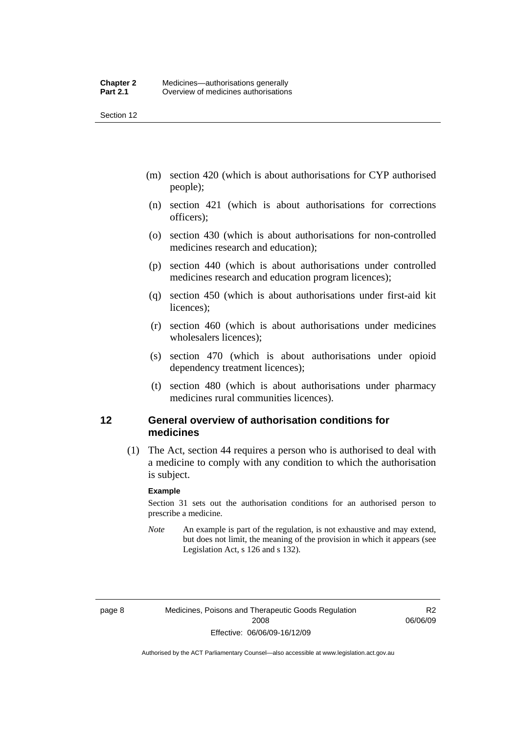<span id="page-31-0"></span>Section 12

- (m) section 420 (which is about authorisations for CYP authorised people);
- (n) section 421 (which is about authorisations for corrections officers);
- (o) section 430 (which is about authorisations for non-controlled medicines research and education);
- (p) section 440 (which is about authorisations under controlled medicines research and education program licences);
- (q) section 450 (which is about authorisations under first-aid kit licences);
- (r) section 460 (which is about authorisations under medicines wholesalers licences);
- (s) section 470 (which is about authorisations under opioid dependency treatment licences);
- (t) section 480 (which is about authorisations under pharmacy medicines rural communities licences).

### **12 General overview of authorisation conditions for medicines**

 (1) The Act, section 44 requires a person who is authorised to deal with a medicine to comply with any condition to which the authorisation is subject.

#### **Example**

Section 31 sets out the authorisation conditions for an authorised person to prescribe a medicine.

*Note* An example is part of the regulation, is not exhaustive and may extend, but does not limit, the meaning of the provision in which it appears (see Legislation Act, s 126 and s 132).

R2 06/06/09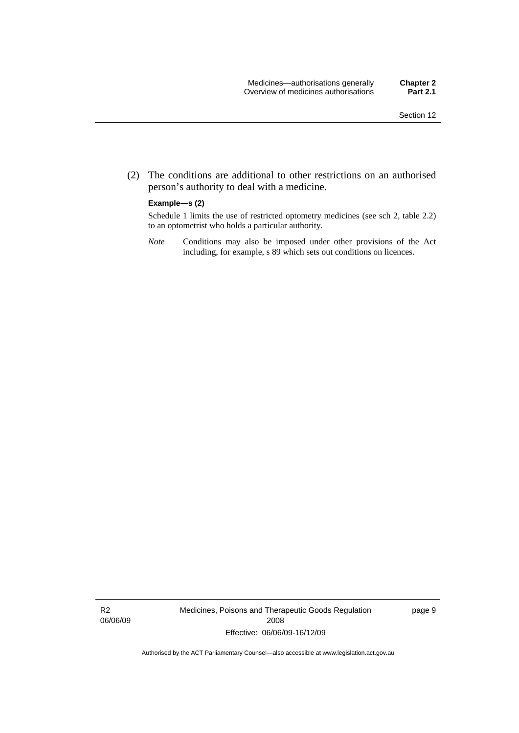(2) The conditions are additional to other restrictions on an authorised person's authority to deal with a medicine.

#### **Example—s (2)**

Schedule 1 limits the use of restricted optometry medicines (see sch 2, table 2.2) to an optometrist who holds a particular authority.

*Note* Conditions may also be imposed under other provisions of the Act including, for example, s 89 which sets out conditions on licences.

R2 06/06/09 Medicines, Poisons and Therapeutic Goods Regulation 2008 Effective: 06/06/09-16/12/09

page 9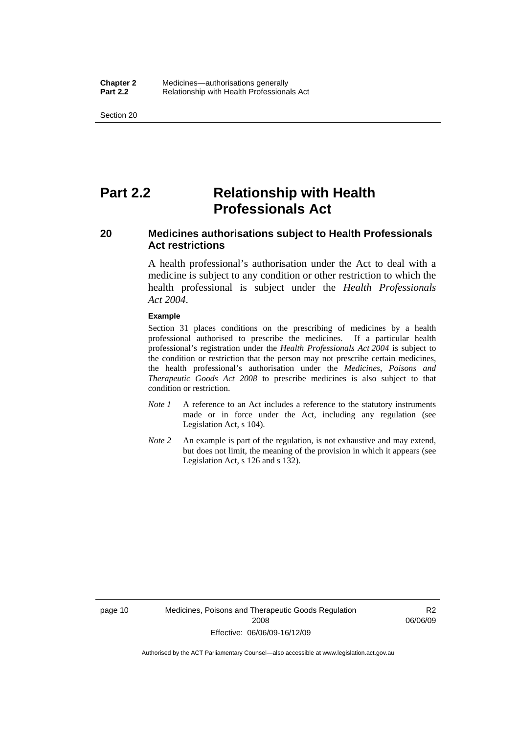<span id="page-33-0"></span>Section 20

# **Part 2.2 Relationship with Health Professionals Act**

# **20 Medicines authorisations subject to Health Professionals Act restrictions**

A health professional's authorisation under the Act to deal with a medicine is subject to any condition or other restriction to which the health professional is subject under the *Health Professionals Act 2004*.

#### **Example**

Section 31 places conditions on the prescribing of medicines by a health professional authorised to prescribe the medicines. If a particular health professional's registration under the *Health Professionals Act 2004* is subject to the condition or restriction that the person may not prescribe certain medicines, the health professional's authorisation under the *Medicines, Poisons and Therapeutic Goods Act 2008* to prescribe medicines is also subject to that condition or restriction.

- *Note 1* A reference to an Act includes a reference to the statutory instruments made or in force under the Act, including any regulation (see Legislation Act, s 104).
- *Note 2* An example is part of the regulation, is not exhaustive and may extend, but does not limit, the meaning of the provision in which it appears (see Legislation Act, s 126 and s 132).

R2 06/06/09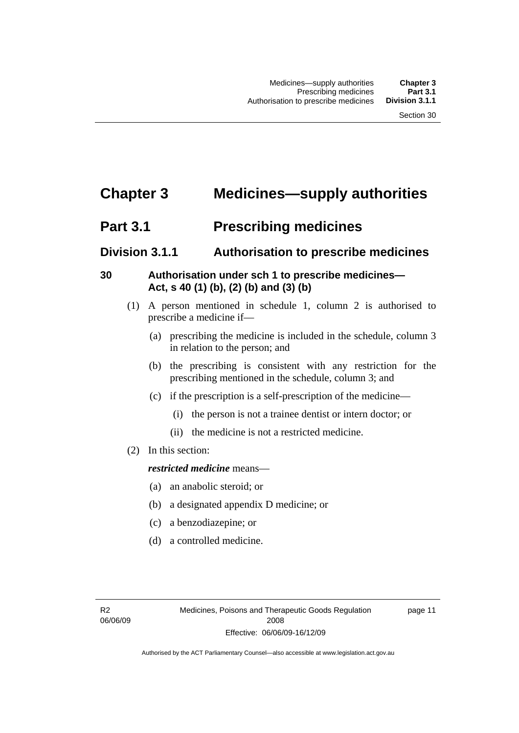# <span id="page-34-0"></span>**Chapter 3 Medicines—supply authorities**

# **Part 3.1** Prescribing medicines

# **Division 3.1.1 Authorisation to prescribe medicines**

# **30 Authorisation under sch 1 to prescribe medicines— Act, s 40 (1) (b), (2) (b) and (3) (b)**

- (1) A person mentioned in schedule 1, column 2 is authorised to prescribe a medicine if—
	- (a) prescribing the medicine is included in the schedule, column 3 in relation to the person; and
	- (b) the prescribing is consistent with any restriction for the prescribing mentioned in the schedule, column 3; and
	- (c) if the prescription is a self-prescription of the medicine—
		- (i) the person is not a trainee dentist or intern doctor; or
		- (ii) the medicine is not a restricted medicine.
- (2) In this section:

# *restricted medicine* means—

- (a) an anabolic steroid; or
- (b) a designated appendix D medicine; or
- (c) a benzodiazepine; or
- (d) a controlled medicine.

page 11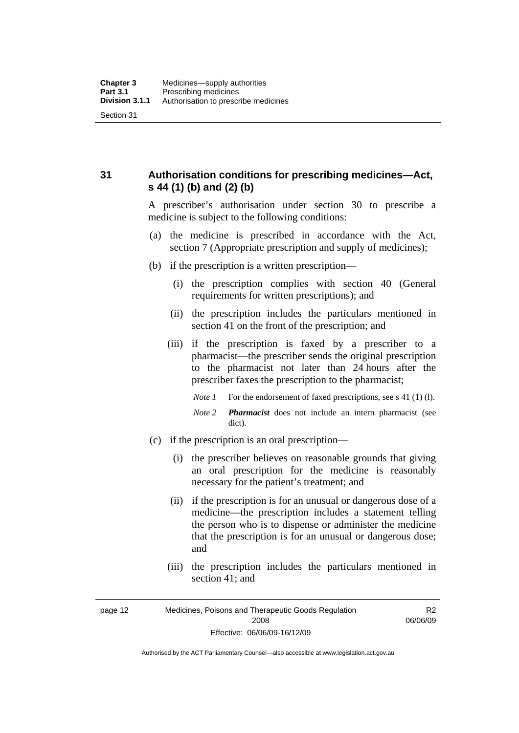<span id="page-35-0"></span>**31 Authorisation conditions for prescribing medicines—Act, s 44 (1) (b) and (2) (b)** 

> A prescriber's authorisation under section 30 to prescribe a medicine is subject to the following conditions:

- (a) the medicine is prescribed in accordance with the Act, section 7 (Appropriate prescription and supply of medicines);
- (b) if the prescription is a written prescription—
	- (i) the prescription complies with section 40 (General requirements for written prescriptions); and
	- (ii) the prescription includes the particulars mentioned in section 41 on the front of the prescription; and
	- (iii) if the prescription is faxed by a prescriber to a pharmacist—the prescriber sends the original prescription to the pharmacist not later than 24 hours after the prescriber faxes the prescription to the pharmacist;
		- *Note 1* For the endorsement of faxed prescriptions, see s 41 (1) (1).
		- *Note 2 Pharmacist* does not include an intern pharmacist (see dict).
- (c) if the prescription is an oral prescription—
	- (i) the prescriber believes on reasonable grounds that giving an oral prescription for the medicine is reasonably necessary for the patient's treatment; and
	- (ii) if the prescription is for an unusual or dangerous dose of a medicine—the prescription includes a statement telling the person who is to dispense or administer the medicine that the prescription is for an unusual or dangerous dose; and
	- (iii) the prescription includes the particulars mentioned in section 41; and

R2 06/06/09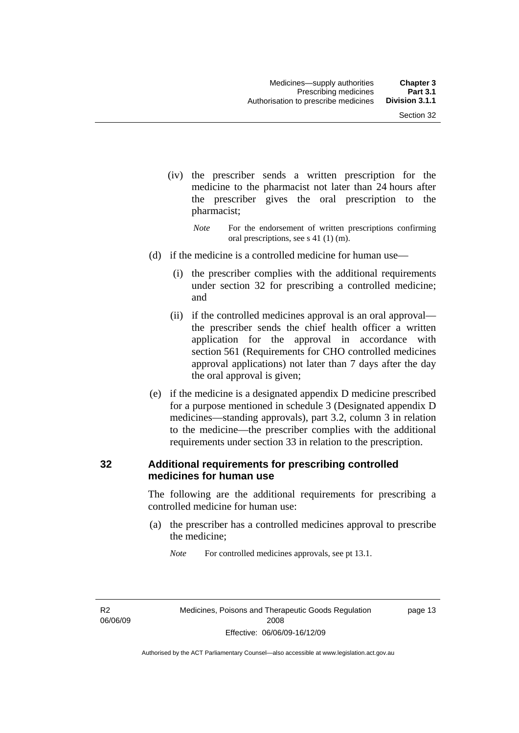- (iv) the prescriber sends a written prescription for the medicine to the pharmacist not later than 24 hours after the prescriber gives the oral prescription to the pharmacist;
	- *Note* For the endorsement of written prescriptions confirming oral prescriptions, see s 41 (1) (m).
- (d) if the medicine is a controlled medicine for human use—
	- (i) the prescriber complies with the additional requirements under section 32 for prescribing a controlled medicine; and
	- (ii) if the controlled medicines approval is an oral approval the prescriber sends the chief health officer a written application for the approval in accordance with section 561 (Requirements for CHO controlled medicines approval applications) not later than 7 days after the day the oral approval is given;
- (e) if the medicine is a designated appendix D medicine prescribed for a purpose mentioned in schedule 3 (Designated appendix D medicines—standing approvals), part 3.2, column 3 in relation to the medicine—the prescriber complies with the additional requirements under section 33 in relation to the prescription.

# **32 Additional requirements for prescribing controlled medicines for human use**

The following are the additional requirements for prescribing a controlled medicine for human use:

 (a) the prescriber has a controlled medicines approval to prescribe the medicine;

*Note* For controlled medicines approvals, see pt 13.1.

R2 06/06/09 page 13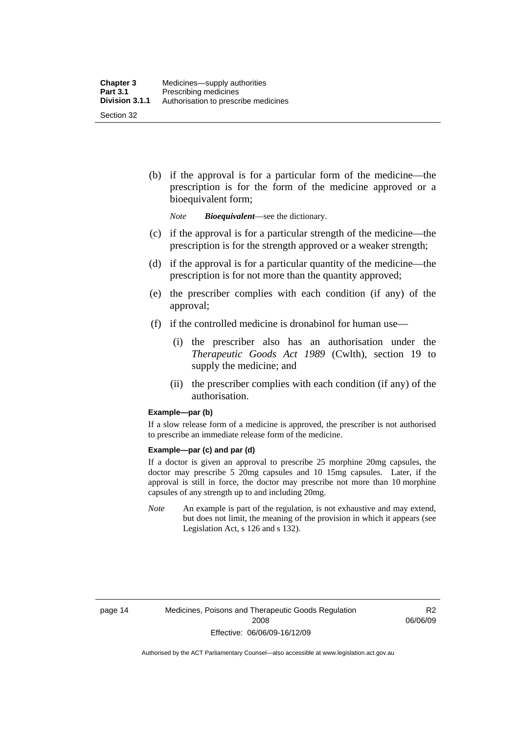(b) if the approval is for a particular form of the medicine—the prescription is for the form of the medicine approved or a bioequivalent form;

*Note Bioequivalent*—see the dictionary.

- (c) if the approval is for a particular strength of the medicine—the prescription is for the strength approved or a weaker strength;
- (d) if the approval is for a particular quantity of the medicine—the prescription is for not more than the quantity approved;
- (e) the prescriber complies with each condition (if any) of the approval;
- (f) if the controlled medicine is dronabinol for human use—
	- (i) the prescriber also has an authorisation under the *Therapeutic Goods Act 1989* (Cwlth), section 19 to supply the medicine; and
	- (ii) the prescriber complies with each condition (if any) of the authorisation.

#### **Example—par (b)**

If a slow release form of a medicine is approved, the prescriber is not authorised to prescribe an immediate release form of the medicine.

#### **Example—par (c) and par (d)**

If a doctor is given an approval to prescribe 25 morphine 20mg capsules, the doctor may prescribe 5 20mg capsules and 10 15mg capsules. Later, if the approval is still in force, the doctor may prescribe not more than 10 morphine capsules of any strength up to and including 20mg.

*Note* An example is part of the regulation, is not exhaustive and may extend, but does not limit, the meaning of the provision in which it appears (see Legislation Act, s 126 and s 132).

R2 06/06/09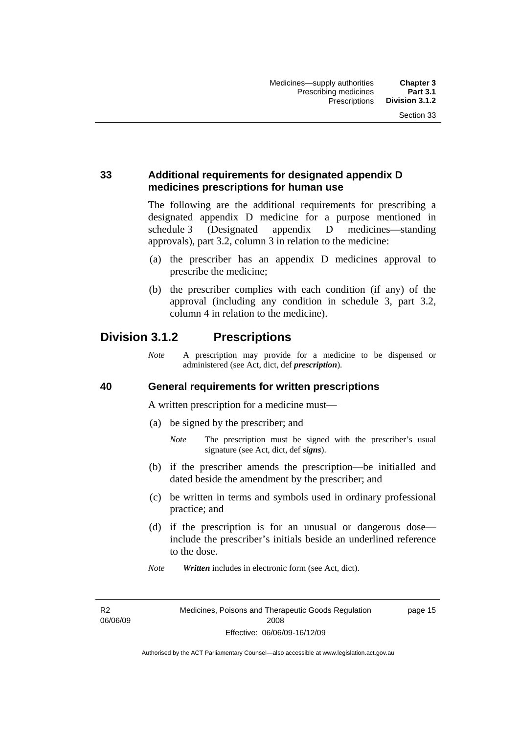# **33 Additional requirements for designated appendix D medicines prescriptions for human use**

The following are the additional requirements for prescribing a designated appendix D medicine for a purpose mentioned in schedule 3 (Designated appendix D medicines—standing approvals), part 3.2, column 3 in relation to the medicine:

- (a) the prescriber has an appendix D medicines approval to prescribe the medicine;
- (b) the prescriber complies with each condition (if any) of the approval (including any condition in schedule 3, part 3.2, column 4 in relation to the medicine).

# **Division 3.1.2 Prescriptions**

*Note* A prescription may provide for a medicine to be dispensed or administered (see Act, dict, def *prescription*).

## **40 General requirements for written prescriptions**

A written prescription for a medicine must—

- (a) be signed by the prescriber; and
	- *Note* The prescription must be signed with the prescriber's usual signature (see Act, dict, def *signs*).
- (b) if the prescriber amends the prescription—be initialled and dated beside the amendment by the prescriber; and
- (c) be written in terms and symbols used in ordinary professional practice; and
- (d) if the prescription is for an unusual or dangerous dose include the prescriber's initials beside an underlined reference to the dose.
- *Note Written* includes in electronic form (see Act, dict).

R2 06/06/09 page 15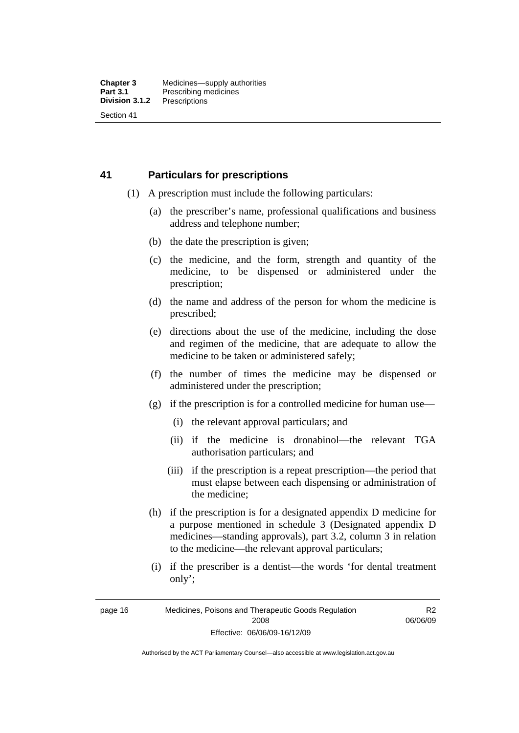# **41 Particulars for prescriptions**

- (1) A prescription must include the following particulars:
	- (a) the prescriber's name, professional qualifications and business address and telephone number;
	- (b) the date the prescription is given;
	- (c) the medicine, and the form, strength and quantity of the medicine, to be dispensed or administered under the prescription;
	- (d) the name and address of the person for whom the medicine is prescribed;
	- (e) directions about the use of the medicine, including the dose and regimen of the medicine, that are adequate to allow the medicine to be taken or administered safely;
	- (f) the number of times the medicine may be dispensed or administered under the prescription;
	- (g) if the prescription is for a controlled medicine for human use—
		- (i) the relevant approval particulars; and
		- (ii) if the medicine is dronabinol—the relevant TGA authorisation particulars; and
		- (iii) if the prescription is a repeat prescription—the period that must elapse between each dispensing or administration of the medicine;
	- (h) if the prescription is for a designated appendix D medicine for a purpose mentioned in schedule 3 (Designated appendix D medicines—standing approvals), part 3.2, column 3 in relation to the medicine—the relevant approval particulars;
	- (i) if the prescriber is a dentist—the words 'for dental treatment only';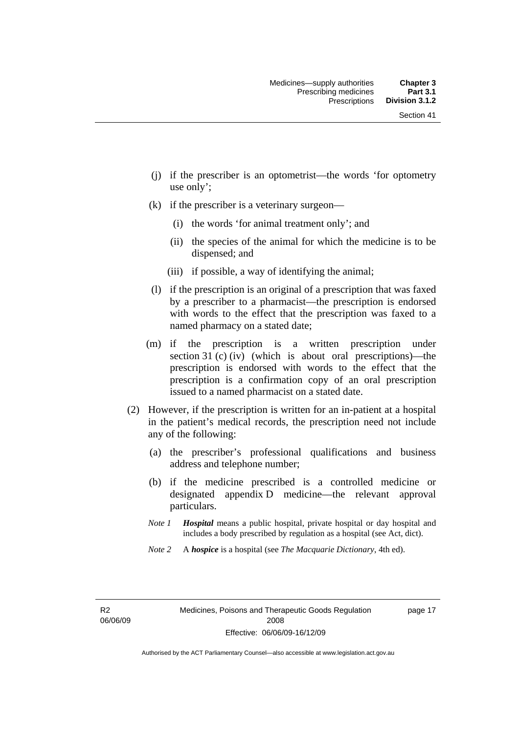- (j) if the prescriber is an optometrist—the words 'for optometry use only';
- (k) if the prescriber is a veterinary surgeon—
	- (i) the words 'for animal treatment only'; and
	- (ii) the species of the animal for which the medicine is to be dispensed; and
	- (iii) if possible, a way of identifying the animal;
- (l) if the prescription is an original of a prescription that was faxed by a prescriber to a pharmacist—the prescription is endorsed with words to the effect that the prescription was faxed to a named pharmacy on a stated date;
- (m) if the prescription is a written prescription under section 31 (c) (iv) (which is about oral prescriptions)—the prescription is endorsed with words to the effect that the prescription is a confirmation copy of an oral prescription issued to a named pharmacist on a stated date.
- (2) However, if the prescription is written for an in-patient at a hospital in the patient's medical records, the prescription need not include any of the following:
	- (a) the prescriber's professional qualifications and business address and telephone number;
	- (b) if the medicine prescribed is a controlled medicine or designated appendix D medicine—the relevant approval particulars.
	- *Note 1 Hospital* means a public hospital, private hospital or day hospital and includes a body prescribed by regulation as a hospital (see Act, dict).
	- *Note 2* A *hospice* is a hospital (see *The Macquarie Dictionary*, 4th ed).

R2 06/06/09 page 17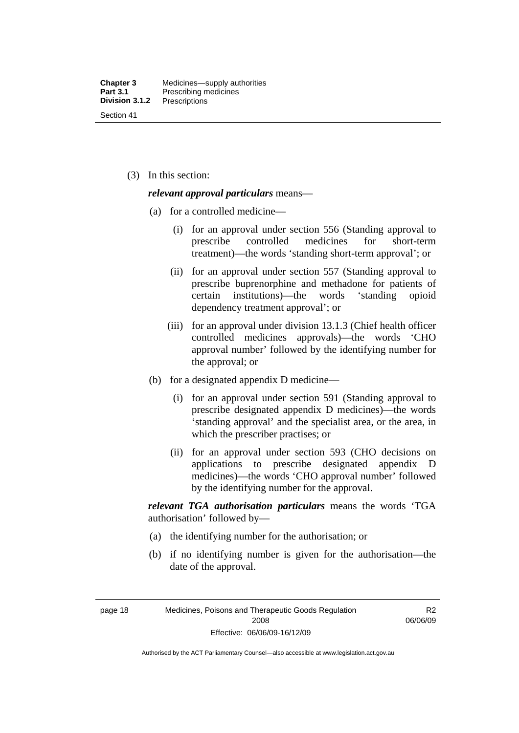(3) In this section:

#### *relevant approval particulars* means—

- (a) for a controlled medicine—
	- (i) for an approval under section 556 (Standing approval to prescribe controlled medicines for short-term treatment)—the words 'standing short-term approval'; or
	- (ii) for an approval under section 557 (Standing approval to prescribe buprenorphine and methadone for patients of certain institutions)—the words 'standing opioid dependency treatment approval'; or
	- (iii) for an approval under division 13.1.3 (Chief health officer controlled medicines approvals)—the words 'CHO approval number' followed by the identifying number for the approval; or
- (b) for a designated appendix D medicine—
	- (i) for an approval under section 591 (Standing approval to prescribe designated appendix D medicines)—the words 'standing approval' and the specialist area, or the area, in which the prescriber practises; or
	- (ii) for an approval under section 593 (CHO decisions on applications to prescribe designated appendix D medicines)—the words 'CHO approval number' followed by the identifying number for the approval.

*relevant TGA authorisation particulars* means the words 'TGA authorisation' followed by—

- (a) the identifying number for the authorisation; or
- (b) if no identifying number is given for the authorisation—the date of the approval.

page 18 Medicines, Poisons and Therapeutic Goods Regulation 2008 Effective: 06/06/09-16/12/09

R2 06/06/09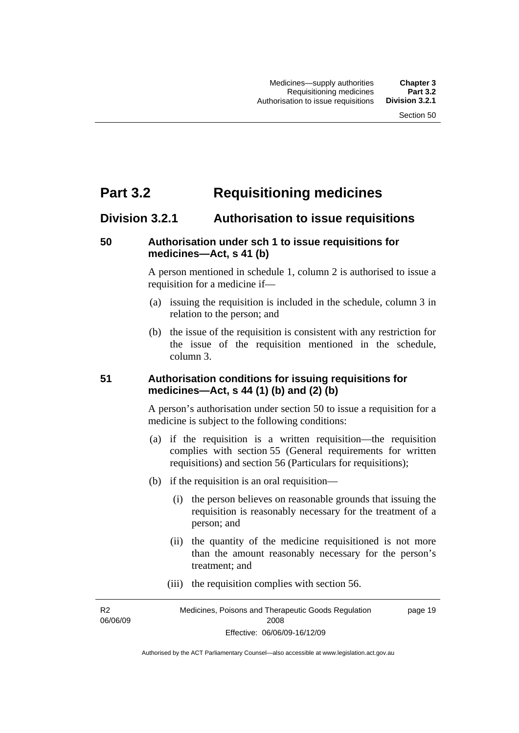# **Part 3.2 Requisitioning medicines**

# **Division 3.2.1 Authorisation to issue requisitions**

# **50 Authorisation under sch 1 to issue requisitions for medicines—Act, s 41 (b)**

A person mentioned in schedule 1, column 2 is authorised to issue a requisition for a medicine if—

- (a) issuing the requisition is included in the schedule, column 3 in relation to the person; and
- (b) the issue of the requisition is consistent with any restriction for the issue of the requisition mentioned in the schedule, column 3.

# **51 Authorisation conditions for issuing requisitions for medicines—Act, s 44 (1) (b) and (2) (b)**

A person's authorisation under section 50 to issue a requisition for a medicine is subject to the following conditions:

- (a) if the requisition is a written requisition—the requisition complies with section 55 (General requirements for written requisitions) and section 56 (Particulars for requisitions);
- (b) if the requisition is an oral requisition—
	- (i) the person believes on reasonable grounds that issuing the requisition is reasonably necessary for the treatment of a person; and
	- (ii) the quantity of the medicine requisitioned is not more than the amount reasonably necessary for the person's treatment; and
	- (iii) the requisition complies with section 56.

R2 06/06/09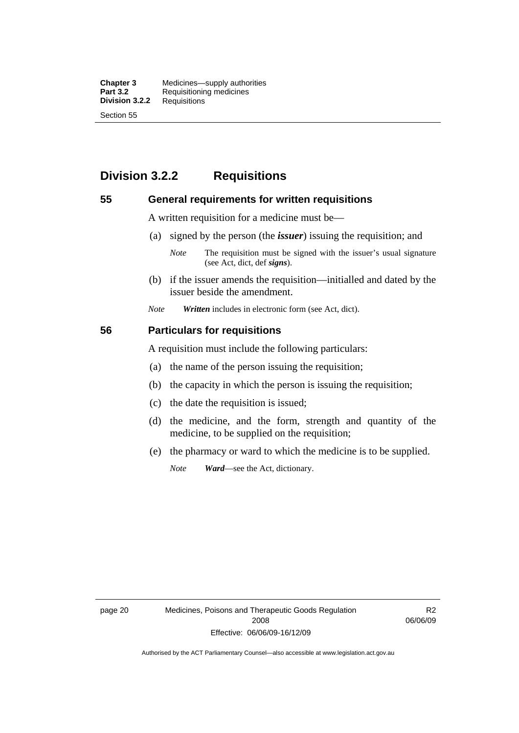**Chapter 3** Medicines—supply authorities<br>**Part 3.2** Requisitioning medicines **Requisitioning medicines**<br>Requisitions **Division 3.2.2** Section 55

# **Division 3.2.2 Requisitions**

### **55 General requirements for written requisitions**

A written requisition for a medicine must be—

(a) signed by the person (the *issuer*) issuing the requisition; and

 (b) if the issuer amends the requisition—initialled and dated by the issuer beside the amendment.

*Note Written* includes in electronic form (see Act, dict).

#### **56 Particulars for requisitions**

A requisition must include the following particulars:

- (a) the name of the person issuing the requisition;
- (b) the capacity in which the person is issuing the requisition;
- (c) the date the requisition is issued;
- (d) the medicine, and the form, strength and quantity of the medicine, to be supplied on the requisition;
- (e) the pharmacy or ward to which the medicine is to be supplied.

*Note Ward*—see the Act, dictionary.

page 20 Medicines, Poisons and Therapeutic Goods Regulation 2008 Effective: 06/06/09-16/12/09

R2 06/06/09

*Note* The requisition must be signed with the issuer's usual signature (see Act, dict, def *signs*).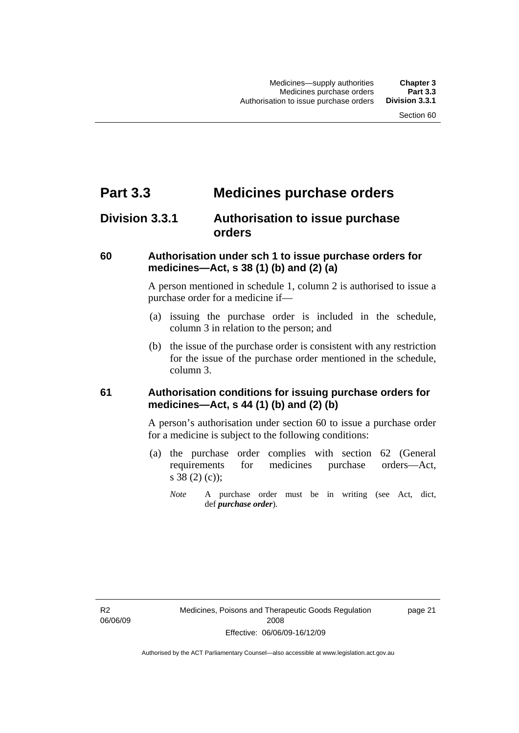# **Part 3.3 Medicines purchase orders**

# **Division 3.3.1 Authorisation to issue purchase orders**

# **60 Authorisation under sch 1 to issue purchase orders for medicines—Act, s 38 (1) (b) and (2) (a)**

A person mentioned in schedule 1, column 2 is authorised to issue a purchase order for a medicine if—

- (a) issuing the purchase order is included in the schedule, column 3 in relation to the person; and
- (b) the issue of the purchase order is consistent with any restriction for the issue of the purchase order mentioned in the schedule, column 3.

# **61 Authorisation conditions for issuing purchase orders for medicines—Act, s 44 (1) (b) and (2) (b)**

A person's authorisation under section 60 to issue a purchase order for a medicine is subject to the following conditions:

- (a) the purchase order complies with section 62 (General requirements for medicines purchase orders—Act, s 38 (2) (c));
	- *Note* A purchase order must be in writing (see Act, dict, def *purchase order*).

R2 06/06/09 page 21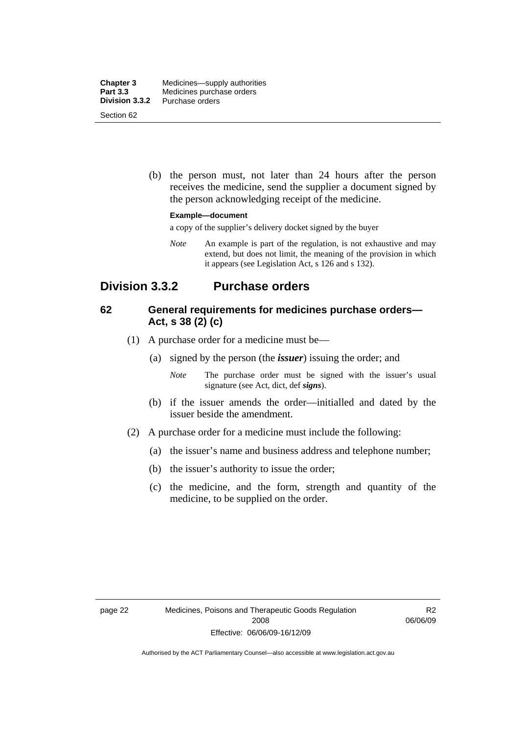| <b>Chapter 3</b><br><b>Part 3.3</b> | Medicines—supply authorities<br>Medicines purchase orders |
|-------------------------------------|-----------------------------------------------------------|
| Division 3.3.2                      | Purchase orders                                           |
| Section 62                          |                                                           |

 (b) the person must, not later than 24 hours after the person receives the medicine, send the supplier a document signed by the person acknowledging receipt of the medicine.

#### **Example—document**

a copy of the supplier's delivery docket signed by the buyer

*Note* An example is part of the regulation, is not exhaustive and may extend, but does not limit, the meaning of the provision in which it appears (see Legislation Act, s 126 and s 132).

# **Division 3.3.2 Purchase orders**

# **62 General requirements for medicines purchase orders— Act, s 38 (2) (c)**

- (1) A purchase order for a medicine must be—
	- (a) signed by the person (the *issuer*) issuing the order; and
		- *Note* The purchase order must be signed with the issuer's usual signature (see Act, dict, def *signs*).
	- (b) if the issuer amends the order—initialled and dated by the issuer beside the amendment.
- (2) A purchase order for a medicine must include the following:
	- (a) the issuer's name and business address and telephone number;
	- (b) the issuer's authority to issue the order;
	- (c) the medicine, and the form, strength and quantity of the medicine, to be supplied on the order.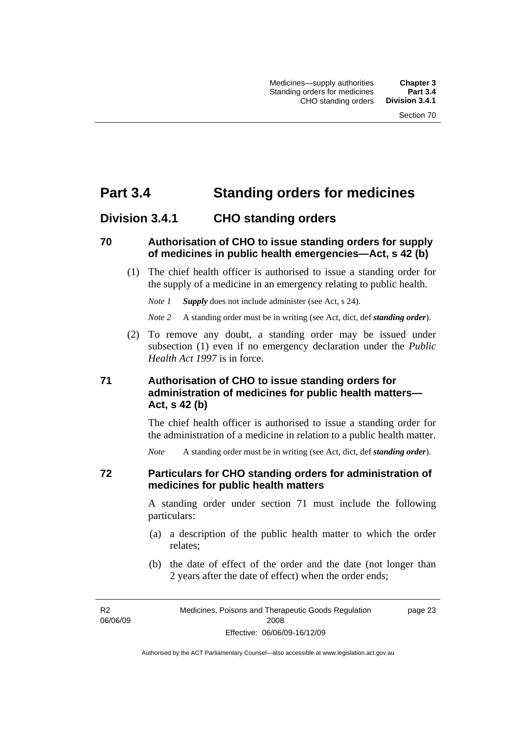# **Part 3.4 Standing orders for medicines**

# **Division 3.4.1 CHO standing orders**

## **70 Authorisation of CHO to issue standing orders for supply of medicines in public health emergencies—Act, s 42 (b)**

 (1) The chief health officer is authorised to issue a standing order for the supply of a medicine in an emergency relating to public health.

*Note 1 Supply* does not include administer (see Act, s 24).

*Note 2* A standing order must be in writing (see Act, dict, def *standing order*).

 (2) To remove any doubt, a standing order may be issued under subsection (1) even if no emergency declaration under the *Public Health Act 1997* is in force.

# **71 Authorisation of CHO to issue standing orders for administration of medicines for public health matters— Act, s 42 (b)**

The chief health officer is authorised to issue a standing order for the administration of a medicine in relation to a public health matter.

*Note* A standing order must be in writing (see Act, dict, def *standing order*).

# **72 Particulars for CHO standing orders for administration of medicines for public health matters**

A standing order under section 71 must include the following particulars:

- (a) a description of the public health matter to which the order relates;
- (b) the date of effect of the order and the date (not longer than 2 years after the date of effect) when the order ends;

R2 06/06/09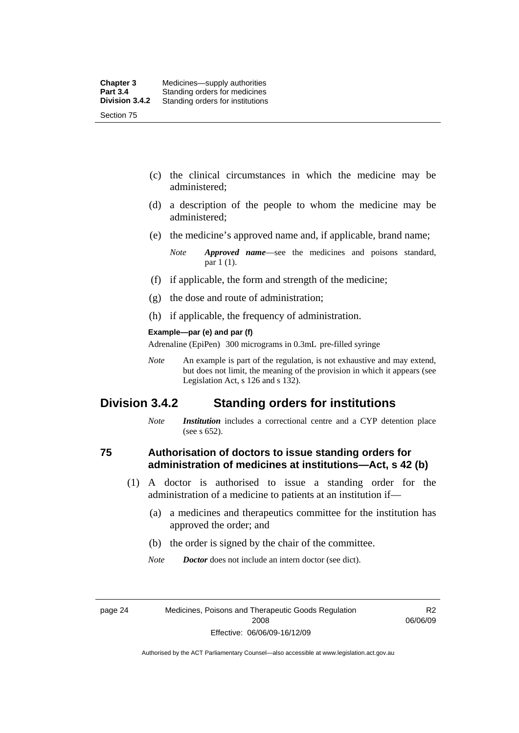- (c) the clinical circumstances in which the medicine may be administered;
- (d) a description of the people to whom the medicine may be administered;
- (e) the medicine's approved name and, if applicable, brand name;

- (f) if applicable, the form and strength of the medicine;
- (g) the dose and route of administration;
- (h) if applicable, the frequency of administration.

#### **Example—par (e) and par (f)**

Adrenaline (EpiPen) 300 micrograms in 0.3mL pre-filled syringe

*Note* An example is part of the regulation, is not exhaustive and may extend, but does not limit, the meaning of the provision in which it appears (see Legislation Act, s 126 and s 132).

# **Division 3.4.2 Standing orders for institutions**

*Note Institution* includes a correctional centre and a CYP detention place (see s 652).

# **75 Authorisation of doctors to issue standing orders for administration of medicines at institutions—Act, s 42 (b)**

- (1) A doctor is authorised to issue a standing order for the administration of a medicine to patients at an institution if—
	- (a) a medicines and therapeutics committee for the institution has approved the order; and
	- (b) the order is signed by the chair of the committee.
	- *Note Doctor* does not include an intern doctor (see dict).

R2 06/06/09

*Note Approved name*—see the medicines and poisons standard, par 1 (1).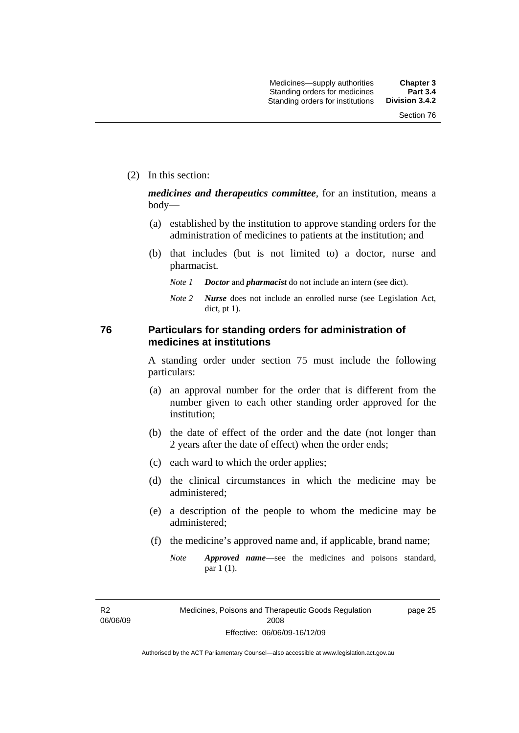(2) In this section:

*medicines and therapeutics committee*, for an institution, means a body—

- (a) established by the institution to approve standing orders for the administration of medicines to patients at the institution; and
- (b) that includes (but is not limited to) a doctor, nurse and pharmacist.
	- *Note 1 Doctor* and *pharmacist* do not include an intern (see dict).
	- *Note 2 Nurse* does not include an enrolled nurse (see Legislation Act, dict, pt 1).

# **76 Particulars for standing orders for administration of medicines at institutions**

A standing order under section 75 must include the following particulars:

- (a) an approval number for the order that is different from the number given to each other standing order approved for the institution;
- (b) the date of effect of the order and the date (not longer than 2 years after the date of effect) when the order ends;
- (c) each ward to which the order applies;
- (d) the clinical circumstances in which the medicine may be administered;
- (e) a description of the people to whom the medicine may be administered;
- (f) the medicine's approved name and, if applicable, brand name;
	- *Note Approved name*—see the medicines and poisons standard, par 1 (1).

R2 06/06/09 page 25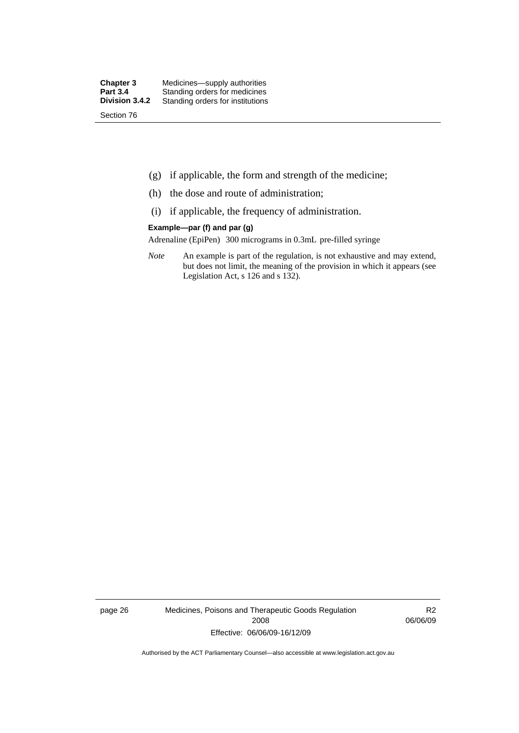- (g) if applicable, the form and strength of the medicine;
- (h) the dose and route of administration;
- (i) if applicable, the frequency of administration.

#### **Example—par (f) and par (g)**

Adrenaline (EpiPen) 300 micrograms in 0.3mL pre-filled syringe

*Note* An example is part of the regulation, is not exhaustive and may extend, but does not limit, the meaning of the provision in which it appears (see Legislation Act, s 126 and s 132).

page 26 Medicines, Poisons and Therapeutic Goods Regulation 2008 Effective: 06/06/09-16/12/09

R2 06/06/09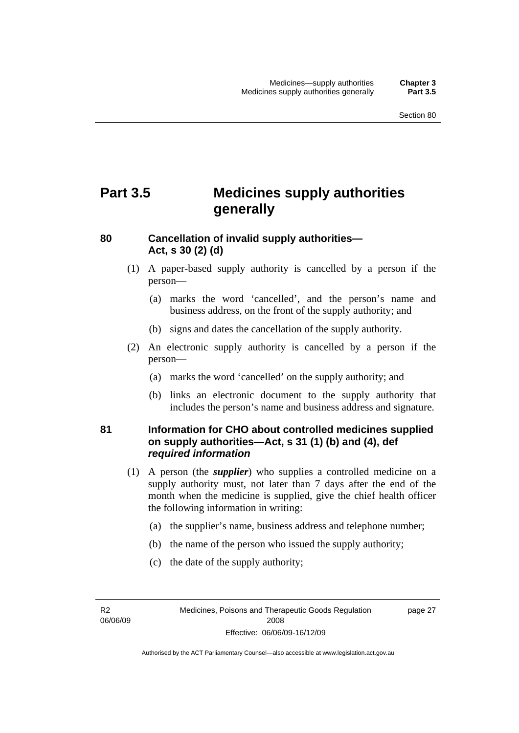# **Part 3.5 Medicines supply authorities generally**

# **80 Cancellation of invalid supply authorities— Act, s 30 (2) (d)**

- (1) A paper-based supply authority is cancelled by a person if the person—
	- (a) marks the word 'cancelled', and the person's name and business address, on the front of the supply authority; and
	- (b) signs and dates the cancellation of the supply authority.
- (2) An electronic supply authority is cancelled by a person if the person—
	- (a) marks the word 'cancelled' on the supply authority; and
	- (b) links an electronic document to the supply authority that includes the person's name and business address and signature.

# **81 Information for CHO about controlled medicines supplied on supply authorities—Act, s 31 (1) (b) and (4), def**  *required information*

- (1) A person (the *supplier*) who supplies a controlled medicine on a supply authority must, not later than 7 days after the end of the month when the medicine is supplied, give the chief health officer the following information in writing:
	- (a) the supplier's name, business address and telephone number;
	- (b) the name of the person who issued the supply authority;
	- (c) the date of the supply authority;

R2 06/06/09 page 27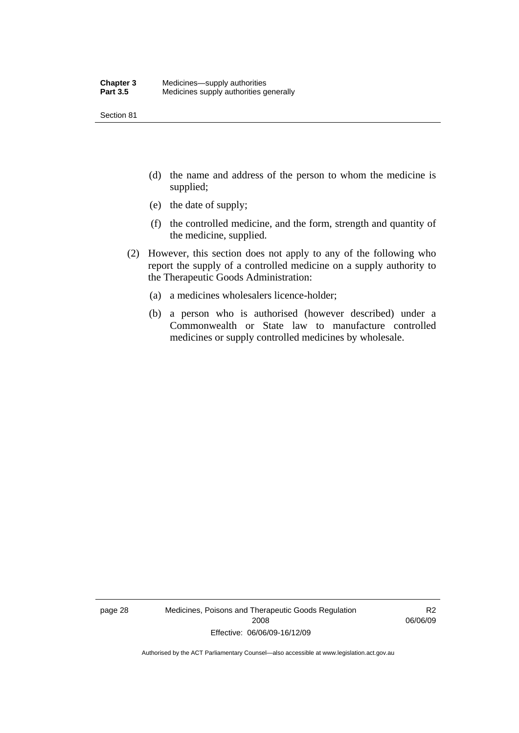Section 81

- (d) the name and address of the person to whom the medicine is supplied;
- (e) the date of supply;
- (f) the controlled medicine, and the form, strength and quantity of the medicine, supplied.
- (2) However, this section does not apply to any of the following who report the supply of a controlled medicine on a supply authority to the Therapeutic Goods Administration:
	- (a) a medicines wholesalers licence-holder;
	- (b) a person who is authorised (however described) under a Commonwealth or State law to manufacture controlled medicines or supply controlled medicines by wholesale.

page 28 Medicines, Poisons and Therapeutic Goods Regulation 2008 Effective: 06/06/09-16/12/09

R2 06/06/09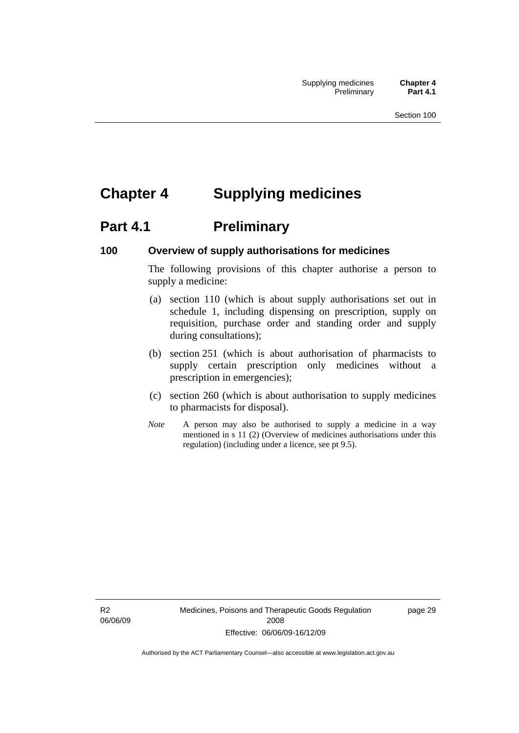# **Chapter 4 Supplying medicines**

# **Part 4.1** Preliminary

# **100 Overview of supply authorisations for medicines**

The following provisions of this chapter authorise a person to supply a medicine:

- (a) section 110 (which is about supply authorisations set out in schedule 1, including dispensing on prescription, supply on requisition, purchase order and standing order and supply during consultations);
- (b) section 251 (which is about authorisation of pharmacists to supply certain prescription only medicines without a prescription in emergencies);
- (c) section 260 (which is about authorisation to supply medicines to pharmacists for disposal).
- *Note* A person may also be authorised to supply a medicine in a way mentioned in s 11 (2) (Overview of medicines authorisations under this regulation) (including under a licence, see pt 9.5).

R2 06/06/09 Medicines, Poisons and Therapeutic Goods Regulation 2008 Effective: 06/06/09-16/12/09

page 29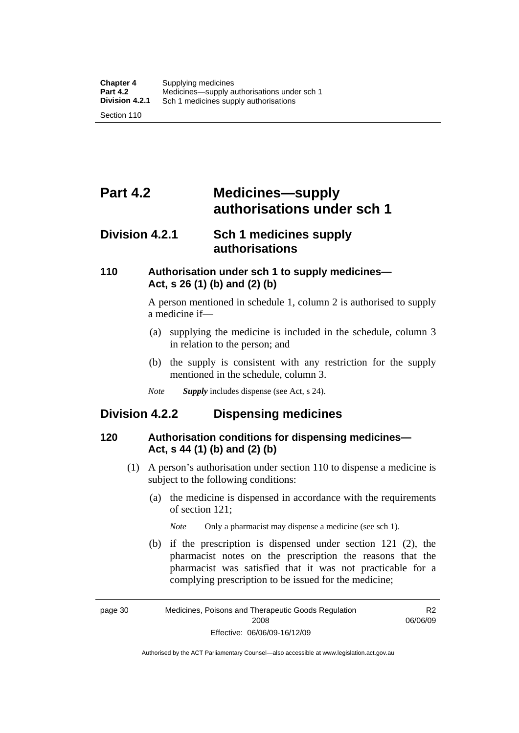# **Part 4.2 Medicines—supply authorisations under sch 1**

# **Division 4.2.1 Sch 1 medicines supply authorisations**

# **110 Authorisation under sch 1 to supply medicines— Act, s 26 (1) (b) and (2) (b)**

A person mentioned in schedule 1, column 2 is authorised to supply a medicine if—

- (a) supplying the medicine is included in the schedule, column 3 in relation to the person; and
- (b) the supply is consistent with any restriction for the supply mentioned in the schedule, column 3.
- *Note Supply* includes dispense (see Act, s 24).

# **Division 4.2.2 Dispensing medicines**

# **120 Authorisation conditions for dispensing medicines— Act, s 44 (1) (b) and (2) (b)**

- (1) A person's authorisation under section 110 to dispense a medicine is subject to the following conditions:
	- (a) the medicine is dispensed in accordance with the requirements of section 121;

*Note* Only a pharmacist may dispense a medicine (see sch 1).

 (b) if the prescription is dispensed under section 121 (2), the pharmacist notes on the prescription the reasons that the pharmacist was satisfied that it was not practicable for a complying prescription to be issued for the medicine;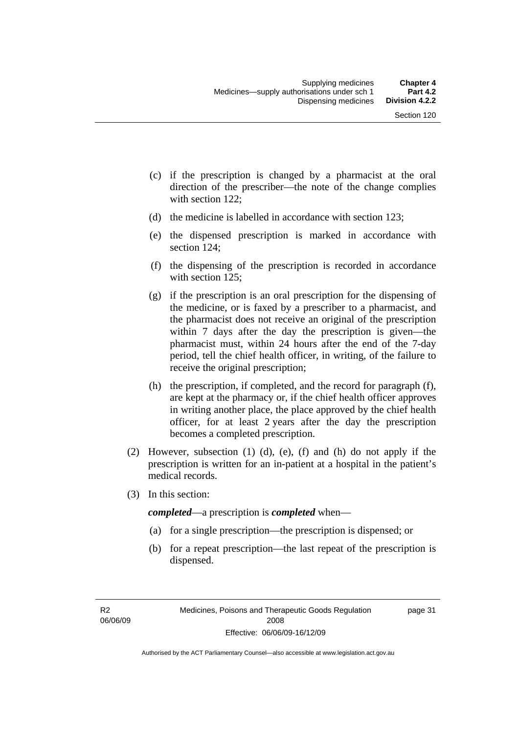- (c) if the prescription is changed by a pharmacist at the oral direction of the prescriber—the note of the change complies with section 122;
- (d) the medicine is labelled in accordance with section 123;
- (e) the dispensed prescription is marked in accordance with section 124;
- (f) the dispensing of the prescription is recorded in accordance with section 125:
- (g) if the prescription is an oral prescription for the dispensing of the medicine, or is faxed by a prescriber to a pharmacist, and the pharmacist does not receive an original of the prescription within 7 days after the day the prescription is given—the pharmacist must, within 24 hours after the end of the 7-day period, tell the chief health officer, in writing, of the failure to receive the original prescription;
- (h) the prescription, if completed, and the record for paragraph (f), are kept at the pharmacy or, if the chief health officer approves in writing another place, the place approved by the chief health officer, for at least 2 years after the day the prescription becomes a completed prescription.
- (2) However, subsection (1) (d), (e), (f) and (h) do not apply if the prescription is written for an in-patient at a hospital in the patient's medical records.
- (3) In this section:

*completed*—a prescription is *completed* when—

- (a) for a single prescription—the prescription is dispensed; or
- (b) for a repeat prescription—the last repeat of the prescription is dispensed.

page 31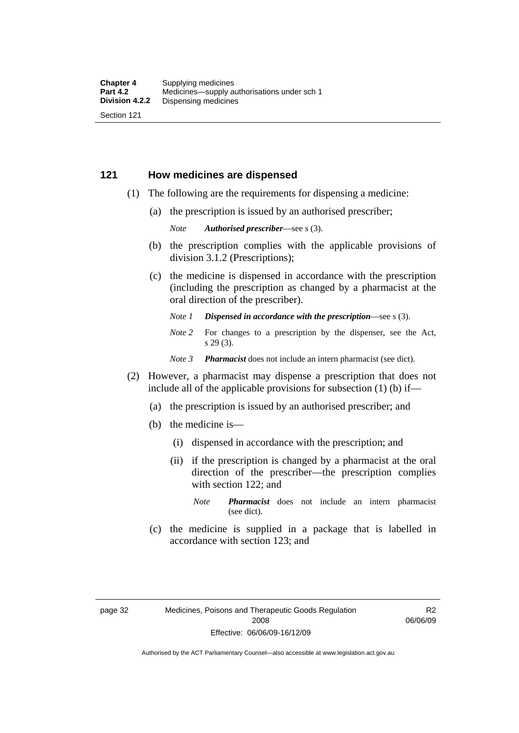### **121 How medicines are dispensed**

- (1) The following are the requirements for dispensing a medicine:
	- (a) the prescription is issued by an authorised prescriber;

*Note Authorised prescriber*—see s (3).

- (b) the prescription complies with the applicable provisions of division 3.1.2 (Prescriptions);
- (c) the medicine is dispensed in accordance with the prescription (including the prescription as changed by a pharmacist at the oral direction of the prescriber).
	- *Note 1 Dispensed in accordance with the prescription*—see s (3).
	- *Note* 2 For changes to a prescription by the dispenser, see the Act, s 29 (3).
	- *Note 3 Pharmacist* does not include an intern pharmacist (see dict).
- (2) However, a pharmacist may dispense a prescription that does not include all of the applicable provisions for subsection (1) (b) if—
	- (a) the prescription is issued by an authorised prescriber; and
	- (b) the medicine is—
		- (i) dispensed in accordance with the prescription; and
		- (ii) if the prescription is changed by a pharmacist at the oral direction of the prescriber—the prescription complies with section 122; and
			- *Note Pharmacist* does not include an intern pharmacist (see dict).
	- (c) the medicine is supplied in a package that is labelled in accordance with section 123; and

R2 06/06/09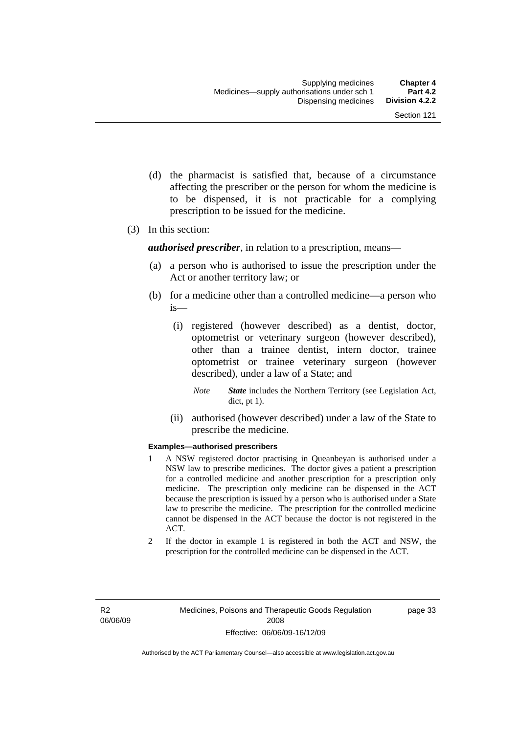- (d) the pharmacist is satisfied that, because of a circumstance affecting the prescriber or the person for whom the medicine is to be dispensed, it is not practicable for a complying prescription to be issued for the medicine.
- (3) In this section:

*authorised prescriber*, in relation to a prescription, means—

- (a) a person who is authorised to issue the prescription under the Act or another territory law; or
- (b) for a medicine other than a controlled medicine—a person who is—
	- (i) registered (however described) as a dentist, doctor, optometrist or veterinary surgeon (however described), other than a trainee dentist, intern doctor, trainee optometrist or trainee veterinary surgeon (however described), under a law of a State; and
		- *Note State* includes the Northern Territory (see Legislation Act, dict, pt 1).
	- (ii) authorised (however described) under a law of the State to prescribe the medicine.

#### **Examples—authorised prescribers**

- 1 A NSW registered doctor practising in Queanbeyan is authorised under a NSW law to prescribe medicines. The doctor gives a patient a prescription for a controlled medicine and another prescription for a prescription only medicine. The prescription only medicine can be dispensed in the ACT because the prescription is issued by a person who is authorised under a State law to prescribe the medicine. The prescription for the controlled medicine cannot be dispensed in the ACT because the doctor is not registered in the ACT.
- 2 If the doctor in example 1 is registered in both the ACT and NSW, the prescription for the controlled medicine can be dispensed in the ACT.

page 33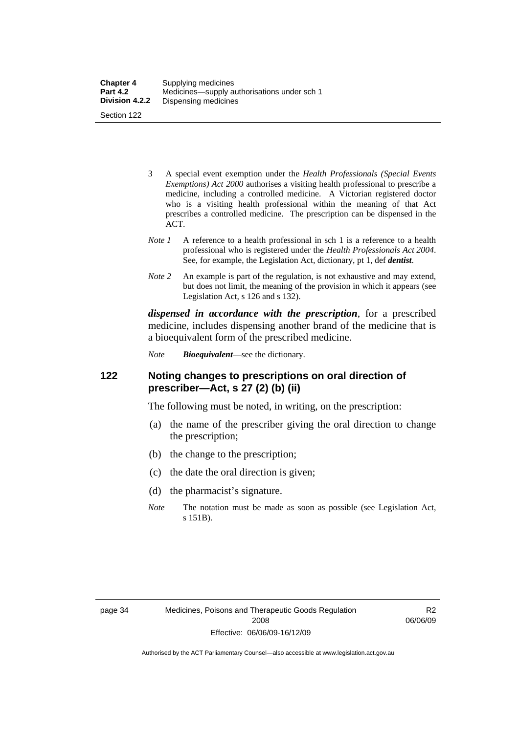| <b>Chapter 4</b> | Supplying medicines                         |
|------------------|---------------------------------------------|
| <b>Part 4.2</b>  | Medicines—supply authorisations under sch 1 |
| Division 4.2.2   | Dispensing medicines                        |
| Section 122      |                                             |

- 3 A special event exemption under the *Health Professionals (Special Events Exemptions) Act 2000* authorises a visiting health professional to prescribe a medicine, including a controlled medicine. A Victorian registered doctor who is a visiting health professional within the meaning of that Act prescribes a controlled medicine. The prescription can be dispensed in the ACT.
- *Note 1* A reference to a health professional in sch 1 is a reference to a health professional who is registered under the *Health Professionals Act 2004*. See, for example, the Legislation Act, dictionary, pt 1, def *dentist*.
- *Note 2* An example is part of the regulation, is not exhaustive and may extend, but does not limit, the meaning of the provision in which it appears (see Legislation Act, s 126 and s 132).

*dispensed in accordance with the prescription*, for a prescribed medicine, includes dispensing another brand of the medicine that is a bioequivalent form of the prescribed medicine.

*Note Bioequivalent*—see the dictionary.

# **122 Noting changes to prescriptions on oral direction of prescriber—Act, s 27 (2) (b) (ii)**

The following must be noted, in writing, on the prescription:

- (a) the name of the prescriber giving the oral direction to change the prescription;
- (b) the change to the prescription;
- (c) the date the oral direction is given;
- (d) the pharmacist's signature.
- *Note* The notation must be made as soon as possible (see Legislation Act, s 151B).

R2 06/06/09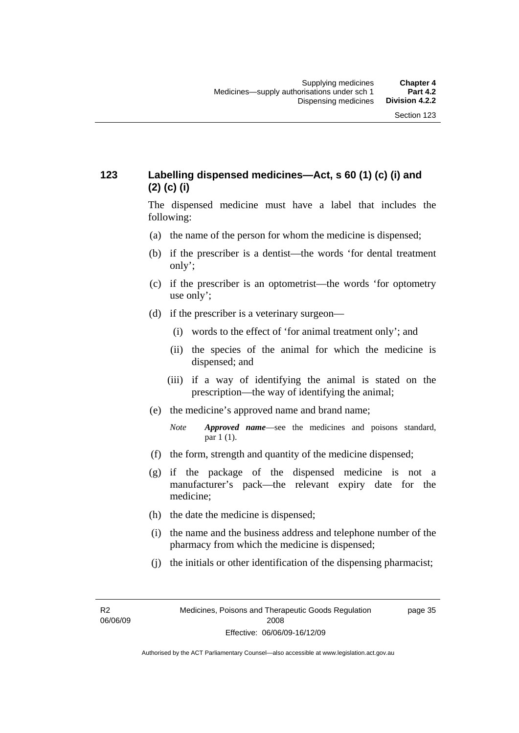# **123 Labelling dispensed medicines—Act, s 60 (1) (c) (i) and (2) (c) (i)**

The dispensed medicine must have a label that includes the following:

- (a) the name of the person for whom the medicine is dispensed;
- (b) if the prescriber is a dentist—the words 'for dental treatment only';
- (c) if the prescriber is an optometrist—the words 'for optometry use only';
- (d) if the prescriber is a veterinary surgeon—
	- (i) words to the effect of 'for animal treatment only'; and
	- (ii) the species of the animal for which the medicine is dispensed; and
	- (iii) if a way of identifying the animal is stated on the prescription—the way of identifying the animal;
- (e) the medicine's approved name and brand name;
	- *Note Approved name*—see the medicines and poisons standard, par 1 (1).
- (f) the form, strength and quantity of the medicine dispensed;
- (g) if the package of the dispensed medicine is not a manufacturer's pack—the relevant expiry date for the medicine;
- (h) the date the medicine is dispensed;
- (i) the name and the business address and telephone number of the pharmacy from which the medicine is dispensed;
- (j) the initials or other identification of the dispensing pharmacist;

R2 06/06/09 page 35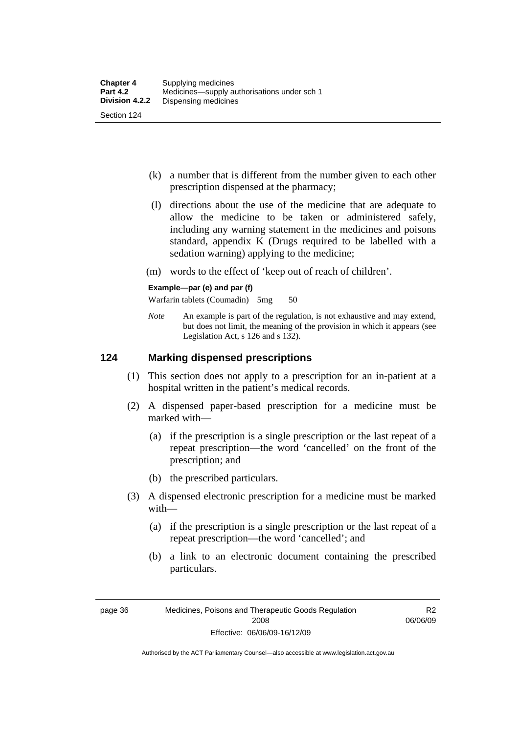- (k) a number that is different from the number given to each other prescription dispensed at the pharmacy;
- (l) directions about the use of the medicine that are adequate to allow the medicine to be taken or administered safely, including any warning statement in the medicines and poisons standard, appendix K (Drugs required to be labelled with a sedation warning) applying to the medicine;
- (m) words to the effect of 'keep out of reach of children'.

#### **Example—par (e) and par (f)**

Warfarin tablets (Coumadin) 5mg 50

*Note* An example is part of the regulation, is not exhaustive and may extend, but does not limit, the meaning of the provision in which it appears (see Legislation Act, s 126 and s 132).

## **124 Marking dispensed prescriptions**

- (1) This section does not apply to a prescription for an in-patient at a hospital written in the patient's medical records.
- (2) A dispensed paper-based prescription for a medicine must be marked with—
	- (a) if the prescription is a single prescription or the last repeat of a repeat prescription—the word 'cancelled' on the front of the prescription; and
	- (b) the prescribed particulars.
- (3) A dispensed electronic prescription for a medicine must be marked with—
	- (a) if the prescription is a single prescription or the last repeat of a repeat prescription—the word 'cancelled'; and
	- (b) a link to an electronic document containing the prescribed particulars.

page 36 Medicines, Poisons and Therapeutic Goods Regulation 2008 Effective: 06/06/09-16/12/09

R2 06/06/09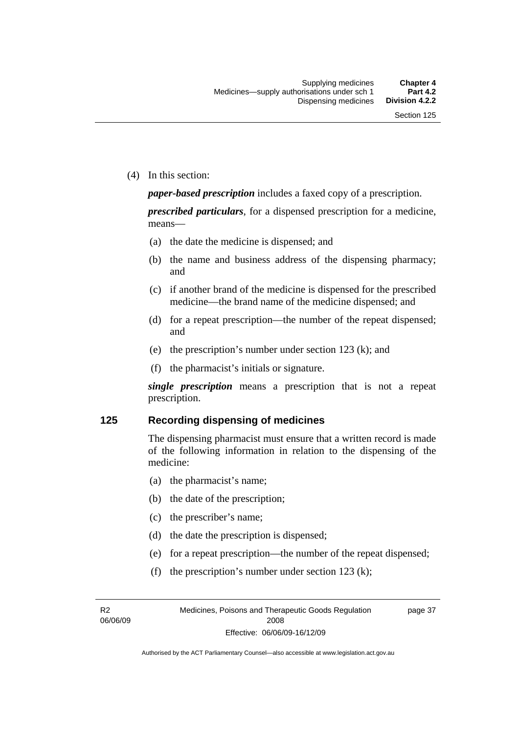(4) In this section:

*paper-based prescription* includes a faxed copy of a prescription.

*prescribed particulars*, for a dispensed prescription for a medicine, means—

- (a) the date the medicine is dispensed; and
- (b) the name and business address of the dispensing pharmacy; and
- (c) if another brand of the medicine is dispensed for the prescribed medicine—the brand name of the medicine dispensed; and
- (d) for a repeat prescription—the number of the repeat dispensed; and
- (e) the prescription's number under section 123 (k); and
- (f) the pharmacist's initials or signature.

*single prescription* means a prescription that is not a repeat prescription.

### **125 Recording dispensing of medicines**

The dispensing pharmacist must ensure that a written record is made of the following information in relation to the dispensing of the medicine:

- (a) the pharmacist's name;
- (b) the date of the prescription;
- (c) the prescriber's name;
- (d) the date the prescription is dispensed;
- (e) for a repeat prescription—the number of the repeat dispensed;
- (f) the prescription's number under section 123 (k);

R2 06/06/09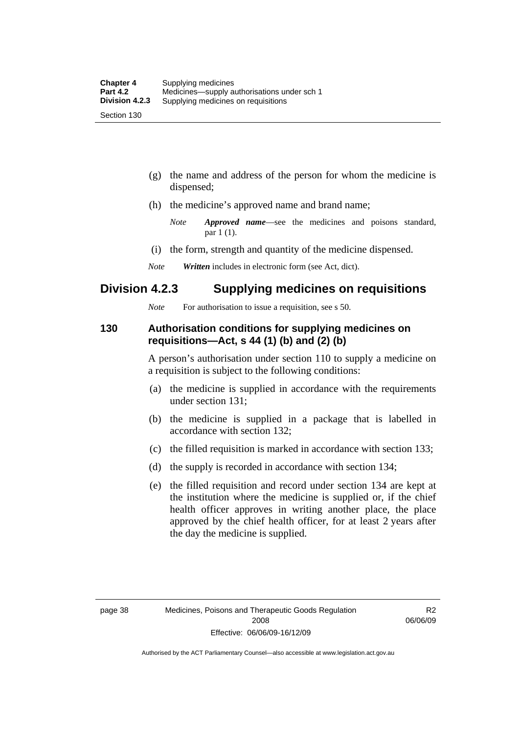- (g) the name and address of the person for whom the medicine is dispensed;
- (h) the medicine's approved name and brand name;
	- *Note Approved name*—see the medicines and poisons standard, par 1 (1).
- (i) the form, strength and quantity of the medicine dispensed.
- *Note Written* includes in electronic form (see Act, dict).

# **Division 4.2.3 Supplying medicines on requisitions**

*Note* For authorisation to issue a requisition, see s 50.

# **130 Authorisation conditions for supplying medicines on requisitions—Act, s 44 (1) (b) and (2) (b)**

A person's authorisation under section 110 to supply a medicine on a requisition is subject to the following conditions:

- (a) the medicine is supplied in accordance with the requirements under section 131;
- (b) the medicine is supplied in a package that is labelled in accordance with section 132;
- (c) the filled requisition is marked in accordance with section 133;
- (d) the supply is recorded in accordance with section 134;
- (e) the filled requisition and record under section 134 are kept at the institution where the medicine is supplied or, if the chief health officer approves in writing another place, the place approved by the chief health officer, for at least 2 years after the day the medicine is supplied.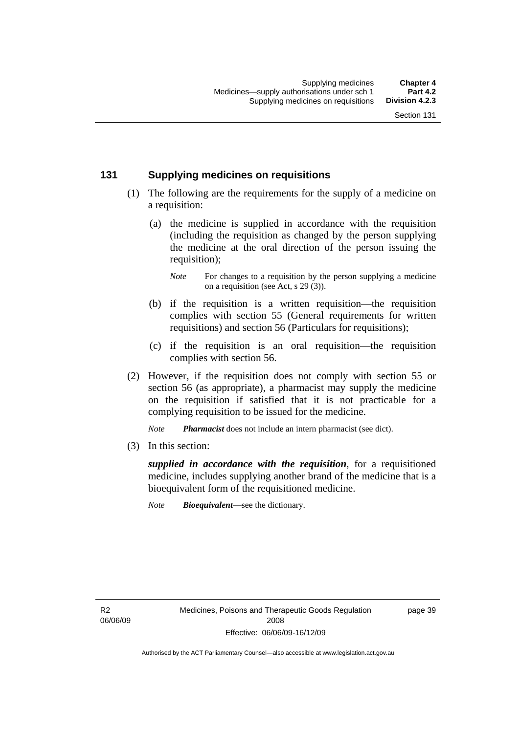# **131 Supplying medicines on requisitions**

- (1) The following are the requirements for the supply of a medicine on a requisition:
	- (a) the medicine is supplied in accordance with the requisition (including the requisition as changed by the person supplying the medicine at the oral direction of the person issuing the requisition);

- (b) if the requisition is a written requisition—the requisition complies with section 55 (General requirements for written requisitions) and section 56 (Particulars for requisitions);
- (c) if the requisition is an oral requisition—the requisition complies with section 56.
- (2) However, if the requisition does not comply with section 55 or section 56 (as appropriate), a pharmacist may supply the medicine on the requisition if satisfied that it is not practicable for a complying requisition to be issued for the medicine.

*Note Pharmacist* does not include an intern pharmacist (see dict).

(3) In this section:

*supplied in accordance with the requisition*, for a requisitioned medicine, includes supplying another brand of the medicine that is a bioequivalent form of the requisitioned medicine.

*Note Bioequivalent*—see the dictionary.

R2 06/06/09 page 39

*Note* For changes to a requisition by the person supplying a medicine on a requisition (see Act, s 29 (3)).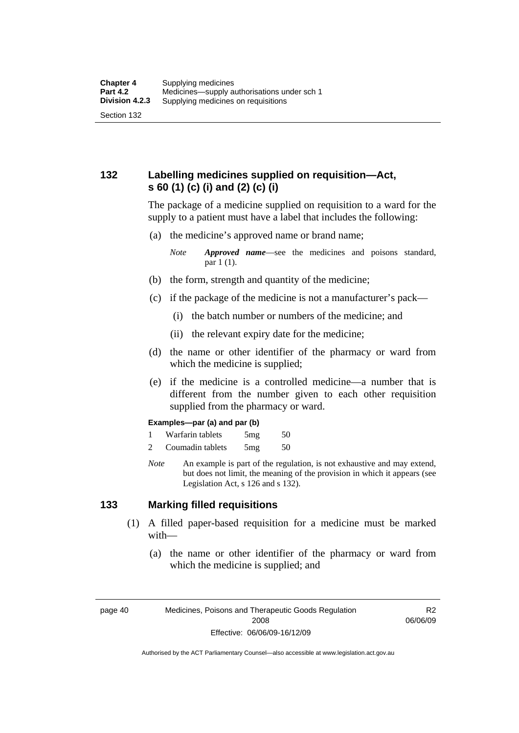# **132 Labelling medicines supplied on requisition—Act, s 60 (1) (c) (i) and (2) (c) (i)**

The package of a medicine supplied on requisition to a ward for the supply to a patient must have a label that includes the following:

(a) the medicine's approved name or brand name;

*Note Approved name*—see the medicines and poisons standard, par 1 (1).

- (b) the form, strength and quantity of the medicine;
- (c) if the package of the medicine is not a manufacturer's pack—
	- (i) the batch number or numbers of the medicine; and
	- (ii) the relevant expiry date for the medicine;
- (d) the name or other identifier of the pharmacy or ward from which the medicine is supplied;
- (e) if the medicine is a controlled medicine—a number that is different from the number given to each other requisition supplied from the pharmacy or ward.

#### **Examples—par (a) and par (b)**

- 1 Warfarin tablets 5mg 50
- 2 Coumadin tablets 5mg 50
- *Note* An example is part of the regulation, is not exhaustive and may extend, but does not limit, the meaning of the provision in which it appears (see Legislation Act, s 126 and s 132).

### **133 Marking filled requisitions**

- (1) A filled paper-based requisition for a medicine must be marked with—
	- (a) the name or other identifier of the pharmacy or ward from which the medicine is supplied; and

page 40 Medicines, Poisons and Therapeutic Goods Regulation 2008 Effective: 06/06/09-16/12/09

R2 06/06/09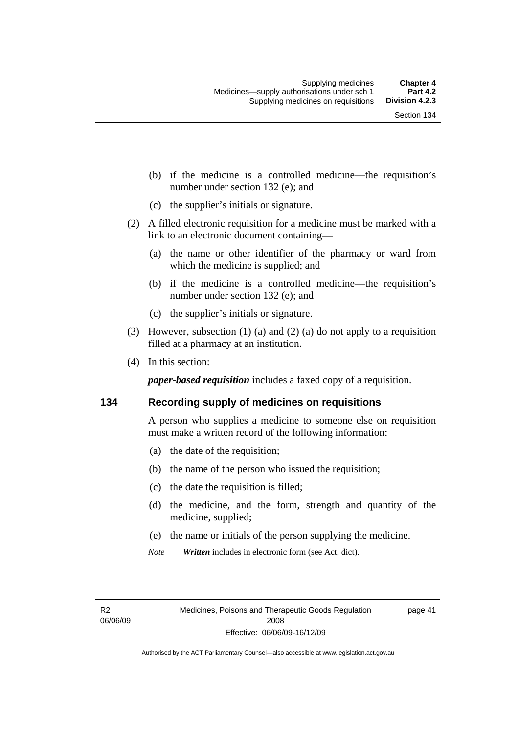- (b) if the medicine is a controlled medicine—the requisition's number under section 132 (e); and
- (c) the supplier's initials or signature.
- (2) A filled electronic requisition for a medicine must be marked with a link to an electronic document containing—
	- (a) the name or other identifier of the pharmacy or ward from which the medicine is supplied; and
	- (b) if the medicine is a controlled medicine—the requisition's number under section 132 (e); and
	- (c) the supplier's initials or signature.
- (3) However, subsection (1) (a) and (2) (a) do not apply to a requisition filled at a pharmacy at an institution.
- (4) In this section:

*paper-based requisition* includes a faxed copy of a requisition.

## **134 Recording supply of medicines on requisitions**

A person who supplies a medicine to someone else on requisition must make a written record of the following information:

- (a) the date of the requisition;
- (b) the name of the person who issued the requisition;
- (c) the date the requisition is filled;
- (d) the medicine, and the form, strength and quantity of the medicine, supplied;
- (e) the name or initials of the person supplying the medicine.
- *Note Written* includes in electronic form (see Act, dict).

R2 06/06/09 page 41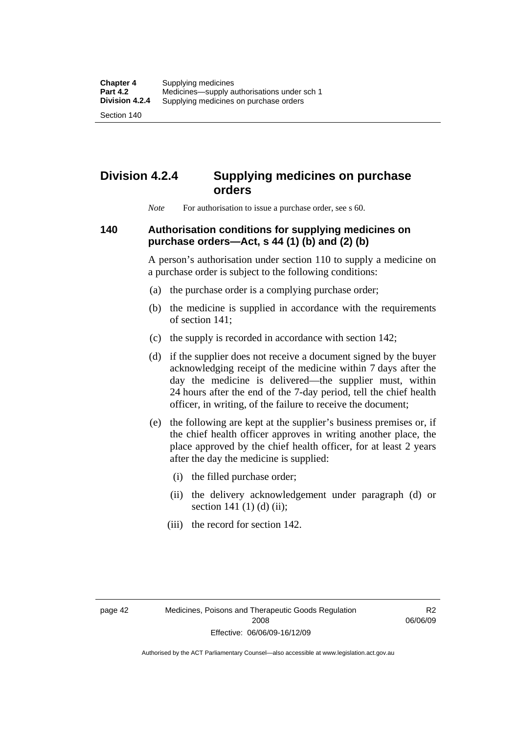Section 140

# **Division 4.2.4 Supplying medicines on purchase orders**

*Note* For authorisation to issue a purchase order, see s 60.

# **140 Authorisation conditions for supplying medicines on purchase orders—Act, s 44 (1) (b) and (2) (b)**

A person's authorisation under section 110 to supply a medicine on a purchase order is subject to the following conditions:

- (a) the purchase order is a complying purchase order;
- (b) the medicine is supplied in accordance with the requirements of section 141;
- (c) the supply is recorded in accordance with section 142;
- (d) if the supplier does not receive a document signed by the buyer acknowledging receipt of the medicine within 7 days after the day the medicine is delivered—the supplier must, within 24 hours after the end of the 7-day period, tell the chief health officer, in writing, of the failure to receive the document;
- (e) the following are kept at the supplier's business premises or, if the chief health officer approves in writing another place, the place approved by the chief health officer, for at least 2 years after the day the medicine is supplied:
	- (i) the filled purchase order;
	- (ii) the delivery acknowledgement under paragraph (d) or section 141 $(1)$  $(d)$  $(ii)$ ;
	- (iii) the record for section 142.

R2 06/06/09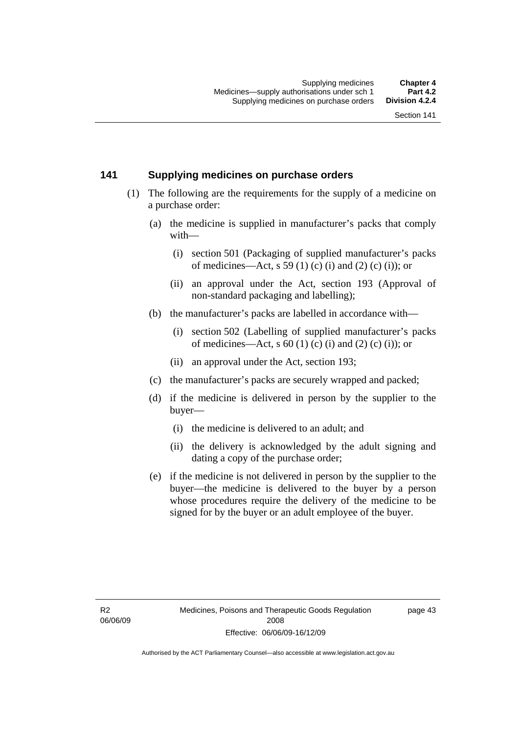# **141 Supplying medicines on purchase orders**

- (1) The following are the requirements for the supply of a medicine on a purchase order:
	- (a) the medicine is supplied in manufacturer's packs that comply with—
		- (i) section 501 (Packaging of supplied manufacturer's packs of medicines—Act, s 59 (1) (c) (i) and (2) (c) (i)); or
		- (ii) an approval under the Act, section 193 (Approval of non-standard packaging and labelling);
	- (b) the manufacturer's packs are labelled in accordance with—
		- (i) section 502 (Labelling of supplied manufacturer's packs of medicines—Act, s  $60$  (1) (c) (i) and (2) (c) (i)); or
		- (ii) an approval under the Act, section 193;
	- (c) the manufacturer's packs are securely wrapped and packed;
	- (d) if the medicine is delivered in person by the supplier to the buyer—
		- (i) the medicine is delivered to an adult; and
		- (ii) the delivery is acknowledged by the adult signing and dating a copy of the purchase order;
	- (e) if the medicine is not delivered in person by the supplier to the buyer—the medicine is delivered to the buyer by a person whose procedures require the delivery of the medicine to be signed for by the buyer or an adult employee of the buyer.

page 43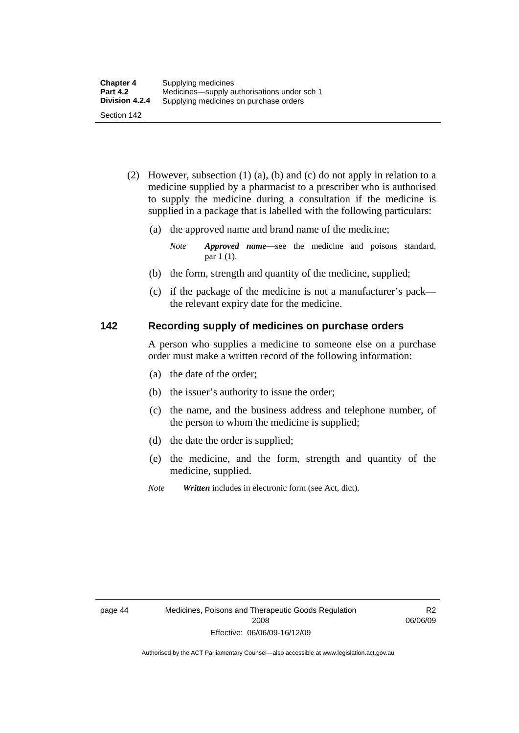- (2) However, subsection (1) (a), (b) and (c) do not apply in relation to a medicine supplied by a pharmacist to a prescriber who is authorised to supply the medicine during a consultation if the medicine is supplied in a package that is labelled with the following particulars:
	- (a) the approved name and brand name of the medicine;

*Note Approved name*—see the medicine and poisons standard, par 1 (1).

- (b) the form, strength and quantity of the medicine, supplied;
- (c) if the package of the medicine is not a manufacturer's pack the relevant expiry date for the medicine.

# **142 Recording supply of medicines on purchase orders**

A person who supplies a medicine to someone else on a purchase order must make a written record of the following information:

- (a) the date of the order;
- (b) the issuer's authority to issue the order;
- (c) the name, and the business address and telephone number, of the person to whom the medicine is supplied;
- (d) the date the order is supplied;
- (e) the medicine, and the form, strength and quantity of the medicine, supplied.
- *Note Written* includes in electronic form (see Act, dict).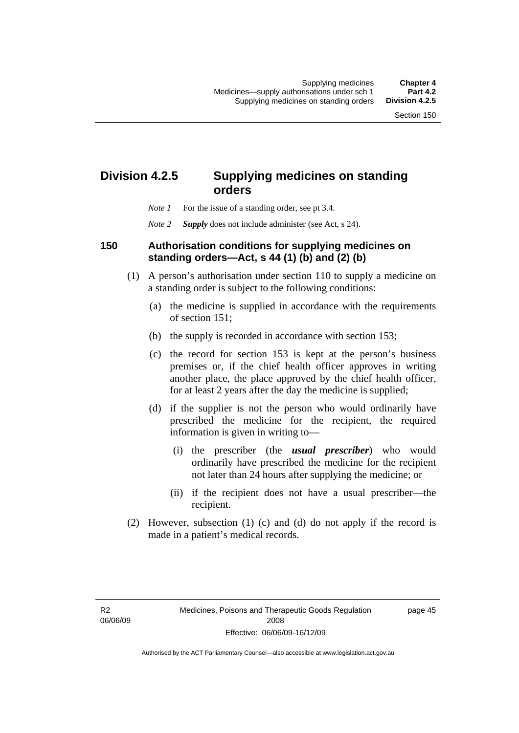# **Division 4.2.5 Supplying medicines on standing orders**

- *Note 1* For the issue of a standing order, see pt 3.4.
- *Note 2 Supply* does not include administer (see Act, s 24).

## **150 Authorisation conditions for supplying medicines on standing orders—Act, s 44 (1) (b) and (2) (b)**

- (1) A person's authorisation under section 110 to supply a medicine on a standing order is subject to the following conditions:
	- (a) the medicine is supplied in accordance with the requirements of section 151;
	- (b) the supply is recorded in accordance with section 153;
	- (c) the record for section 153 is kept at the person's business premises or, if the chief health officer approves in writing another place, the place approved by the chief health officer, for at least 2 years after the day the medicine is supplied;
	- (d) if the supplier is not the person who would ordinarily have prescribed the medicine for the recipient, the required information is given in writing to—
		- (i) the prescriber (the *usual prescriber*) who would ordinarily have prescribed the medicine for the recipient not later than 24 hours after supplying the medicine; or
		- (ii) if the recipient does not have a usual prescriber—the recipient.
- (2) However, subsection (1) (c) and (d) do not apply if the record is made in a patient's medical records.

R2 06/06/09 page 45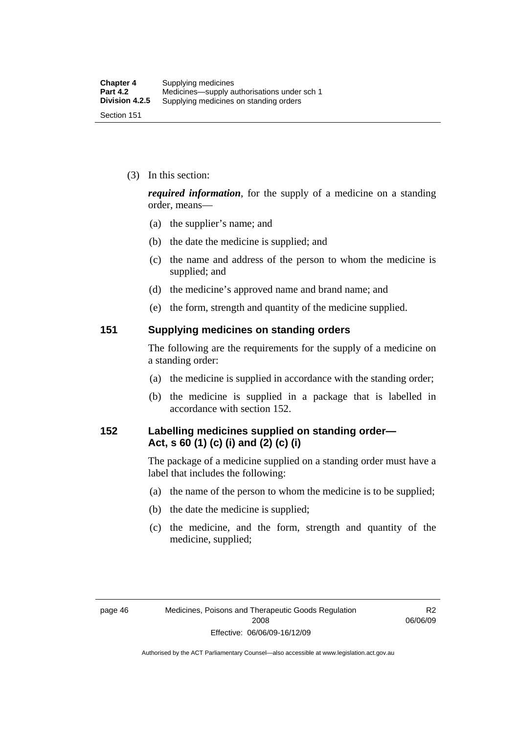(3) In this section:

*required information*, for the supply of a medicine on a standing order, means—

- (a) the supplier's name; and
- (b) the date the medicine is supplied; and
- (c) the name and address of the person to whom the medicine is supplied; and
- (d) the medicine's approved name and brand name; and
- (e) the form, strength and quantity of the medicine supplied.

### **151 Supplying medicines on standing orders**

The following are the requirements for the supply of a medicine on a standing order:

- (a) the medicine is supplied in accordance with the standing order;
- (b) the medicine is supplied in a package that is labelled in accordance with section 152.

# **152 Labelling medicines supplied on standing order— Act, s 60 (1) (c) (i) and (2) (c) (i)**

The package of a medicine supplied on a standing order must have a label that includes the following:

- (a) the name of the person to whom the medicine is to be supplied;
- (b) the date the medicine is supplied;
- (c) the medicine, and the form, strength and quantity of the medicine, supplied;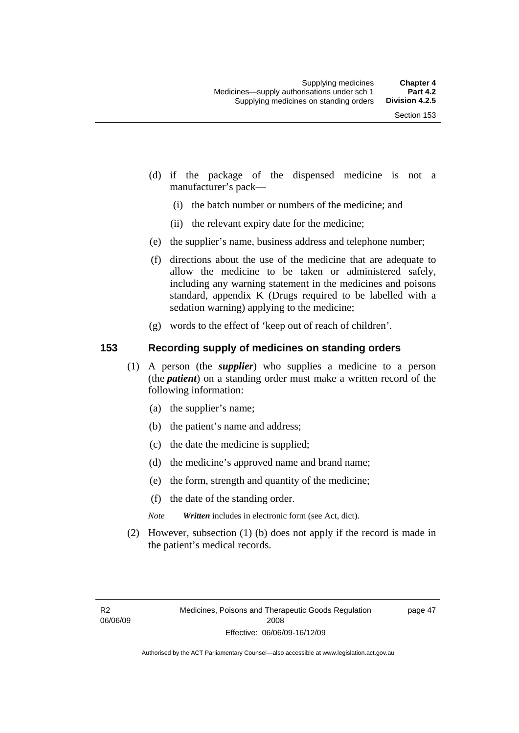- (d) if the package of the dispensed medicine is not a manufacturer's pack—
	- (i) the batch number or numbers of the medicine; and
	- (ii) the relevant expiry date for the medicine;
- (e) the supplier's name, business address and telephone number;
- (f) directions about the use of the medicine that are adequate to allow the medicine to be taken or administered safely, including any warning statement in the medicines and poisons standard, appendix K (Drugs required to be labelled with a sedation warning) applying to the medicine;
- (g) words to the effect of 'keep out of reach of children'.

# **153 Recording supply of medicines on standing orders**

- (1) A person (the *supplier*) who supplies a medicine to a person (the *patient*) on a standing order must make a written record of the following information:
	- (a) the supplier's name;
	- (b) the patient's name and address;
	- (c) the date the medicine is supplied;
	- (d) the medicine's approved name and brand name;
	- (e) the form, strength and quantity of the medicine;
	- (f) the date of the standing order.
	- *Note Written* includes in electronic form (see Act, dict).
- (2) However, subsection (1) (b) does not apply if the record is made in the patient's medical records.

page 47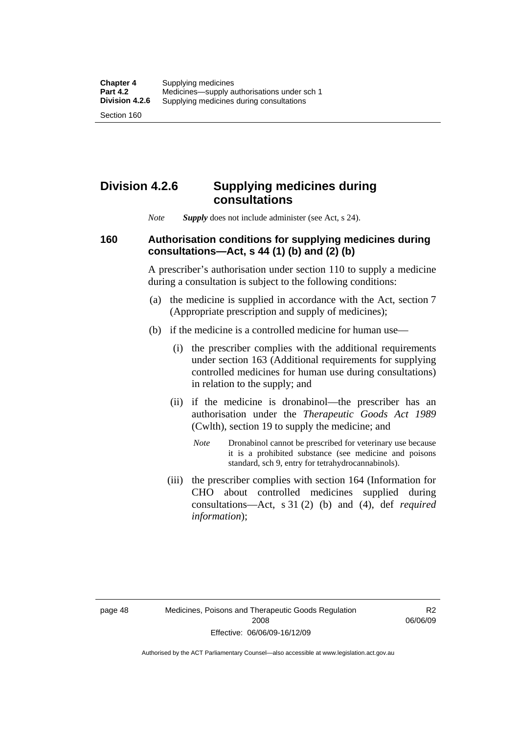Section 160

# **Division 4.2.6 Supplying medicines during consultations**

*Note Supply* does not include administer (see Act, s 24).

# **160 Authorisation conditions for supplying medicines during consultations—Act, s 44 (1) (b) and (2) (b)**

A prescriber's authorisation under section 110 to supply a medicine during a consultation is subject to the following conditions:

- (a) the medicine is supplied in accordance with the Act, section 7 (Appropriate prescription and supply of medicines);
- (b) if the medicine is a controlled medicine for human use—
	- (i) the prescriber complies with the additional requirements under section 163 (Additional requirements for supplying controlled medicines for human use during consultations) in relation to the supply; and
	- (ii) if the medicine is dronabinol—the prescriber has an authorisation under the *Therapeutic Goods Act 1989* (Cwlth), section 19 to supply the medicine; and
		- *Note* Dronabinol cannot be prescribed for veterinary use because it is a prohibited substance (see medicine and poisons standard, sch 9, entry for tetrahydrocannabinols).
	- (iii) the prescriber complies with section 164 (Information for CHO about controlled medicines supplied during consultations—Act, s 31 (2) (b) and (4), def *required information*);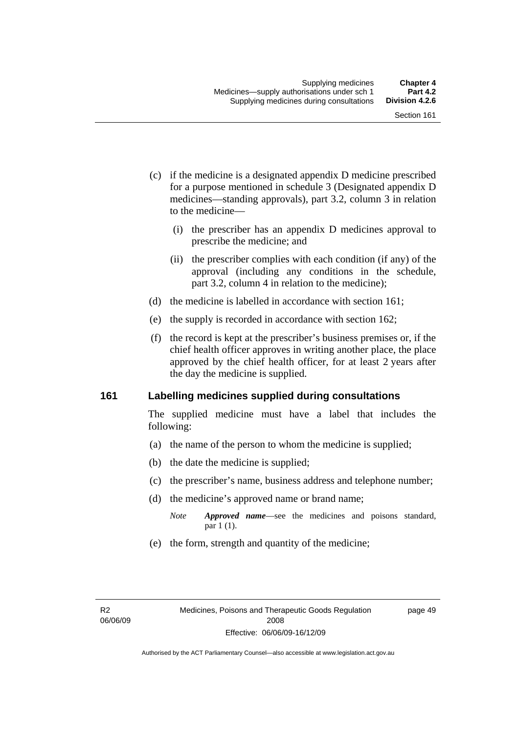- (c) if the medicine is a designated appendix D medicine prescribed for a purpose mentioned in schedule 3 (Designated appendix D medicines—standing approvals), part 3.2, column 3 in relation to the medicine—
	- (i) the prescriber has an appendix D medicines approval to prescribe the medicine; and
	- (ii) the prescriber complies with each condition (if any) of the approval (including any conditions in the schedule, part 3.2, column 4 in relation to the medicine);
- (d) the medicine is labelled in accordance with section 161;
- (e) the supply is recorded in accordance with section 162;
- (f) the record is kept at the prescriber's business premises or, if the chief health officer approves in writing another place, the place approved by the chief health officer, for at least 2 years after the day the medicine is supplied.

### **161 Labelling medicines supplied during consultations**

The supplied medicine must have a label that includes the following:

- (a) the name of the person to whom the medicine is supplied;
- (b) the date the medicine is supplied;
- (c) the prescriber's name, business address and telephone number;
- (d) the medicine's approved name or brand name;
	- *Note Approved name*—see the medicines and poisons standard, par 1 (1).
- (e) the form, strength and quantity of the medicine;

page 49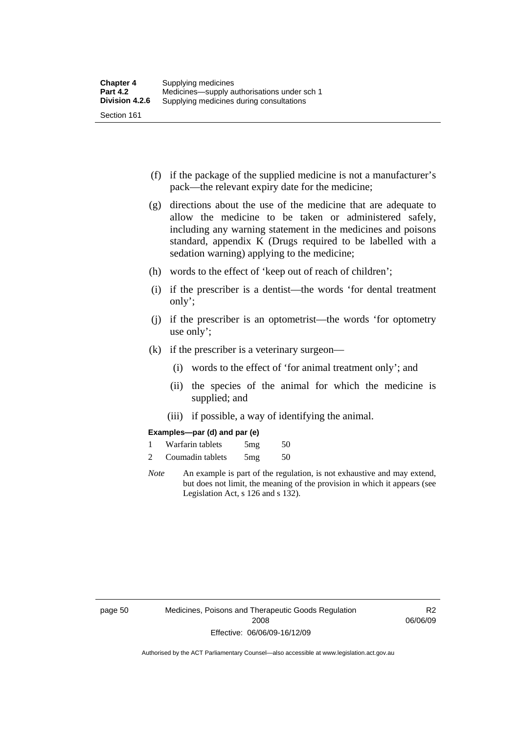- (f) if the package of the supplied medicine is not a manufacturer's pack—the relevant expiry date for the medicine;
- (g) directions about the use of the medicine that are adequate to allow the medicine to be taken or administered safely, including any warning statement in the medicines and poisons standard, appendix K (Drugs required to be labelled with a sedation warning) applying to the medicine;
- (h) words to the effect of 'keep out of reach of children';
- (i) if the prescriber is a dentist—the words 'for dental treatment only';
- (j) if the prescriber is an optometrist—the words 'for optometry use only';
- (k) if the prescriber is a veterinary surgeon—
	- (i) words to the effect of 'for animal treatment only'; and
	- (ii) the species of the animal for which the medicine is supplied; and
	- (iii) if possible, a way of identifying the animal.

#### **Examples—par (d) and par (e)**

| Warfarin tablets | 5mg | 50 |
|------------------|-----|----|
| Coumadin tablets | 5mg | 50 |

*Note* An example is part of the regulation, is not exhaustive and may extend, but does not limit, the meaning of the provision in which it appears (see Legislation Act, s 126 and s 132).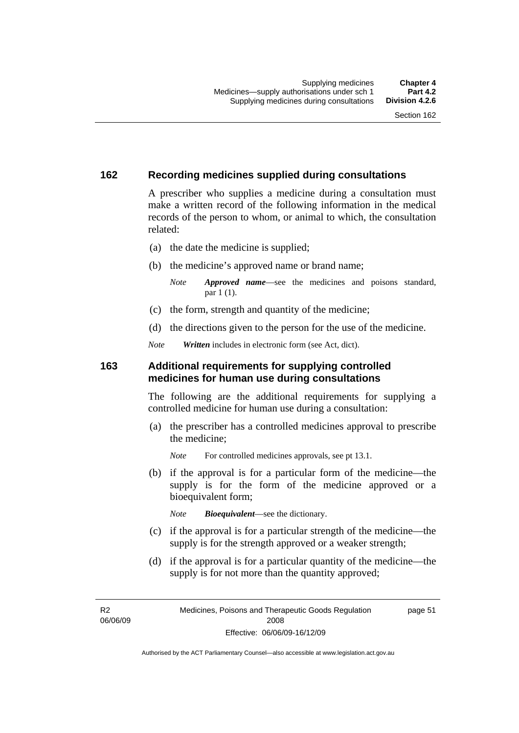## **162 Recording medicines supplied during consultations**

A prescriber who supplies a medicine during a consultation must make a written record of the following information in the medical records of the person to whom, or animal to which, the consultation related:

- (a) the date the medicine is supplied;
- (b) the medicine's approved name or brand name;

*Note Approved name*—see the medicines and poisons standard, par 1 (1).

- (c) the form, strength and quantity of the medicine;
- (d) the directions given to the person for the use of the medicine.

*Note Written* includes in electronic form (see Act, dict).

### **163 Additional requirements for supplying controlled medicines for human use during consultations**

The following are the additional requirements for supplying a controlled medicine for human use during a consultation:

- (a) the prescriber has a controlled medicines approval to prescribe the medicine;
	- *Note* For controlled medicines approvals, see pt 13.1.
- (b) if the approval is for a particular form of the medicine—the supply is for the form of the medicine approved or a bioequivalent form;

*Note Bioequivalent*—see the dictionary.

- (c) if the approval is for a particular strength of the medicine—the supply is for the strength approved or a weaker strength;
- (d) if the approval is for a particular quantity of the medicine—the supply is for not more than the quantity approved;

R2 06/06/09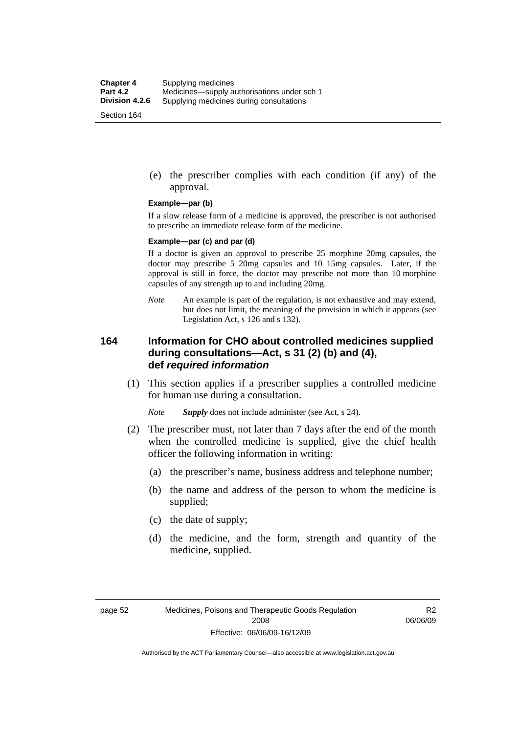(e) the prescriber complies with each condition (if any) of the approval.

#### **Example—par (b)**

If a slow release form of a medicine is approved, the prescriber is not authorised to prescribe an immediate release form of the medicine.

#### **Example—par (c) and par (d)**

If a doctor is given an approval to prescribe 25 morphine 20mg capsules, the doctor may prescribe 5 20mg capsules and 10 15mg capsules. Later, if the approval is still in force, the doctor may prescribe not more than 10 morphine capsules of any strength up to and including 20mg.

*Note* An example is part of the regulation, is not exhaustive and may extend, but does not limit, the meaning of the provision in which it appears (see Legislation Act, s 126 and s 132).

### **164 Information for CHO about controlled medicines supplied during consultations—Act, s 31 (2) (b) and (4), def** *required information*

 (1) This section applies if a prescriber supplies a controlled medicine for human use during a consultation.

*Note Supply* does not include administer (see Act, s 24).

- (2) The prescriber must, not later than 7 days after the end of the month when the controlled medicine is supplied, give the chief health officer the following information in writing:
	- (a) the prescriber's name, business address and telephone number;
	- (b) the name and address of the person to whom the medicine is supplied;
	- (c) the date of supply;
	- (d) the medicine, and the form, strength and quantity of the medicine, supplied.

R2 06/06/09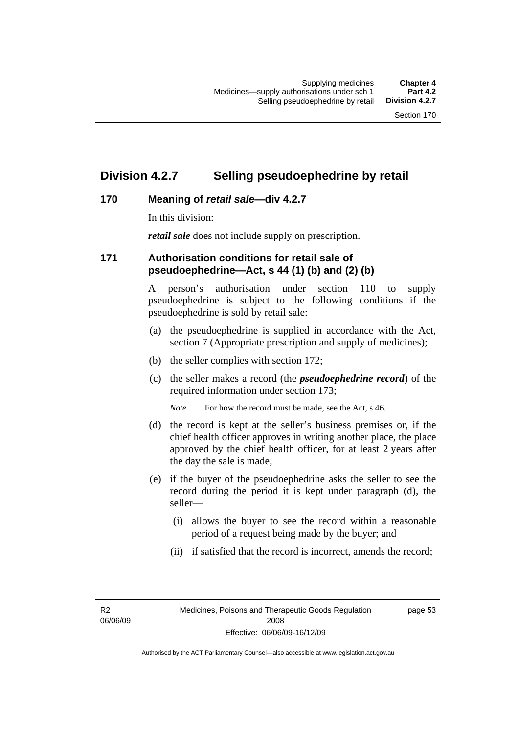## **Division 4.2.7 Selling pseudoephedrine by retail**

## **170 Meaning of** *retail sale***—div 4.2.7**

In this division:

*retail sale* does not include supply on prescription.

## **171 Authorisation conditions for retail sale of pseudoephedrine—Act, s 44 (1) (b) and (2) (b)**

A person's authorisation under section 110 to supply pseudoephedrine is subject to the following conditions if the pseudoephedrine is sold by retail sale:

- (a) the pseudoephedrine is supplied in accordance with the Act, section 7 (Appropriate prescription and supply of medicines);
- (b) the seller complies with section 172;
- (c) the seller makes a record (the *pseudoephedrine record*) of the required information under section 173;

*Note* For how the record must be made, see the Act, s 46.

- (d) the record is kept at the seller's business premises or, if the chief health officer approves in writing another place, the place approved by the chief health officer, for at least 2 years after the day the sale is made;
- (e) if the buyer of the pseudoephedrine asks the seller to see the record during the period it is kept under paragraph (d), the seller—
	- (i) allows the buyer to see the record within a reasonable period of a request being made by the buyer; and
	- (ii) if satisfied that the record is incorrect, amends the record;

R2 06/06/09 page 53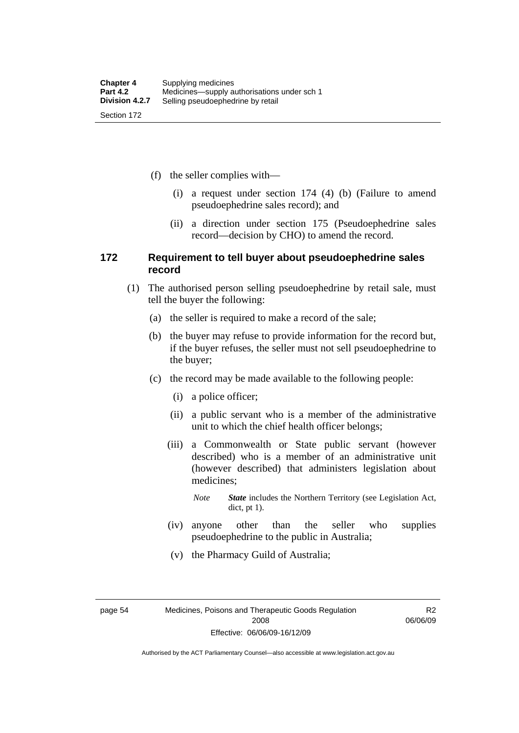(f) the seller complies with—

- (i) a request under section 174 (4) (b) (Failure to amend pseudoephedrine sales record); and
- (ii) a direction under section 175 (Pseudoephedrine sales record—decision by CHO) to amend the record.

### **172 Requirement to tell buyer about pseudoephedrine sales record**

- (1) The authorised person selling pseudoephedrine by retail sale, must tell the buyer the following:
	- (a) the seller is required to make a record of the sale;
	- (b) the buyer may refuse to provide information for the record but, if the buyer refuses, the seller must not sell pseudoephedrine to the buyer;
	- (c) the record may be made available to the following people:
		- (i) a police officer;
		- (ii) a public servant who is a member of the administrative unit to which the chief health officer belongs;
		- (iii) a Commonwealth or State public servant (however described) who is a member of an administrative unit (however described) that administers legislation about medicines;
			- *Note State* includes the Northern Territory (see Legislation Act, dict, pt 1).
		- (iv) anyone other than the seller who supplies pseudoephedrine to the public in Australia;
		- (v) the Pharmacy Guild of Australia;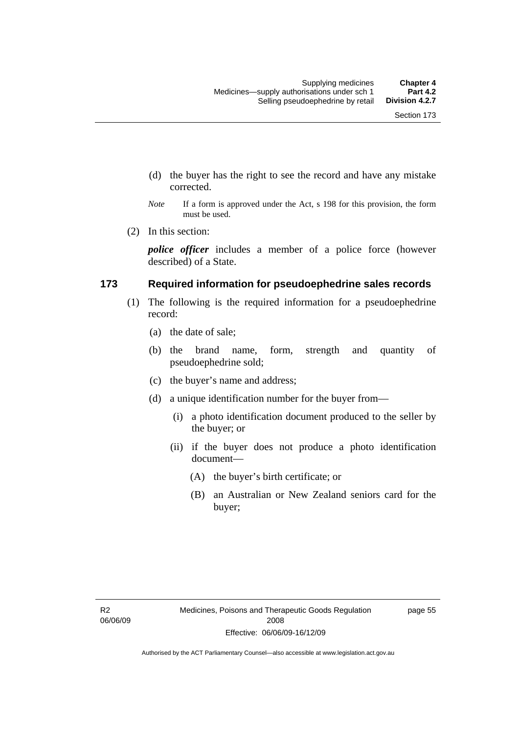- (d) the buyer has the right to see the record and have any mistake corrected.
- *Note* If a form is approved under the Act, s 198 for this provision, the form must be used.
- (2) In this section:

*police officer* includes a member of a police force (however described) of a State.

### **173 Required information for pseudoephedrine sales records**

- (1) The following is the required information for a pseudoephedrine record:
	- (a) the date of sale;
	- (b) the brand name, form, strength and quantity of pseudoephedrine sold;
	- (c) the buyer's name and address;
	- (d) a unique identification number for the buyer from—
		- (i) a photo identification document produced to the seller by the buyer; or
		- (ii) if the buyer does not produce a photo identification document—
			- (A) the buyer's birth certificate; or
			- (B) an Australian or New Zealand seniors card for the buyer;

page 55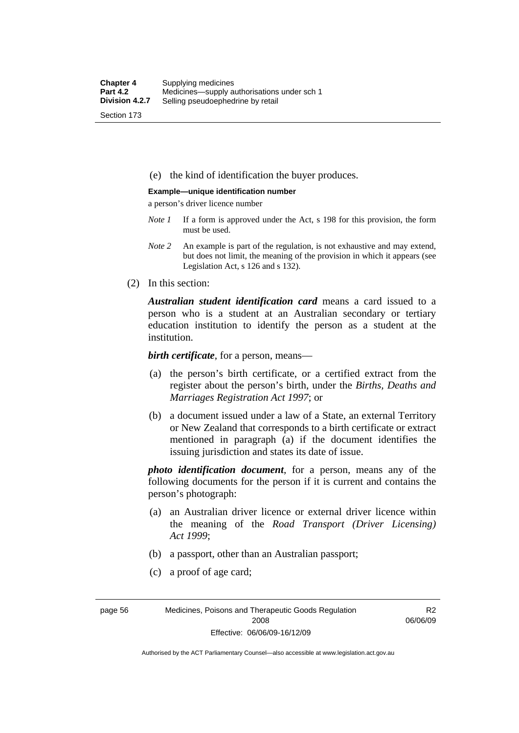(e) the kind of identification the buyer produces.

#### **Example—unique identification number**

a person's driver licence number

- *Note 1* If a form is approved under the Act, s 198 for this provision, the form must be used.
- *Note 2* An example is part of the regulation, is not exhaustive and may extend, but does not limit, the meaning of the provision in which it appears (see Legislation Act, s 126 and s 132).
- (2) In this section:

*Australian student identification card* means a card issued to a person who is a student at an Australian secondary or tertiary education institution to identify the person as a student at the institution.

*birth certificate*, for a person, means—

- (a) the person's birth certificate, or a certified extract from the register about the person's birth, under the *Births, Deaths and Marriages Registration Act 1997*; or
- (b) a document issued under a law of a State, an external Territory or New Zealand that corresponds to a birth certificate or extract mentioned in paragraph (a) if the document identifies the issuing jurisdiction and states its date of issue.

*photo identification document*, for a person, means any of the following documents for the person if it is current and contains the person's photograph:

- (a) an Australian driver licence or external driver licence within the meaning of the *Road Transport (Driver Licensing) Act 1999*;
- (b) a passport, other than an Australian passport;
- (c) a proof of age card;

page 56 Medicines, Poisons and Therapeutic Goods Regulation 2008 Effective: 06/06/09-16/12/09

R2 06/06/09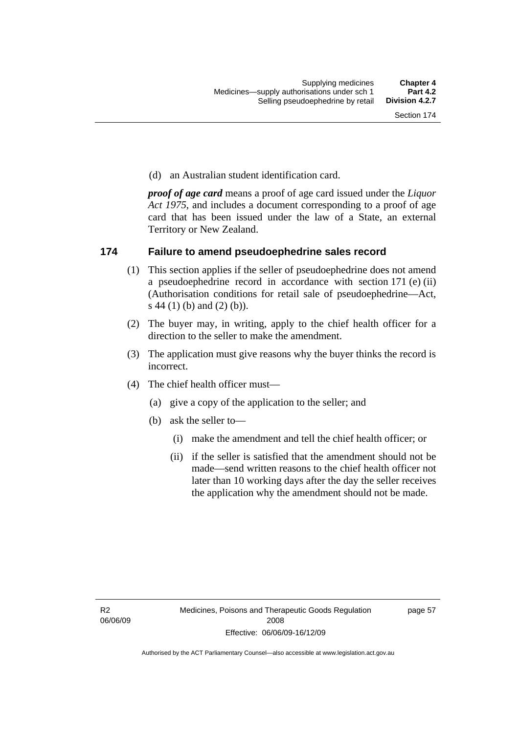(d) an Australian student identification card.

*proof of age card* means a proof of age card issued under the *Liquor Act 1975*, and includes a document corresponding to a proof of age card that has been issued under the law of a State, an external Territory or New Zealand.

### **174 Failure to amend pseudoephedrine sales record**

- (1) This section applies if the seller of pseudoephedrine does not amend a pseudoephedrine record in accordance with section 171 (e) (ii) (Authorisation conditions for retail sale of pseudoephedrine—Act, s 44 (1) (b) and (2) (b)).
- (2) The buyer may, in writing, apply to the chief health officer for a direction to the seller to make the amendment.
- (3) The application must give reasons why the buyer thinks the record is incorrect.
- (4) The chief health officer must—
	- (a) give a copy of the application to the seller; and
	- (b) ask the seller to—
		- (i) make the amendment and tell the chief health officer; or
		- (ii) if the seller is satisfied that the amendment should not be made—send written reasons to the chief health officer not later than 10 working days after the day the seller receives the application why the amendment should not be made.

page 57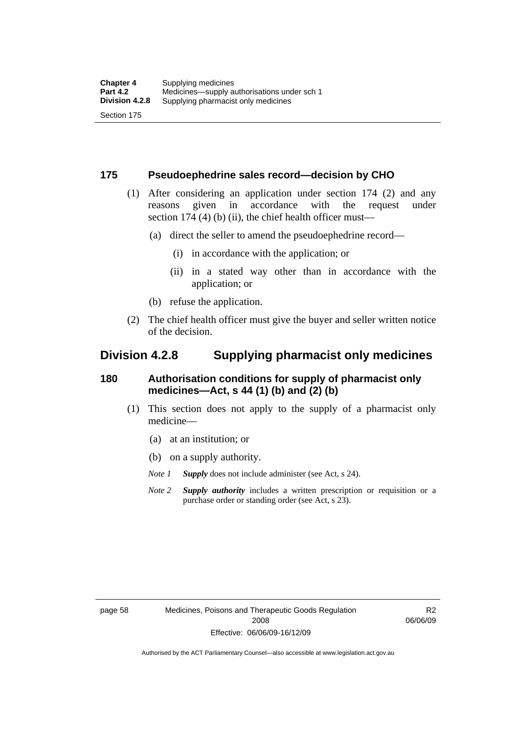### **175 Pseudoephedrine sales record—decision by CHO**

- (1) After considering an application under section 174 (2) and any reasons given in accordance with the request under section 174  $(4)$  (b)  $(ii)$ , the chief health officer must—
	- (a) direct the seller to amend the pseudoephedrine record—
		- (i) in accordance with the application; or
		- (ii) in a stated way other than in accordance with the application; or
	- (b) refuse the application.
- (2) The chief health officer must give the buyer and seller written notice of the decision.

## **Division 4.2.8 Supplying pharmacist only medicines**

## **180 Authorisation conditions for supply of pharmacist only medicines—Act, s 44 (1) (b) and (2) (b)**

- (1) This section does not apply to the supply of a pharmacist only medicine—
	- (a) at an institution; or
	- (b) on a supply authority.
	- *Note 1 Supply* does not include administer (see Act, s 24).
	- *Note 2 Supply authority* includes a written prescription or requisition or a purchase order or standing order (see Act, s 23).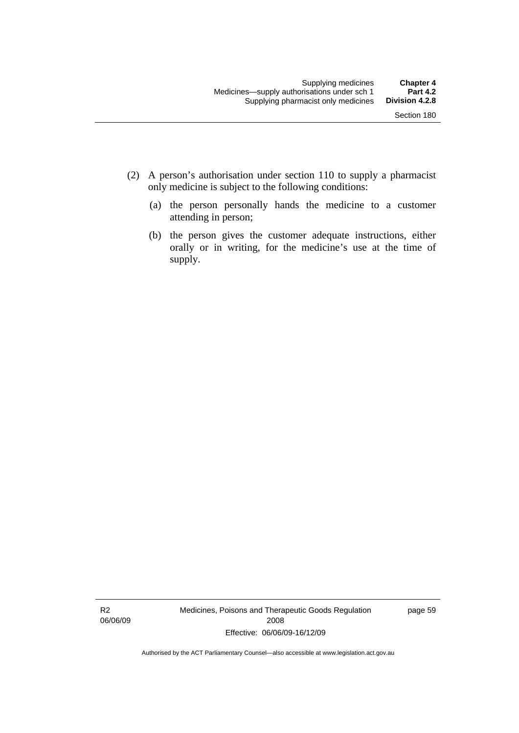- (2) A person's authorisation under section 110 to supply a pharmacist only medicine is subject to the following conditions:
	- (a) the person personally hands the medicine to a customer attending in person;
	- (b) the person gives the customer adequate instructions, either orally or in writing, for the medicine's use at the time of supply.

R2 06/06/09 Medicines, Poisons and Therapeutic Goods Regulation 2008 Effective: 06/06/09-16/12/09

page 59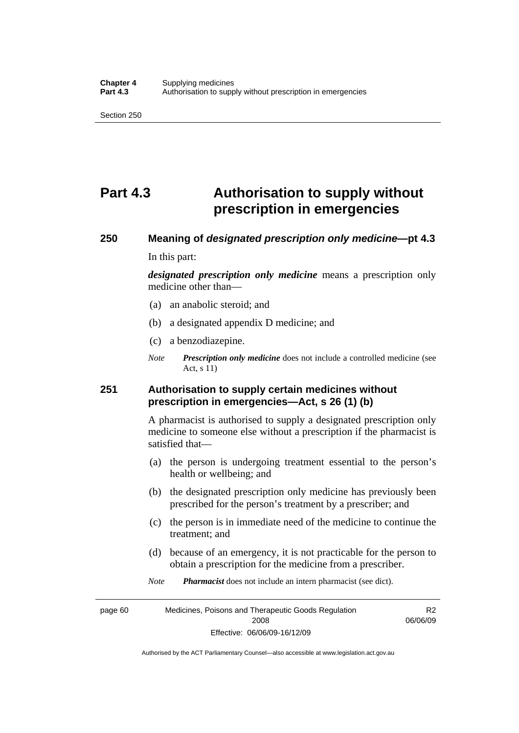## **Part 4.3 Authorisation to supply without prescription in emergencies**

# **250 Meaning of** *designated prescription only medicine***—pt 4.3**

In this part:

*designated prescription only medicine* means a prescription only medicine other than—

- (a) an anabolic steroid; and
- (b) a designated appendix D medicine; and
- (c) a benzodiazepine.
- *Note Prescription only medicine* does not include a controlled medicine (see Act, s 11)

## **251 Authorisation to supply certain medicines without prescription in emergencies—Act, s 26 (1) (b)**

A pharmacist is authorised to supply a designated prescription only medicine to someone else without a prescription if the pharmacist is satisfied that—

- (a) the person is undergoing treatment essential to the person's health or wellbeing; and
- (b) the designated prescription only medicine has previously been prescribed for the person's treatment by a prescriber; and
- (c) the person is in immediate need of the medicine to continue the treatment; and
- (d) because of an emergency, it is not practicable for the person to obtain a prescription for the medicine from a prescriber.
- *Note Pharmacist* does not include an intern pharmacist (see dict).

page 60 Medicines, Poisons and Therapeutic Goods Regulation 2008 Effective: 06/06/09-16/12/09 R2 06/06/09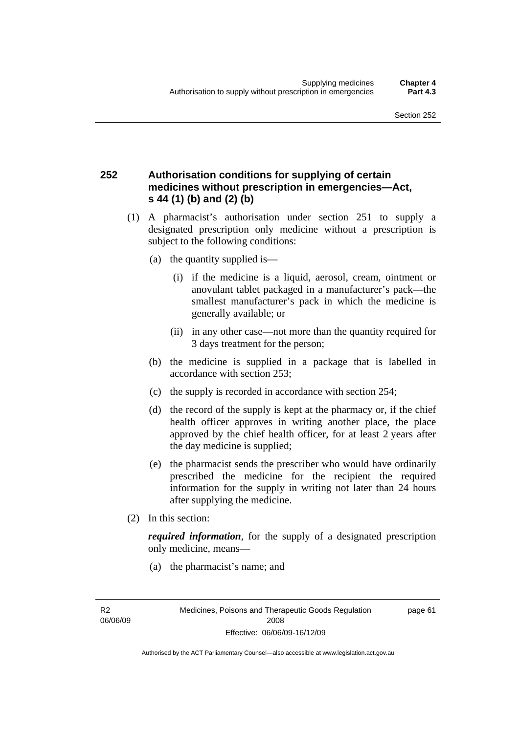## **252 Authorisation conditions for supplying of certain medicines without prescription in emergencies—Act, s 44 (1) (b) and (2) (b)**

- (1) A pharmacist's authorisation under section 251 to supply a designated prescription only medicine without a prescription is subject to the following conditions:
	- (a) the quantity supplied is—
		- (i) if the medicine is a liquid, aerosol, cream, ointment or anovulant tablet packaged in a manufacturer's pack—the smallest manufacturer's pack in which the medicine is generally available; or
		- (ii) in any other case—not more than the quantity required for 3 days treatment for the person;
	- (b) the medicine is supplied in a package that is labelled in accordance with section 253;
	- (c) the supply is recorded in accordance with section 254;
	- (d) the record of the supply is kept at the pharmacy or, if the chief health officer approves in writing another place, the place approved by the chief health officer, for at least 2 years after the day medicine is supplied;
	- (e) the pharmacist sends the prescriber who would have ordinarily prescribed the medicine for the recipient the required information for the supply in writing not later than 24 hours after supplying the medicine.
- (2) In this section:

*required information*, for the supply of a designated prescription only medicine, means—

(a) the pharmacist's name; and

R2 06/06/09 page 61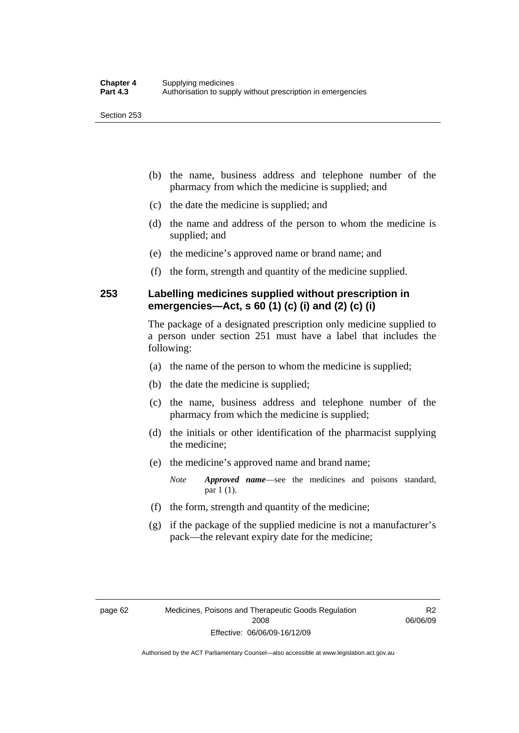- (b) the name, business address and telephone number of the pharmacy from which the medicine is supplied; and
- (c) the date the medicine is supplied; and
- (d) the name and address of the person to whom the medicine is supplied; and
- (e) the medicine's approved name or brand name; and
- (f) the form, strength and quantity of the medicine supplied.

## **253 Labelling medicines supplied without prescription in emergencies—Act, s 60 (1) (c) (i) and (2) (c) (i)**

The package of a designated prescription only medicine supplied to a person under section 251 must have a label that includes the following:

- (a) the name of the person to whom the medicine is supplied;
- (b) the date the medicine is supplied;
- (c) the name, business address and telephone number of the pharmacy from which the medicine is supplied;
- (d) the initials or other identification of the pharmacist supplying the medicine;
- (e) the medicine's approved name and brand name;

*Note Approved name*—see the medicines and poisons standard, par 1 (1).

- (f) the form, strength and quantity of the medicine;
- (g) if the package of the supplied medicine is not a manufacturer's pack—the relevant expiry date for the medicine;

R2 06/06/09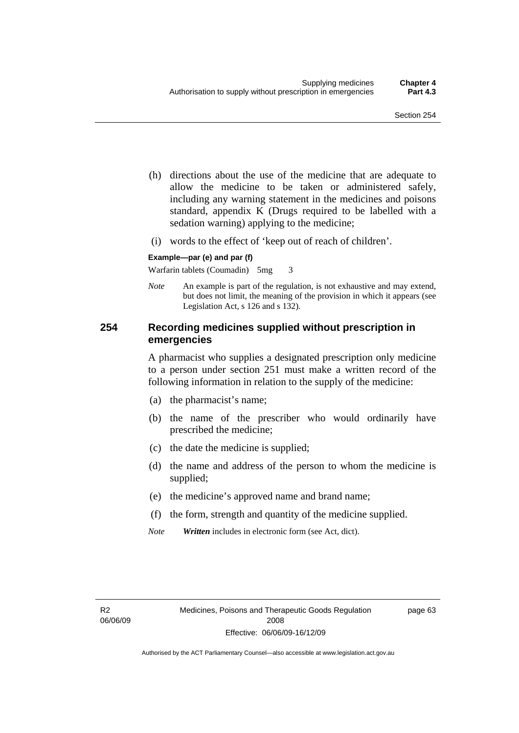- (h) directions about the use of the medicine that are adequate to allow the medicine to be taken or administered safely, including any warning statement in the medicines and poisons standard, appendix K (Drugs required to be labelled with a sedation warning) applying to the medicine;
- (i) words to the effect of 'keep out of reach of children'.

#### **Example—par (e) and par (f)**

Warfarin tablets (Coumadin) 5mg 3

*Note* An example is part of the regulation, is not exhaustive and may extend, but does not limit, the meaning of the provision in which it appears (see Legislation Act, s 126 and s 132).

## **254 Recording medicines supplied without prescription in emergencies**

A pharmacist who supplies a designated prescription only medicine to a person under section 251 must make a written record of the following information in relation to the supply of the medicine:

- (a) the pharmacist's name;
- (b) the name of the prescriber who would ordinarily have prescribed the medicine;
- (c) the date the medicine is supplied;
- (d) the name and address of the person to whom the medicine is supplied;
- (e) the medicine's approved name and brand name;
- (f) the form, strength and quantity of the medicine supplied.
- *Note Written* includes in electronic form (see Act, dict).

page 63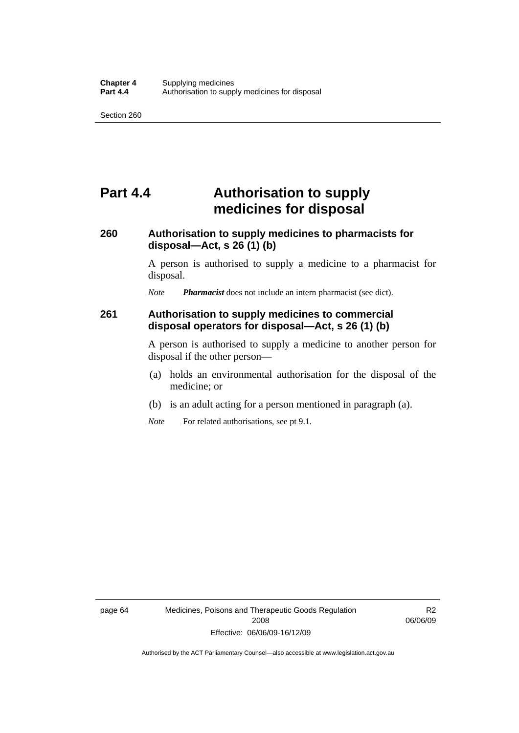## **Part 4.4 Authorisation to supply medicines for disposal**

## **260 Authorisation to supply medicines to pharmacists for disposal—Act, s 26 (1) (b)**

A person is authorised to supply a medicine to a pharmacist for disposal.

*Note Pharmacist* does not include an intern pharmacist (see dict).

### **261 Authorisation to supply medicines to commercial disposal operators for disposal—Act, s 26 (1) (b)**

A person is authorised to supply a medicine to another person for disposal if the other person—

- (a) holds an environmental authorisation for the disposal of the medicine; or
- (b) is an adult acting for a person mentioned in paragraph (a).
- *Note* For related authorisations, see pt 9.1.

R2 06/06/09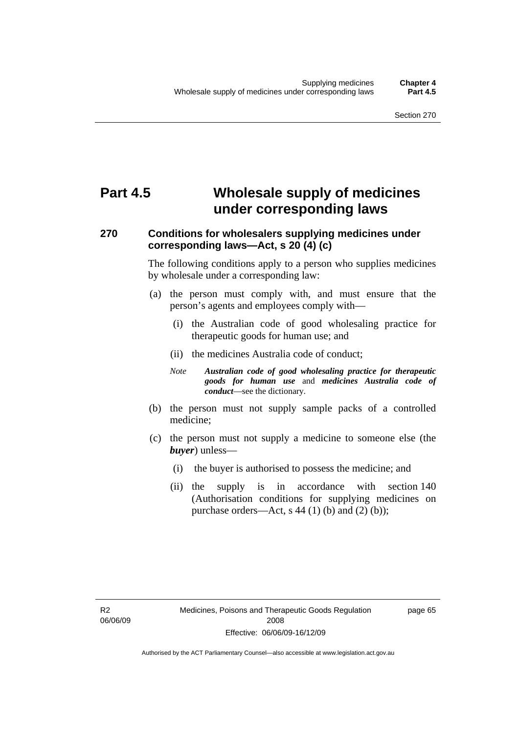## **Part 4.5 Wholesale supply of medicines under corresponding laws**

## **270 Conditions for wholesalers supplying medicines under corresponding laws—Act, s 20 (4) (c)**

The following conditions apply to a person who supplies medicines by wholesale under a corresponding law:

- (a) the person must comply with, and must ensure that the person's agents and employees comply with—
	- (i) the Australian code of good wholesaling practice for therapeutic goods for human use; and
	- (ii) the medicines Australia code of conduct;
	- *Note Australian code of good wholesaling practice for therapeutic goods for human use* and *medicines Australia code of conduct*—see the dictionary.
- (b) the person must not supply sample packs of a controlled medicine;
- (c) the person must not supply a medicine to someone else (the *buyer*) unless—
	- (i) the buyer is authorised to possess the medicine; and
	- (ii) the supply is in accordance with section 140 (Authorisation conditions for supplying medicines on purchase orders—Act, s  $44$  (1) (b) and (2) (b));

R2 06/06/09 page 65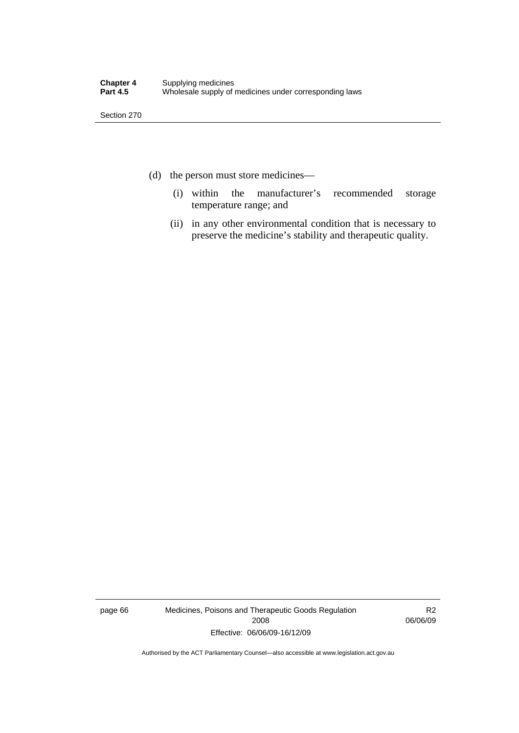- (d) the person must store medicines—
	- (i) within the manufacturer's recommended storage temperature range; and
	- (ii) in any other environmental condition that is necessary to preserve the medicine's stability and therapeutic quality.

page 66 Medicines, Poisons and Therapeutic Goods Regulation 2008 Effective: 06/06/09-16/12/09

R2 06/06/09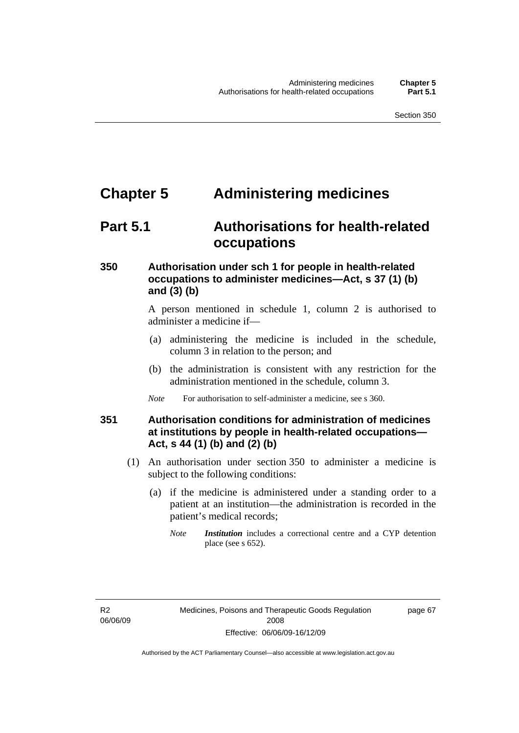## **Chapter 5 Administering medicines**

## **Part 5.1 Authorisations for health-related occupations**

## **350 Authorisation under sch 1 for people in health-related occupations to administer medicines—Act, s 37 (1) (b) and (3) (b)**

A person mentioned in schedule 1, column 2 is authorised to administer a medicine if—

- (a) administering the medicine is included in the schedule, column 3 in relation to the person; and
- (b) the administration is consistent with any restriction for the administration mentioned in the schedule, column 3.
- *Note* For authorisation to self-administer a medicine, see s 360.

## **351 Authorisation conditions for administration of medicines at institutions by people in health-related occupations— Act, s 44 (1) (b) and (2) (b)**

- (1) An authorisation under section 350 to administer a medicine is subject to the following conditions:
	- (a) if the medicine is administered under a standing order to a patient at an institution—the administration is recorded in the patient's medical records;
		- *Note Institution* includes a correctional centre and a CYP detention place (see s 652).

R2 06/06/09 page 67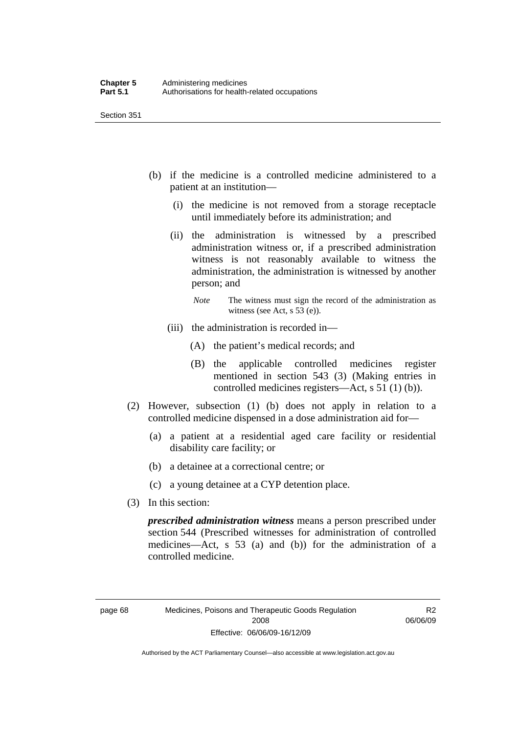- (b) if the medicine is a controlled medicine administered to a patient at an institution—
	- (i) the medicine is not removed from a storage receptacle until immediately before its administration; and
	- (ii) the administration is witnessed by a prescribed administration witness or, if a prescribed administration witness is not reasonably available to witness the administration, the administration is witnessed by another person; and
		- *Note* The witness must sign the record of the administration as witness (see Act, s 53 (e)).
	- (iii) the administration is recorded in—
		- (A) the patient's medical records; and
		- (B) the applicable controlled medicines register mentioned in section 543 (3) (Making entries in controlled medicines registers—Act, s 51 (1) (b)).
- (2) However, subsection (1) (b) does not apply in relation to a controlled medicine dispensed in a dose administration aid for—
	- (a) a patient at a residential aged care facility or residential disability care facility; or
	- (b) a detainee at a correctional centre; or
	- (c) a young detainee at a CYP detention place.
- (3) In this section:

*prescribed administration witness* means a person prescribed under section 544 (Prescribed witnesses for administration of controlled medicines—Act, s 53 (a) and (b)) for the administration of a controlled medicine.

R2 06/06/09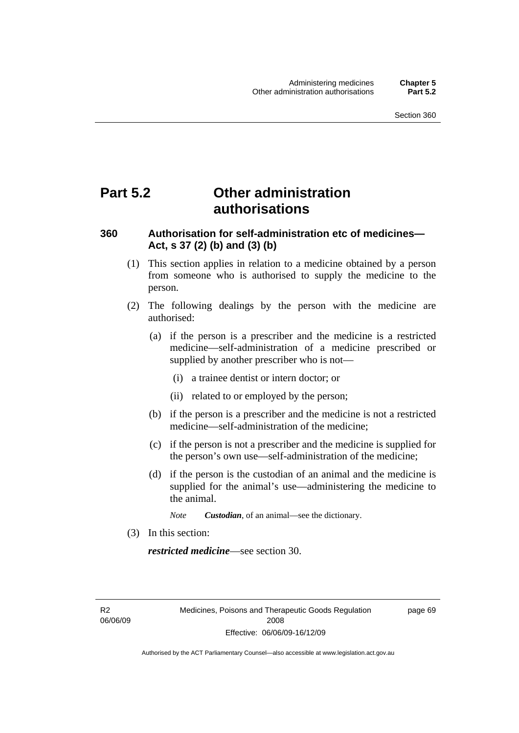## **Part 5.2 Other administration authorisations**

## **360 Authorisation for self-administration etc of medicines— Act, s 37 (2) (b) and (3) (b)**

- (1) This section applies in relation to a medicine obtained by a person from someone who is authorised to supply the medicine to the person.
- (2) The following dealings by the person with the medicine are authorised:
	- (a) if the person is a prescriber and the medicine is a restricted medicine—self-administration of a medicine prescribed or supplied by another prescriber who is not—
		- (i) a trainee dentist or intern doctor; or
		- (ii) related to or employed by the person;
	- (b) if the person is a prescriber and the medicine is not a restricted medicine—self-administration of the medicine;
	- (c) if the person is not a prescriber and the medicine is supplied for the person's own use—self-administration of the medicine;
	- (d) if the person is the custodian of an animal and the medicine is supplied for the animal's use—administering the medicine to the animal.
		- *Note Custodian*, of an animal—see the dictionary.
- (3) In this section:

*restricted medicine*—see section 30.

R2 06/06/09 page 69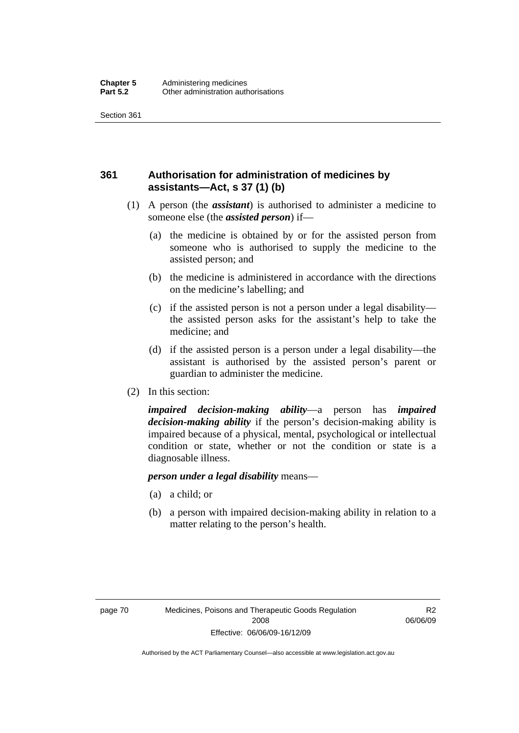## **361 Authorisation for administration of medicines by assistants—Act, s 37 (1) (b)**

- (1) A person (the *assistant*) is authorised to administer a medicine to someone else (the *assisted person*) if—
	- (a) the medicine is obtained by or for the assisted person from someone who is authorised to supply the medicine to the assisted person; and
	- (b) the medicine is administered in accordance with the directions on the medicine's labelling; and
	- (c) if the assisted person is not a person under a legal disability the assisted person asks for the assistant's help to take the medicine; and
	- (d) if the assisted person is a person under a legal disability—the assistant is authorised by the assisted person's parent or guardian to administer the medicine.
- (2) In this section:

*impaired decision-making ability*—a person has *impaired decision-making ability* if the person's decision-making ability is impaired because of a physical, mental, psychological or intellectual condition or state, whether or not the condition or state is a diagnosable illness.

#### *person under a legal disability* means—

- (a) a child; or
- (b) a person with impaired decision-making ability in relation to a matter relating to the person's health.

R2 06/06/09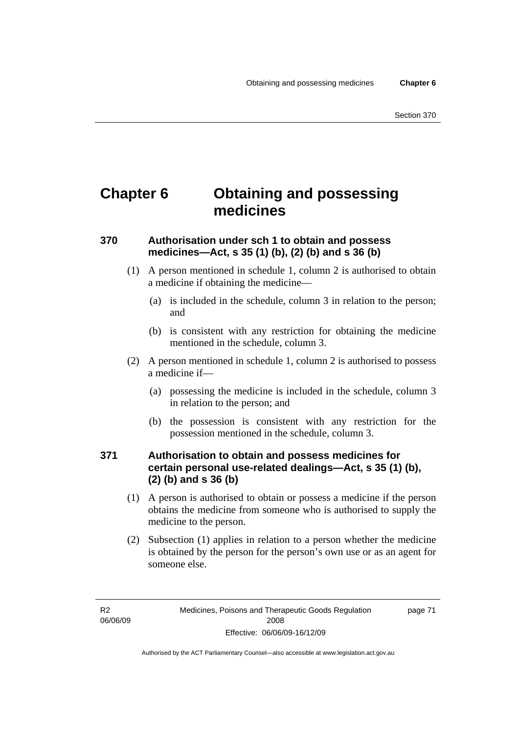## **Chapter 6 Obtaining and possessing medicines**

## **370 Authorisation under sch 1 to obtain and possess medicines—Act, s 35 (1) (b), (2) (b) and s 36 (b)**

- (1) A person mentioned in schedule 1, column 2 is authorised to obtain a medicine if obtaining the medicine—
	- (a) is included in the schedule, column 3 in relation to the person; and
	- (b) is consistent with any restriction for obtaining the medicine mentioned in the schedule, column 3.
- (2) A person mentioned in schedule 1, column 2 is authorised to possess a medicine if—
	- (a) possessing the medicine is included in the schedule, column 3 in relation to the person; and
	- (b) the possession is consistent with any restriction for the possession mentioned in the schedule, column 3.

## **371 Authorisation to obtain and possess medicines for certain personal use-related dealings—Act, s 35 (1) (b), (2) (b) and s 36 (b)**

- (1) A person is authorised to obtain or possess a medicine if the person obtains the medicine from someone who is authorised to supply the medicine to the person.
- (2) Subsection (1) applies in relation to a person whether the medicine is obtained by the person for the person's own use or as an agent for someone else.

page 71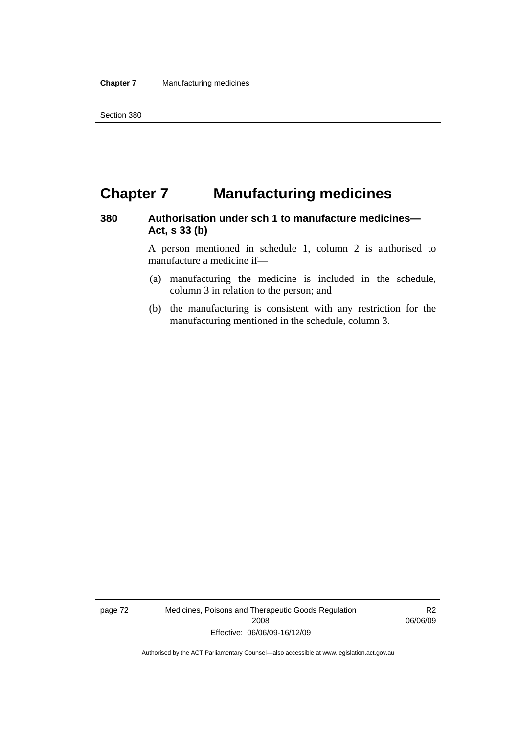## **Chapter 7 Manufacturing medicines**

## **380 Authorisation under sch 1 to manufacture medicines— Act, s 33 (b)**

A person mentioned in schedule 1, column 2 is authorised to manufacture a medicine if—

- (a) manufacturing the medicine is included in the schedule, column 3 in relation to the person; and
- (b) the manufacturing is consistent with any restriction for the manufacturing mentioned in the schedule, column 3.

page 72 Medicines, Poisons and Therapeutic Goods Regulation 2008 Effective: 06/06/09-16/12/09

R2 06/06/09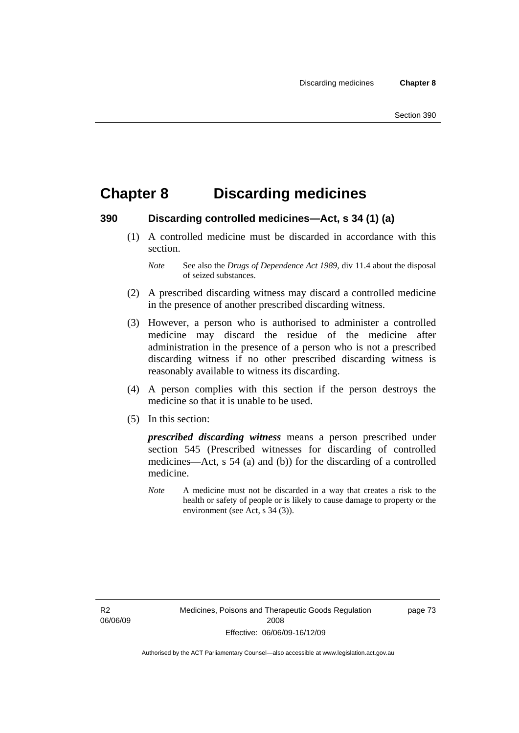## **Chapter 8 Discarding medicines**

### **390 Discarding controlled medicines—Act, s 34 (1) (a)**

 (1) A controlled medicine must be discarded in accordance with this section.

- (2) A prescribed discarding witness may discard a controlled medicine in the presence of another prescribed discarding witness.
- (3) However, a person who is authorised to administer a controlled medicine may discard the residue of the medicine after administration in the presence of a person who is not a prescribed discarding witness if no other prescribed discarding witness is reasonably available to witness its discarding.
- (4) A person complies with this section if the person destroys the medicine so that it is unable to be used.
- (5) In this section:

*prescribed discarding witness* means a person prescribed under section 545 (Prescribed witnesses for discarding of controlled medicines—Act, s 54 (a) and (b)) for the discarding of a controlled medicine.

*Note* A medicine must not be discarded in a way that creates a risk to the health or safety of people or is likely to cause damage to property or the environment (see Act, s 34 (3)).

R2 06/06/09 page 73

*Note* See also the *Drugs of Dependence Act 1989*, div 11.4 about the disposal of seized substances.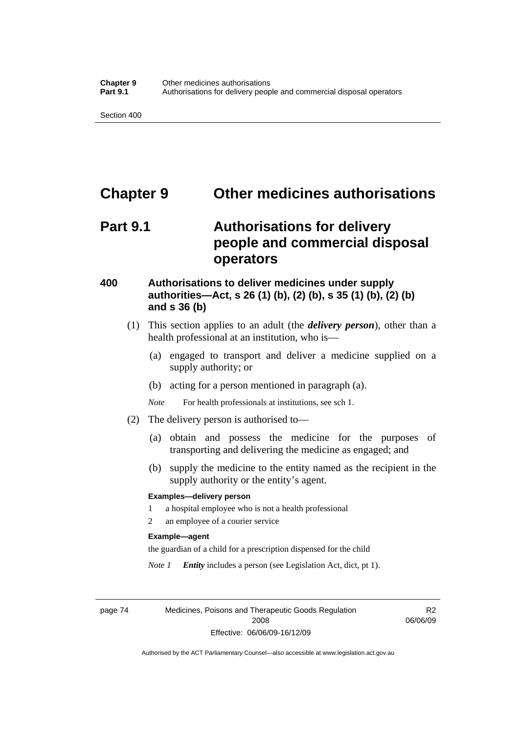## **Chapter 9 Other medicines authorisations**

## **Part 9.1 Authorisations for delivery people and commercial disposal operators**

## **400 Authorisations to deliver medicines under supply authorities—Act, s 26 (1) (b), (2) (b), s 35 (1) (b), (2) (b) and s 36 (b)**

- (1) This section applies to an adult (the *delivery person*), other than a health professional at an institution, who is—
	- (a) engaged to transport and deliver a medicine supplied on a supply authority; or
	- (b) acting for a person mentioned in paragraph (a).
	- *Note* For health professionals at institutions, see sch 1.
- (2) The delivery person is authorised to—
	- (a) obtain and possess the medicine for the purposes of transporting and delivering the medicine as engaged; and
	- (b) supply the medicine to the entity named as the recipient in the supply authority or the entity's agent.

#### **Examples—delivery person**

- 1 a hospital employee who is not a health professional
- 2 an employee of a courier service

#### **Example—agent**

the guardian of a child for a prescription dispensed for the child

*Note 1 Entity* includes a person (see Legislation Act, dict, pt 1).

page 74 Medicines, Poisons and Therapeutic Goods Regulation 2008 Effective: 06/06/09-16/12/09

R2 06/06/09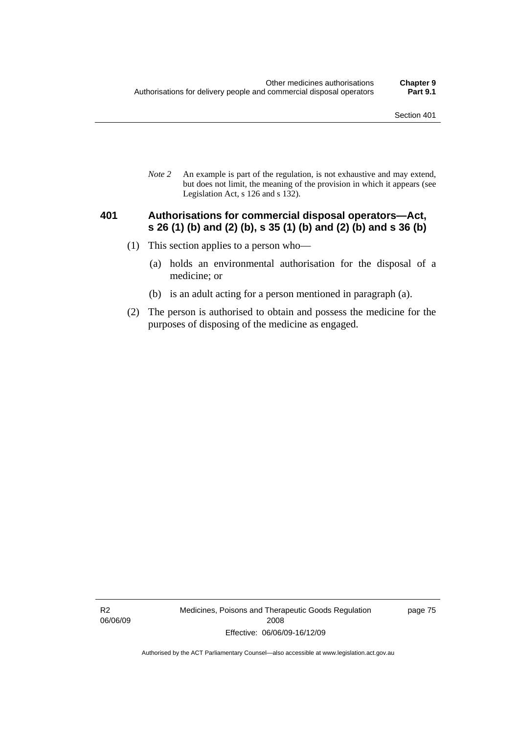*Note 2* An example is part of the regulation, is not exhaustive and may extend, but does not limit, the meaning of the provision in which it appears (see Legislation Act, s 126 and s 132).

### **401 Authorisations for commercial disposal operators—Act, s 26 (1) (b) and (2) (b), s 35 (1) (b) and (2) (b) and s 36 (b)**

- (1) This section applies to a person who—
	- (a) holds an environmental authorisation for the disposal of a medicine; or
	- (b) is an adult acting for a person mentioned in paragraph (a).
- (2) The person is authorised to obtain and possess the medicine for the purposes of disposing of the medicine as engaged.

R2 06/06/09 Medicines, Poisons and Therapeutic Goods Regulation 2008 Effective: 06/06/09-16/12/09

page 75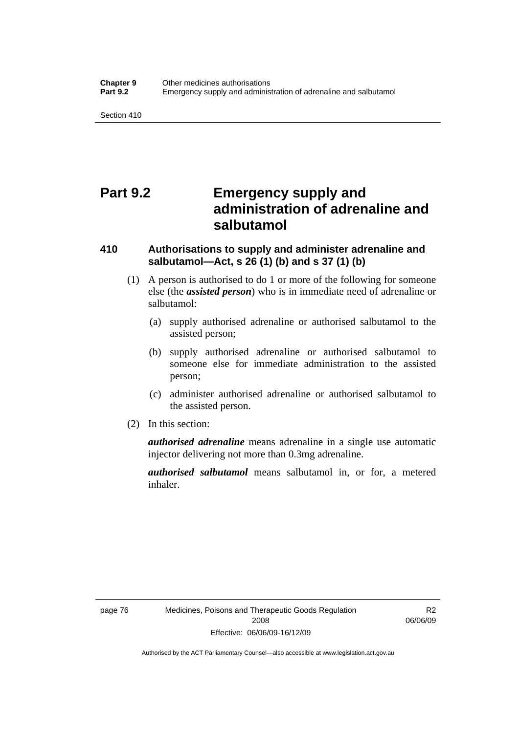## **Part 9.2 Emergency supply and administration of adrenaline and salbutamol**

## **410 Authorisations to supply and administer adrenaline and salbutamol—Act, s 26 (1) (b) and s 37 (1) (b)**

- (1) A person is authorised to do 1 or more of the following for someone else (the *assisted person*) who is in immediate need of adrenaline or salbutamol:
	- (a) supply authorised adrenaline or authorised salbutamol to the assisted person;
	- (b) supply authorised adrenaline or authorised salbutamol to someone else for immediate administration to the assisted person;
	- (c) administer authorised adrenaline or authorised salbutamol to the assisted person.
- (2) In this section:

*authorised adrenaline* means adrenaline in a single use automatic injector delivering not more than 0.3mg adrenaline.

*authorised salbutamol* means salbutamol in, or for, a metered inhaler.

R2 06/06/09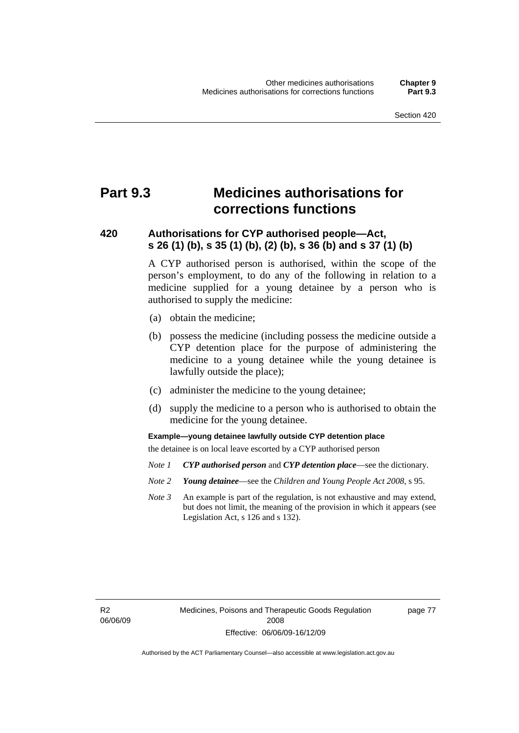## **Part 9.3 Medicines authorisations for corrections functions**

## **420 Authorisations for CYP authorised people—Act, s 26 (1) (b), s 35 (1) (b), (2) (b), s 36 (b) and s 37 (1) (b)**

A CYP authorised person is authorised, within the scope of the person's employment, to do any of the following in relation to a medicine supplied for a young detainee by a person who is authorised to supply the medicine:

- (a) obtain the medicine;
- (b) possess the medicine (including possess the medicine outside a CYP detention place for the purpose of administering the medicine to a young detainee while the young detainee is lawfully outside the place);
- (c) administer the medicine to the young detainee;
- (d) supply the medicine to a person who is authorised to obtain the medicine for the young detainee.

**Example—young detainee lawfully outside CYP detention place** 

the detainee is on local leave escorted by a CYP authorised person

- *Note 1 CYP authorised person* and *CYP detention place*—see the dictionary.
- *Note 2 Young detainee*—see the *Children and Young People Act 2008*, s 95.
- *Note 3* An example is part of the regulation, is not exhaustive and may extend, but does not limit, the meaning of the provision in which it appears (see Legislation Act, s 126 and s 132).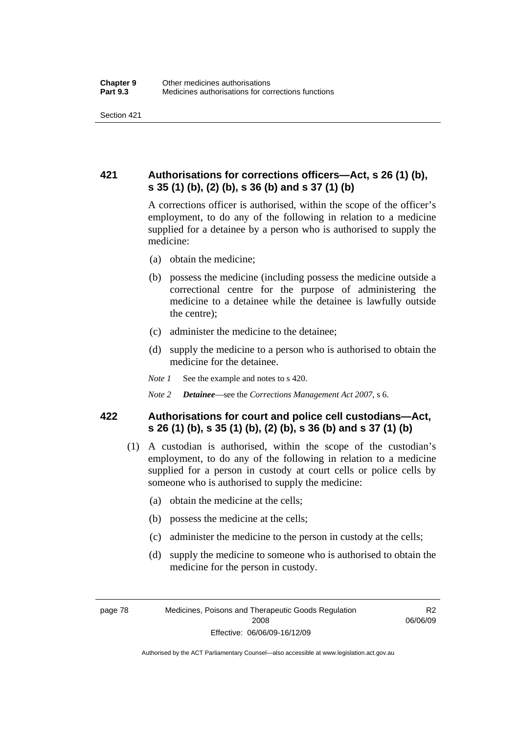## **421 Authorisations for corrections officers—Act, s 26 (1) (b), s 35 (1) (b), (2) (b), s 36 (b) and s 37 (1) (b)**

A corrections officer is authorised, within the scope of the officer's employment, to do any of the following in relation to a medicine supplied for a detainee by a person who is authorised to supply the medicine:

- (a) obtain the medicine;
- (b) possess the medicine (including possess the medicine outside a correctional centre for the purpose of administering the medicine to a detainee while the detainee is lawfully outside the centre);
- (c) administer the medicine to the detainee;
- (d) supply the medicine to a person who is authorised to obtain the medicine for the detainee.
- *Note 1* See the example and notes to s 420.
- *Note 2 Detainee*—see the *Corrections Management Act 2007*, s 6.

## **422 Authorisations for court and police cell custodians—Act, s 26 (1) (b), s 35 (1) (b), (2) (b), s 36 (b) and s 37 (1) (b)**

- (1) A custodian is authorised, within the scope of the custodian's employment, to do any of the following in relation to a medicine supplied for a person in custody at court cells or police cells by someone who is authorised to supply the medicine:
	- (a) obtain the medicine at the cells;
	- (b) possess the medicine at the cells;
	- (c) administer the medicine to the person in custody at the cells;
	- (d) supply the medicine to someone who is authorised to obtain the medicine for the person in custody.

R2 06/06/09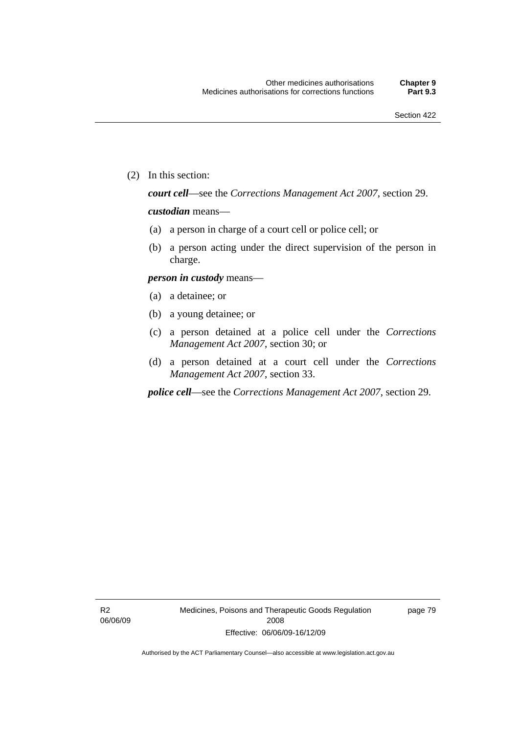(2) In this section:

*court cell*—see the *Corrections Management Act 2007*, section 29.

#### *custodian* means—

- (a) a person in charge of a court cell or police cell; or
- (b) a person acting under the direct supervision of the person in charge.

#### *person in custody* means—

- (a) a detainee; or
- (b) a young detainee; or
- (c) a person detained at a police cell under the *Corrections Management Act 2007*, section 30; or
- (d) a person detained at a court cell under the *Corrections Management Act 2007*, section 33.

*police cell*—see the *Corrections Management Act 2007*, section 29.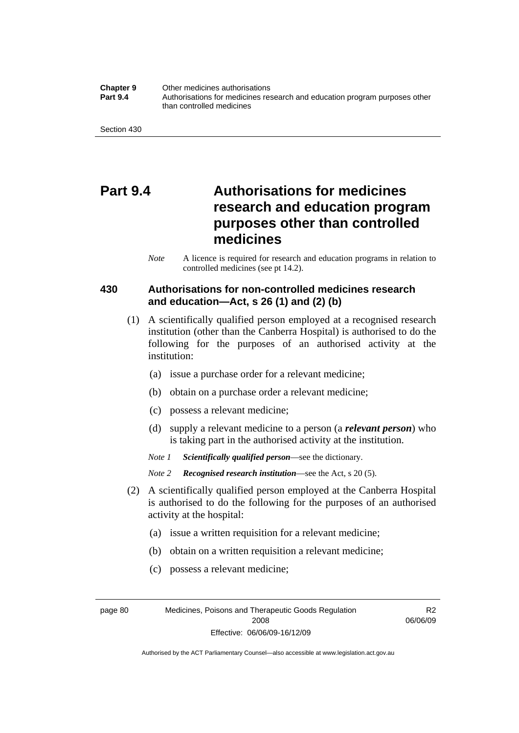#### **Chapter 9** Other medicines authorisations **Part 9.4** • **Authorisations for medicines research and education program purposes other** than controlled medicines

## **Part 9.4 Authorisations for medicines research and education program purposes other than controlled medicines**

*Note* A licence is required for research and education programs in relation to controlled medicines (see pt 14.2).

## **430 Authorisations for non-controlled medicines research and education—Act, s 26 (1) and (2) (b)**

- (1) A scientifically qualified person employed at a recognised research institution (other than the Canberra Hospital) is authorised to do the following for the purposes of an authorised activity at the institution:
	- (a) issue a purchase order for a relevant medicine;
	- (b) obtain on a purchase order a relevant medicine;
	- (c) possess a relevant medicine;
	- (d) supply a relevant medicine to a person (a *relevant person*) who is taking part in the authorised activity at the institution.
	- *Note 1 Scientifically qualified person*—see the dictionary.
	- *Note 2 Recognised research institution*—see the Act, s 20 (5).
- (2) A scientifically qualified person employed at the Canberra Hospital is authorised to do the following for the purposes of an authorised activity at the hospital:
	- (a) issue a written requisition for a relevant medicine;
	- (b) obtain on a written requisition a relevant medicine;
	- (c) possess a relevant medicine;

page 80 Medicines, Poisons and Therapeutic Goods Regulation 2008 Effective: 06/06/09-16/12/09

R2 06/06/09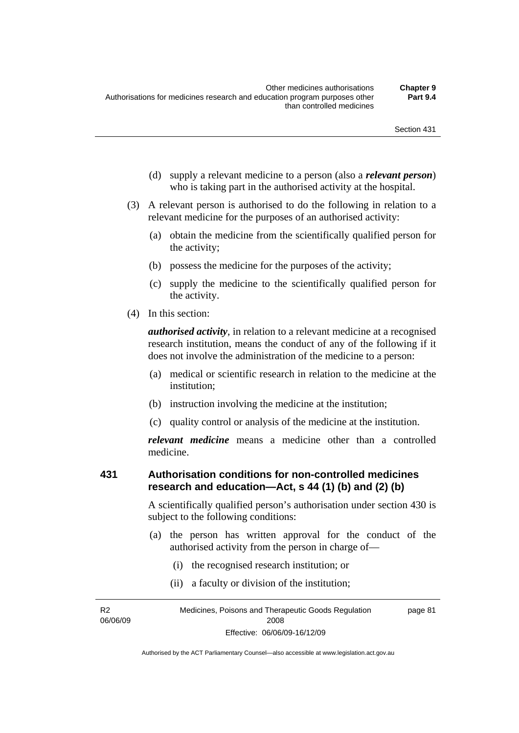- (d) supply a relevant medicine to a person (also a *relevant person*) who is taking part in the authorised activity at the hospital.
- (3) A relevant person is authorised to do the following in relation to a relevant medicine for the purposes of an authorised activity:
	- (a) obtain the medicine from the scientifically qualified person for the activity;
	- (b) possess the medicine for the purposes of the activity;
	- (c) supply the medicine to the scientifically qualified person for the activity.
- (4) In this section:

*authorised activity*, in relation to a relevant medicine at a recognised research institution, means the conduct of any of the following if it does not involve the administration of the medicine to a person:

- (a) medical or scientific research in relation to the medicine at the institution;
- (b) instruction involving the medicine at the institution;
- (c) quality control or analysis of the medicine at the institution.

*relevant medicine* means a medicine other than a controlled medicine.

### **431 Authorisation conditions for non-controlled medicines research and education—Act, s 44 (1) (b) and (2) (b)**

A scientifically qualified person's authorisation under section 430 is subject to the following conditions:

- (a) the person has written approval for the conduct of the authorised activity from the person in charge of—
	- (i) the recognised research institution; or
	- (ii) a faculty or division of the institution;

R2 06/06/09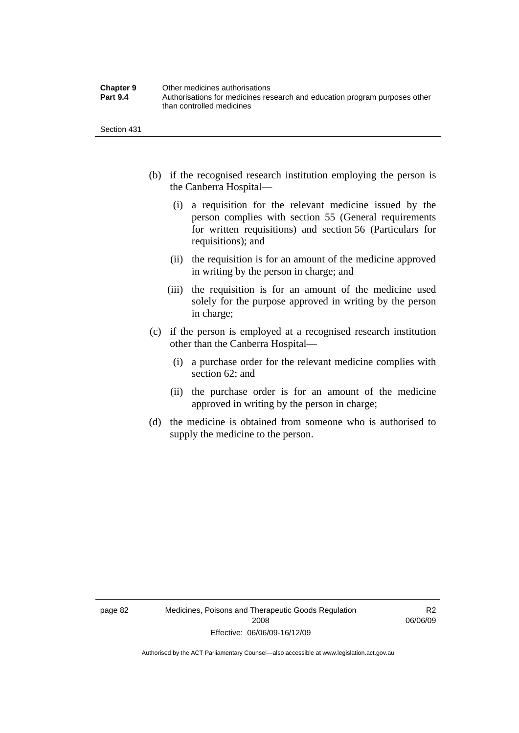| <b>Chapter 9</b> | Other medicines authorisations                                             |
|------------------|----------------------------------------------------------------------------|
| <b>Part 9.4</b>  | Authorisations for medicines research and education program purposes other |
|                  | than controlled medicines                                                  |

- (b) if the recognised research institution employing the person is the Canberra Hospital—
	- (i) a requisition for the relevant medicine issued by the person complies with section 55 (General requirements for written requisitions) and section 56 (Particulars for requisitions); and
	- (ii) the requisition is for an amount of the medicine approved in writing by the person in charge; and
	- (iii) the requisition is for an amount of the medicine used solely for the purpose approved in writing by the person in charge;
- (c) if the person is employed at a recognised research institution other than the Canberra Hospital—
	- (i) a purchase order for the relevant medicine complies with section 62; and
	- (ii) the purchase order is for an amount of the medicine approved in writing by the person in charge;
- (d) the medicine is obtained from someone who is authorised to supply the medicine to the person.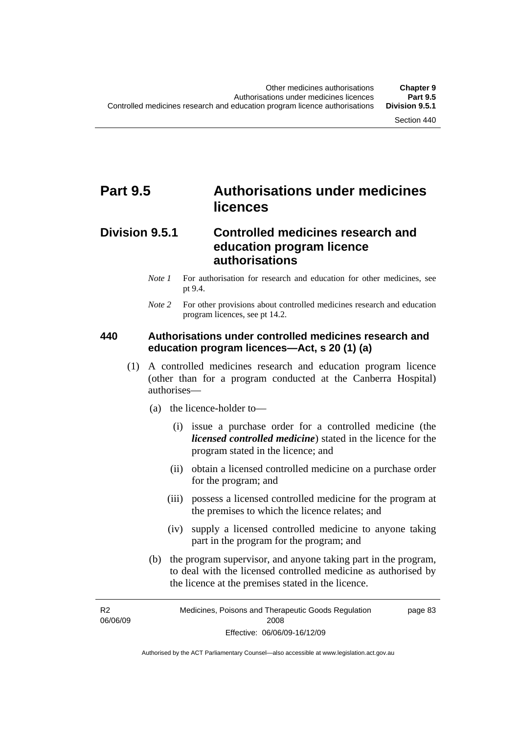## **Part 9.5 Authorisations under medicines licences**

## **Division 9.5.1 Controlled medicines research and education program licence authorisations**

- *Note 1* For authorisation for research and education for other medicines, see pt 9.4.
- *Note* 2 For other provisions about controlled medicines research and education program licences, see pt 14.2.

### **440 Authorisations under controlled medicines research and education program licences—Act, s 20 (1) (a)**

- (1) A controlled medicines research and education program licence (other than for a program conducted at the Canberra Hospital) authorises—
	- (a) the licence-holder to—
		- (i) issue a purchase order for a controlled medicine (the *licensed controlled medicine*) stated in the licence for the program stated in the licence; and
		- (ii) obtain a licensed controlled medicine on a purchase order for the program; and
		- (iii) possess a licensed controlled medicine for the program at the premises to which the licence relates; and
		- (iv) supply a licensed controlled medicine to anyone taking part in the program for the program; and
	- (b) the program supervisor, and anyone taking part in the program, to deal with the licensed controlled medicine as authorised by the licence at the premises stated in the licence.

R2 06/06/09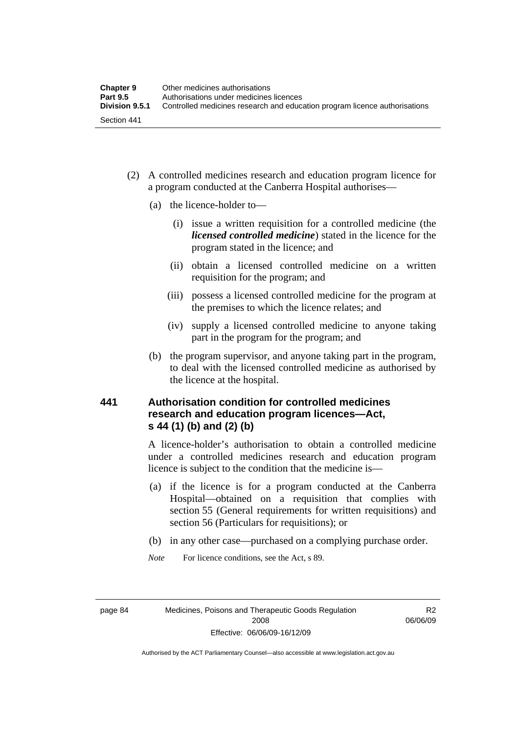- (2) A controlled medicines research and education program licence for a program conducted at the Canberra Hospital authorises—
	- (a) the licence-holder to—
		- (i) issue a written requisition for a controlled medicine (the *licensed controlled medicine*) stated in the licence for the program stated in the licence; and
		- (ii) obtain a licensed controlled medicine on a written requisition for the program; and
		- (iii) possess a licensed controlled medicine for the program at the premises to which the licence relates; and
		- (iv) supply a licensed controlled medicine to anyone taking part in the program for the program; and
	- (b) the program supervisor, and anyone taking part in the program, to deal with the licensed controlled medicine as authorised by the licence at the hospital.

## **441 Authorisation condition for controlled medicines research and education program licences—Act, s 44 (1) (b) and (2) (b)**

A licence-holder's authorisation to obtain a controlled medicine under a controlled medicines research and education program licence is subject to the condition that the medicine is—

- (a) if the licence is for a program conducted at the Canberra Hospital—obtained on a requisition that complies with section 55 (General requirements for written requisitions) and section 56 (Particulars for requisitions); or
- (b) in any other case—purchased on a complying purchase order.
- *Note* For licence conditions, see the Act, s 89.

R2 06/06/09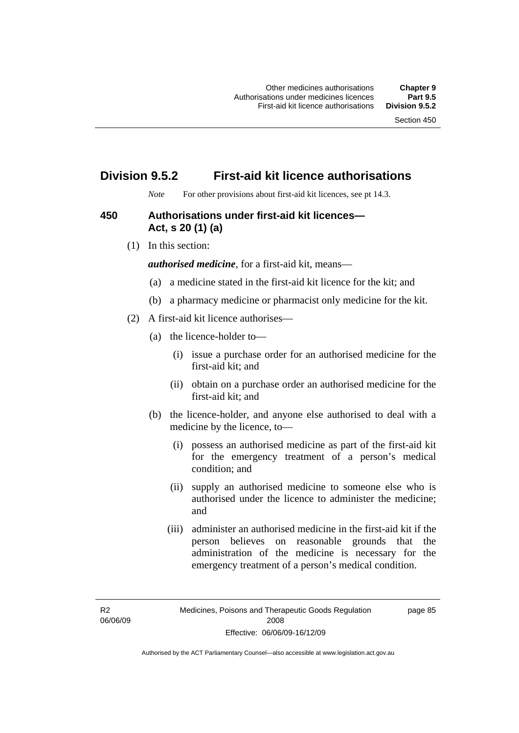## **Division 9.5.2 First-aid kit licence authorisations**

*Note* For other provisions about first-aid kit licences, see pt 14.3.

## **450 Authorisations under first-aid kit licences— Act, s 20 (1) (a)**

(1) In this section:

*authorised medicine*, for a first-aid kit, means—

- (a) a medicine stated in the first-aid kit licence for the kit; and
- (b) a pharmacy medicine or pharmacist only medicine for the kit.
- (2) A first-aid kit licence authorises—
	- (a) the licence-holder to—
		- (i) issue a purchase order for an authorised medicine for the first-aid kit; and
		- (ii) obtain on a purchase order an authorised medicine for the first-aid kit; and
	- (b) the licence-holder, and anyone else authorised to deal with a medicine by the licence, to—
		- (i) possess an authorised medicine as part of the first-aid kit for the emergency treatment of a person's medical condition; and
		- (ii) supply an authorised medicine to someone else who is authorised under the licence to administer the medicine; and
		- (iii) administer an authorised medicine in the first-aid kit if the person believes on reasonable grounds that the administration of the medicine is necessary for the emergency treatment of a person's medical condition.

R2 06/06/09 page 85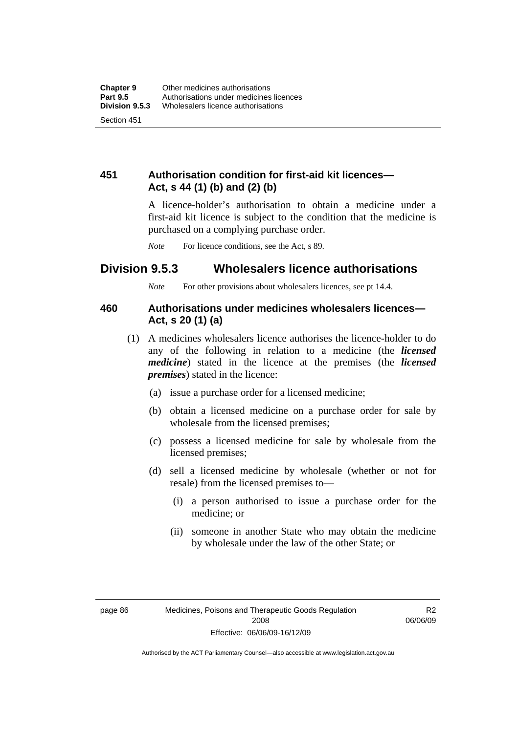## **451 Authorisation condition for first-aid kit licences— Act, s 44 (1) (b) and (2) (b)**

A licence-holder's authorisation to obtain a medicine under a first-aid kit licence is subject to the condition that the medicine is purchased on a complying purchase order.

*Note* For licence conditions, see the Act, s 89.

## **Division 9.5.3 Wholesalers licence authorisations**

*Note* For other provisions about wholesalers licences, see pt 14.4.

## **460 Authorisations under medicines wholesalers licences— Act, s 20 (1) (a)**

- (1) A medicines wholesalers licence authorises the licence-holder to do any of the following in relation to a medicine (the *licensed medicine*) stated in the licence at the premises (the *licensed premises*) stated in the licence:
	- (a) issue a purchase order for a licensed medicine;
	- (b) obtain a licensed medicine on a purchase order for sale by wholesale from the licensed premises;
	- (c) possess a licensed medicine for sale by wholesale from the licensed premises;
	- (d) sell a licensed medicine by wholesale (whether or not for resale) from the licensed premises to—
		- (i) a person authorised to issue a purchase order for the medicine; or
		- (ii) someone in another State who may obtain the medicine by wholesale under the law of the other State; or

R2 06/06/09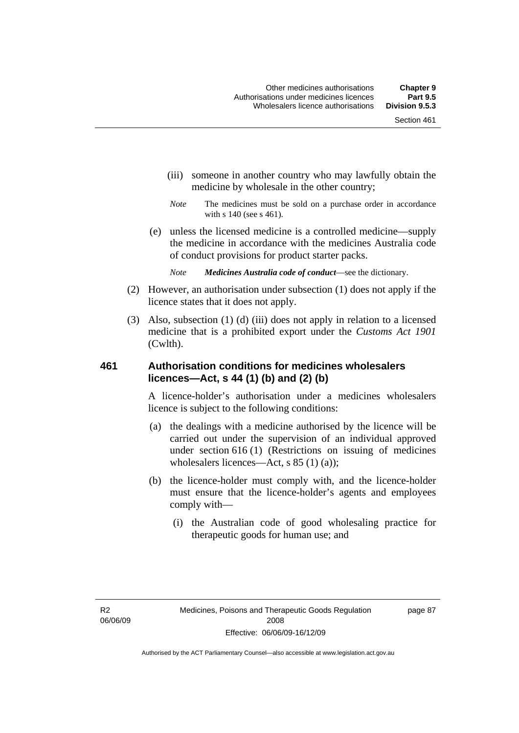- (iii) someone in another country who may lawfully obtain the medicine by wholesale in the other country;
- *Note* The medicines must be sold on a purchase order in accordance with s 140 (see s 461).
- (e) unless the licensed medicine is a controlled medicine—supply the medicine in accordance with the medicines Australia code of conduct provisions for product starter packs.
	- *Note Medicines Australia code of conduct*—see the dictionary.
- (2) However, an authorisation under subsection (1) does not apply if the licence states that it does not apply.
- (3) Also, subsection (1) (d) (iii) does not apply in relation to a licensed medicine that is a prohibited export under the *Customs Act 1901* (Cwlth).

## **461 Authorisation conditions for medicines wholesalers licences—Act, s 44 (1) (b) and (2) (b)**

A licence-holder's authorisation under a medicines wholesalers licence is subject to the following conditions:

- (a) the dealings with a medicine authorised by the licence will be carried out under the supervision of an individual approved under section 616 (1) (Restrictions on issuing of medicines wholesalers licences—Act, s 85 (1) (a));
- (b) the licence-holder must comply with, and the licence-holder must ensure that the licence-holder's agents and employees comply with—
	- (i) the Australian code of good wholesaling practice for therapeutic goods for human use; and

page 87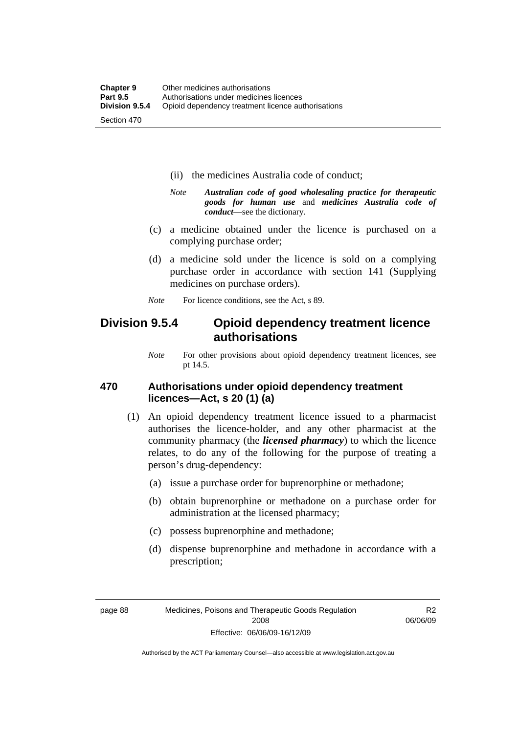- (ii) the medicines Australia code of conduct;
- *Note Australian code of good wholesaling practice for therapeutic goods for human use* and *medicines Australia code of conduct*—see the dictionary.
- (c) a medicine obtained under the licence is purchased on a complying purchase order;
- (d) a medicine sold under the licence is sold on a complying purchase order in accordance with section 141 (Supplying medicines on purchase orders).
- *Note* For licence conditions, see the Act, s 89.

## **Division 9.5.4 Opioid dependency treatment licence authorisations**

*Note* For other provisions about opioid dependency treatment licences, see pt 14.5.

## **470 Authorisations under opioid dependency treatment licences—Act, s 20 (1) (a)**

- (1) An opioid dependency treatment licence issued to a pharmacist authorises the licence-holder, and any other pharmacist at the community pharmacy (the *licensed pharmacy*) to which the licence relates, to do any of the following for the purpose of treating a person's drug-dependency:
	- (a) issue a purchase order for buprenorphine or methadone;
	- (b) obtain buprenorphine or methadone on a purchase order for administration at the licensed pharmacy;
	- (c) possess buprenorphine and methadone;
	- (d) dispense buprenorphine and methadone in accordance with a prescription;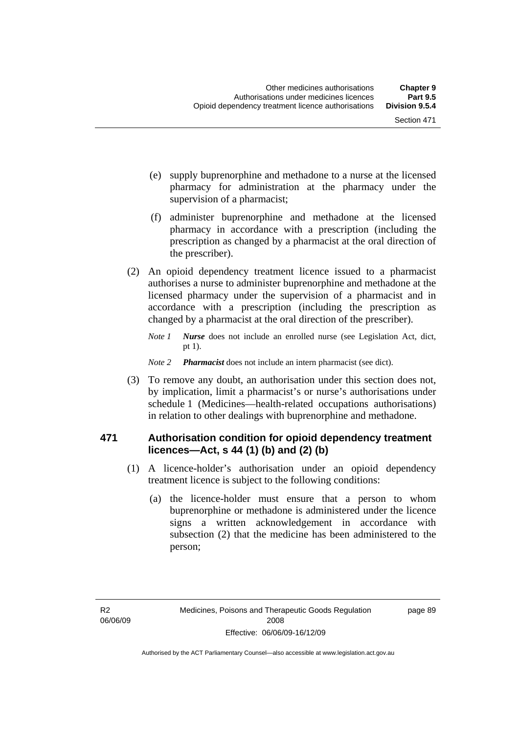- (e) supply buprenorphine and methadone to a nurse at the licensed pharmacy for administration at the pharmacy under the supervision of a pharmacist;
- (f) administer buprenorphine and methadone at the licensed pharmacy in accordance with a prescription (including the prescription as changed by a pharmacist at the oral direction of the prescriber).
- (2) An opioid dependency treatment licence issued to a pharmacist authorises a nurse to administer buprenorphine and methadone at the licensed pharmacy under the supervision of a pharmacist and in accordance with a prescription (including the prescription as changed by a pharmacist at the oral direction of the prescriber).
	- *Note 1 Nurse* does not include an enrolled nurse (see Legislation Act, dict, pt 1).
	- *Note 2 Pharmacist* does not include an intern pharmacist (see dict).
- (3) To remove any doubt, an authorisation under this section does not, by implication, limit a pharmacist's or nurse's authorisations under schedule 1 (Medicines—health-related occupations authorisations) in relation to other dealings with buprenorphine and methadone.

## **471 Authorisation condition for opioid dependency treatment licences—Act, s 44 (1) (b) and (2) (b)**

- (1) A licence-holder's authorisation under an opioid dependency treatment licence is subject to the following conditions:
	- (a) the licence-holder must ensure that a person to whom buprenorphine or methadone is administered under the licence signs a written acknowledgement in accordance with subsection (2) that the medicine has been administered to the person;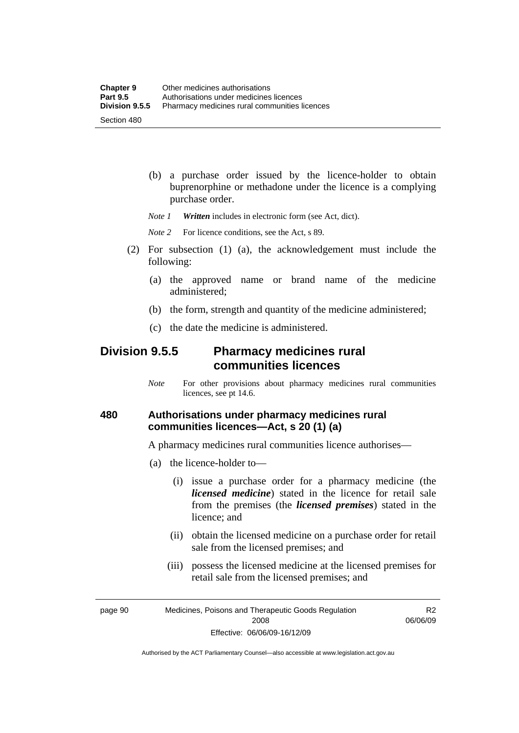(b) a purchase order issued by the licence-holder to obtain buprenorphine or methadone under the licence is a complying purchase order.

*Note 1 Written* includes in electronic form (see Act, dict).

*Note* 2 For licence conditions, see the Act, s 89.

- (2) For subsection (1) (a), the acknowledgement must include the following:
	- (a) the approved name or brand name of the medicine administered;
	- (b) the form, strength and quantity of the medicine administered;
	- (c) the date the medicine is administered.

## **Division 9.5.5 Pharmacy medicines rural communities licences**

*Note* For other provisions about pharmacy medicines rural communities licences, see pt 14.6.

## **480 Authorisations under pharmacy medicines rural communities licences—Act, s 20 (1) (a)**

A pharmacy medicines rural communities licence authorises—

- (a) the licence-holder to—
	- (i) issue a purchase order for a pharmacy medicine (the *licensed medicine*) stated in the licence for retail sale from the premises (the *licensed premises*) stated in the licence; and
	- (ii) obtain the licensed medicine on a purchase order for retail sale from the licensed premises; and
	- (iii) possess the licensed medicine at the licensed premises for retail sale from the licensed premises; and

page 90 Medicines, Poisons and Therapeutic Goods Regulation 2008 Effective: 06/06/09-16/12/09

R2 06/06/09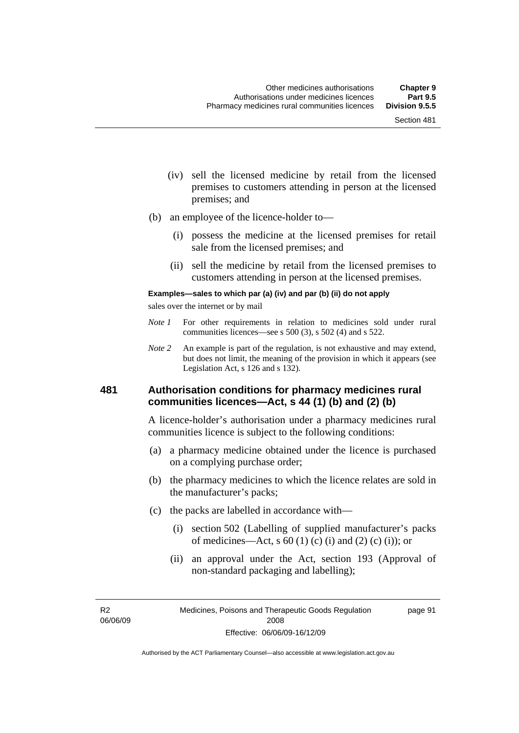- (iv) sell the licensed medicine by retail from the licensed premises to customers attending in person at the licensed premises; and
- (b) an employee of the licence-holder to—
	- (i) possess the medicine at the licensed premises for retail sale from the licensed premises; and
	- (ii) sell the medicine by retail from the licensed premises to customers attending in person at the licensed premises.

#### **Examples—sales to which par (a) (iv) and par (b) (ii) do not apply**

sales over the internet or by mail

- *Note 1* For other requirements in relation to medicines sold under rural communities licences—see s 500 (3), s 502 (4) and s 522.
- *Note 2* An example is part of the regulation, is not exhaustive and may extend, but does not limit, the meaning of the provision in which it appears (see Legislation Act, s 126 and s 132).

### **481 Authorisation conditions for pharmacy medicines rural communities licences—Act, s 44 (1) (b) and (2) (b)**

A licence-holder's authorisation under a pharmacy medicines rural communities licence is subject to the following conditions:

- (a) a pharmacy medicine obtained under the licence is purchased on a complying purchase order;
- (b) the pharmacy medicines to which the licence relates are sold in the manufacturer's packs;
- (c) the packs are labelled in accordance with—
	- (i) section 502 (Labelling of supplied manufacturer's packs of medicines—Act, s  $60(1)$  (c) (i) and (2) (c) (i)); or
	- (ii) an approval under the Act, section 193 (Approval of non-standard packaging and labelling);

R2 06/06/09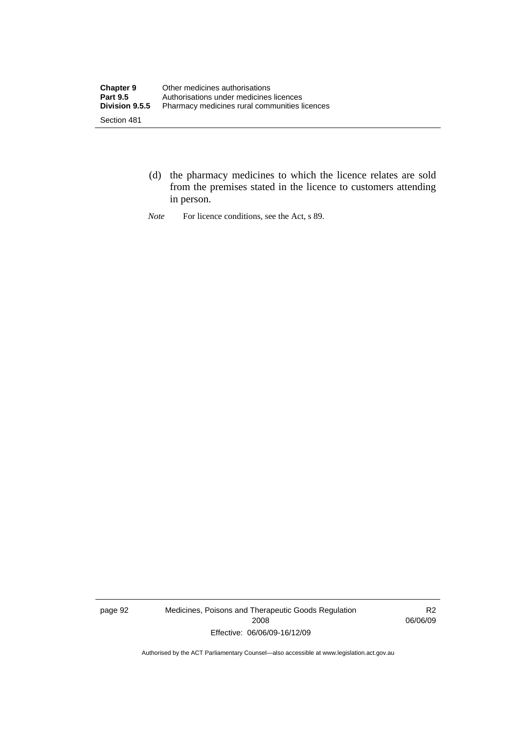- (d) the pharmacy medicines to which the licence relates are sold from the premises stated in the licence to customers attending in person.
- *Note* For licence conditions, see the Act, s 89.

page 92 Medicines, Poisons and Therapeutic Goods Regulation 2008 Effective: 06/06/09-16/12/09

R2 06/06/09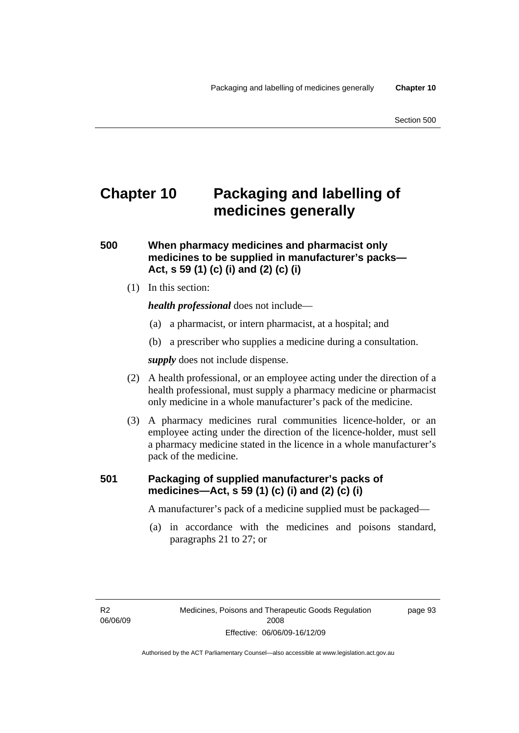# **Chapter 10 Packaging and labelling of medicines generally**

## **500 When pharmacy medicines and pharmacist only medicines to be supplied in manufacturer's packs— Act, s 59 (1) (c) (i) and (2) (c) (i)**

(1) In this section:

*health professional* does not include—

- (a) a pharmacist, or intern pharmacist, at a hospital; and
- (b) a prescriber who supplies a medicine during a consultation.

*supply* does not include dispense.

- (2) A health professional, or an employee acting under the direction of a health professional, must supply a pharmacy medicine or pharmacist only medicine in a whole manufacturer's pack of the medicine.
- (3) A pharmacy medicines rural communities licence-holder, or an employee acting under the direction of the licence-holder, must sell a pharmacy medicine stated in the licence in a whole manufacturer's pack of the medicine.

## **501 Packaging of supplied manufacturer's packs of medicines—Act, s 59 (1) (c) (i) and (2) (c) (i)**

A manufacturer's pack of a medicine supplied must be packaged—

 (a) in accordance with the medicines and poisons standard, paragraphs 21 to 27; or

R2 06/06/09 page 93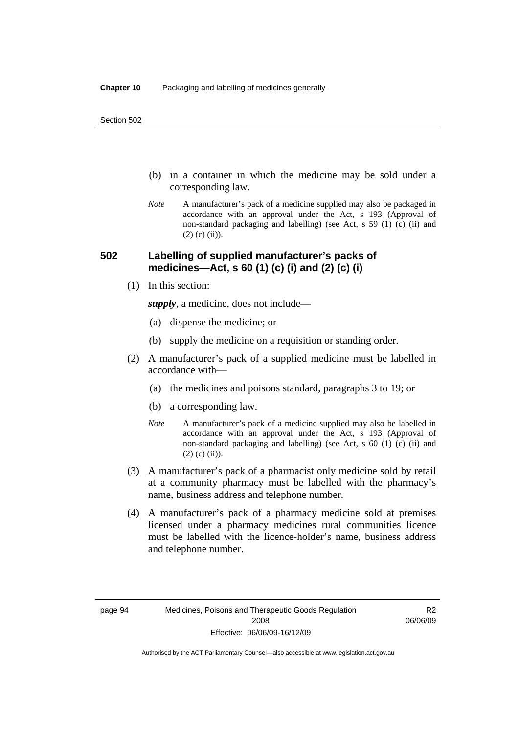- (b) in a container in which the medicine may be sold under a corresponding law.
- *Note* A manufacturer's pack of a medicine supplied may also be packaged in accordance with an approval under the Act, s 193 (Approval of non-standard packaging and labelling) (see Act, s 59 (1) (c) (ii) and  $(2)$  (c) (ii)).

## **502 Labelling of supplied manufacturer's packs of medicines—Act, s 60 (1) (c) (i) and (2) (c) (i)**

(1) In this section:

*supply*, a medicine, does not include—

- (a) dispense the medicine; or
- (b) supply the medicine on a requisition or standing order.
- (2) A manufacturer's pack of a supplied medicine must be labelled in accordance with—
	- (a) the medicines and poisons standard, paragraphs 3 to 19; or
	- (b) a corresponding law.
	- *Note* A manufacturer's pack of a medicine supplied may also be labelled in accordance with an approval under the Act, s 193 (Approval of non-standard packaging and labelling) (see Act, s 60 (1) (c) (ii) and  $(2)$  (c) (ii)).
- (3) A manufacturer's pack of a pharmacist only medicine sold by retail at a community pharmacy must be labelled with the pharmacy's name, business address and telephone number.
- (4) A manufacturer's pack of a pharmacy medicine sold at premises licensed under a pharmacy medicines rural communities licence must be labelled with the licence-holder's name, business address and telephone number.

R2 06/06/09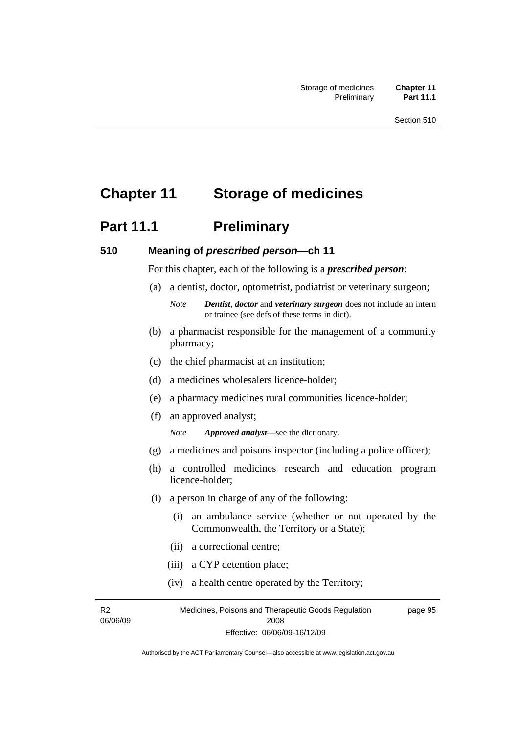# **Chapter 11 Storage of medicines**

# **Part 11.1** Preliminary

### **510 Meaning of** *prescribed person***—ch 11**

For this chapter, each of the following is a *prescribed person*:

- (a) a dentist, doctor, optometrist, podiatrist or veterinary surgeon;
	- *Note Dentist*, *doctor* and *veterinary surgeon* does not include an intern or trainee (see defs of these terms in dict).
- (b) a pharmacist responsible for the management of a community pharmacy;
- (c) the chief pharmacist at an institution;
- (d) a medicines wholesalers licence-holder;
- (e) a pharmacy medicines rural communities licence-holder;
- (f) an approved analyst;

*Note Approved analyst*—see the dictionary.

- (g) a medicines and poisons inspector (including a police officer);
- (h) a controlled medicines research and education program licence-holder;
- (i) a person in charge of any of the following:
	- (i) an ambulance service (whether or not operated by the Commonwealth, the Territory or a State);
	- (ii) a correctional centre;
	- (iii) a CYP detention place;
	- (iv) a health centre operated by the Territory;

R2 06/06/09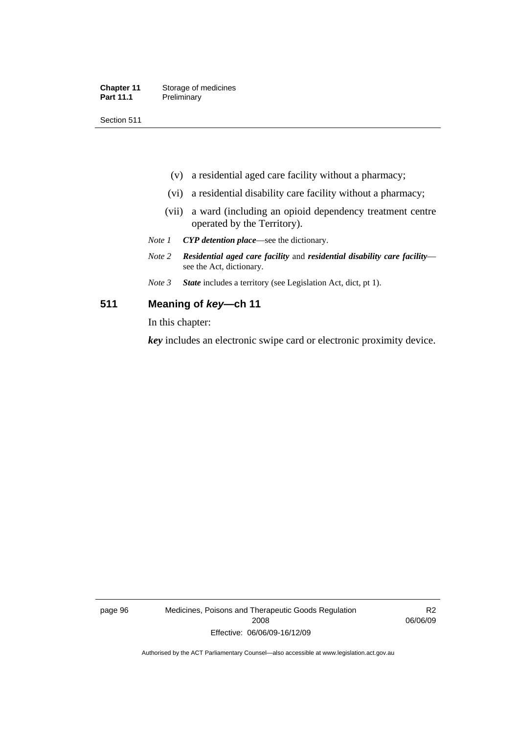| <b>Chapter 11</b> | Storage of medicines |
|-------------------|----------------------|
| <b>Part 11.1</b>  | Preliminary          |

Section 511

- (v) a residential aged care facility without a pharmacy;
- (vi) a residential disability care facility without a pharmacy;
- (vii) a ward (including an opioid dependency treatment centre operated by the Territory).
- *Note 1 CYP detention place*—see the dictionary.
- *Note 2 Residential aged care facility* and *residential disability care facility* see the Act, dictionary.
- *Note 3 State* includes a territory (see Legislation Act, dict, pt 1).

### **511 Meaning of** *key***—ch 11**

In this chapter:

*key* includes an electronic swipe card or electronic proximity device.

page 96 Medicines, Poisons and Therapeutic Goods Regulation 2008 Effective: 06/06/09-16/12/09

R2 06/06/09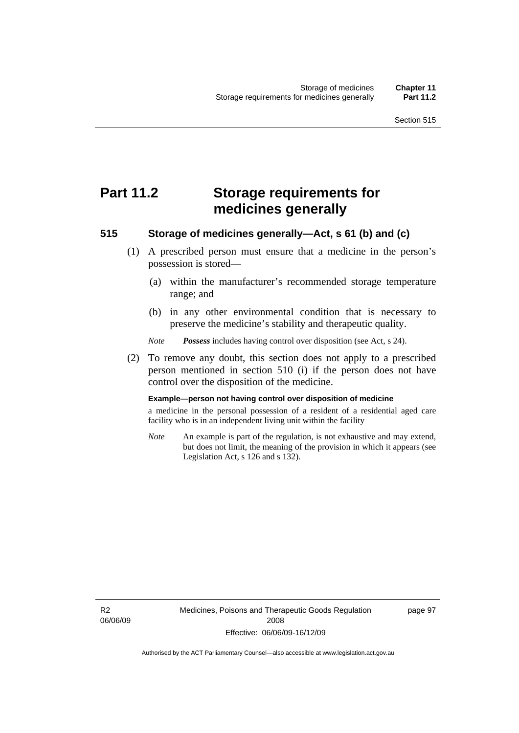# **Part 11.2 Storage requirements for medicines generally**

## **515 Storage of medicines generally—Act, s 61 (b) and (c)**

- (1) A prescribed person must ensure that a medicine in the person's possession is stored—
	- (a) within the manufacturer's recommended storage temperature range; and
	- (b) in any other environmental condition that is necessary to preserve the medicine's stability and therapeutic quality.

*Note Possess* includes having control over disposition (see Act, s 24).

 (2) To remove any doubt, this section does not apply to a prescribed person mentioned in section 510 (i) if the person does not have control over the disposition of the medicine.

#### **Example—person not having control over disposition of medicine**

a medicine in the personal possession of a resident of a residential aged care facility who is in an independent living unit within the facility

*Note* An example is part of the regulation, is not exhaustive and may extend, but does not limit, the meaning of the provision in which it appears (see Legislation Act, s 126 and s 132).

R2 06/06/09 page 97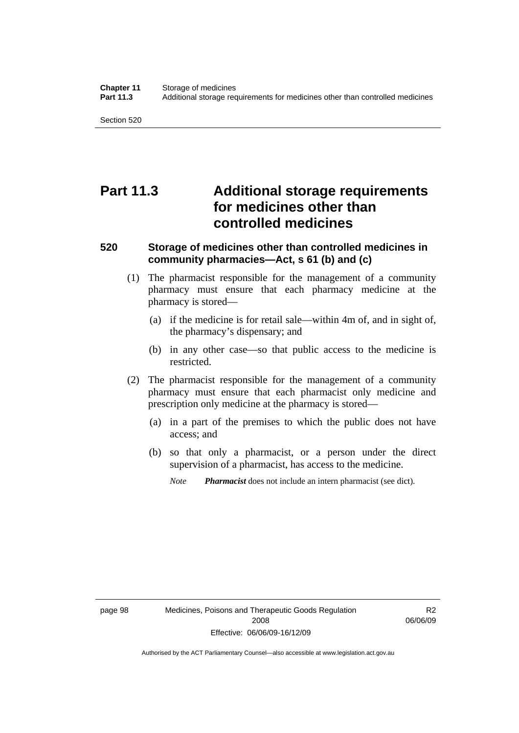Section 520

# **Part 11.3 Additional storage requirements for medicines other than controlled medicines**

## **520 Storage of medicines other than controlled medicines in community pharmacies—Act, s 61 (b) and (c)**

- (1) The pharmacist responsible for the management of a community pharmacy must ensure that each pharmacy medicine at the pharmacy is stored—
	- (a) if the medicine is for retail sale—within 4m of, and in sight of, the pharmacy's dispensary; and
	- (b) in any other case—so that public access to the medicine is restricted.
- (2) The pharmacist responsible for the management of a community pharmacy must ensure that each pharmacist only medicine and prescription only medicine at the pharmacy is stored—
	- (a) in a part of the premises to which the public does not have access; and
	- (b) so that only a pharmacist, or a person under the direct supervision of a pharmacist, has access to the medicine.
		- *Note Pharmacist* does not include an intern pharmacist (see dict).

R2 06/06/09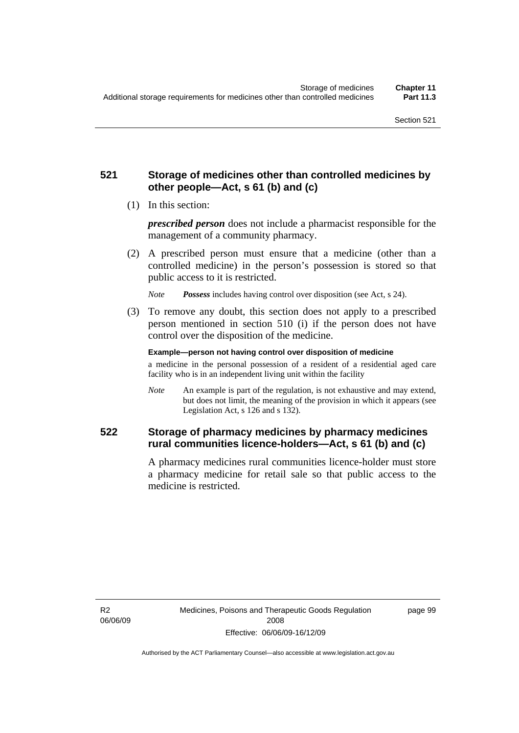## **521 Storage of medicines other than controlled medicines by other people—Act, s 61 (b) and (c)**

(1) In this section:

*prescribed person* does not include a pharmacist responsible for the management of a community pharmacy.

 (2) A prescribed person must ensure that a medicine (other than a controlled medicine) in the person's possession is stored so that public access to it is restricted.

*Note Possess* includes having control over disposition (see Act, s 24).

 (3) To remove any doubt, this section does not apply to a prescribed person mentioned in section 510 (i) if the person does not have control over the disposition of the medicine.

**Example—person not having control over disposition of medicine** 

a medicine in the personal possession of a resident of a residential aged care facility who is in an independent living unit within the facility

*Note* An example is part of the regulation, is not exhaustive and may extend, but does not limit, the meaning of the provision in which it appears (see Legislation Act, s 126 and s 132).

## **522 Storage of pharmacy medicines by pharmacy medicines rural communities licence-holders—Act, s 61 (b) and (c)**

A pharmacy medicines rural communities licence-holder must store a pharmacy medicine for retail sale so that public access to the medicine is restricted.

R2 06/06/09 page 99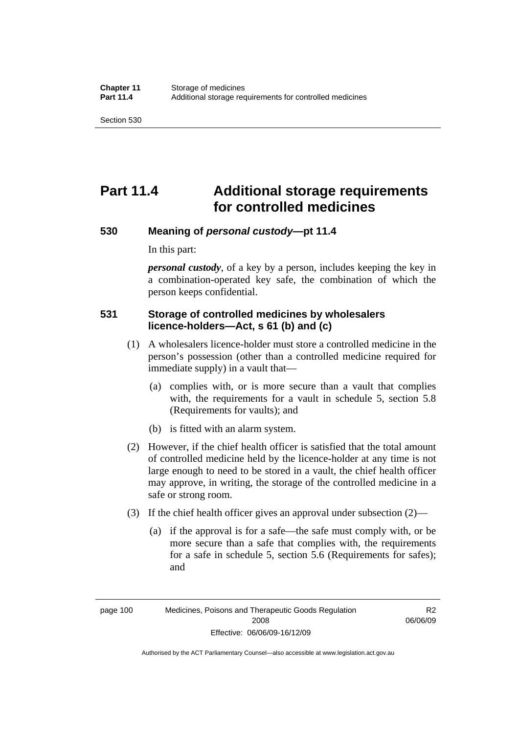Section 530

# **Part 11.4 Additional storage requirements for controlled medicines**

## **530 Meaning of** *personal custody***—pt 11.4**

In this part:

*personal custody*, of a key by a person, includes keeping the key in a combination-operated key safe, the combination of which the person keeps confidential.

## **531 Storage of controlled medicines by wholesalers licence-holders—Act, s 61 (b) and (c)**

- (1) A wholesalers licence-holder must store a controlled medicine in the person's possession (other than a controlled medicine required for immediate supply) in a vault that—
	- (a) complies with, or is more secure than a vault that complies with, the requirements for a vault in schedule 5, section 5.8 (Requirements for vaults); and
	- (b) is fitted with an alarm system.
- (2) However, if the chief health officer is satisfied that the total amount of controlled medicine held by the licence-holder at any time is not large enough to need to be stored in a vault, the chief health officer may approve, in writing, the storage of the controlled medicine in a safe or strong room.
- (3) If the chief health officer gives an approval under subsection (2)—
	- (a) if the approval is for a safe—the safe must comply with, or be more secure than a safe that complies with, the requirements for a safe in schedule 5, section 5.6 (Requirements for safes); and

page 100 Medicines, Poisons and Therapeutic Goods Regulation 2008 Effective: 06/06/09-16/12/09

R2 06/06/09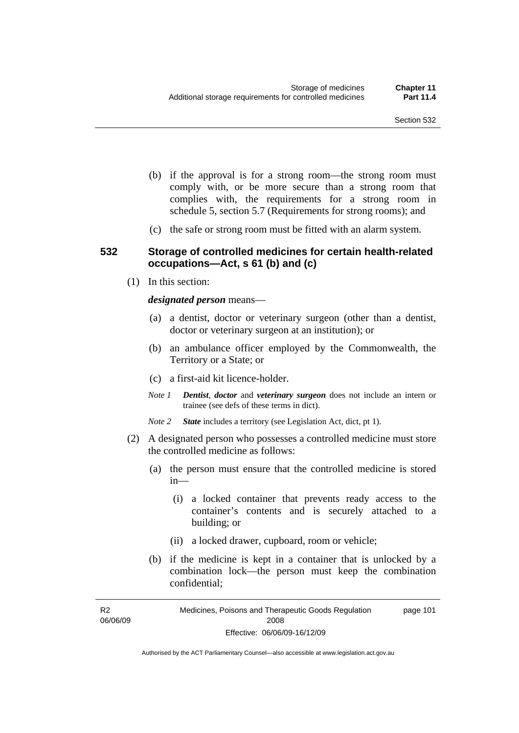- (b) if the approval is for a strong room—the strong room must comply with, or be more secure than a strong room that complies with, the requirements for a strong room in schedule 5, section 5.7 (Requirements for strong rooms); and
- (c) the safe or strong room must be fitted with an alarm system.

### **532 Storage of controlled medicines for certain health-related occupations—Act, s 61 (b) and (c)**

(1) In this section:

*designated person* means—

- (a) a dentist, doctor or veterinary surgeon (other than a dentist, doctor or veterinary surgeon at an institution); or
- (b) an ambulance officer employed by the Commonwealth, the Territory or a State; or
- (c) a first-aid kit licence-holder.
- *Note 1 Dentist*, *doctor* and *veterinary surgeon* does not include an intern or trainee (see defs of these terms in dict).
- *Note 2 State* includes a territory (see Legislation Act, dict, pt 1).
- (2) A designated person who possesses a controlled medicine must store the controlled medicine as follows:
	- (a) the person must ensure that the controlled medicine is stored in—
		- (i) a locked container that prevents ready access to the container's contents and is securely attached to a building; or
		- (ii) a locked drawer, cupboard, room or vehicle;
	- (b) if the medicine is kept in a container that is unlocked by a combination lock—the person must keep the combination confidential;

R2 06/06/09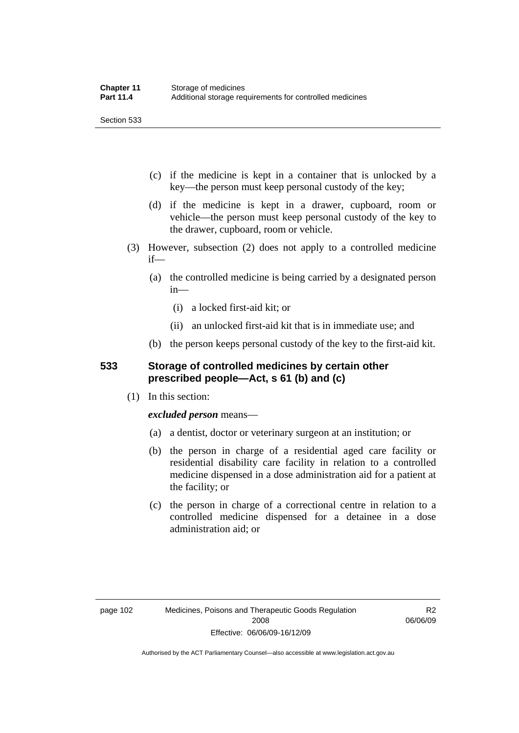Section 533

- (c) if the medicine is kept in a container that is unlocked by a key—the person must keep personal custody of the key;
- (d) if the medicine is kept in a drawer, cupboard, room or vehicle—the person must keep personal custody of the key to the drawer, cupboard, room or vehicle.
- (3) However, subsection (2) does not apply to a controlled medicine if—
	- (a) the controlled medicine is being carried by a designated person in—
		- (i) a locked first-aid kit; or
		- (ii) an unlocked first-aid kit that is in immediate use; and
	- (b) the person keeps personal custody of the key to the first-aid kit.

## **533 Storage of controlled medicines by certain other prescribed people—Act, s 61 (b) and (c)**

(1) In this section:

## *excluded person* means—

- (a) a dentist, doctor or veterinary surgeon at an institution; or
- (b) the person in charge of a residential aged care facility or residential disability care facility in relation to a controlled medicine dispensed in a dose administration aid for a patient at the facility; or
- (c) the person in charge of a correctional centre in relation to a controlled medicine dispensed for a detainee in a dose administration aid; or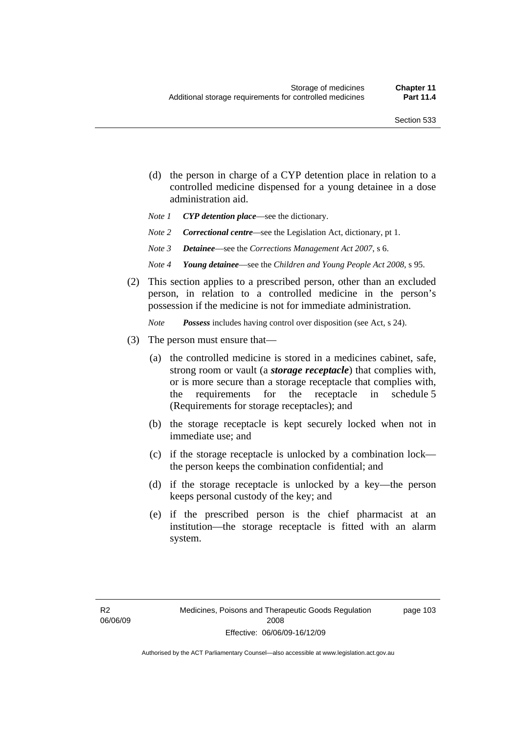- (d) the person in charge of a CYP detention place in relation to a controlled medicine dispensed for a young detainee in a dose administration aid.
- *Note 1 CYP detention place*—see the dictionary.
- *Note 2 Correctional centre—see the Legislation Act, dictionary, pt 1.*
- *Note 3 Detainee*—see the *Corrections Management Act 2007*, s 6.
- *Note 4 Young detainee*—see the *Children and Young People Act 2008*, s 95.
- (2) This section applies to a prescribed person, other than an excluded person, in relation to a controlled medicine in the person's possession if the medicine is not for immediate administration.

*Note Possess* includes having control over disposition (see Act, s 24).

- (3) The person must ensure that—
	- (a) the controlled medicine is stored in a medicines cabinet, safe, strong room or vault (a *storage receptacle*) that complies with, or is more secure than a storage receptacle that complies with, the requirements for the receptacle in schedule 5 (Requirements for storage receptacles); and
	- (b) the storage receptacle is kept securely locked when not in immediate use; and
	- (c) if the storage receptacle is unlocked by a combination lock the person keeps the combination confidential; and
	- (d) if the storage receptacle is unlocked by a key—the person keeps personal custody of the key; and
	- (e) if the prescribed person is the chief pharmacist at an institution—the storage receptacle is fitted with an alarm system.

page 103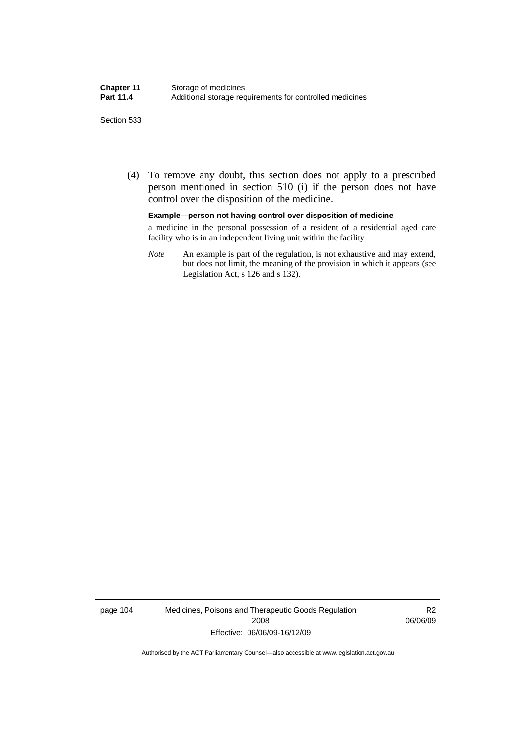#### Section 533

 (4) To remove any doubt, this section does not apply to a prescribed person mentioned in section 510 (i) if the person does not have control over the disposition of the medicine.

#### **Example—person not having control over disposition of medicine**

a medicine in the personal possession of a resident of a residential aged care facility who is in an independent living unit within the facility

*Note* An example is part of the regulation, is not exhaustive and may extend, but does not limit, the meaning of the provision in which it appears (see Legislation Act, s 126 and s 132).

page 104 Medicines, Poisons and Therapeutic Goods Regulation 2008 Effective: 06/06/09-16/12/09

R2 06/06/09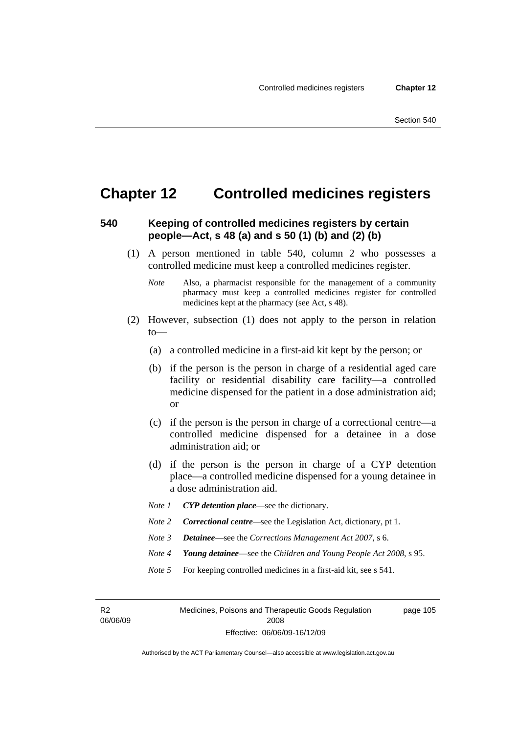## **Chapter 12 Controlled medicines registers**

## **540 Keeping of controlled medicines registers by certain people—Act, s 48 (a) and s 50 (1) (b) and (2) (b)**

- (1) A person mentioned in table 540, column 2 who possesses a controlled medicine must keep a controlled medicines register.
	- *Note* Also, a pharmacist responsible for the management of a community pharmacy must keep a controlled medicines register for controlled medicines kept at the pharmacy (see Act, s 48).
- (2) However, subsection (1) does not apply to the person in relation to—
	- (a) a controlled medicine in a first-aid kit kept by the person; or
	- (b) if the person is the person in charge of a residential aged care facility or residential disability care facility—a controlled medicine dispensed for the patient in a dose administration aid; or
	- (c) if the person is the person in charge of a correctional centre—a controlled medicine dispensed for a detainee in a dose administration aid; or
	- (d) if the person is the person in charge of a CYP detention place—a controlled medicine dispensed for a young detainee in a dose administration aid.
	- *Note 1 CYP detention place*—see the dictionary.
	- *Note 2 Correctional centre*—see the Legislation Act, dictionary, pt 1.
	- *Note 3 Detainee*—see the *Corrections Management Act 2007*, s 6.
	- *Note 4 Young detainee*—see the *Children and Young People Act 2008*, s 95.
	- *Note* 5 For keeping controlled medicines in a first-aid kit, see s 541.

R2 06/06/09

Medicines, Poisons and Therapeutic Goods Regulation 2008 Effective: 06/06/09-16/12/09 page 105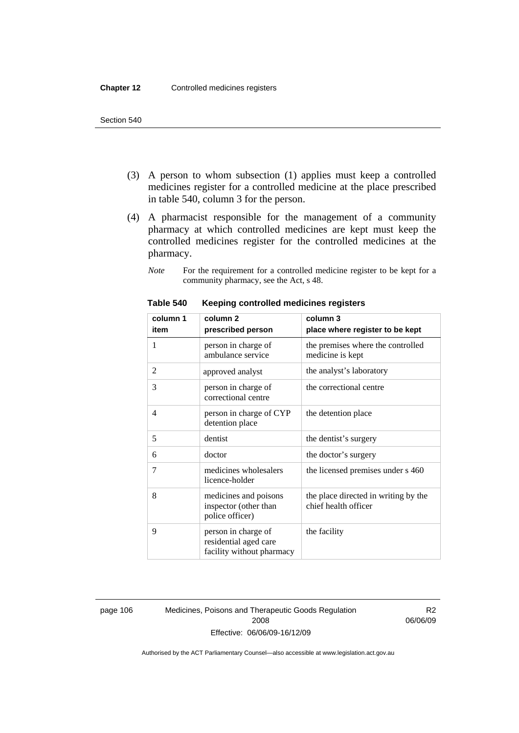- (3) A person to whom subsection (1) applies must keep a controlled medicines register for a controlled medicine at the place prescribed in table 540, column 3 for the person.
- (4) A pharmacist responsible for the management of a community pharmacy at which controlled medicines are kept must keep the controlled medicines register for the controlled medicines at the pharmacy.
	- *Note* For the requirement for a controlled medicine register to be kept for a community pharmacy, see the Act, s 48.

| column 1 | column <sub>2</sub>                                                       | column 3                                                     |
|----------|---------------------------------------------------------------------------|--------------------------------------------------------------|
| item     | prescribed person                                                         | place where register to be kept                              |
| 1        | person in charge of<br>ambulance service                                  | the premises where the controlled<br>medicine is kept        |
| 2        | approved analyst                                                          | the analyst's laboratory                                     |
| 3        | person in charge of<br>correctional centre                                | the correctional centre                                      |
| 4        | person in charge of CYP<br>detention place                                | the detention place                                          |
| 5        | dentist                                                                   | the dentist's surgery                                        |
| 6        | doctor                                                                    | the doctor's surgery                                         |
| 7        | medicines wholesalers<br>licence-holder                                   | the licensed premises under s 460                            |
| 8        | medicines and poisons<br>inspector (other than<br>police officer)         | the place directed in writing by the<br>chief health officer |
| 9        | person in charge of<br>residential aged care<br>facility without pharmacy | the facility                                                 |

#### **Table 540 Keeping controlled medicines registers**

page 106 Medicines, Poisons and Therapeutic Goods Regulation 2008 Effective: 06/06/09-16/12/09

R2 06/06/09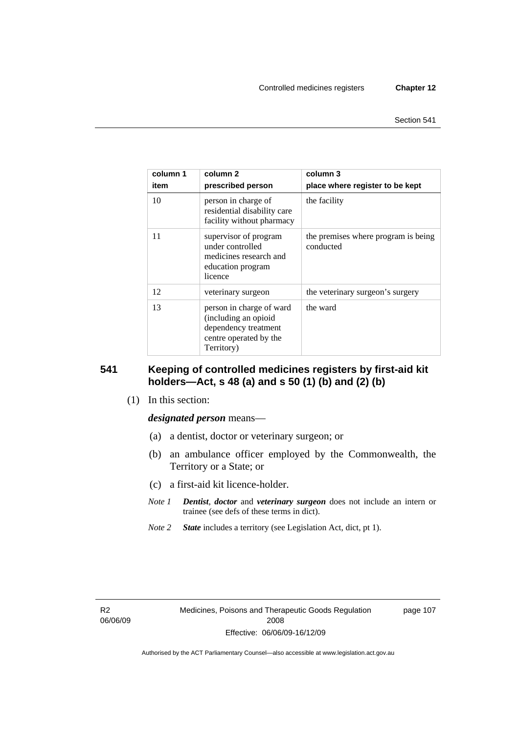| column 1<br>item | column 2<br>prescribed person                                                                                    | column 3<br>place where register to be kept      |
|------------------|------------------------------------------------------------------------------------------------------------------|--------------------------------------------------|
| 10               | person in charge of<br>residential disability care<br>facility without pharmacy                                  | the facility                                     |
| 11               | supervisor of program<br>under controlled<br>medicines research and<br>education program<br>licence              | the premises where program is being<br>conducted |
| 12               | veterinary surgeon                                                                                               | the veterinary surgeon's surgery                 |
| 13               | person in charge of ward<br>(including an opioid<br>dependency treatment<br>centre operated by the<br>Territory) | the ward                                         |

## **541 Keeping of controlled medicines registers by first-aid kit holders—Act, s 48 (a) and s 50 (1) (b) and (2) (b)**

(1) In this section:

#### *designated person* means—

- (a) a dentist, doctor or veterinary surgeon; or
- (b) an ambulance officer employed by the Commonwealth, the Territory or a State; or
- (c) a first-aid kit licence-holder.
- *Note 1 Dentist*, *doctor* and *veterinary surgeon* does not include an intern or trainee (see defs of these terms in dict).
- *Note 2 State* includes a territory (see Legislation Act, dict, pt 1).

R2 06/06/09 page 107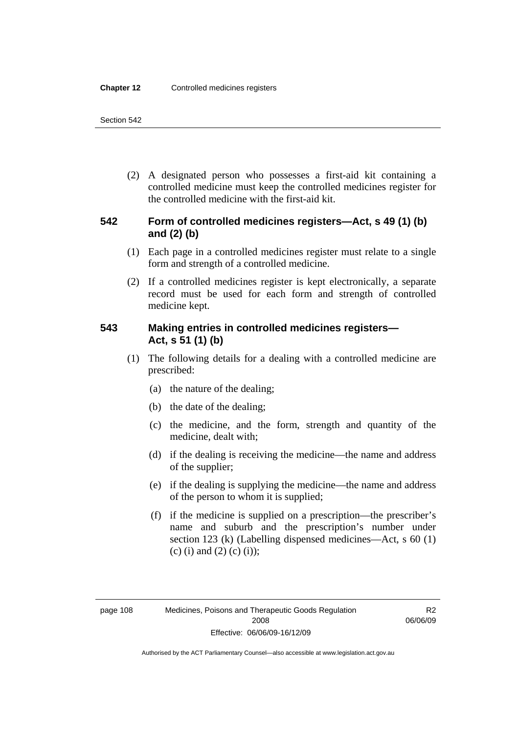(2) A designated person who possesses a first-aid kit containing a controlled medicine must keep the controlled medicines register for the controlled medicine with the first-aid kit.

## **542 Form of controlled medicines registers—Act, s 49 (1) (b) and (2) (b)**

- (1) Each page in a controlled medicines register must relate to a single form and strength of a controlled medicine.
- (2) If a controlled medicines register is kept electronically, a separate record must be used for each form and strength of controlled medicine kept.

## **543 Making entries in controlled medicines registers— Act, s 51 (1) (b)**

- (1) The following details for a dealing with a controlled medicine are prescribed:
	- (a) the nature of the dealing;
	- (b) the date of the dealing;
	- (c) the medicine, and the form, strength and quantity of the medicine, dealt with;
	- (d) if the dealing is receiving the medicine—the name and address of the supplier;
	- (e) if the dealing is supplying the medicine—the name and address of the person to whom it is supplied;
	- (f) if the medicine is supplied on a prescription—the prescriber's name and suburb and the prescription's number under section 123 (k) (Labelling dispensed medicines—Act, s 60 (1) (c) (i) and (2) (c) (i));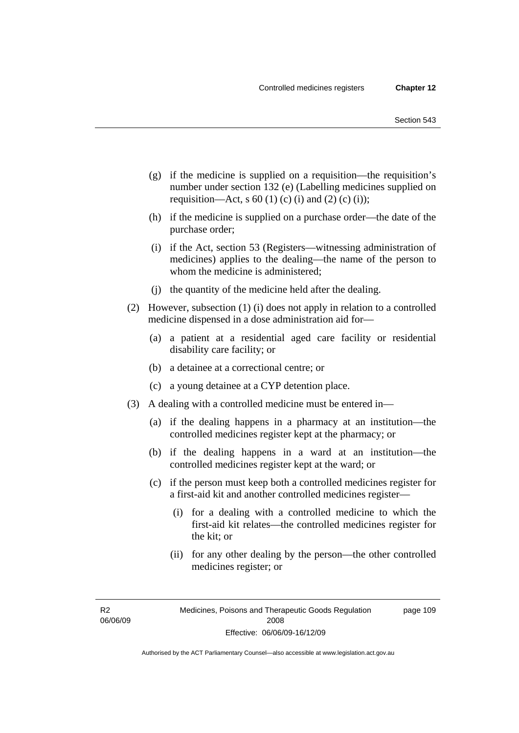- (g) if the medicine is supplied on a requisition—the requisition's number under section 132 (e) (Labelling medicines supplied on requisition—Act, s 60 (1) (c) (i) and (2) (c) (i));
- (h) if the medicine is supplied on a purchase order—the date of the purchase order;
- (i) if the Act, section 53 (Registers—witnessing administration of medicines) applies to the dealing—the name of the person to whom the medicine is administered;
- (j) the quantity of the medicine held after the dealing.
- (2) However, subsection (1) (i) does not apply in relation to a controlled medicine dispensed in a dose administration aid for—
	- (a) a patient at a residential aged care facility or residential disability care facility; or
	- (b) a detainee at a correctional centre; or
	- (c) a young detainee at a CYP detention place.
- (3) A dealing with a controlled medicine must be entered in—
	- (a) if the dealing happens in a pharmacy at an institution—the controlled medicines register kept at the pharmacy; or
	- (b) if the dealing happens in a ward at an institution—the controlled medicines register kept at the ward; or
	- (c) if the person must keep both a controlled medicines register for a first-aid kit and another controlled medicines register—
		- (i) for a dealing with a controlled medicine to which the first-aid kit relates—the controlled medicines register for the kit; or
		- (ii) for any other dealing by the person—the other controlled medicines register; or

R2 06/06/09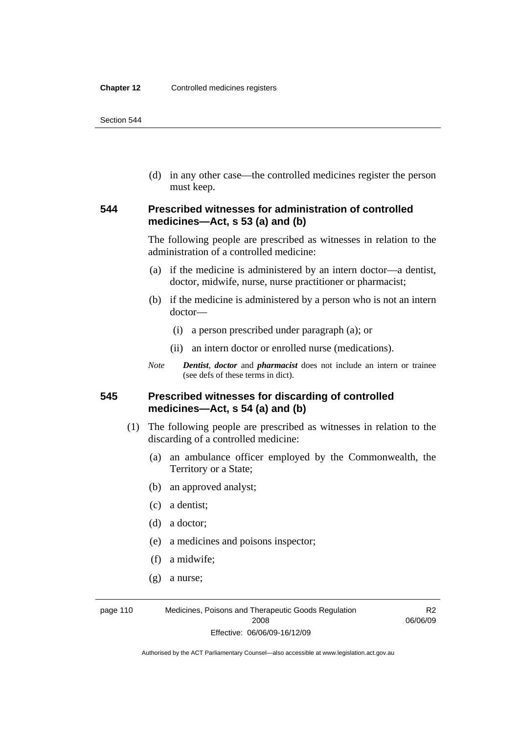(d) in any other case—the controlled medicines register the person must keep.

## **544 Prescribed witnesses for administration of controlled medicines—Act, s 53 (a) and (b)**

The following people are prescribed as witnesses in relation to the administration of a controlled medicine:

- (a) if the medicine is administered by an intern doctor—a dentist, doctor, midwife, nurse, nurse practitioner or pharmacist;
- (b) if the medicine is administered by a person who is not an intern doctor—
	- (i) a person prescribed under paragraph (a); or
	- (ii) an intern doctor or enrolled nurse (medications).
- *Note Dentist*, *doctor* and *pharmacist* does not include an intern or trainee (see defs of these terms in dict).

## **545 Prescribed witnesses for discarding of controlled medicines—Act, s 54 (a) and (b)**

- (1) The following people are prescribed as witnesses in relation to the discarding of a controlled medicine:
	- (a) an ambulance officer employed by the Commonwealth, the Territory or a State;
	- (b) an approved analyst;
	- (c) a dentist;
	- (d) a doctor;
	- (e) a medicines and poisons inspector;
	- (f) a midwife;
	- (g) a nurse;

page 110 Medicines, Poisons and Therapeutic Goods Regulation 2008 Effective: 06/06/09-16/12/09

R2 06/06/09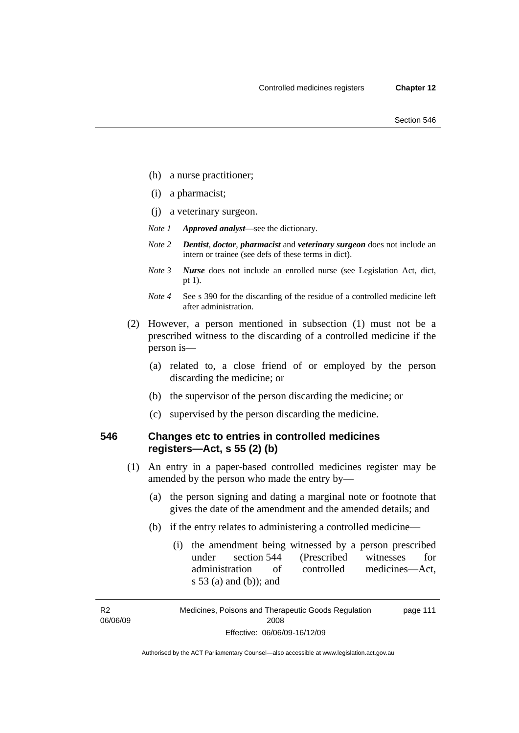- (h) a nurse practitioner;
- (i) a pharmacist;
- (j) a veterinary surgeon.
- *Note 1 Approved analyst*—see the dictionary.
- *Note 2 Dentist*, *doctor*, *pharmacist* and *veterinary surgeon* does not include an intern or trainee (see defs of these terms in dict).
- *Note 3 Nurse* does not include an enrolled nurse (see Legislation Act, dict, pt 1).
- *Note 4* See s 390 for the discarding of the residue of a controlled medicine left after administration.
- (2) However, a person mentioned in subsection (1) must not be a prescribed witness to the discarding of a controlled medicine if the person is—
	- (a) related to, a close friend of or employed by the person discarding the medicine; or
	- (b) the supervisor of the person discarding the medicine; or
	- (c) supervised by the person discarding the medicine.

## **546 Changes etc to entries in controlled medicines registers—Act, s 55 (2) (b)**

- (1) An entry in a paper-based controlled medicines register may be amended by the person who made the entry by—
	- (a) the person signing and dating a marginal note or footnote that gives the date of the amendment and the amended details; and
	- (b) if the entry relates to administering a controlled medicine—
		- (i) the amendment being witnessed by a person prescribed under section 544 (Prescribed witnesses for administration of controlled medicines—Act, s 53 (a) and (b)); and

R2 06/06/09

Medicines, Poisons and Therapeutic Goods Regulation 2008 Effective: 06/06/09-16/12/09 page 111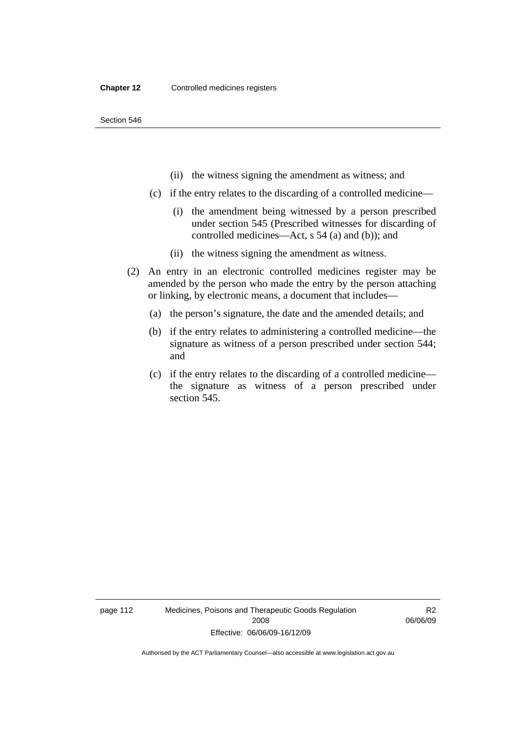- (ii) the witness signing the amendment as witness; and
- (c) if the entry relates to the discarding of a controlled medicine—
	- (i) the amendment being witnessed by a person prescribed under section 545 (Prescribed witnesses for discarding of controlled medicines—Act, s 54 (a) and (b)); and
	- (ii) the witness signing the amendment as witness.
- (2) An entry in an electronic controlled medicines register may be amended by the person who made the entry by the person attaching or linking, by electronic means, a document that includes—
	- (a) the person's signature, the date and the amended details; and
	- (b) if the entry relates to administering a controlled medicine—the signature as witness of a person prescribed under section 544; and
	- (c) if the entry relates to the discarding of a controlled medicine the signature as witness of a person prescribed under section 545.

page 112 Medicines, Poisons and Therapeutic Goods Regulation 2008 Effective: 06/06/09-16/12/09

R2 06/06/09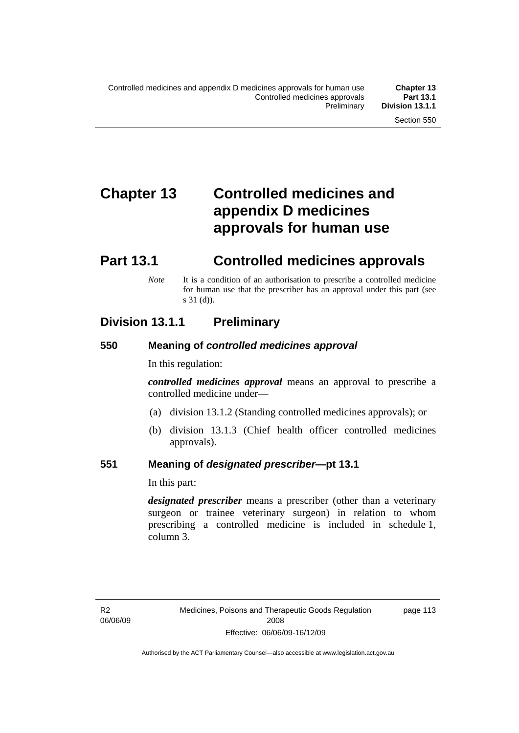# **Chapter 13 Controlled medicines and appendix D medicines approvals for human use**

# **Part 13.1 Controlled medicines approvals**

*Note* It is a condition of an authorisation to prescribe a controlled medicine for human use that the prescriber has an approval under this part (see s 31 (d)).

## **Division 13.1.1 Preliminary**

## **550 Meaning of** *controlled medicines approval*

In this regulation:

*controlled medicines approval* means an approval to prescribe a controlled medicine under—

- (a) division 13.1.2 (Standing controlled medicines approvals); or
- (b) division 13.1.3 (Chief health officer controlled medicines approvals).

## **551 Meaning of** *designated prescriber***—pt 13.1**

In this part:

*designated prescriber* means a prescriber (other than a veterinary surgeon or trainee veterinary surgeon) in relation to whom prescribing a controlled medicine is included in schedule 1, column 3.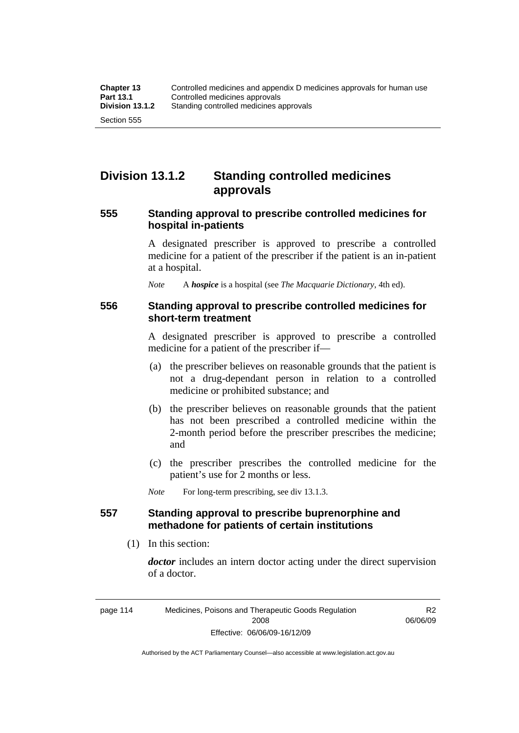## **Division 13.1.2 Standing controlled medicines approvals**

## **555 Standing approval to prescribe controlled medicines for hospital in-patients**

A designated prescriber is approved to prescribe a controlled medicine for a patient of the prescriber if the patient is an in-patient at a hospital.

*Note* A *hospice* is a hospital (see *The Macquarie Dictionary*, 4th ed).

### **556 Standing approval to prescribe controlled medicines for short-term treatment**

A designated prescriber is approved to prescribe a controlled medicine for a patient of the prescriber if—

- (a) the prescriber believes on reasonable grounds that the patient is not a drug-dependant person in relation to a controlled medicine or prohibited substance; and
- (b) the prescriber believes on reasonable grounds that the patient has not been prescribed a controlled medicine within the 2-month period before the prescriber prescribes the medicine; and
- (c) the prescriber prescribes the controlled medicine for the patient's use for 2 months or less.

*Note* For long-term prescribing, see div 13.1.3.

## **557 Standing approval to prescribe buprenorphine and methadone for patients of certain institutions**

(1) In this section:

*doctor* includes an intern doctor acting under the direct supervision of a doctor.

> R2 06/06/09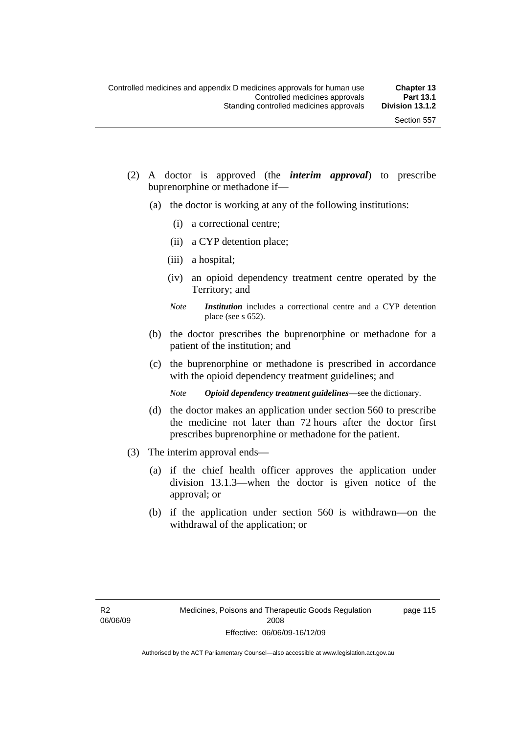- (2) A doctor is approved (the *interim approval*) to prescribe buprenorphine or methadone if—
	- (a) the doctor is working at any of the following institutions:
		- (i) a correctional centre;
		- (ii) a CYP detention place;
		- (iii) a hospital;
		- (iv) an opioid dependency treatment centre operated by the Territory; and
		- *Note Institution* includes a correctional centre and a CYP detention place (see s 652).
	- (b) the doctor prescribes the buprenorphine or methadone for a patient of the institution; and
	- (c) the buprenorphine or methadone is prescribed in accordance with the opioid dependency treatment guidelines; and
		- *Note Opioid dependency treatment guidelines*—see the dictionary.
	- (d) the doctor makes an application under section 560 to prescribe the medicine not later than 72 hours after the doctor first prescribes buprenorphine or methadone for the patient.
- (3) The interim approval ends—
	- (a) if the chief health officer approves the application under division 13.1.3—when the doctor is given notice of the approval; or
	- (b) if the application under section 560 is withdrawn—on the withdrawal of the application; or

page 115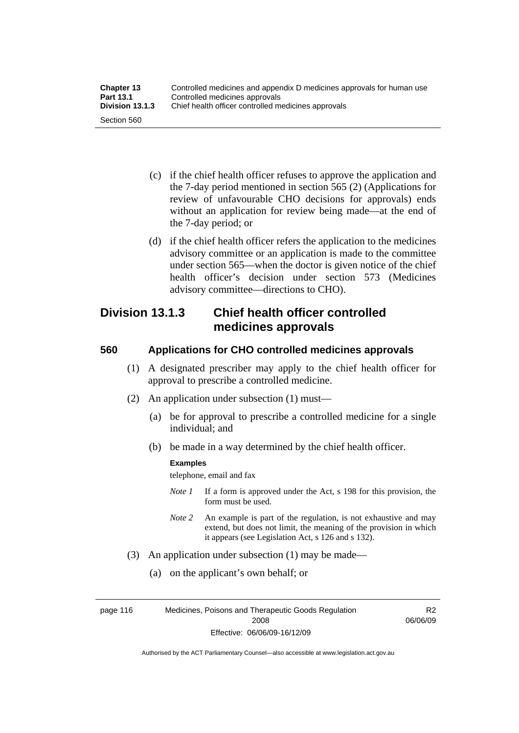| <b>Chapter 13</b> | Controlled medicines and appendix D medicines approvals for human use |
|-------------------|-----------------------------------------------------------------------|
| <b>Part 13.1</b>  | Controlled medicines approvals                                        |
| Division 13.1.3   | Chief health officer controlled medicines approvals                   |
| Section 560       |                                                                       |

- (c) if the chief health officer refuses to approve the application and the 7-day period mentioned in section 565 (2) (Applications for review of unfavourable CHO decisions for approvals) ends without an application for review being made—at the end of the 7-day period; or
- (d) if the chief health officer refers the application to the medicines advisory committee or an application is made to the committee under section 565—when the doctor is given notice of the chief health officer's decision under section 573 (Medicines advisory committee—directions to CHO).

## **Division 13.1.3 Chief health officer controlled medicines approvals**

## **560 Applications for CHO controlled medicines approvals**

- (1) A designated prescriber may apply to the chief health officer for approval to prescribe a controlled medicine.
- (2) An application under subsection (1) must—
	- (a) be for approval to prescribe a controlled medicine for a single individual; and
	- (b) be made in a way determined by the chief health officer.

#### **Examples**

telephone, email and fax

- *Note 1* If a form is approved under the Act, s 198 for this provision, the form must be used.
- *Note 2* An example is part of the regulation, is not exhaustive and may extend, but does not limit, the meaning of the provision in which it appears (see Legislation Act, s 126 and s 132).
- (3) An application under subsection (1) may be made—
	- (a) on the applicant's own behalf; or

page 116 Medicines, Poisons and Therapeutic Goods Regulation 2008 Effective: 06/06/09-16/12/09

R2 06/06/09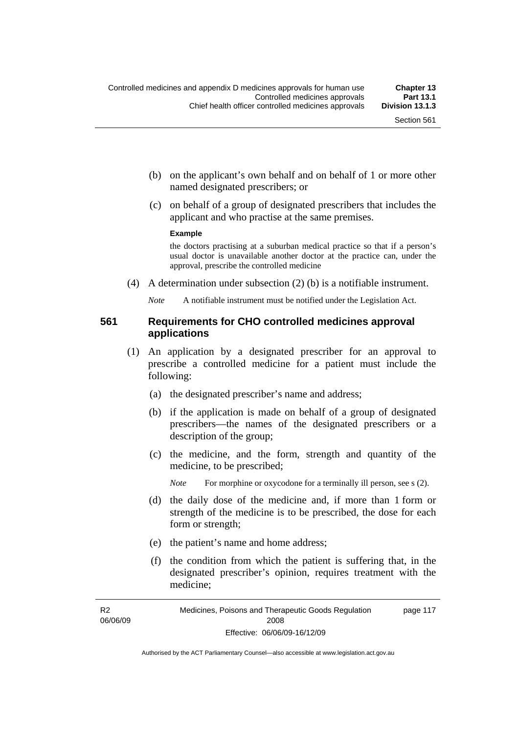- (b) on the applicant's own behalf and on behalf of 1 or more other named designated prescribers; or
- (c) on behalf of a group of designated prescribers that includes the applicant and who practise at the same premises.

#### **Example**

the doctors practising at a suburban medical practice so that if a person's usual doctor is unavailable another doctor at the practice can, under the approval, prescribe the controlled medicine

(4) A determination under subsection (2) (b) is a notifiable instrument.

*Note* A notifiable instrument must be notified under the Legislation Act.

### **561 Requirements for CHO controlled medicines approval applications**

- (1) An application by a designated prescriber for an approval to prescribe a controlled medicine for a patient must include the following:
	- (a) the designated prescriber's name and address;
	- (b) if the application is made on behalf of a group of designated prescribers—the names of the designated prescribers or a description of the group;
	- (c) the medicine, and the form, strength and quantity of the medicine, to be prescribed;

*Note* For morphine or oxycodone for a terminally ill person, see s (2).

- (d) the daily dose of the medicine and, if more than 1 form or strength of the medicine is to be prescribed, the dose for each form or strength;
- (e) the patient's name and home address;
- (f) the condition from which the patient is suffering that, in the designated prescriber's opinion, requires treatment with the medicine;

R2 06/06/09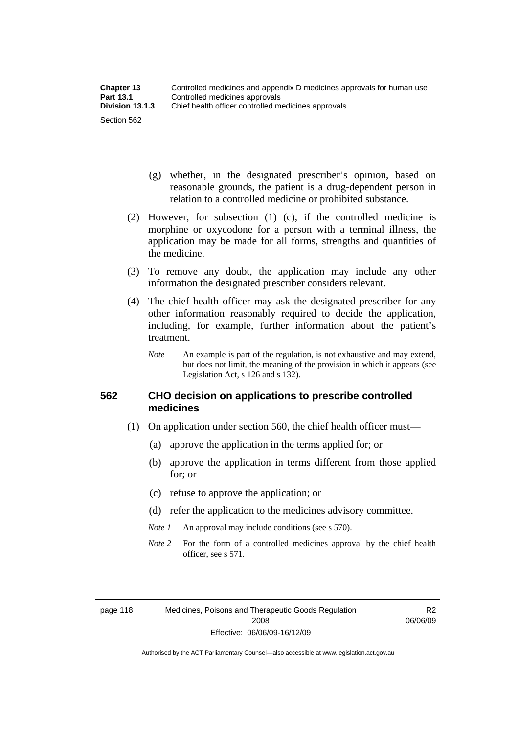- (g) whether, in the designated prescriber's opinion, based on reasonable grounds, the patient is a drug-dependent person in relation to a controlled medicine or prohibited substance.
- (2) However, for subsection (1) (c), if the controlled medicine is morphine or oxycodone for a person with a terminal illness, the application may be made for all forms, strengths and quantities of the medicine.
- (3) To remove any doubt, the application may include any other information the designated prescriber considers relevant.
- (4) The chief health officer may ask the designated prescriber for any other information reasonably required to decide the application, including, for example, further information about the patient's treatment.
	- *Note* An example is part of the regulation, is not exhaustive and may extend, but does not limit, the meaning of the provision in which it appears (see Legislation Act, s 126 and s 132).

## **562 CHO decision on applications to prescribe controlled medicines**

- (1) On application under section 560, the chief health officer must—
	- (a) approve the application in the terms applied for; or
	- (b) approve the application in terms different from those applied for; or
	- (c) refuse to approve the application; or
	- (d) refer the application to the medicines advisory committee.
	- *Note 1* An approval may include conditions (see s 570).
	- *Note* 2 For the form of a controlled medicines approval by the chief health officer, see s 571.

R2 06/06/09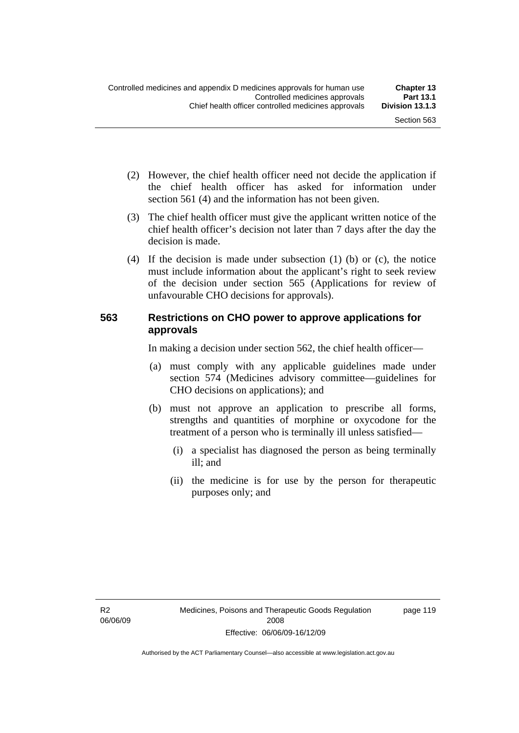- (2) However, the chief health officer need not decide the application if the chief health officer has asked for information under section 561 (4) and the information has not been given.
- (3) The chief health officer must give the applicant written notice of the chief health officer's decision not later than 7 days after the day the decision is made.
- (4) If the decision is made under subsection (1) (b) or (c), the notice must include information about the applicant's right to seek review of the decision under section 565 (Applications for review of unfavourable CHO decisions for approvals).

## **563 Restrictions on CHO power to approve applications for approvals**

In making a decision under section 562, the chief health officer—

- (a) must comply with any applicable guidelines made under section 574 (Medicines advisory committee—guidelines for CHO decisions on applications); and
- (b) must not approve an application to prescribe all forms, strengths and quantities of morphine or oxycodone for the treatment of a person who is terminally ill unless satisfied—
	- (i) a specialist has diagnosed the person as being terminally ill; and
	- (ii) the medicine is for use by the person for therapeutic purposes only; and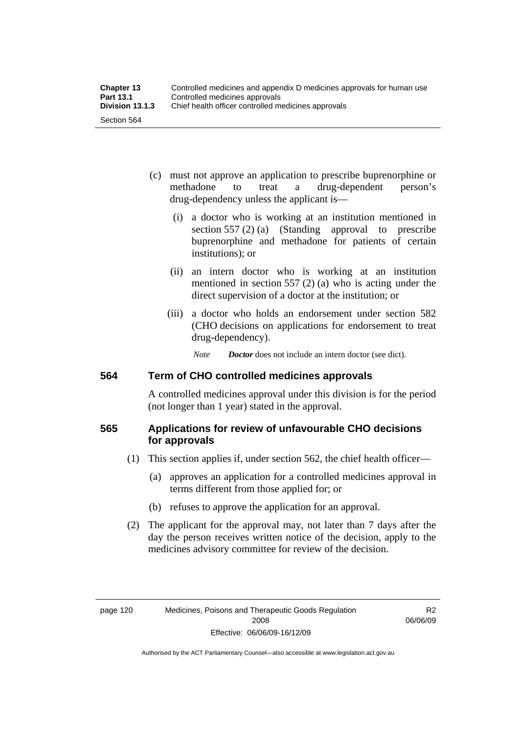- (c) must not approve an application to prescribe buprenorphine or methadone to treat a drug-dependent person's drug-dependency unless the applicant is—
	- (i) a doctor who is working at an institution mentioned in section 557 (2) (a) (Standing approval to prescribe buprenorphine and methadone for patients of certain institutions); or
	- (ii) an intern doctor who is working at an institution mentioned in section 557 (2) (a) who is acting under the direct supervision of a doctor at the institution; or
	- (iii) a doctor who holds an endorsement under section 582 (CHO decisions on applications for endorsement to treat drug-dependency).

*Note Doctor* does not include an intern doctor (see dict).

## **564 Term of CHO controlled medicines approvals**

A controlled medicines approval under this division is for the period (not longer than 1 year) stated in the approval.

## **565 Applications for review of unfavourable CHO decisions for approvals**

- (1) This section applies if, under section 562, the chief health officer—
	- (a) approves an application for a controlled medicines approval in terms different from those applied for; or
	- (b) refuses to approve the application for an approval.
- (2) The applicant for the approval may, not later than 7 days after the day the person receives written notice of the decision, apply to the medicines advisory committee for review of the decision.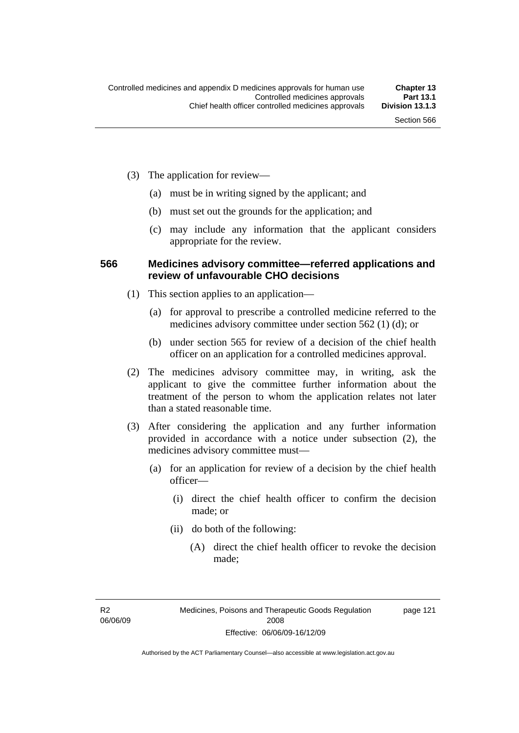- (3) The application for review—
	- (a) must be in writing signed by the applicant; and
	- (b) must set out the grounds for the application; and
	- (c) may include any information that the applicant considers appropriate for the review.

#### **566 Medicines advisory committee—referred applications and review of unfavourable CHO decisions**

- (1) This section applies to an application—
	- (a) for approval to prescribe a controlled medicine referred to the medicines advisory committee under section 562 (1) (d); or
	- (b) under section 565 for review of a decision of the chief health officer on an application for a controlled medicines approval.
- (2) The medicines advisory committee may, in writing, ask the applicant to give the committee further information about the treatment of the person to whom the application relates not later than a stated reasonable time.
- (3) After considering the application and any further information provided in accordance with a notice under subsection (2), the medicines advisory committee must—
	- (a) for an application for review of a decision by the chief health officer—
		- (i) direct the chief health officer to confirm the decision made; or
		- (ii) do both of the following:
			- (A) direct the chief health officer to revoke the decision made;

R2 06/06/09 page 121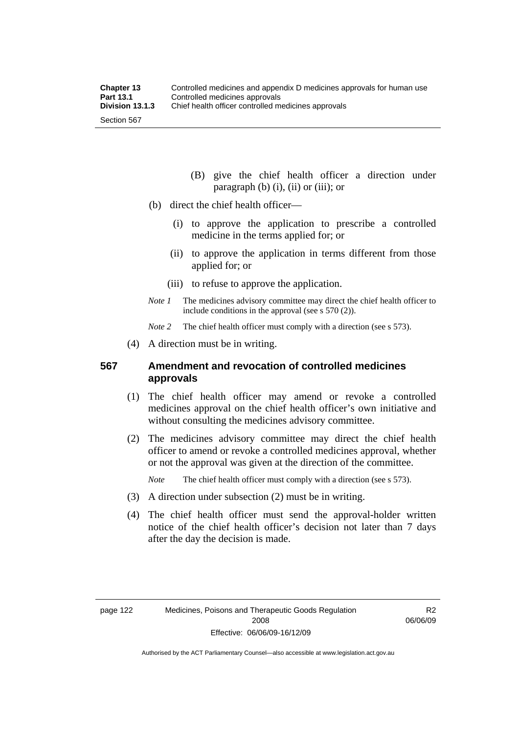- (B) give the chief health officer a direction under paragraph  $(b)$   $(i)$ ,  $(ii)$  or  $(iii)$ ; or
- (b) direct the chief health officer—
	- (i) to approve the application to prescribe a controlled medicine in the terms applied for; or
	- (ii) to approve the application in terms different from those applied for; or
	- (iii) to refuse to approve the application.
- *Note 1* The medicines advisory committee may direct the chief health officer to include conditions in the approval (see s 570 (2)).

*Note* 2 The chief health officer must comply with a direction (see s 573).

(4) A direction must be in writing.

#### **567 Amendment and revocation of controlled medicines approvals**

- (1) The chief health officer may amend or revoke a controlled medicines approval on the chief health officer's own initiative and without consulting the medicines advisory committee.
- (2) The medicines advisory committee may direct the chief health officer to amend or revoke a controlled medicines approval, whether or not the approval was given at the direction of the committee.

*Note* The chief health officer must comply with a direction (see s 573).

- (3) A direction under subsection (2) must be in writing.
- (4) The chief health officer must send the approval-holder written notice of the chief health officer's decision not later than 7 days after the day the decision is made.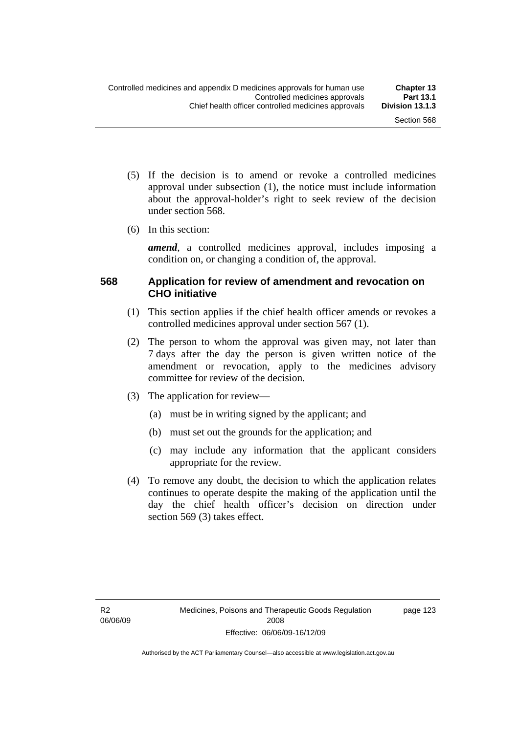- (5) If the decision is to amend or revoke a controlled medicines approval under subsection (1), the notice must include information about the approval-holder's right to seek review of the decision under section 568.
- (6) In this section:

*amend*, a controlled medicines approval, includes imposing a condition on, or changing a condition of, the approval.

### **568 Application for review of amendment and revocation on CHO initiative**

- (1) This section applies if the chief health officer amends or revokes a controlled medicines approval under section 567 (1).
- (2) The person to whom the approval was given may, not later than 7 days after the day the person is given written notice of the amendment or revocation, apply to the medicines advisory committee for review of the decision.
- (3) The application for review—
	- (a) must be in writing signed by the applicant; and
	- (b) must set out the grounds for the application; and
	- (c) may include any information that the applicant considers appropriate for the review.
- (4) To remove any doubt, the decision to which the application relates continues to operate despite the making of the application until the day the chief health officer's decision on direction under section 569 (3) takes effect.

page 123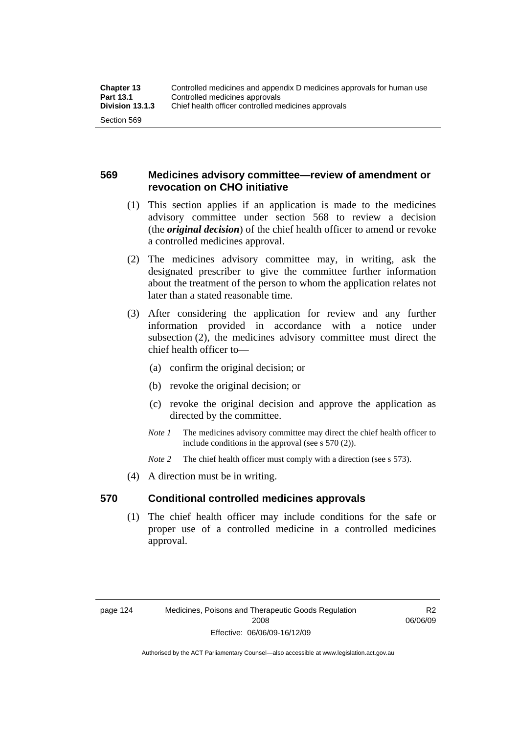#### **569 Medicines advisory committee—review of amendment or revocation on CHO initiative**

- (1) This section applies if an application is made to the medicines advisory committee under section 568 to review a decision (the *original decision*) of the chief health officer to amend or revoke a controlled medicines approval.
- (2) The medicines advisory committee may, in writing, ask the designated prescriber to give the committee further information about the treatment of the person to whom the application relates not later than a stated reasonable time.
- (3) After considering the application for review and any further information provided in accordance with a notice under subsection (2), the medicines advisory committee must direct the chief health officer to—
	- (a) confirm the original decision; or
	- (b) revoke the original decision; or
	- (c) revoke the original decision and approve the application as directed by the committee.
	- *Note 1* The medicines advisory committee may direct the chief health officer to include conditions in the approval (see s 570 (2)).
	- *Note* 2 The chief health officer must comply with a direction (see s 573).
- (4) A direction must be in writing.

#### **570 Conditional controlled medicines approvals**

 (1) The chief health officer may include conditions for the safe or proper use of a controlled medicine in a controlled medicines approval.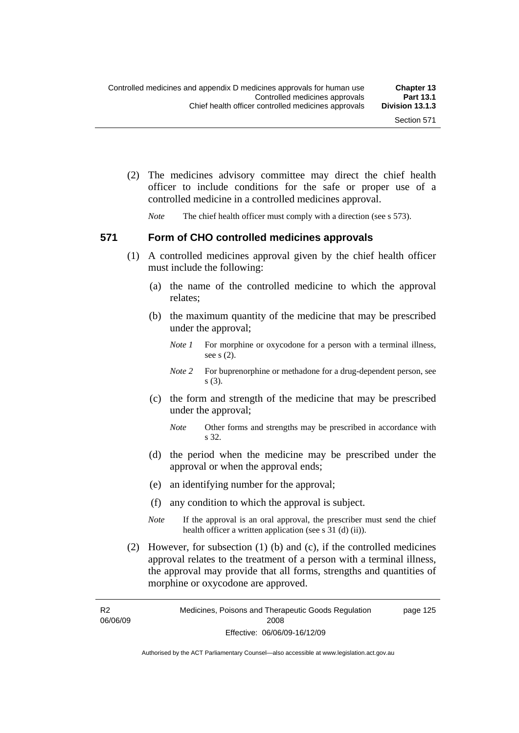(2) The medicines advisory committee may direct the chief health officer to include conditions for the safe or proper use of a controlled medicine in a controlled medicines approval.

*Note* The chief health officer must comply with a direction (see s 573).

#### **571 Form of CHO controlled medicines approvals**

- (1) A controlled medicines approval given by the chief health officer must include the following:
	- (a) the name of the controlled medicine to which the approval relates;
	- (b) the maximum quantity of the medicine that may be prescribed under the approval;
		- *Note 1* For morphine or oxycodone for a person with a terminal illness, see s (2).
		- *Note* 2 For buprenorphine or methadone for a drug-dependent person, see s (3).
	- (c) the form and strength of the medicine that may be prescribed under the approval;
		- *Note* Other forms and strengths may be prescribed in accordance with s 32.
	- (d) the period when the medicine may be prescribed under the approval or when the approval ends;
	- (e) an identifying number for the approval;
	- (f) any condition to which the approval is subject.
	- *Note* If the approval is an oral approval, the prescriber must send the chief health officer a written application (see s  $31$  (d) (ii)).
- (2) However, for subsection (1) (b) and (c), if the controlled medicines approval relates to the treatment of a person with a terminal illness, the approval may provide that all forms, strengths and quantities of morphine or oxycodone are approved.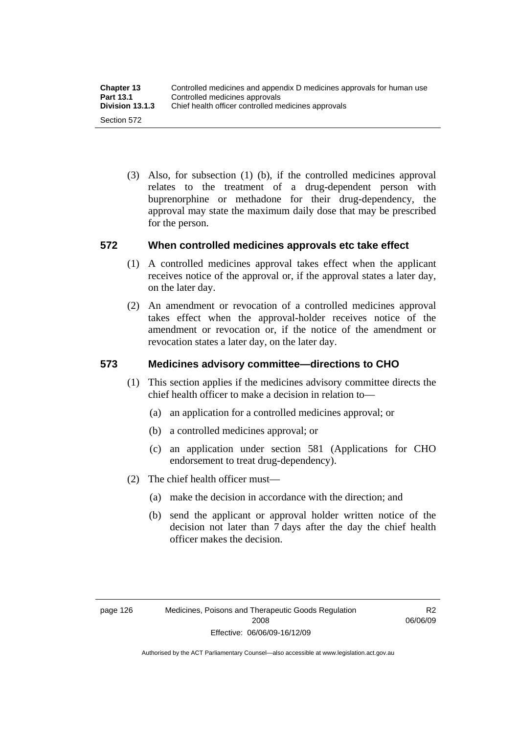(3) Also, for subsection (1) (b), if the controlled medicines approval relates to the treatment of a drug-dependent person with buprenorphine or methadone for their drug-dependency, the approval may state the maximum daily dose that may be prescribed for the person.

#### **572 When controlled medicines approvals etc take effect**

- (1) A controlled medicines approval takes effect when the applicant receives notice of the approval or, if the approval states a later day, on the later day.
- (2) An amendment or revocation of a controlled medicines approval takes effect when the approval-holder receives notice of the amendment or revocation or, if the notice of the amendment or revocation states a later day, on the later day.

### **573 Medicines advisory committee—directions to CHO**

- (1) This section applies if the medicines advisory committee directs the chief health officer to make a decision in relation to—
	- (a) an application for a controlled medicines approval; or
	- (b) a controlled medicines approval; or
	- (c) an application under section 581 (Applications for CHO endorsement to treat drug-dependency).
- (2) The chief health officer must—
	- (a) make the decision in accordance with the direction; and
	- (b) send the applicant or approval holder written notice of the decision not later than 7 days after the day the chief health officer makes the decision.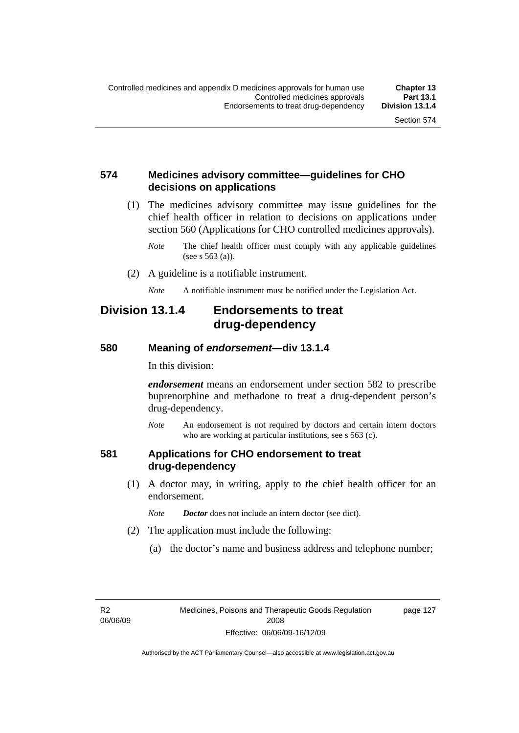#### **574 Medicines advisory committee—guidelines for CHO decisions on applications**

 (1) The medicines advisory committee may issue guidelines for the chief health officer in relation to decisions on applications under section 560 (Applications for CHO controlled medicines approvals).

- (2) A guideline is a notifiable instrument.
	- *Note* A notifiable instrument must be notified under the Legislation Act.

### **Division 13.1.4 Endorsements to treat drug-dependency**

#### **580 Meaning of** *endorsement***—div 13.1.4**

In this division:

*endorsement* means an endorsement under section 582 to prescribe buprenorphine and methadone to treat a drug-dependent person's drug-dependency.

*Note* An endorsement is not required by doctors and certain intern doctors who are working at particular institutions, see s 563 (c).

#### **581 Applications for CHO endorsement to treat drug-dependency**

- (1) A doctor may, in writing, apply to the chief health officer for an endorsement.
	- *Note Doctor* does not include an intern doctor (see dict).
- (2) The application must include the following:
	- (a) the doctor's name and business address and telephone number;

R2 06/06/09 page 127

*Note* The chief health officer must comply with any applicable guidelines (see s 563 (a)).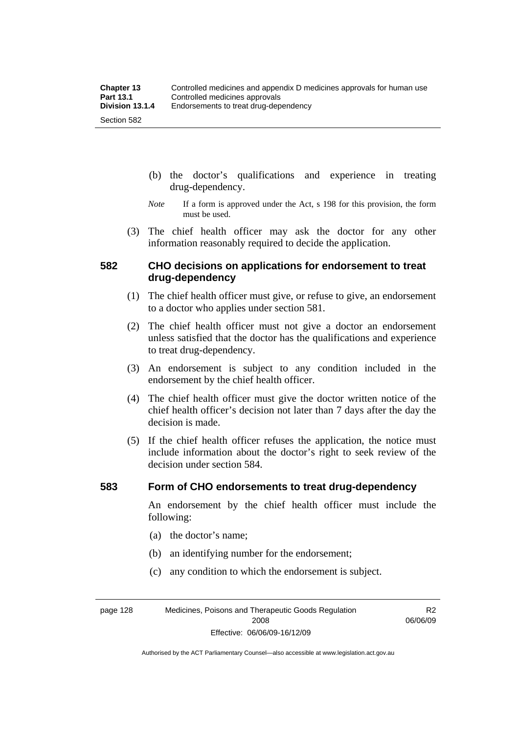- (b) the doctor's qualifications and experience in treating drug-dependency.
- *Note* If a form is approved under the Act, s 198 for this provision, the form must be used.
- (3) The chief health officer may ask the doctor for any other information reasonably required to decide the application.

#### **582 CHO decisions on applications for endorsement to treat drug-dependency**

- (1) The chief health officer must give, or refuse to give, an endorsement to a doctor who applies under section 581.
- (2) The chief health officer must not give a doctor an endorsement unless satisfied that the doctor has the qualifications and experience to treat drug-dependency.
- (3) An endorsement is subject to any condition included in the endorsement by the chief health officer.
- (4) The chief health officer must give the doctor written notice of the chief health officer's decision not later than 7 days after the day the decision is made.
- (5) If the chief health officer refuses the application, the notice must include information about the doctor's right to seek review of the decision under section 584.

#### **583 Form of CHO endorsements to treat drug-dependency**

An endorsement by the chief health officer must include the following:

- (a) the doctor's name;
- (b) an identifying number for the endorsement;
- (c) any condition to which the endorsement is subject.

page 128 Medicines, Poisons and Therapeutic Goods Regulation 2008 Effective: 06/06/09-16/12/09

R2 06/06/09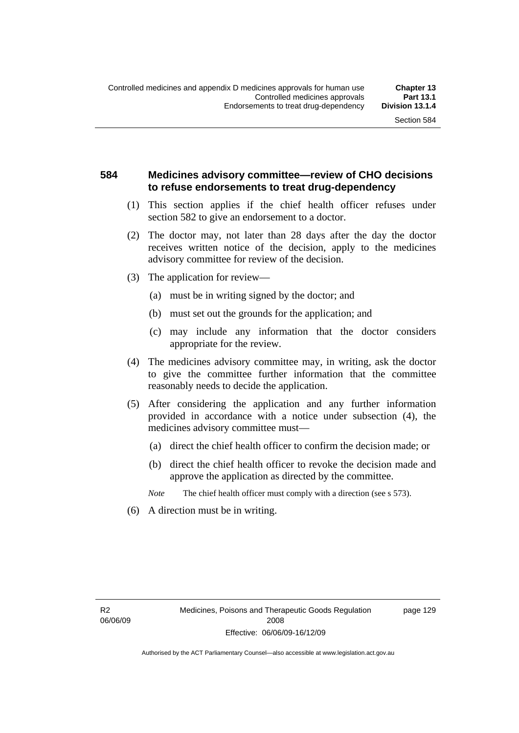#### **584 Medicines advisory committee—review of CHO decisions to refuse endorsements to treat drug-dependency**

- (1) This section applies if the chief health officer refuses under section 582 to give an endorsement to a doctor.
- (2) The doctor may, not later than 28 days after the day the doctor receives written notice of the decision, apply to the medicines advisory committee for review of the decision.
- (3) The application for review—
	- (a) must be in writing signed by the doctor; and
	- (b) must set out the grounds for the application; and
	- (c) may include any information that the doctor considers appropriate for the review.
- (4) The medicines advisory committee may, in writing, ask the doctor to give the committee further information that the committee reasonably needs to decide the application.
- (5) After considering the application and any further information provided in accordance with a notice under subsection (4), the medicines advisory committee must—
	- (a) direct the chief health officer to confirm the decision made; or
	- (b) direct the chief health officer to revoke the decision made and approve the application as directed by the committee.

*Note* The chief health officer must comply with a direction (see s 573).

(6) A direction must be in writing.

page 129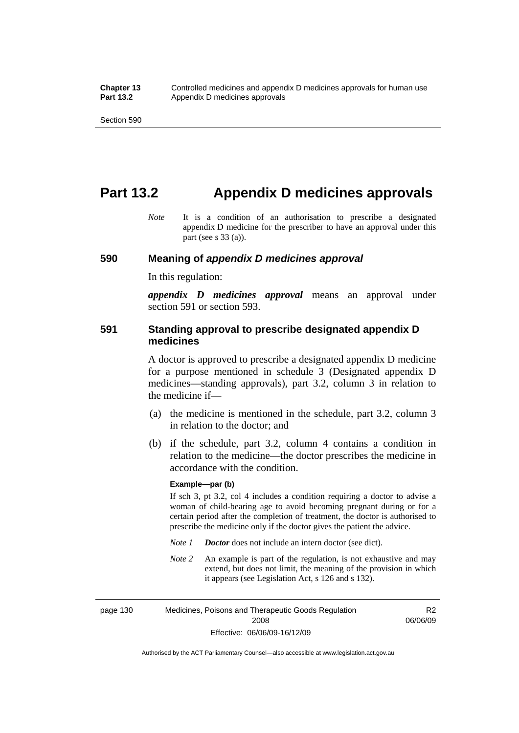## **Part 13.2 Appendix D medicines approvals**

*Note* It is a condition of an authorisation to prescribe a designated appendix D medicine for the prescriber to have an approval under this part (see s 33 (a)).

#### **590 Meaning of** *appendix D medicines approval*

In this regulation:

*appendix D medicines approval* means an approval under section 591 or section 593.

#### **591 Standing approval to prescribe designated appendix D medicines**

A doctor is approved to prescribe a designated appendix D medicine for a purpose mentioned in schedule 3 (Designated appendix D medicines—standing approvals), part 3.2, column 3 in relation to the medicine if—

- (a) the medicine is mentioned in the schedule, part 3.2, column 3 in relation to the doctor; and
- (b) if the schedule, part 3.2, column 4 contains a condition in relation to the medicine—the doctor prescribes the medicine in accordance with the condition.

#### **Example—par (b)**

If sch 3, pt 3.2, col 4 includes a condition requiring a doctor to advise a woman of child-bearing age to avoid becoming pregnant during or for a certain period after the completion of treatment, the doctor is authorised to prescribe the medicine only if the doctor gives the patient the advice.

- *Note 1 Doctor* does not include an intern doctor (see dict).
- *Note 2* An example is part of the regulation, is not exhaustive and may extend, but does not limit, the meaning of the provision in which it appears (see Legislation Act, s 126 and s 132).

page 130 Medicines, Poisons and Therapeutic Goods Regulation 2008 Effective: 06/06/09-16/12/09 R2 06/06/09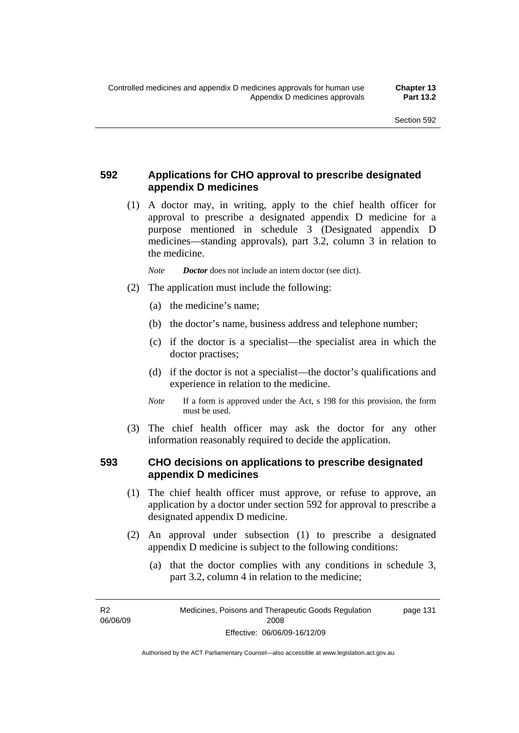### **592 Applications for CHO approval to prescribe designated appendix D medicines**

 (1) A doctor may, in writing, apply to the chief health officer for approval to prescribe a designated appendix D medicine for a purpose mentioned in schedule 3 (Designated appendix D medicines—standing approvals), part 3.2, column 3 in relation to the medicine.

*Note Doctor* does not include an intern doctor (see dict).

- (2) The application must include the following:
	- (a) the medicine's name;
	- (b) the doctor's name, business address and telephone number;
	- (c) if the doctor is a specialist—the specialist area in which the doctor practises;
	- (d) if the doctor is not a specialist—the doctor's qualifications and experience in relation to the medicine.
	- *Note* If a form is approved under the Act, s 198 for this provision, the form must be used.
- (3) The chief health officer may ask the doctor for any other information reasonably required to decide the application.

#### **593 CHO decisions on applications to prescribe designated appendix D medicines**

- (1) The chief health officer must approve, or refuse to approve, an application by a doctor under section 592 for approval to prescribe a designated appendix D medicine.
- (2) An approval under subsection (1) to prescribe a designated appendix D medicine is subject to the following conditions:
	- (a) that the doctor complies with any conditions in schedule 3, part 3.2, column 4 in relation to the medicine;

R2 06/06/09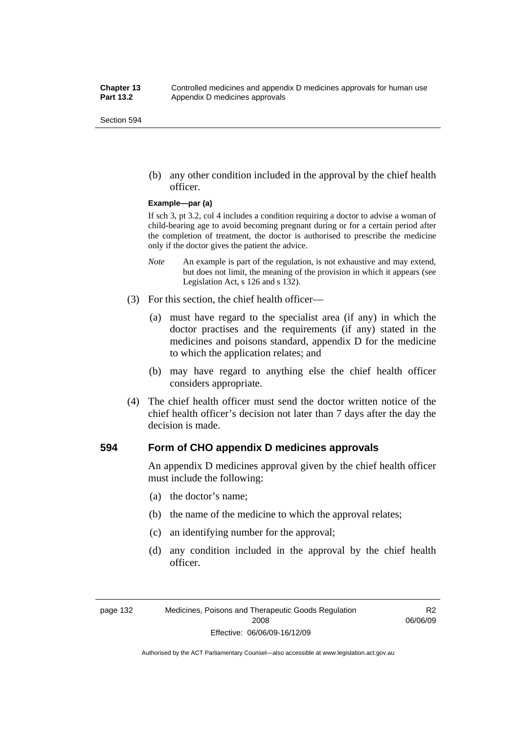(b) any other condition included in the approval by the chief health officer.

#### **Example—par (a)**

If sch 3, pt 3.2, col 4 includes a condition requiring a doctor to advise a woman of child-bearing age to avoid becoming pregnant during or for a certain period after the completion of treatment, the doctor is authorised to prescribe the medicine only if the doctor gives the patient the advice.

- *Note* An example is part of the regulation, is not exhaustive and may extend, but does not limit, the meaning of the provision in which it appears (see Legislation Act, s 126 and s 132).
- (3) For this section, the chief health officer—
	- (a) must have regard to the specialist area (if any) in which the doctor practises and the requirements (if any) stated in the medicines and poisons standard, appendix D for the medicine to which the application relates; and
	- (b) may have regard to anything else the chief health officer considers appropriate.
- (4) The chief health officer must send the doctor written notice of the chief health officer's decision not later than 7 days after the day the decision is made.

#### **594 Form of CHO appendix D medicines approvals**

An appendix D medicines approval given by the chief health officer must include the following:

- (a) the doctor's name;
- (b) the name of the medicine to which the approval relates;
- (c) an identifying number for the approval;
- (d) any condition included in the approval by the chief health officer.

R2 06/06/09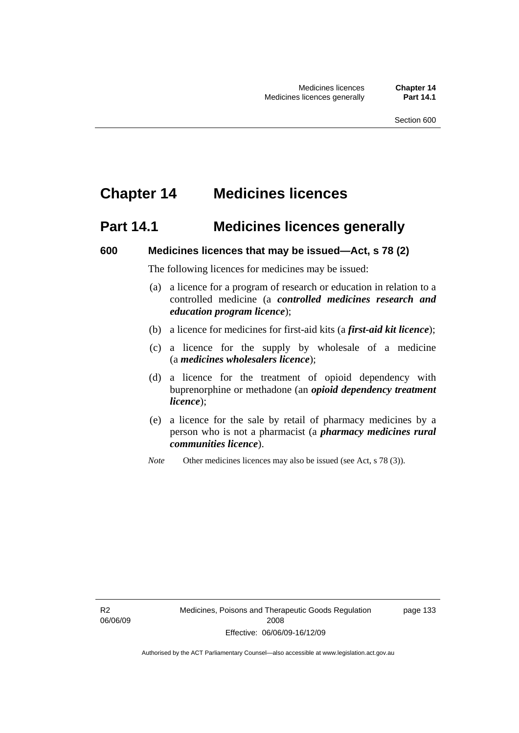# **Chapter 14 Medicines licences**

## **Part 14.1 Medicines licences generally**

#### **600 Medicines licences that may be issued—Act, s 78 (2)**

The following licences for medicines may be issued:

- (a) a licence for a program of research or education in relation to a controlled medicine (a *controlled medicines research and education program licence*);
- (b) a licence for medicines for first-aid kits (a *first-aid kit licence*);
- (c) a licence for the supply by wholesale of a medicine (a *medicines wholesalers licence*);
- (d) a licence for the treatment of opioid dependency with buprenorphine or methadone (an *opioid dependency treatment licence*);
- (e) a licence for the sale by retail of pharmacy medicines by a person who is not a pharmacist (a *pharmacy medicines rural communities licence*).
- *Note* Other medicines licences may also be issued (see Act, s 78 (3)).

R2 06/06/09 page 133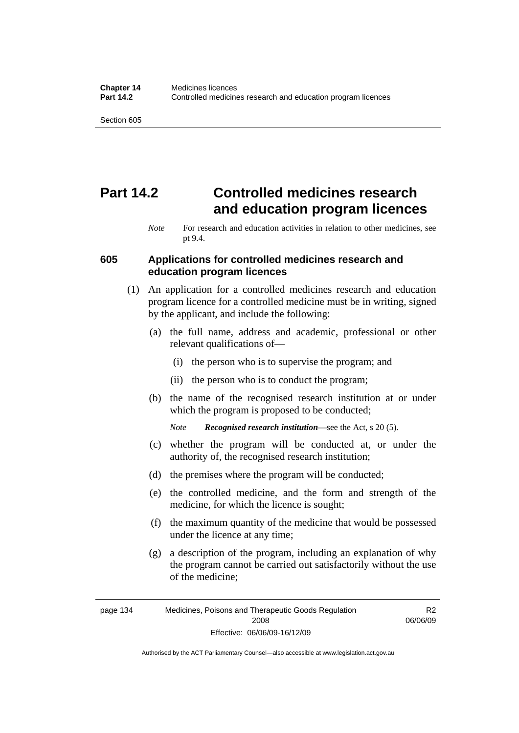# **Part 14.2 Controlled medicines research and education program licences**

#### **605 Applications for controlled medicines research and education program licences**

- (1) An application for a controlled medicines research and education program licence for a controlled medicine must be in writing, signed by the applicant, and include the following:
	- (a) the full name, address and academic, professional or other relevant qualifications of—
		- (i) the person who is to supervise the program; and
		- (ii) the person who is to conduct the program;
	- (b) the name of the recognised research institution at or under which the program is proposed to be conducted;

*Note Recognised research institution*—see the Act, s 20 (5).

- (c) whether the program will be conducted at, or under the authority of, the recognised research institution;
- (d) the premises where the program will be conducted;
- (e) the controlled medicine, and the form and strength of the medicine, for which the licence is sought;
- (f) the maximum quantity of the medicine that would be possessed under the licence at any time;
- (g) a description of the program, including an explanation of why the program cannot be carried out satisfactorily without the use of the medicine;

R2 06/06/09

*Note* For research and education activities in relation to other medicines, see pt 9.4.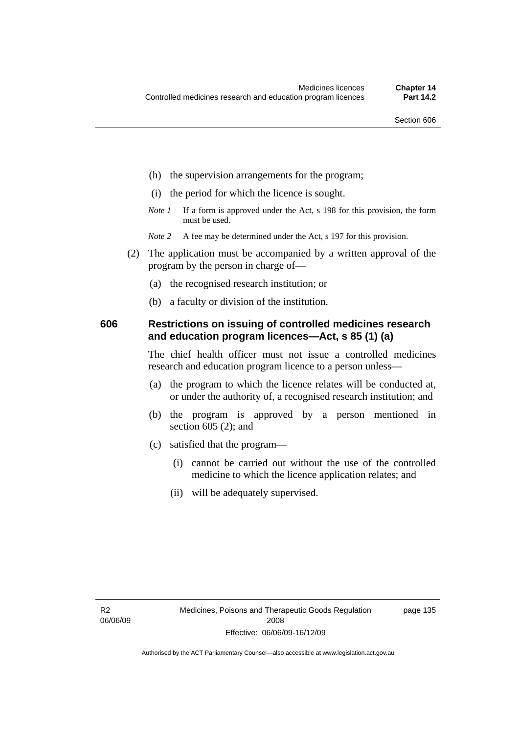- (h) the supervision arrangements for the program;
- (i) the period for which the licence is sought.
- *Note 1* If a form is approved under the Act, s 198 for this provision, the form must be used.
- *Note* 2 A fee may be determined under the Act, s 197 for this provision.
- (2) The application must be accompanied by a written approval of the program by the person in charge of—
	- (a) the recognised research institution; or
	- (b) a faculty or division of the institution.

#### **606 Restrictions on issuing of controlled medicines research and education program licences—Act, s 85 (1) (a)**

The chief health officer must not issue a controlled medicines research and education program licence to a person unless—

- (a) the program to which the licence relates will be conducted at, or under the authority of, a recognised research institution; and
- (b) the program is approved by a person mentioned in section 605 (2); and
- (c) satisfied that the program—
	- (i) cannot be carried out without the use of the controlled medicine to which the licence application relates; and
	- (ii) will be adequately supervised.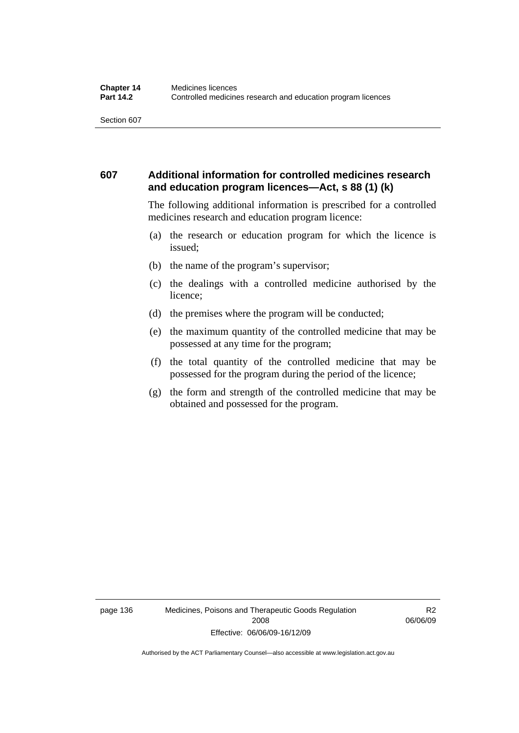#### **607 Additional information for controlled medicines research and education program licences—Act, s 88 (1) (k)**

The following additional information is prescribed for a controlled medicines research and education program licence:

- (a) the research or education program for which the licence is issued;
- (b) the name of the program's supervisor;
- (c) the dealings with a controlled medicine authorised by the licence;
- (d) the premises where the program will be conducted;
- (e) the maximum quantity of the controlled medicine that may be possessed at any time for the program;
- (f) the total quantity of the controlled medicine that may be possessed for the program during the period of the licence;
- (g) the form and strength of the controlled medicine that may be obtained and possessed for the program.

R2 06/06/09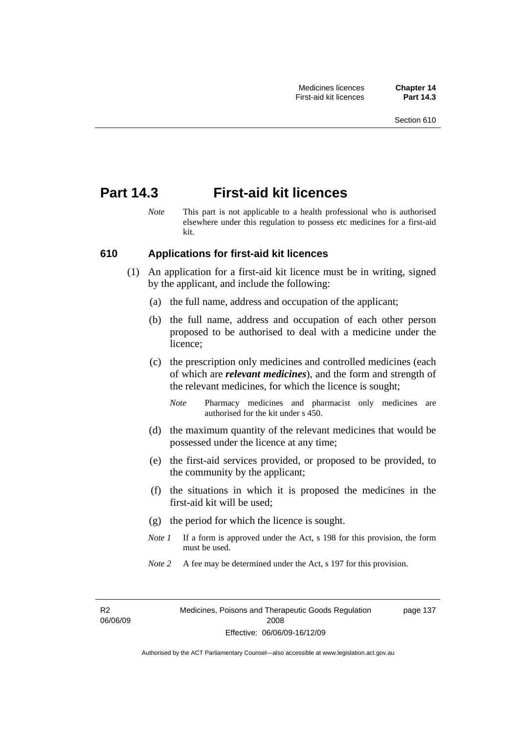### **Part 14.3 First-aid kit licences**

*Note* This part is not applicable to a health professional who is authorised elsewhere under this regulation to possess etc medicines for a first-aid kit.

#### **610 Applications for first-aid kit licences**

- (1) An application for a first-aid kit licence must be in writing, signed by the applicant, and include the following:
	- (a) the full name, address and occupation of the applicant;
	- (b) the full name, address and occupation of each other person proposed to be authorised to deal with a medicine under the licence;
	- (c) the prescription only medicines and controlled medicines (each of which are *relevant medicines*), and the form and strength of the relevant medicines, for which the licence is sought;
		- *Note* Pharmacy medicines and pharmacist only medicines are authorised for the kit under s 450.
	- (d) the maximum quantity of the relevant medicines that would be possessed under the licence at any time;
	- (e) the first-aid services provided, or proposed to be provided, to the community by the applicant;
	- (f) the situations in which it is proposed the medicines in the first-aid kit will be used;
	- (g) the period for which the licence is sought.
	- *Note 1* If a form is approved under the Act, s 198 for this provision, the form must be used.
	- *Note* 2 A fee may be determined under the Act, s 197 for this provision.

R2 06/06/09 page 137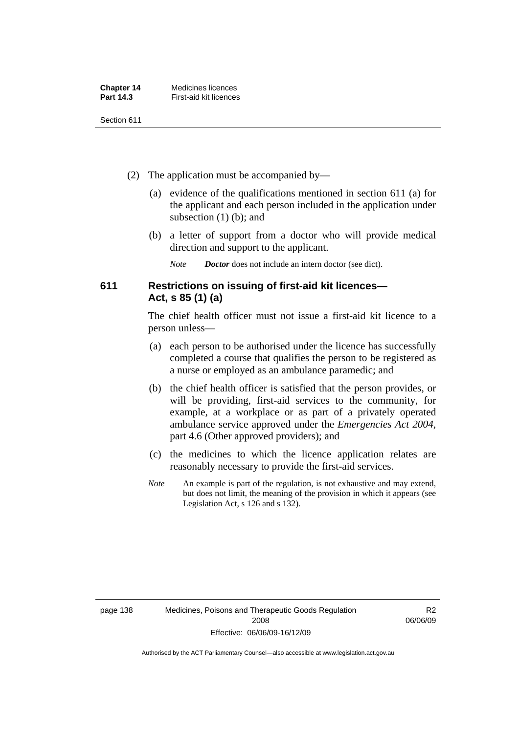| <b>Chapter 14</b> | Medicines licences     |
|-------------------|------------------------|
| Part 14.3         | First-aid kit licences |

- (2) The application must be accompanied by—
	- (a) evidence of the qualifications mentioned in section 611 (a) for the applicant and each person included in the application under subsection (1) (b); and
	- (b) a letter of support from a doctor who will provide medical direction and support to the applicant.
		- *Note Doctor* does not include an intern doctor (see dict).

#### **611 Restrictions on issuing of first-aid kit licences— Act, s 85 (1) (a)**

The chief health officer must not issue a first-aid kit licence to a person unless—

- (a) each person to be authorised under the licence has successfully completed a course that qualifies the person to be registered as a nurse or employed as an ambulance paramedic; and
- (b) the chief health officer is satisfied that the person provides, or will be providing, first-aid services to the community, for example, at a workplace or as part of a privately operated ambulance service approved under the *Emergencies Act 2004*, part 4.6 (Other approved providers); and
- (c) the medicines to which the licence application relates are reasonably necessary to provide the first-aid services.
- *Note* An example is part of the regulation, is not exhaustive and may extend, but does not limit, the meaning of the provision in which it appears (see Legislation Act, s 126 and s 132).

R2 06/06/09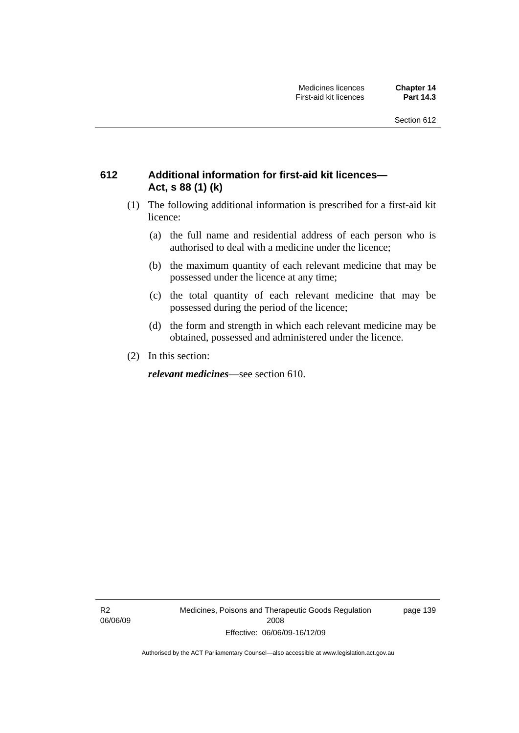### **612 Additional information for first-aid kit licences— Act, s 88 (1) (k)**

- (1) The following additional information is prescribed for a first-aid kit licence:
	- (a) the full name and residential address of each person who is authorised to deal with a medicine under the licence;
	- (b) the maximum quantity of each relevant medicine that may be possessed under the licence at any time;
	- (c) the total quantity of each relevant medicine that may be possessed during the period of the licence;
	- (d) the form and strength in which each relevant medicine may be obtained, possessed and administered under the licence.
- (2) In this section:

*relevant medicines*—see section 610.

R2 06/06/09 Medicines, Poisons and Therapeutic Goods Regulation 2008 Effective: 06/06/09-16/12/09

page 139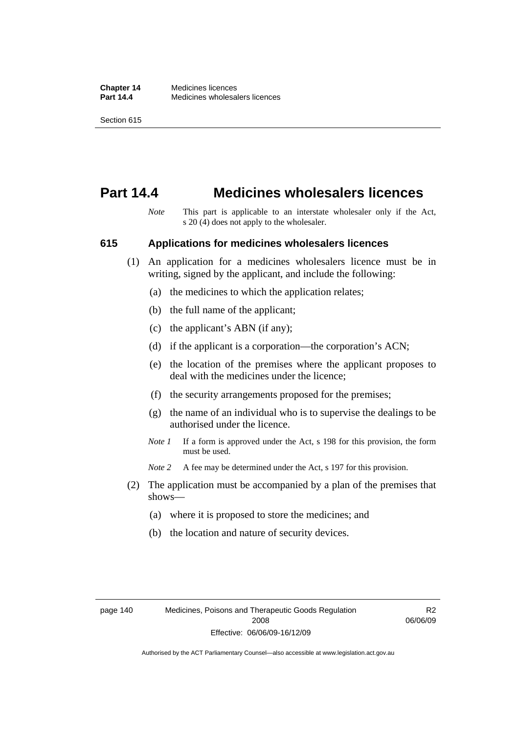### **Part 14.4 Medicines wholesalers licences**

*Note* This part is applicable to an interstate wholesaler only if the Act, s 20 (4) does not apply to the wholesaler.

#### **615 Applications for medicines wholesalers licences**

- (1) An application for a medicines wholesalers licence must be in writing, signed by the applicant, and include the following:
	- (a) the medicines to which the application relates;
	- (b) the full name of the applicant;
	- (c) the applicant's ABN (if any);
	- (d) if the applicant is a corporation—the corporation's ACN;
	- (e) the location of the premises where the applicant proposes to deal with the medicines under the licence;
	- (f) the security arrangements proposed for the premises;
	- (g) the name of an individual who is to supervise the dealings to be authorised under the licence.
	- *Note 1* If a form is approved under the Act, s 198 for this provision, the form must be used.
	- *Note* 2 A fee may be determined under the Act, s 197 for this provision.
- (2) The application must be accompanied by a plan of the premises that shows—
	- (a) where it is proposed to store the medicines; and
	- (b) the location and nature of security devices.

R2 06/06/09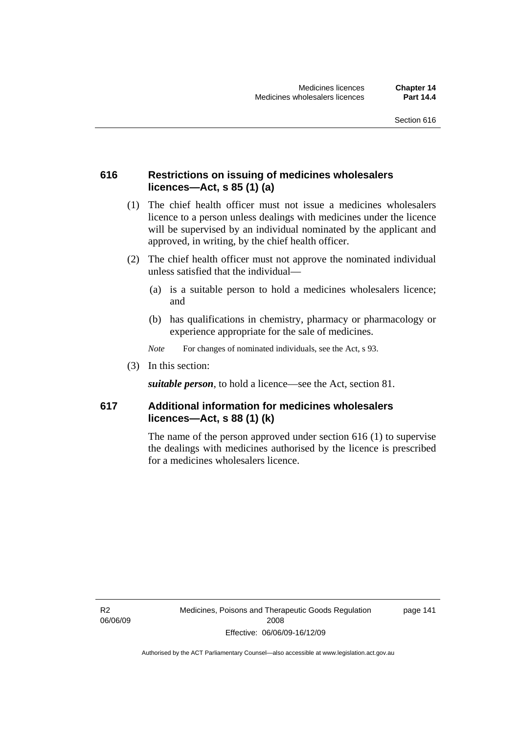#### **616 Restrictions on issuing of medicines wholesalers licences—Act, s 85 (1) (a)**

- (1) The chief health officer must not issue a medicines wholesalers licence to a person unless dealings with medicines under the licence will be supervised by an individual nominated by the applicant and approved, in writing, by the chief health officer.
- (2) The chief health officer must not approve the nominated individual unless satisfied that the individual—
	- (a) is a suitable person to hold a medicines wholesalers licence; and
	- (b) has qualifications in chemistry, pharmacy or pharmacology or experience appropriate for the sale of medicines.
	- *Note* For changes of nominated individuals, see the Act, s 93.
- (3) In this section:

*suitable person*, to hold a licence—see the Act, section 81.

#### **617 Additional information for medicines wholesalers licences—Act, s 88 (1) (k)**

The name of the person approved under section 616 (1) to supervise the dealings with medicines authorised by the licence is prescribed for a medicines wholesalers licence.

R2 06/06/09 page 141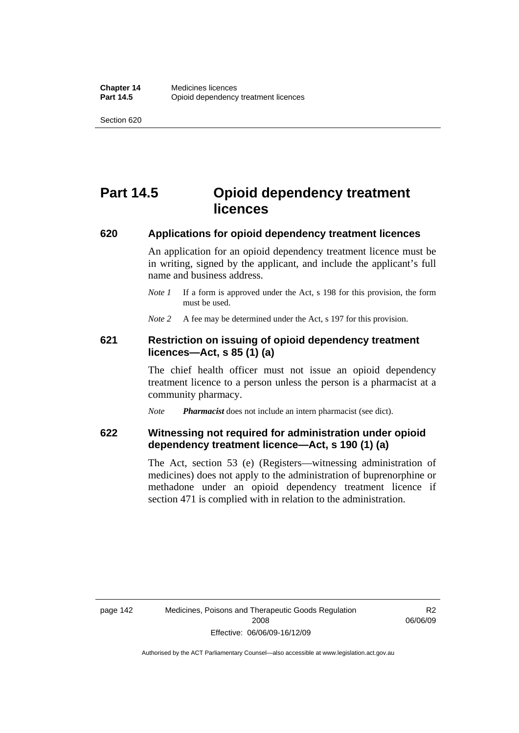# **Part 14.5 Opioid dependency treatment licences**

#### **620 Applications for opioid dependency treatment licences**

An application for an opioid dependency treatment licence must be in writing, signed by the applicant, and include the applicant's full name and business address.

*Note 1* If a form is approved under the Act, s 198 for this provision, the form must be used.

*Note* 2 A fee may be determined under the Act, s 197 for this provision.

#### **621 Restriction on issuing of opioid dependency treatment licences—Act, s 85 (1) (a)**

The chief health officer must not issue an opioid dependency treatment licence to a person unless the person is a pharmacist at a community pharmacy.

*Note Pharmacist* does not include an intern pharmacist (see dict).

#### **622 Witnessing not required for administration under opioid dependency treatment licence—Act, s 190 (1) (a)**

The Act, section 53 (e) (Registers—witnessing administration of medicines) does not apply to the administration of buprenorphine or methadone under an opioid dependency treatment licence if section 471 is complied with in relation to the administration.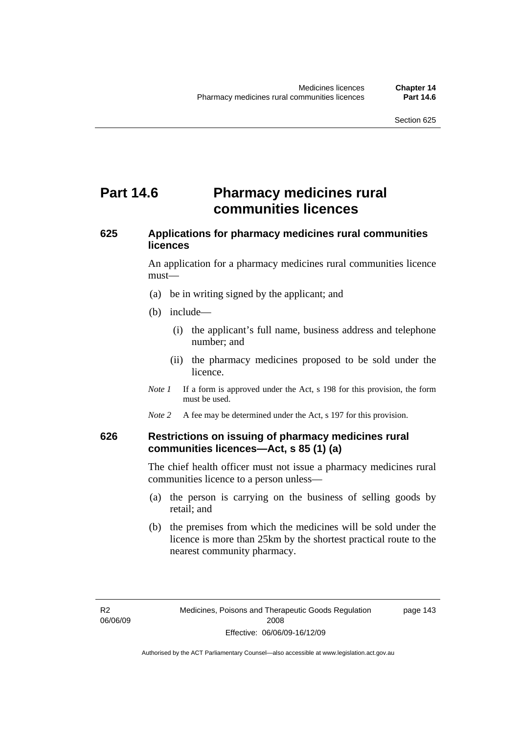# **Part 14.6** Pharmacy medicines rural **communities licences**

### **625 Applications for pharmacy medicines rural communities licences**

An application for a pharmacy medicines rural communities licence must—

- (a) be in writing signed by the applicant; and
- (b) include—
	- (i) the applicant's full name, business address and telephone number; and
	- (ii) the pharmacy medicines proposed to be sold under the licence.
- *Note 1* If a form is approved under the Act, s 198 for this provision, the form must be used.
- *Note* 2 A fee may be determined under the Act, s 197 for this provision.

#### **626 Restrictions on issuing of pharmacy medicines rural communities licences—Act, s 85 (1) (a)**

The chief health officer must not issue a pharmacy medicines rural communities licence to a person unless—

- (a) the person is carrying on the business of selling goods by retail; and
- (b) the premises from which the medicines will be sold under the licence is more than 25km by the shortest practical route to the nearest community pharmacy.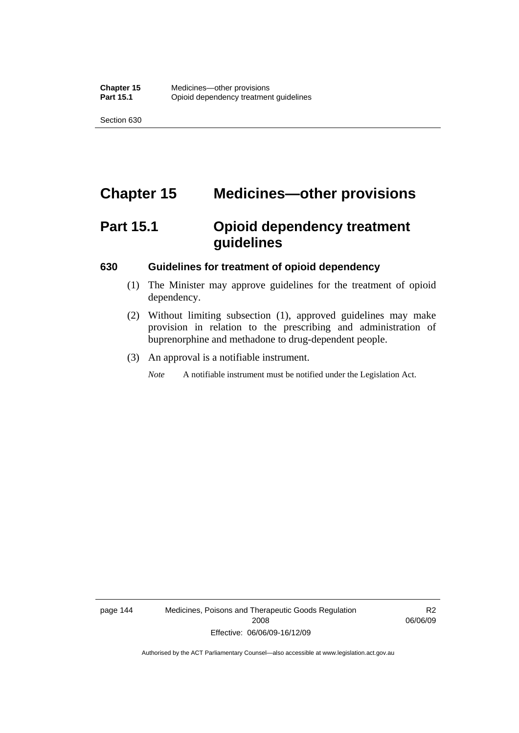# **Chapter 15 Medicines—other provisions**

# **Part 15.1 Opioid dependency treatment guidelines**

#### **630 Guidelines for treatment of opioid dependency**

- (1) The Minister may approve guidelines for the treatment of opioid dependency.
- (2) Without limiting subsection (1), approved guidelines may make provision in relation to the prescribing and administration of buprenorphine and methadone to drug-dependent people.
- (3) An approval is a notifiable instrument.

*Note* A notifiable instrument must be notified under the Legislation Act.

page 144 Medicines, Poisons and Therapeutic Goods Regulation 2008 Effective: 06/06/09-16/12/09

R2 06/06/09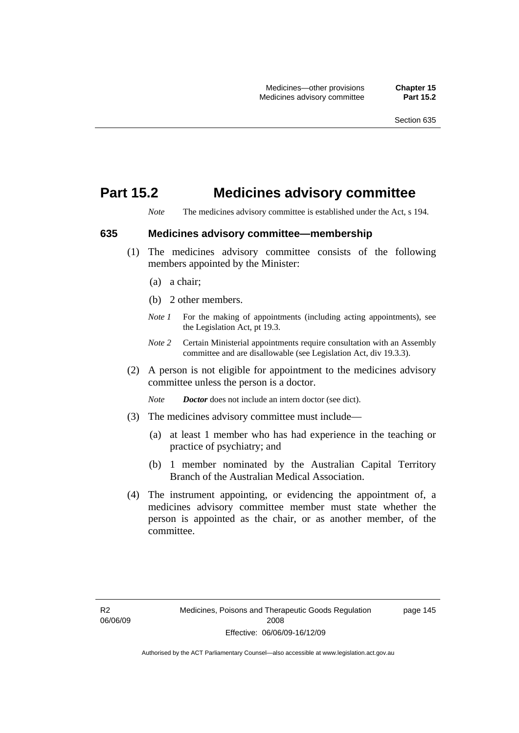### **Part 15.2 Medicines advisory committee**

*Note* The medicines advisory committee is established under the Act, s 194.

**635 Medicines advisory committee—membership** 

- (1) The medicines advisory committee consists of the following members appointed by the Minister:
	- (a) a chair;
	- (b) 2 other members.
	- *Note 1* For the making of appointments (including acting appointments), see the Legislation Act, pt 19.3.
	- *Note 2* Certain Ministerial appointments require consultation with an Assembly committee and are disallowable (see Legislation Act, div 19.3.3).
- (2) A person is not eligible for appointment to the medicines advisory committee unless the person is a doctor.

*Note Doctor* does not include an intern doctor (see dict).

- (3) The medicines advisory committee must include—
	- (a) at least 1 member who has had experience in the teaching or practice of psychiatry; and
	- (b) 1 member nominated by the Australian Capital Territory Branch of the Australian Medical Association.
- (4) The instrument appointing, or evidencing the appointment of, a medicines advisory committee member must state whether the person is appointed as the chair, or as another member, of the committee.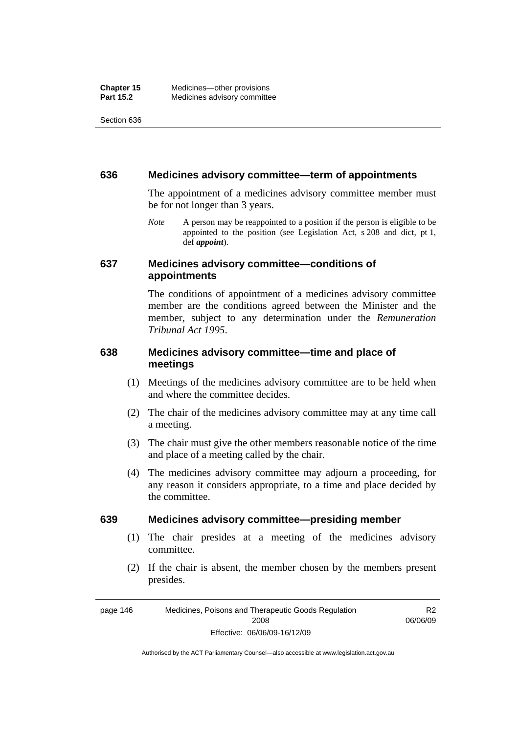#### **636 Medicines advisory committee—term of appointments**

The appointment of a medicines advisory committee member must be for not longer than 3 years.

*Note* A person may be reappointed to a position if the person is eligible to be appointed to the position (see Legislation Act, s 208 and dict, pt 1, def *appoint*).

#### **637 Medicines advisory committee—conditions of appointments**

The conditions of appointment of a medicines advisory committee member are the conditions agreed between the Minister and the member, subject to any determination under the *Remuneration Tribunal Act 1995*.

#### **638 Medicines advisory committee—time and place of meetings**

- (1) Meetings of the medicines advisory committee are to be held when and where the committee decides.
- (2) The chair of the medicines advisory committee may at any time call a meeting.
- (3) The chair must give the other members reasonable notice of the time and place of a meeting called by the chair.
- (4) The medicines advisory committee may adjourn a proceeding, for any reason it considers appropriate, to a time and place decided by the committee.

#### **639 Medicines advisory committee—presiding member**

- (1) The chair presides at a meeting of the medicines advisory committee.
- (2) If the chair is absent, the member chosen by the members present presides.

R2 06/06/09

page 146 Medicines, Poisons and Therapeutic Goods Regulation 2008 Effective: 06/06/09-16/12/09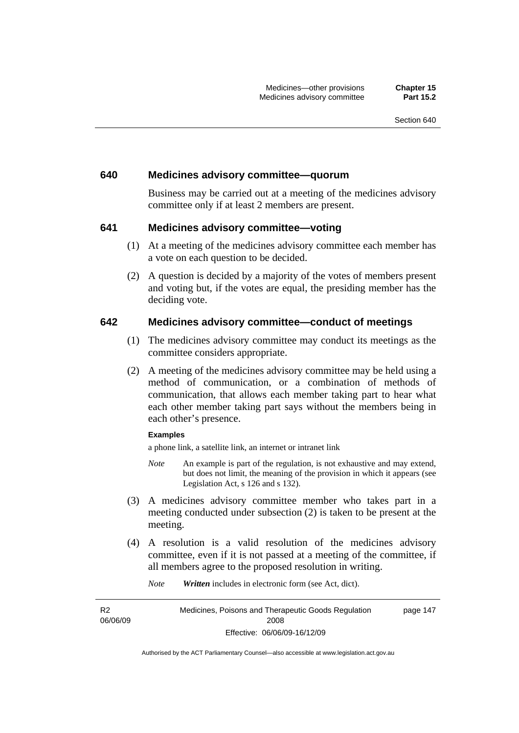#### **640 Medicines advisory committee—quorum**

Business may be carried out at a meeting of the medicines advisory committee only if at least 2 members are present.

#### **641 Medicines advisory committee—voting**

- (1) At a meeting of the medicines advisory committee each member has a vote on each question to be decided.
- (2) A question is decided by a majority of the votes of members present and voting but, if the votes are equal, the presiding member has the deciding vote.

#### **642 Medicines advisory committee—conduct of meetings**

- (1) The medicines advisory committee may conduct its meetings as the committee considers appropriate.
- (2) A meeting of the medicines advisory committee may be held using a method of communication, or a combination of methods of communication, that allows each member taking part to hear what each other member taking part says without the members being in each other's presence.

#### **Examples**

a phone link, a satellite link, an internet or intranet link

- *Note* An example is part of the regulation, is not exhaustive and may extend, but does not limit, the meaning of the provision in which it appears (see Legislation Act, s 126 and s 132).
- (3) A medicines advisory committee member who takes part in a meeting conducted under subsection (2) is taken to be present at the meeting.
- (4) A resolution is a valid resolution of the medicines advisory committee, even if it is not passed at a meeting of the committee, if all members agree to the proposed resolution in writing.

*Note Written* includes in electronic form (see Act, dict).

R2 06/06/09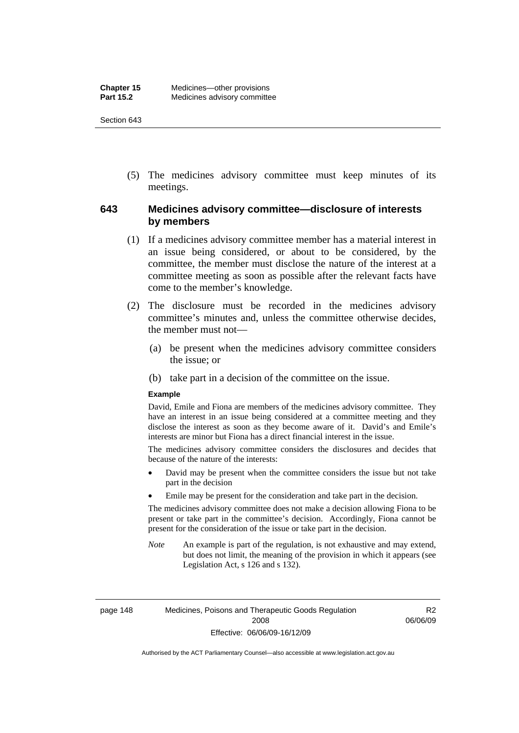(5) The medicines advisory committee must keep minutes of its meetings.

#### **643 Medicines advisory committee—disclosure of interests by members**

- (1) If a medicines advisory committee member has a material interest in an issue being considered, or about to be considered, by the committee, the member must disclose the nature of the interest at a committee meeting as soon as possible after the relevant facts have come to the member's knowledge.
- (2) The disclosure must be recorded in the medicines advisory committee's minutes and, unless the committee otherwise decides, the member must not—
	- (a) be present when the medicines advisory committee considers the issue; or
	- (b) take part in a decision of the committee on the issue.

#### **Example**

David, Emile and Fiona are members of the medicines advisory committee. They have an interest in an issue being considered at a committee meeting and they disclose the interest as soon as they become aware of it. David's and Emile's interests are minor but Fiona has a direct financial interest in the issue.

The medicines advisory committee considers the disclosures and decides that because of the nature of the interests:

- David may be present when the committee considers the issue but not take part in the decision
- Emile may be present for the consideration and take part in the decision.

The medicines advisory committee does not make a decision allowing Fiona to be present or take part in the committee's decision. Accordingly, Fiona cannot be present for the consideration of the issue or take part in the decision.

*Note* An example is part of the regulation, is not exhaustive and may extend, but does not limit, the meaning of the provision in which it appears (see Legislation Act, s 126 and s 132).

R2 06/06/09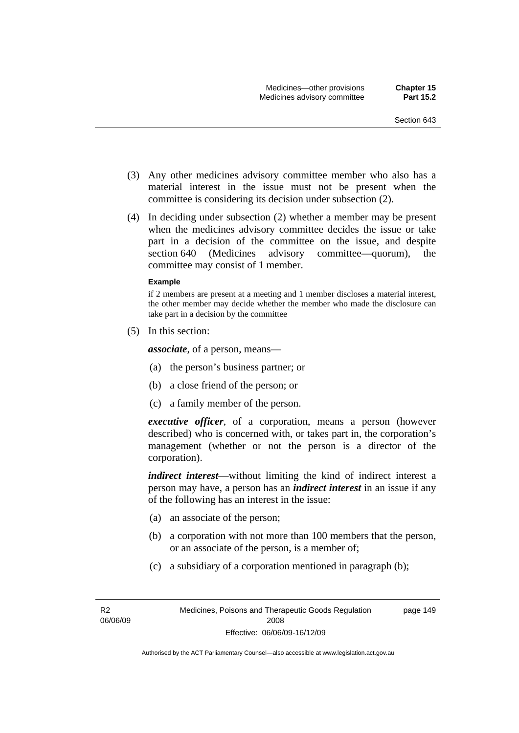- (3) Any other medicines advisory committee member who also has a material interest in the issue must not be present when the committee is considering its decision under subsection (2).
- (4) In deciding under subsection (2) whether a member may be present when the medicines advisory committee decides the issue or take part in a decision of the committee on the issue, and despite section 640 (Medicines advisory committee—quorum), the committee may consist of 1 member.

#### **Example**

if 2 members are present at a meeting and 1 member discloses a material interest, the other member may decide whether the member who made the disclosure can take part in a decision by the committee

(5) In this section:

*associate*, of a person, means—

- (a) the person's business partner; or
- (b) a close friend of the person; or
- (c) a family member of the person.

*executive officer*, of a corporation, means a person (however described) who is concerned with, or takes part in, the corporation's management (whether or not the person is a director of the corporation).

*indirect interest*—without limiting the kind of indirect interest a person may have, a person has an *indirect interest* in an issue if any of the following has an interest in the issue:

- (a) an associate of the person;
- (b) a corporation with not more than 100 members that the person, or an associate of the person, is a member of;
- (c) a subsidiary of a corporation mentioned in paragraph (b);

R2 06/06/09 page 149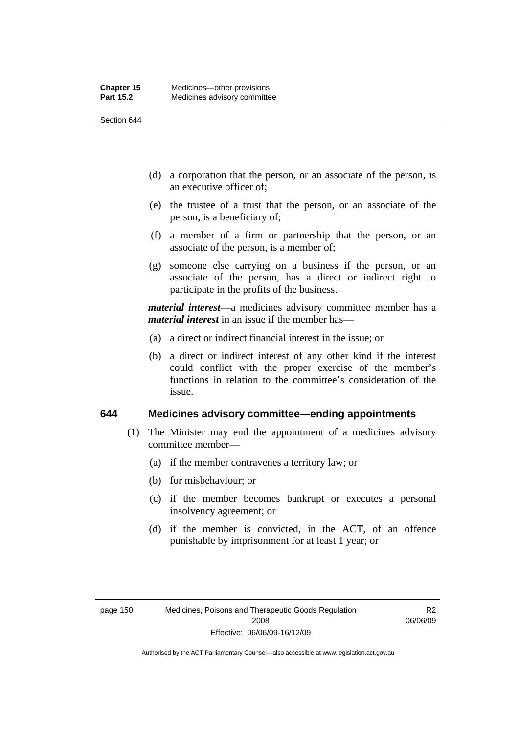- (d) a corporation that the person, or an associate of the person, is an executive officer of;
- (e) the trustee of a trust that the person, or an associate of the person, is a beneficiary of;
- (f) a member of a firm or partnership that the person, or an associate of the person, is a member of;
- (g) someone else carrying on a business if the person, or an associate of the person, has a direct or indirect right to participate in the profits of the business.

*material interest*—a medicines advisory committee member has a *material interest* in an issue if the member has—

- (a) a direct or indirect financial interest in the issue; or
- (b) a direct or indirect interest of any other kind if the interest could conflict with the proper exercise of the member's functions in relation to the committee's consideration of the issue.

#### **644 Medicines advisory committee—ending appointments**

- (1) The Minister may end the appointment of a medicines advisory committee member—
	- (a) if the member contravenes a territory law; or
	- (b) for misbehaviour; or
	- (c) if the member becomes bankrupt or executes a personal insolvency agreement; or
	- (d) if the member is convicted, in the ACT, of an offence punishable by imprisonment for at least 1 year; or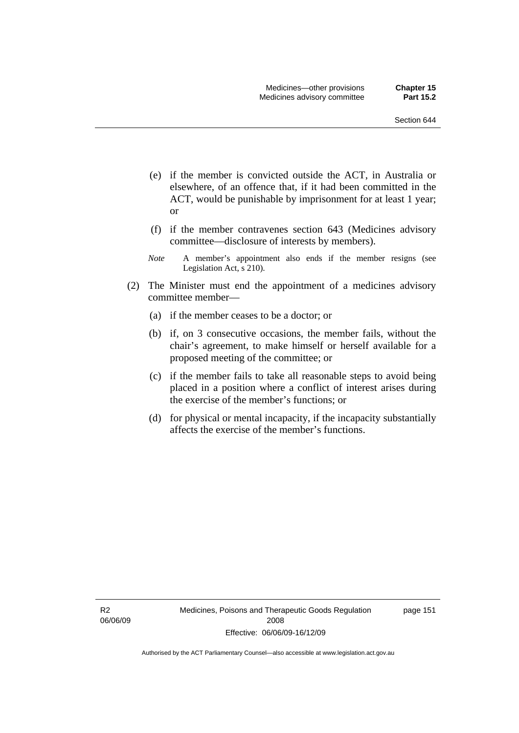- (e) if the member is convicted outside the ACT, in Australia or elsewhere, of an offence that, if it had been committed in the ACT, would be punishable by imprisonment for at least 1 year; or
- (f) if the member contravenes section 643 (Medicines advisory committee—disclosure of interests by members).
- *Note* A member's appointment also ends if the member resigns (see Legislation Act, s 210).
- (2) The Minister must end the appointment of a medicines advisory committee member—
	- (a) if the member ceases to be a doctor; or
	- (b) if, on 3 consecutive occasions, the member fails, without the chair's agreement, to make himself or herself available for a proposed meeting of the committee; or
	- (c) if the member fails to take all reasonable steps to avoid being placed in a position where a conflict of interest arises during the exercise of the member's functions; or
	- (d) for physical or mental incapacity, if the incapacity substantially affects the exercise of the member's functions.

R2 06/06/09 Medicines, Poisons and Therapeutic Goods Regulation 2008 Effective: 06/06/09-16/12/09

page 151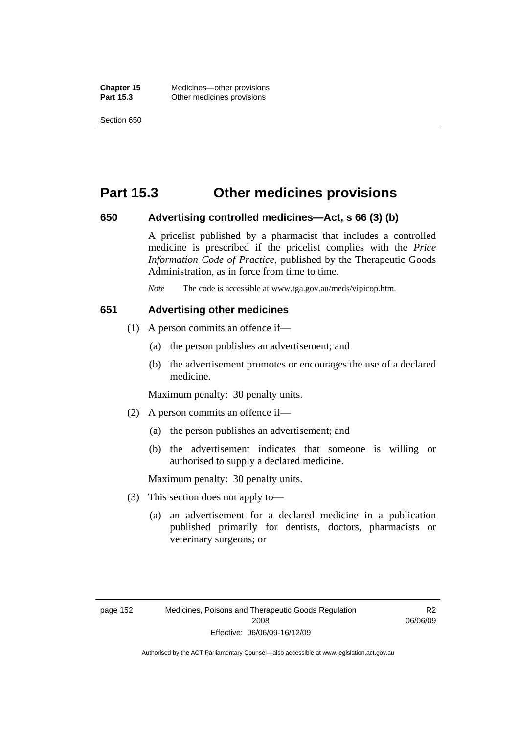### **Part 15.3 Other medicines provisions**

#### **650 Advertising controlled medicines—Act, s 66 (3) (b)**

A pricelist published by a pharmacist that includes a controlled medicine is prescribed if the pricelist complies with the *Price Information Code of Practice*, published by the Therapeutic Goods Administration, as in force from time to time.

*Note* The code is accessible at www.tga.gov.au/meds/vipicop.htm.

#### **651 Advertising other medicines**

- (1) A person commits an offence if—
	- (a) the person publishes an advertisement; and
	- (b) the advertisement promotes or encourages the use of a declared medicine.

Maximum penalty: 30 penalty units.

- (2) A person commits an offence if—
	- (a) the person publishes an advertisement; and
	- (b) the advertisement indicates that someone is willing or authorised to supply a declared medicine.

Maximum penalty: 30 penalty units.

- (3) This section does not apply to—
	- (a) an advertisement for a declared medicine in a publication published primarily for dentists, doctors, pharmacists or veterinary surgeons; or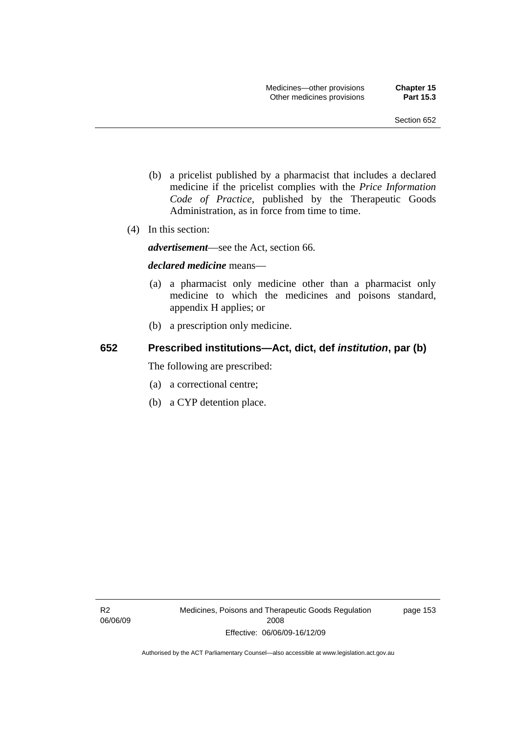- (b) a pricelist published by a pharmacist that includes a declared medicine if the pricelist complies with the *Price Information Code of Practice*, published by the Therapeutic Goods Administration, as in force from time to time.
- (4) In this section:

*advertisement*—see the Act, section 66.

#### *declared medicine* means—

- (a) a pharmacist only medicine other than a pharmacist only medicine to which the medicines and poisons standard, appendix H applies; or
- (b) a prescription only medicine.

### **652 Prescribed institutions—Act, dict, def** *institution***, par (b)**

The following are prescribed:

- (a) a correctional centre;
- (b) a CYP detention place.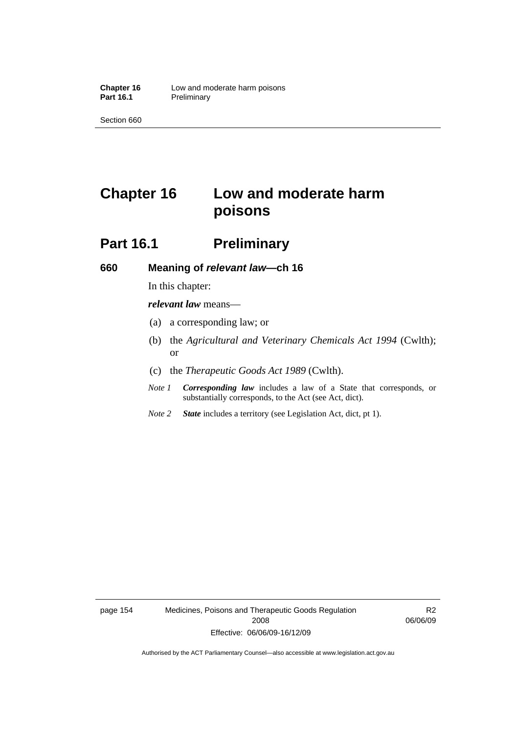# **Chapter 16 Low and moderate harm poisons**

## **Part 16.1** Preliminary

#### **660 Meaning of** *relevant law***—ch 16**

In this chapter:

*relevant law* means—

- (a) a corresponding law; or
- (b) the *Agricultural and Veterinary Chemicals Act 1994* (Cwlth); or
- (c) the *Therapeutic Goods Act 1989* (Cwlth).
- *Note 1 Corresponding law* includes a law of a State that corresponds, or substantially corresponds, to the Act (see Act, dict).
- *Note 2 State* includes a territory (see Legislation Act, dict, pt 1).

page 154 Medicines, Poisons and Therapeutic Goods Regulation 2008 Effective: 06/06/09-16/12/09

R2 06/06/09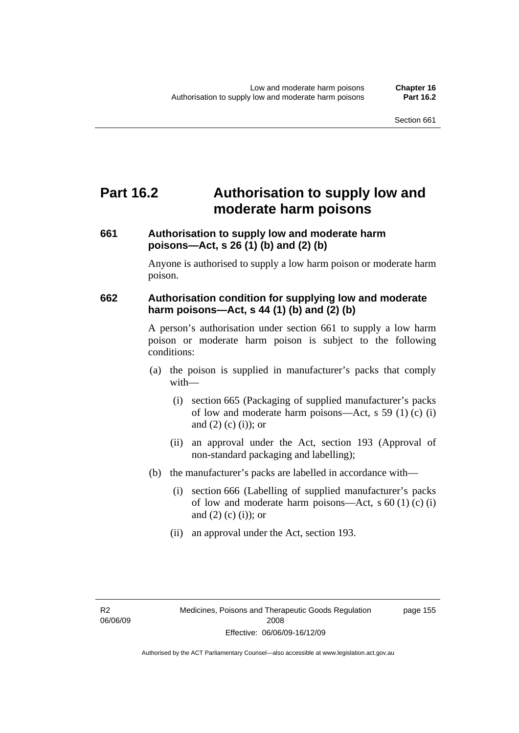# **Part 16.2 Authorisation to supply low and moderate harm poisons**

### **661 Authorisation to supply low and moderate harm poisons—Act, s 26 (1) (b) and (2) (b)**

Anyone is authorised to supply a low harm poison or moderate harm poison.

### **662 Authorisation condition for supplying low and moderate harm poisons—Act, s 44 (1) (b) and (2) (b)**

A person's authorisation under section 661 to supply a low harm poison or moderate harm poison is subject to the following conditions:

- (a) the poison is supplied in manufacturer's packs that comply with—
	- (i) section 665 (Packaging of supplied manufacturer's packs of low and moderate harm poisons—Act, s 59 (1) (c) (i) and  $(2)$  (c) (i)); or
	- (ii) an approval under the Act, section 193 (Approval of non-standard packaging and labelling);
- (b) the manufacturer's packs are labelled in accordance with—
	- (i) section 666 (Labelling of supplied manufacturer's packs of low and moderate harm poisons—Act, s  $60(1)(c)(i)$ and  $(2)$  (c) (i)); or
	- (ii) an approval under the Act, section 193.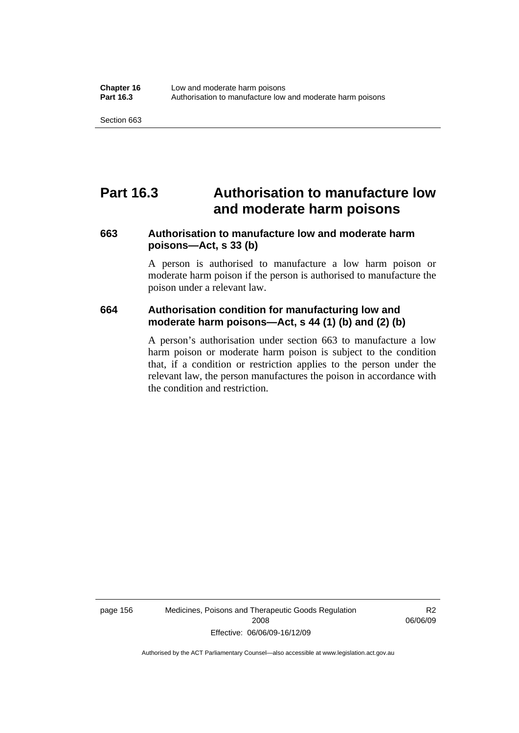## **Part 16.3 Authorisation to manufacture low and moderate harm poisons**

### **663 Authorisation to manufacture low and moderate harm poisons—Act, s 33 (b)**

A person is authorised to manufacture a low harm poison or moderate harm poison if the person is authorised to manufacture the poison under a relevant law.

### **664 Authorisation condition for manufacturing low and moderate harm poisons—Act, s 44 (1) (b) and (2) (b)**

A person's authorisation under section 663 to manufacture a low harm poison or moderate harm poison is subject to the condition that, if a condition or restriction applies to the person under the relevant law, the person manufactures the poison in accordance with the condition and restriction.

page 156 Medicines, Poisons and Therapeutic Goods Regulation 2008 Effective: 06/06/09-16/12/09

R2 06/06/09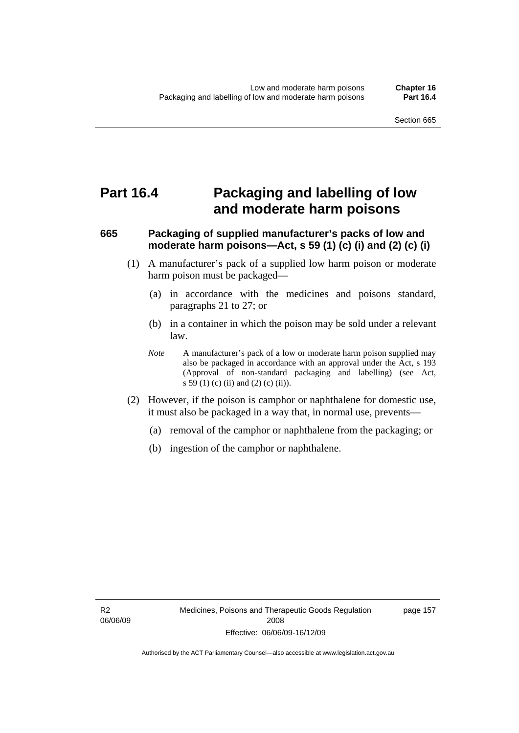# **Part 16.4 Packaging and labelling of low and moderate harm poisons**

# **665 Packaging of supplied manufacturer's packs of low and moderate harm poisons—Act, s 59 (1) (c) (i) and (2) (c) (i)**

- (1) A manufacturer's pack of a supplied low harm poison or moderate harm poison must be packaged—
	- (a) in accordance with the medicines and poisons standard, paragraphs 21 to 27; or
	- (b) in a container in which the poison may be sold under a relevant law.
	- *Note* A manufacturer's pack of a low or moderate harm poison supplied may also be packaged in accordance with an approval under the Act, s 193 (Approval of non-standard packaging and labelling) (see Act, s 59 (1) (c) (ii) and (2) (c) (ii)).
- (2) However, if the poison is camphor or naphthalene for domestic use, it must also be packaged in a way that, in normal use, prevents—
	- (a) removal of the camphor or naphthalene from the packaging; or
	- (b) ingestion of the camphor or naphthalene.

page 157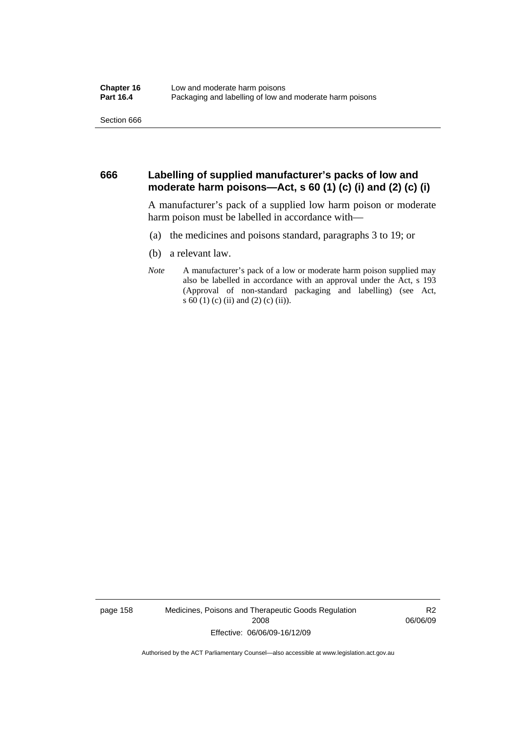#### **666 Labelling of supplied manufacturer's packs of low and moderate harm poisons—Act, s 60 (1) (c) (i) and (2) (c) (i)**

A manufacturer's pack of a supplied low harm poison or moderate harm poison must be labelled in accordance with—

- (a) the medicines and poisons standard, paragraphs 3 to 19; or
- (b) a relevant law.
- *Note* A manufacturer's pack of a low or moderate harm poison supplied may also be labelled in accordance with an approval under the Act, s 193 (Approval of non-standard packaging and labelling) (see Act, s 60 (1) (c) (ii) and (2) (c) (ii)).

page 158 Medicines, Poisons and Therapeutic Goods Regulation 2008 Effective: 06/06/09-16/12/09

R2 06/06/09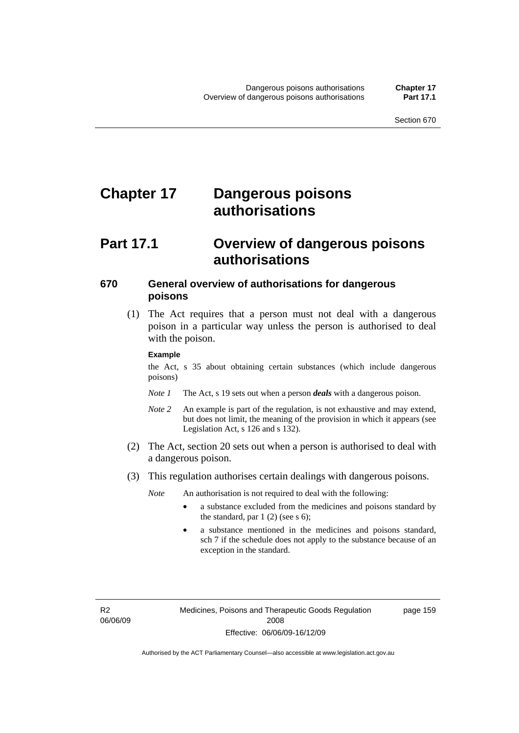# **Chapter 17 Dangerous poisons authorisations**

# **Part 17.1 Overview of dangerous poisons authorisations**

### **670 General overview of authorisations for dangerous poisons**

 (1) The Act requires that a person must not deal with a dangerous poison in a particular way unless the person is authorised to deal with the poison.

#### **Example**

the Act, s 35 about obtaining certain substances (which include dangerous poisons)

- *Note 1* The Act, s 19 sets out when a person *deals* with a dangerous poison.
- *Note 2* An example is part of the regulation, is not exhaustive and may extend, but does not limit, the meaning of the provision in which it appears (see Legislation Act, s 126 and s 132).
- (2) The Act, section 20 sets out when a person is authorised to deal with a dangerous poison.
- (3) This regulation authorises certain dealings with dangerous poisons.

*Note* An authorisation is not required to deal with the following:

- a substance excluded from the medicines and poisons standard by the standard, par  $1(2)$  (see s 6);
- a substance mentioned in the medicines and poisons standard, sch 7 if the schedule does not apply to the substance because of an exception in the standard.

R2 06/06/09 page 159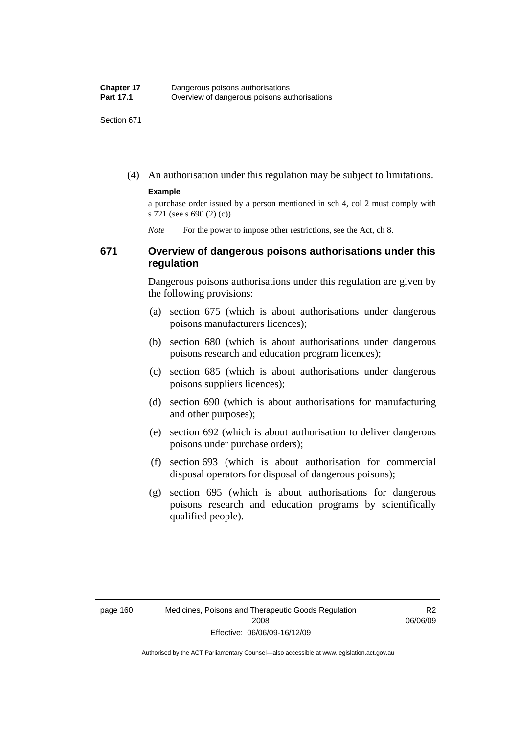(4) An authorisation under this regulation may be subject to limitations.

#### **Example**

a purchase order issued by a person mentioned in sch 4, col 2 must comply with s 721 (see s 690 (2) (c))

*Note* For the power to impose other restrictions, see the Act, ch 8.

### **671 Overview of dangerous poisons authorisations under this regulation**

Dangerous poisons authorisations under this regulation are given by the following provisions:

- (a) section 675 (which is about authorisations under dangerous poisons manufacturers licences);
- (b) section 680 (which is about authorisations under dangerous poisons research and education program licences);
- (c) section 685 (which is about authorisations under dangerous poisons suppliers licences);
- (d) section 690 (which is about authorisations for manufacturing and other purposes);
- (e) section 692 (which is about authorisation to deliver dangerous poisons under purchase orders);
- (f) section 693 (which is about authorisation for commercial disposal operators for disposal of dangerous poisons);
- (g) section 695 (which is about authorisations for dangerous poisons research and education programs by scientifically qualified people).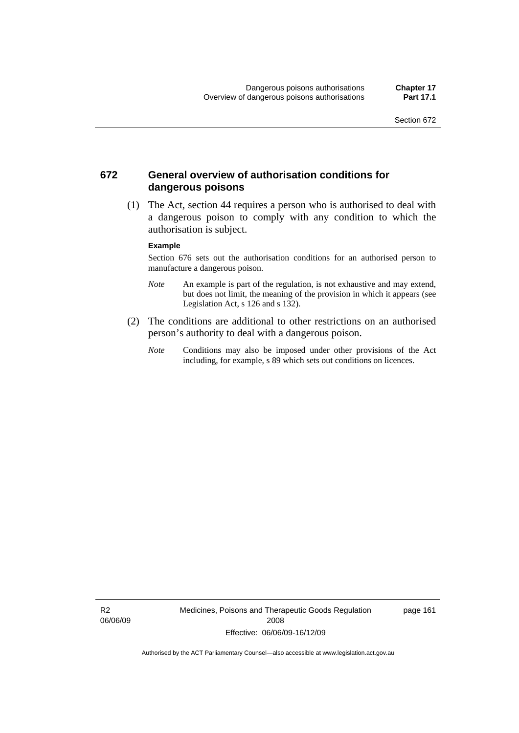### **672 General overview of authorisation conditions for dangerous poisons**

 (1) The Act, section 44 requires a person who is authorised to deal with a dangerous poison to comply with any condition to which the authorisation is subject.

#### **Example**

Section 676 sets out the authorisation conditions for an authorised person to manufacture a dangerous poison.

- *Note* An example is part of the regulation, is not exhaustive and may extend, but does not limit, the meaning of the provision in which it appears (see Legislation Act, s  $126$  and s  $132$ ).
- (2) The conditions are additional to other restrictions on an authorised person's authority to deal with a dangerous poison.
	- *Note* Conditions may also be imposed under other provisions of the Act including, for example, s 89 which sets out conditions on licences.

R2 06/06/09 Medicines, Poisons and Therapeutic Goods Regulation 2008 Effective: 06/06/09-16/12/09

page 161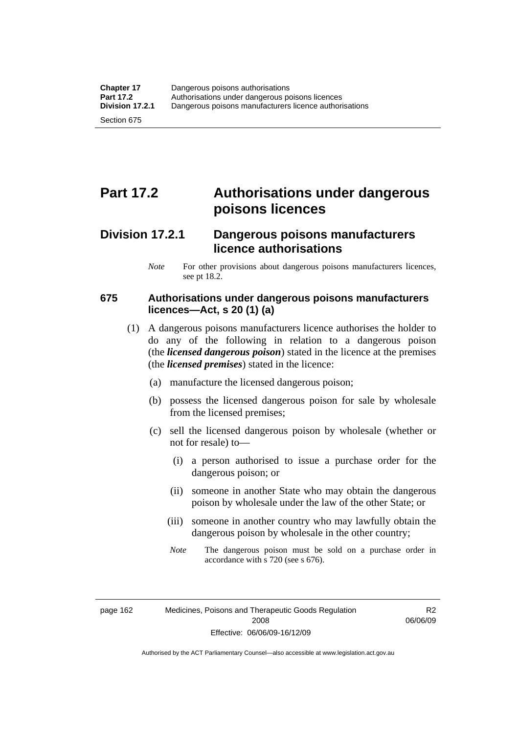# **Part 17.2 Authorisations under dangerous poisons licences**

# **Division 17.2.1 Dangerous poisons manufacturers licence authorisations**

*Note* For other provisions about dangerous poisons manufacturers licences, see pt 18.2.

# **675 Authorisations under dangerous poisons manufacturers licences—Act, s 20 (1) (a)**

- (1) A dangerous poisons manufacturers licence authorises the holder to do any of the following in relation to a dangerous poison (the *licensed dangerous poison*) stated in the licence at the premises (the *licensed premises*) stated in the licence:
	- (a) manufacture the licensed dangerous poison;
	- (b) possess the licensed dangerous poison for sale by wholesale from the licensed premises;
	- (c) sell the licensed dangerous poison by wholesale (whether or not for resale) to—
		- (i) a person authorised to issue a purchase order for the dangerous poison; or
		- (ii) someone in another State who may obtain the dangerous poison by wholesale under the law of the other State; or
		- (iii) someone in another country who may lawfully obtain the dangerous poison by wholesale in the other country;
		- *Note* The dangerous poison must be sold on a purchase order in accordance with s 720 (see s 676).

R2 06/06/09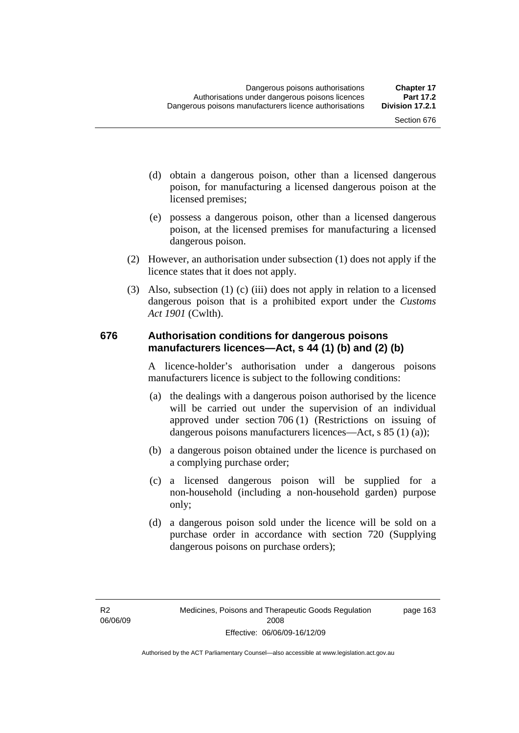- (d) obtain a dangerous poison, other than a licensed dangerous poison, for manufacturing a licensed dangerous poison at the licensed premises;
- (e) possess a dangerous poison, other than a licensed dangerous poison, at the licensed premises for manufacturing a licensed dangerous poison.
- (2) However, an authorisation under subsection (1) does not apply if the licence states that it does not apply.
- (3) Also, subsection (1) (c) (iii) does not apply in relation to a licensed dangerous poison that is a prohibited export under the *Customs Act 1901* (Cwlth).

### **676 Authorisation conditions for dangerous poisons manufacturers licences—Act, s 44 (1) (b) and (2) (b)**

A licence-holder's authorisation under a dangerous poisons manufacturers licence is subject to the following conditions:

- (a) the dealings with a dangerous poison authorised by the licence will be carried out under the supervision of an individual approved under section 706 (1) (Restrictions on issuing of dangerous poisons manufacturers licences—Act, s 85 (1) (a));
- (b) a dangerous poison obtained under the licence is purchased on a complying purchase order;
- (c) a licensed dangerous poison will be supplied for a non-household (including a non-household garden) purpose only;
- (d) a dangerous poison sold under the licence will be sold on a purchase order in accordance with section 720 (Supplying dangerous poisons on purchase orders);

page 163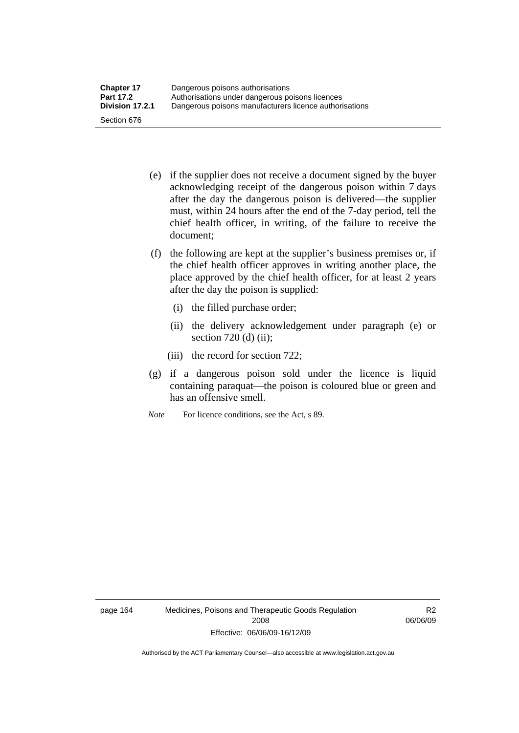- (e) if the supplier does not receive a document signed by the buyer acknowledging receipt of the dangerous poison within 7 days after the day the dangerous poison is delivered—the supplier must, within 24 hours after the end of the 7-day period, tell the chief health officer, in writing, of the failure to receive the document;
- (f) the following are kept at the supplier's business premises or, if the chief health officer approves in writing another place, the place approved by the chief health officer, for at least 2 years after the day the poison is supplied:
	- (i) the filled purchase order;
	- (ii) the delivery acknowledgement under paragraph (e) or section 720 (d) (ii);
	- (iii) the record for section 722;
- (g) if a dangerous poison sold under the licence is liquid containing paraquat—the poison is coloured blue or green and has an offensive smell.
- *Note* For licence conditions, see the Act, s 89.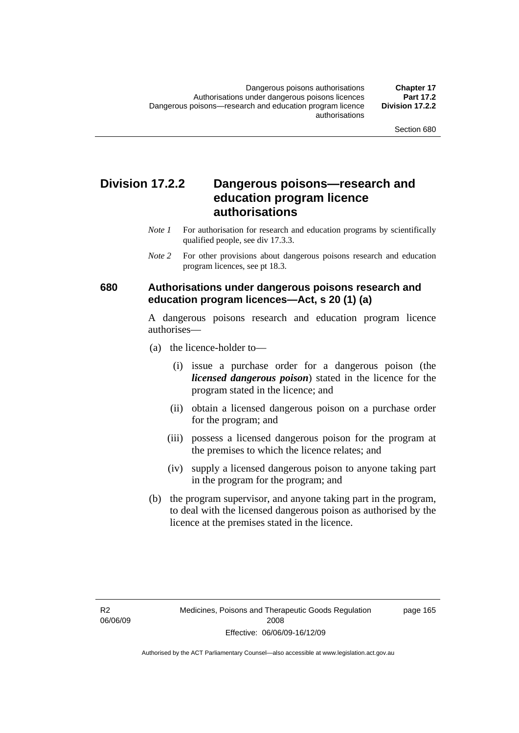# **Division 17.2.2 Dangerous poisons—research and education program licence authorisations**

- *Note 1* For authorisation for research and education programs by scientifically qualified people, see div 17.3.3.
- *Note 2* For other provisions about dangerous poisons research and education program licences, see pt 18.3.

### **680 Authorisations under dangerous poisons research and education program licences—Act, s 20 (1) (a)**

A dangerous poisons research and education program licence authorises—

- (a) the licence-holder to—
	- (i) issue a purchase order for a dangerous poison (the *licensed dangerous poison*) stated in the licence for the program stated in the licence; and
	- (ii) obtain a licensed dangerous poison on a purchase order for the program; and
	- (iii) possess a licensed dangerous poison for the program at the premises to which the licence relates; and
	- (iv) supply a licensed dangerous poison to anyone taking part in the program for the program; and
- (b) the program supervisor, and anyone taking part in the program, to deal with the licensed dangerous poison as authorised by the licence at the premises stated in the licence.

page 165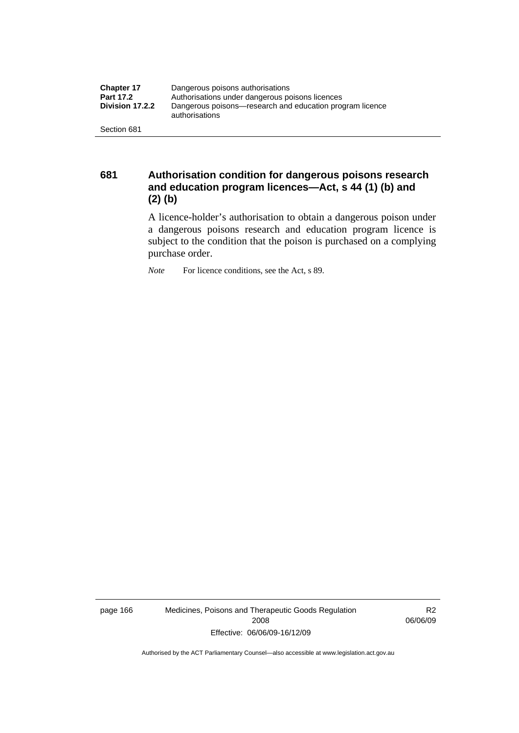| <b>Chapter 17</b> | Dangerous poisons authorisations                                           |  |
|-------------------|----------------------------------------------------------------------------|--|
| <b>Part 17.2</b>  | Authorisations under dangerous poisons licences                            |  |
| Division 17.2.2   | Dangerous poisons—research and education program licence<br>authorisations |  |
| Section 681       |                                                                            |  |

**681 Authorisation condition for dangerous poisons research and education program licences—Act, s 44 (1) (b) and (2) (b)** 

A licence-holder's authorisation to obtain a dangerous poison under a dangerous poisons research and education program licence is subject to the condition that the poison is purchased on a complying purchase order.

*Note* For licence conditions, see the Act, s 89.

page 166 Medicines, Poisons and Therapeutic Goods Regulation 2008 Effective: 06/06/09-16/12/09

R2 06/06/09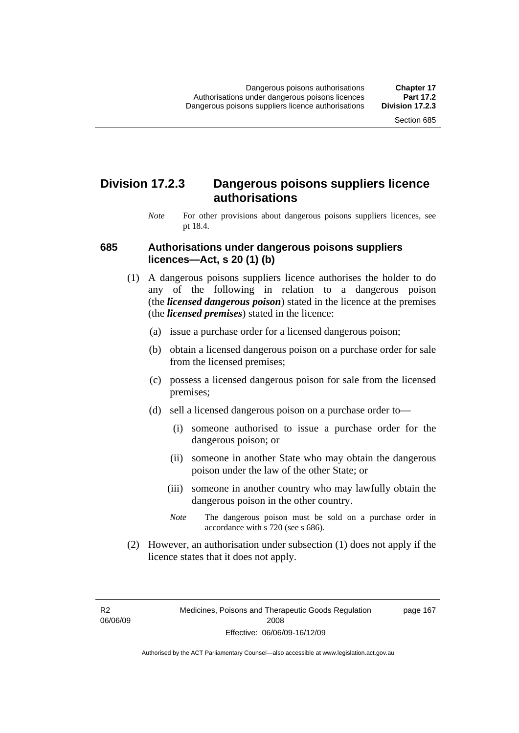# **Division 17.2.3 Dangerous poisons suppliers licence authorisations**

*Note* For other provisions about dangerous poisons suppliers licences, see pt 18.4.

### **685 Authorisations under dangerous poisons suppliers licences—Act, s 20 (1) (b)**

- (1) A dangerous poisons suppliers licence authorises the holder to do any of the following in relation to a dangerous poison (the *licensed dangerous poison*) stated in the licence at the premises (the *licensed premises*) stated in the licence:
	- (a) issue a purchase order for a licensed dangerous poison;
	- (b) obtain a licensed dangerous poison on a purchase order for sale from the licensed premises;
	- (c) possess a licensed dangerous poison for sale from the licensed premises;
	- (d) sell a licensed dangerous poison on a purchase order to—
		- (i) someone authorised to issue a purchase order for the dangerous poison; or
		- (ii) someone in another State who may obtain the dangerous poison under the law of the other State; or
		- (iii) someone in another country who may lawfully obtain the dangerous poison in the other country.
		- *Note* The dangerous poison must be sold on a purchase order in accordance with s 720 (see s 686).
- (2) However, an authorisation under subsection (1) does not apply if the licence states that it does not apply.

R2 06/06/09 page 167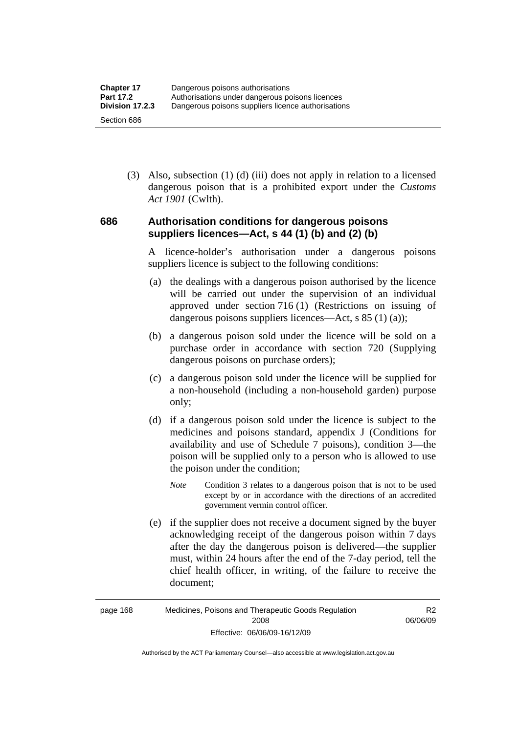(3) Also, subsection (1) (d) (iii) does not apply in relation to a licensed dangerous poison that is a prohibited export under the *Customs Act 1901* (Cwlth).

# **686 Authorisation conditions for dangerous poisons suppliers licences—Act, s 44 (1) (b) and (2) (b)**

A licence-holder's authorisation under a dangerous poisons suppliers licence is subject to the following conditions:

- (a) the dealings with a dangerous poison authorised by the licence will be carried out under the supervision of an individual approved under section 716 (1) (Restrictions on issuing of dangerous poisons suppliers licences—Act, s 85 (1) (a));
- (b) a dangerous poison sold under the licence will be sold on a purchase order in accordance with section 720 (Supplying dangerous poisons on purchase orders);
- (c) a dangerous poison sold under the licence will be supplied for a non-household (including a non-household garden) purpose only;
- (d) if a dangerous poison sold under the licence is subject to the medicines and poisons standard, appendix J (Conditions for availability and use of Schedule 7 poisons), condition 3—the poison will be supplied only to a person who is allowed to use the poison under the condition;
	- *Note* Condition 3 relates to a dangerous poison that is not to be used except by or in accordance with the directions of an accredited government vermin control officer.
- (e) if the supplier does not receive a document signed by the buyer acknowledging receipt of the dangerous poison within 7 days after the day the dangerous poison is delivered—the supplier must, within 24 hours after the end of the 7-day period, tell the chief health officer, in writing, of the failure to receive the document;

R2 06/06/09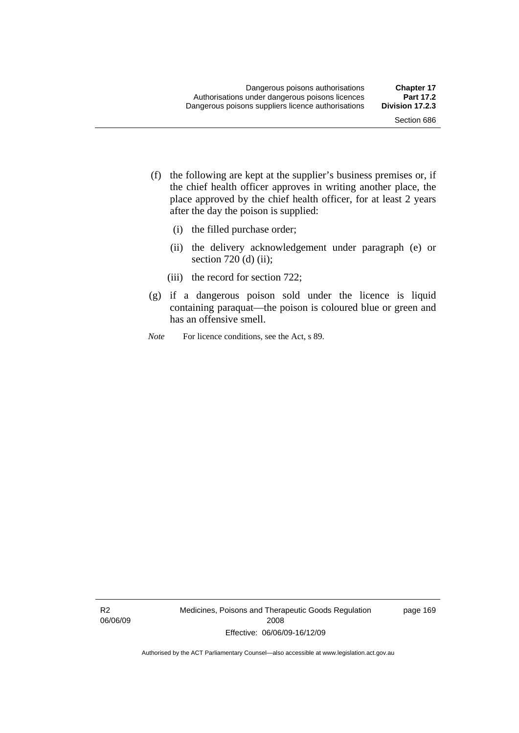- (f) the following are kept at the supplier's business premises or, if the chief health officer approves in writing another place, the place approved by the chief health officer, for at least 2 years after the day the poison is supplied:
	- (i) the filled purchase order;
	- (ii) the delivery acknowledgement under paragraph (e) or section 720 (d) (ii);
	- (iii) the record for section 722;
- (g) if a dangerous poison sold under the licence is liquid containing paraquat—the poison is coloured blue or green and has an offensive smell.
- *Note* For licence conditions, see the Act, s 89.

R2 06/06/09 Medicines, Poisons and Therapeutic Goods Regulation 2008 Effective: 06/06/09-16/12/09

page 169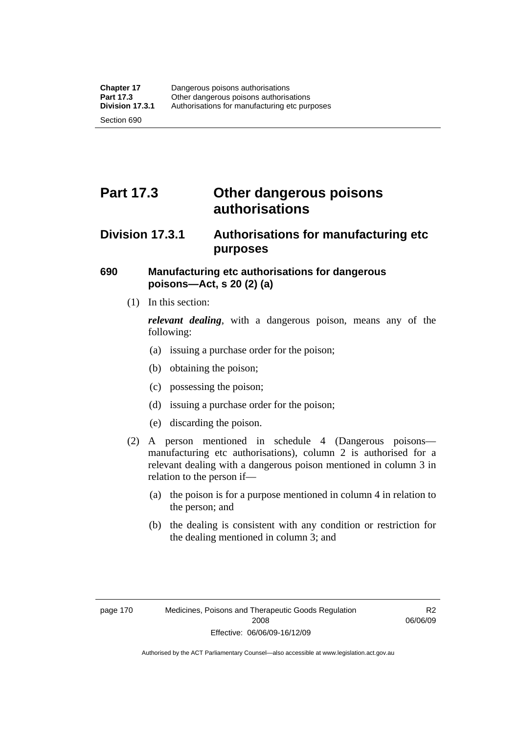# **Part 17.3 Other dangerous poisons authorisations**

# **Division 17.3.1 Authorisations for manufacturing etc purposes**

# **690 Manufacturing etc authorisations for dangerous poisons—Act, s 20 (2) (a)**

(1) In this section:

*relevant dealing*, with a dangerous poison, means any of the following:

- (a) issuing a purchase order for the poison;
- (b) obtaining the poison;
- (c) possessing the poison;
- (d) issuing a purchase order for the poison;
- (e) discarding the poison.
- (2) A person mentioned in schedule 4 (Dangerous poisons manufacturing etc authorisations), column 2 is authorised for a relevant dealing with a dangerous poison mentioned in column 3 in relation to the person if—
	- (a) the poison is for a purpose mentioned in column 4 in relation to the person; and
	- (b) the dealing is consistent with any condition or restriction for the dealing mentioned in column 3; and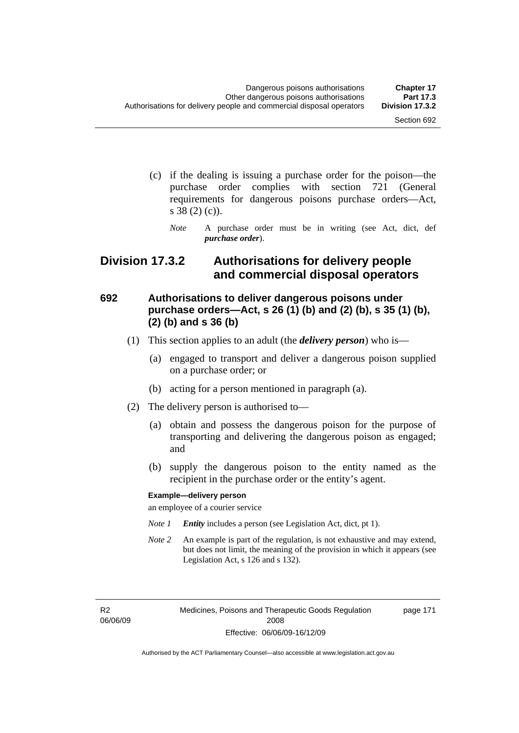page 171

- (c) if the dealing is issuing a purchase order for the poison—the purchase order complies with section 721 (General requirements for dangerous poisons purchase orders—Act, s 38 (2) (c)).
	- *Note* A purchase order must be in writing (see Act, dict, def *purchase order*).

# **Division 17.3.2 Authorisations for delivery people and commercial disposal operators**

# **692 Authorisations to deliver dangerous poisons under purchase orders—Act, s 26 (1) (b) and (2) (b), s 35 (1) (b), (2) (b) and s 36 (b)**

- (1) This section applies to an adult (the *delivery person*) who is—
	- (a) engaged to transport and deliver a dangerous poison supplied on a purchase order; or
	- (b) acting for a person mentioned in paragraph (a).
- (2) The delivery person is authorised to—
	- (a) obtain and possess the dangerous poison for the purpose of transporting and delivering the dangerous poison as engaged; and
	- (b) supply the dangerous poison to the entity named as the recipient in the purchase order or the entity's agent.

#### **Example—delivery person**

an employee of a courier service

- *Note 1 Entity* includes a person (see Legislation Act, dict, pt 1).
- *Note 2* An example is part of the regulation, is not exhaustive and may extend, but does not limit, the meaning of the provision in which it appears (see Legislation Act, s 126 and s 132).

R2 06/06/09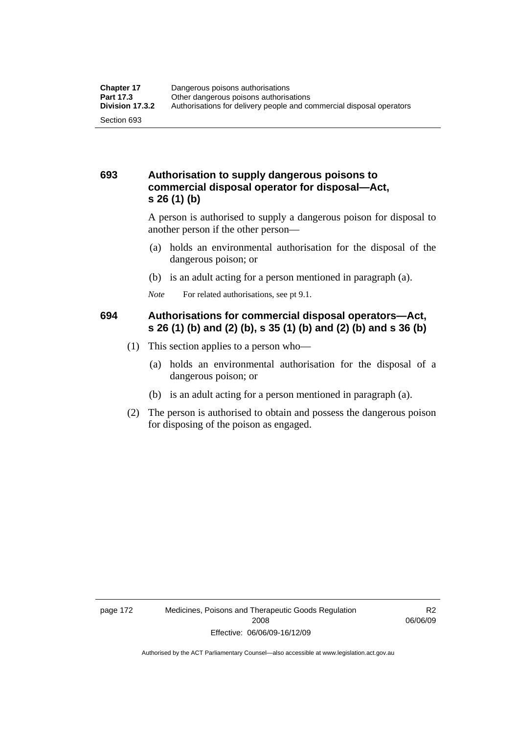# **693 Authorisation to supply dangerous poisons to commercial disposal operator for disposal—Act, s 26 (1) (b)**

A person is authorised to supply a dangerous poison for disposal to another person if the other person—

- (a) holds an environmental authorisation for the disposal of the dangerous poison; or
- (b) is an adult acting for a person mentioned in paragraph (a).
- *Note* For related authorisations, see pt 9.1.

# **694 Authorisations for commercial disposal operators—Act, s 26 (1) (b) and (2) (b), s 35 (1) (b) and (2) (b) and s 36 (b)**

- (1) This section applies to a person who—
	- (a) holds an environmental authorisation for the disposal of a dangerous poison; or
	- (b) is an adult acting for a person mentioned in paragraph (a).
- (2) The person is authorised to obtain and possess the dangerous poison for disposing of the poison as engaged.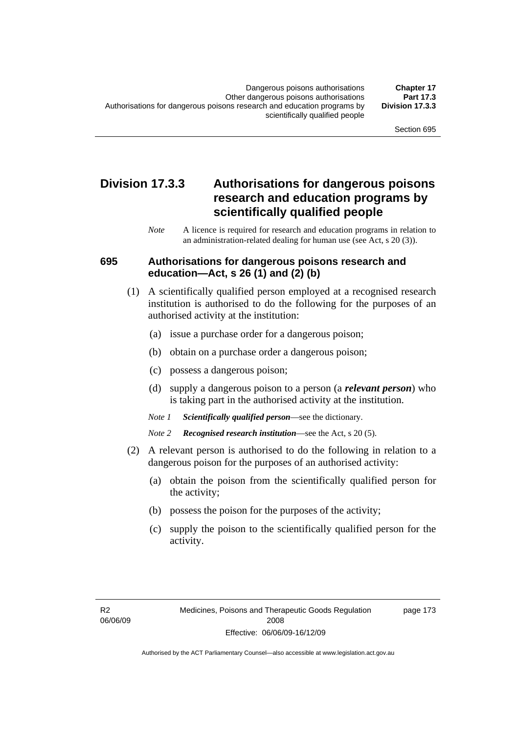# **Division 17.3.3 Authorisations for dangerous poisons research and education programs by scientifically qualified people**

*Note* A licence is required for research and education programs in relation to an administration-related dealing for human use (see Act, s 20 (3)).

### **695 Authorisations for dangerous poisons research and education—Act, s 26 (1) and (2) (b)**

- (1) A scientifically qualified person employed at a recognised research institution is authorised to do the following for the purposes of an authorised activity at the institution:
	- (a) issue a purchase order for a dangerous poison;
	- (b) obtain on a purchase order a dangerous poison;
	- (c) possess a dangerous poison;
	- (d) supply a dangerous poison to a person (a *relevant person*) who is taking part in the authorised activity at the institution.
	- *Note 1 Scientifically qualified person*—see the dictionary.
	- *Note 2 Recognised research institution*—see the Act, s 20 (5).
- (2) A relevant person is authorised to do the following in relation to a dangerous poison for the purposes of an authorised activity:
	- (a) obtain the poison from the scientifically qualified person for the activity;
	- (b) possess the poison for the purposes of the activity;
	- (c) supply the poison to the scientifically qualified person for the activity.

page 173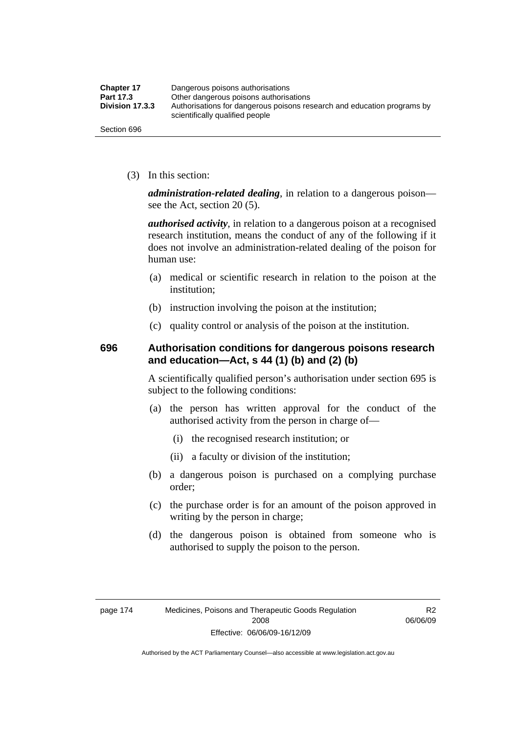| <b>Chapter 17</b> | Dangerous poisons authorisations                                                                           |
|-------------------|------------------------------------------------------------------------------------------------------------|
| Part 17.3         | Other dangerous poisons authorisations                                                                     |
| Division 17.3.3   | Authorisations for dangerous poisons research and education programs by<br>scientifically qualified people |
| Section 696       |                                                                                                            |

(3) In this section:

*administration-related dealing*, in relation to a dangerous poison see the Act, section 20 (5).

*authorised activity*, in relation to a dangerous poison at a recognised research institution, means the conduct of any of the following if it does not involve an administration-related dealing of the poison for human use:

- (a) medical or scientific research in relation to the poison at the institution;
- (b) instruction involving the poison at the institution;
- (c) quality control or analysis of the poison at the institution.

# **696 Authorisation conditions for dangerous poisons research and education—Act, s 44 (1) (b) and (2) (b)**

A scientifically qualified person's authorisation under section 695 is subject to the following conditions:

- (a) the person has written approval for the conduct of the authorised activity from the person in charge of—
	- (i) the recognised research institution; or
	- (ii) a faculty or division of the institution;
- (b) a dangerous poison is purchased on a complying purchase order;
- (c) the purchase order is for an amount of the poison approved in writing by the person in charge;
- (d) the dangerous poison is obtained from someone who is authorised to supply the poison to the person.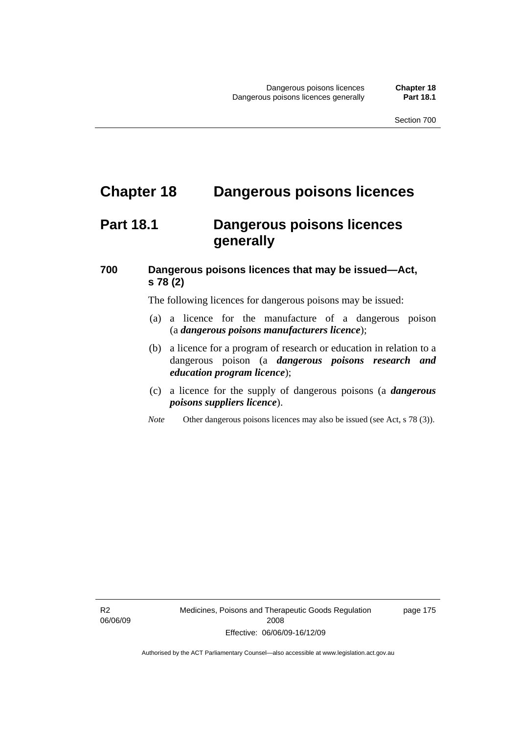# **Chapter 18 Dangerous poisons licences**

# **Part 18.1 Dangerous poisons licences generally**

# **700 Dangerous poisons licences that may be issued—Act, s 78 (2)**

The following licences for dangerous poisons may be issued:

- (a) a licence for the manufacture of a dangerous poison (a *dangerous poisons manufacturers licence*);
- (b) a licence for a program of research or education in relation to a dangerous poison (a *dangerous poisons research and education program licence*);
- (c) a licence for the supply of dangerous poisons (a *dangerous poisons suppliers licence*).
- *Note* Other dangerous poisons licences may also be issued (see Act, s 78 (3)).

R2 06/06/09 page 175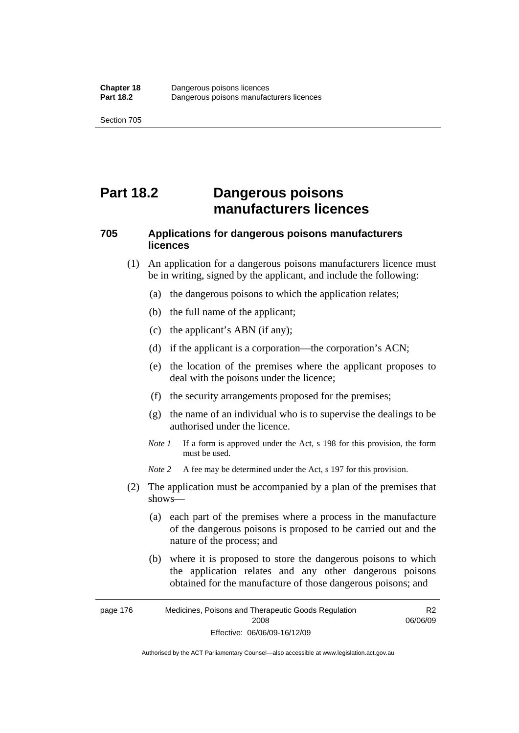# **Part 18.2 Dangerous poisons manufacturers licences**

# **705 Applications for dangerous poisons manufacturers licences**

- (1) An application for a dangerous poisons manufacturers licence must be in writing, signed by the applicant, and include the following:
	- (a) the dangerous poisons to which the application relates;
	- (b) the full name of the applicant;
	- (c) the applicant's ABN (if any);
	- (d) if the applicant is a corporation—the corporation's ACN;
	- (e) the location of the premises where the applicant proposes to deal with the poisons under the licence;
	- (f) the security arrangements proposed for the premises;
	- (g) the name of an individual who is to supervise the dealings to be authorised under the licence.
	- *Note 1* If a form is approved under the Act, s 198 for this provision, the form must be used.
	- *Note* 2 A fee may be determined under the Act, s 197 for this provision.
- (2) The application must be accompanied by a plan of the premises that shows—
	- (a) each part of the premises where a process in the manufacture of the dangerous poisons is proposed to be carried out and the nature of the process; and
	- (b) where it is proposed to store the dangerous poisons to which the application relates and any other dangerous poisons obtained for the manufacture of those dangerous poisons; and

page 176 Medicines, Poisons and Therapeutic Goods Regulation 2008 Effective: 06/06/09-16/12/09 R2 06/06/09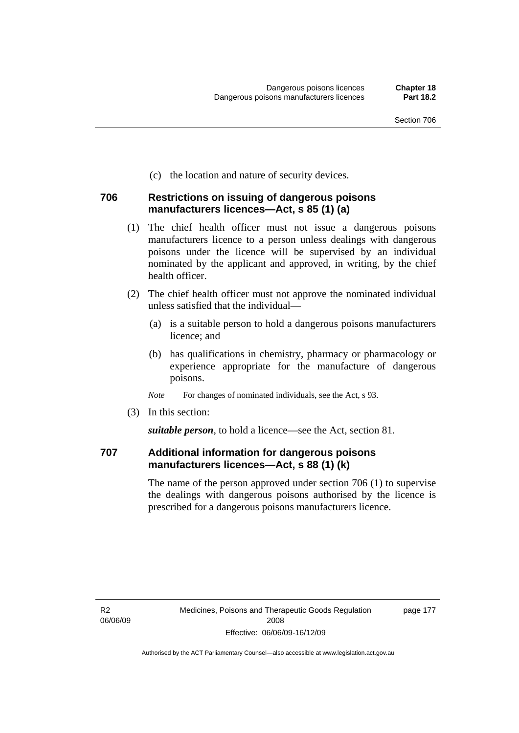(c) the location and nature of security devices.

### **706 Restrictions on issuing of dangerous poisons manufacturers licences—Act, s 85 (1) (a)**

- (1) The chief health officer must not issue a dangerous poisons manufacturers licence to a person unless dealings with dangerous poisons under the licence will be supervised by an individual nominated by the applicant and approved, in writing, by the chief health officer.
- (2) The chief health officer must not approve the nominated individual unless satisfied that the individual—
	- (a) is a suitable person to hold a dangerous poisons manufacturers licence; and
	- (b) has qualifications in chemistry, pharmacy or pharmacology or experience appropriate for the manufacture of dangerous poisons.
	- *Note* For changes of nominated individuals, see the Act, s 93.
- (3) In this section:

*suitable person*, to hold a licence—see the Act, section 81.

## **707 Additional information for dangerous poisons manufacturers licences—Act, s 88 (1) (k)**

The name of the person approved under section 706 (1) to supervise the dealings with dangerous poisons authorised by the licence is prescribed for a dangerous poisons manufacturers licence.

R2 06/06/09 page 177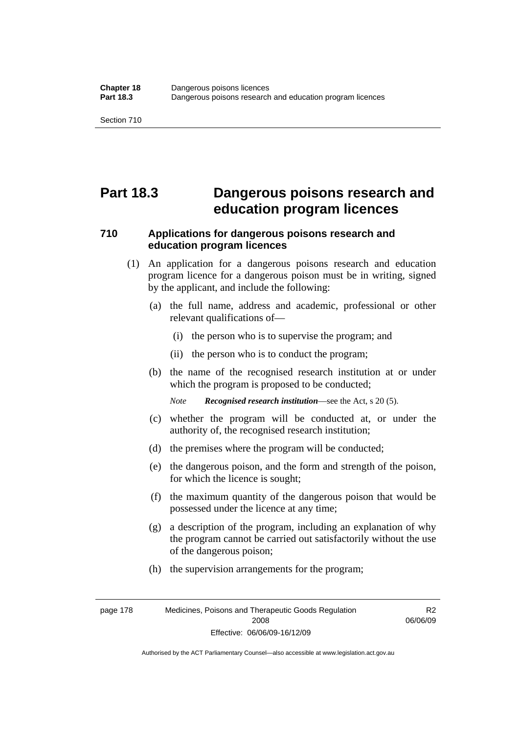# **Part 18.3 Dangerous poisons research and education program licences**

# **710 Applications for dangerous poisons research and education program licences**

- (1) An application for a dangerous poisons research and education program licence for a dangerous poison must be in writing, signed by the applicant, and include the following:
	- (a) the full name, address and academic, professional or other relevant qualifications of—
		- (i) the person who is to supervise the program; and
		- (ii) the person who is to conduct the program;
	- (b) the name of the recognised research institution at or under which the program is proposed to be conducted;

*Note Recognised research institution*—see the Act, s 20 (5).

- (c) whether the program will be conducted at, or under the authority of, the recognised research institution;
- (d) the premises where the program will be conducted;
- (e) the dangerous poison, and the form and strength of the poison, for which the licence is sought;
- (f) the maximum quantity of the dangerous poison that would be possessed under the licence at any time;
- (g) a description of the program, including an explanation of why the program cannot be carried out satisfactorily without the use of the dangerous poison;
- (h) the supervision arrangements for the program;

page 178 Medicines, Poisons and Therapeutic Goods Regulation 2008 Effective: 06/06/09-16/12/09

R2 06/06/09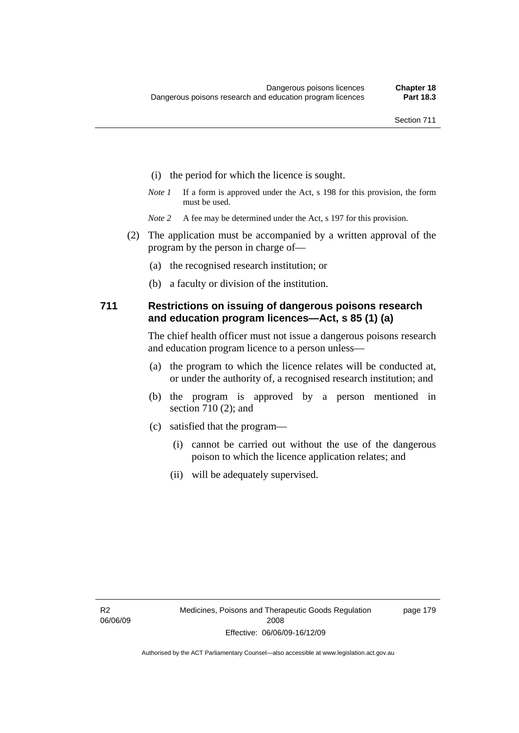- (i) the period for which the licence is sought.
- *Note 1* If a form is approved under the Act, s 198 for this provision, the form must be used.
- *Note* 2 A fee may be determined under the Act, s 197 for this provision.
- (2) The application must be accompanied by a written approval of the program by the person in charge of—
	- (a) the recognised research institution; or
	- (b) a faculty or division of the institution.

### **711 Restrictions on issuing of dangerous poisons research and education program licences—Act, s 85 (1) (a)**

The chief health officer must not issue a dangerous poisons research and education program licence to a person unless—

- (a) the program to which the licence relates will be conducted at, or under the authority of, a recognised research institution; and
- (b) the program is approved by a person mentioned in section 710 (2); and
- (c) satisfied that the program—
	- (i) cannot be carried out without the use of the dangerous poison to which the licence application relates; and
	- (ii) will be adequately supervised.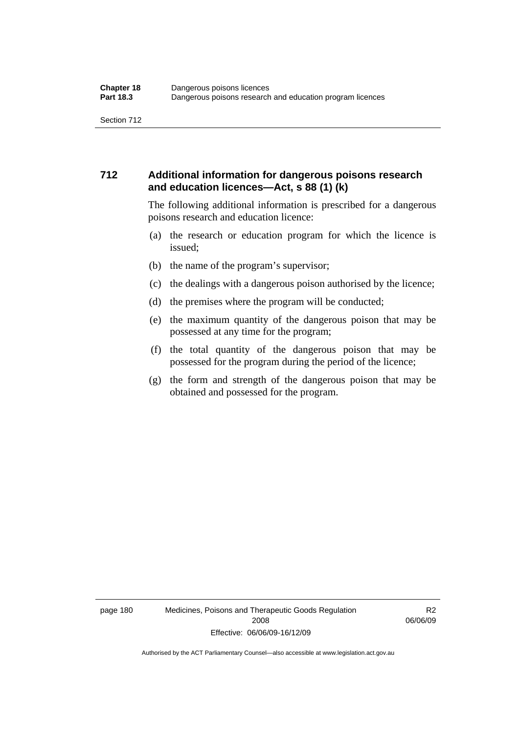# **712 Additional information for dangerous poisons research and education licences—Act, s 88 (1) (k)**

The following additional information is prescribed for a dangerous poisons research and education licence:

- (a) the research or education program for which the licence is issued;
- (b) the name of the program's supervisor;
- (c) the dealings with a dangerous poison authorised by the licence;
- (d) the premises where the program will be conducted;
- (e) the maximum quantity of the dangerous poison that may be possessed at any time for the program;
- (f) the total quantity of the dangerous poison that may be possessed for the program during the period of the licence;
- (g) the form and strength of the dangerous poison that may be obtained and possessed for the program.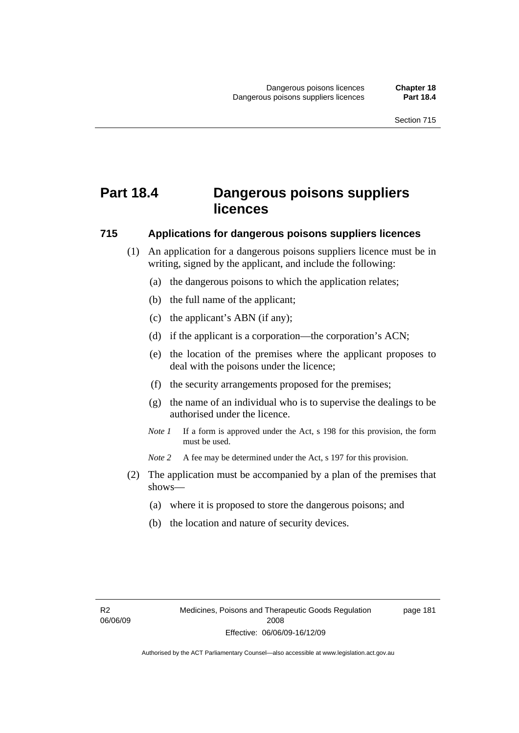# **Part 18.4 Dangerous poisons suppliers licences**

### **715 Applications for dangerous poisons suppliers licences**

- (1) An application for a dangerous poisons suppliers licence must be in writing, signed by the applicant, and include the following:
	- (a) the dangerous poisons to which the application relates;
	- (b) the full name of the applicant;
	- (c) the applicant's ABN (if any);
	- (d) if the applicant is a corporation—the corporation's ACN;
	- (e) the location of the premises where the applicant proposes to deal with the poisons under the licence;
	- (f) the security arrangements proposed for the premises;
	- (g) the name of an individual who is to supervise the dealings to be authorised under the licence.
	- *Note 1* If a form is approved under the Act, s 198 for this provision, the form must be used.
	- *Note 2* A fee may be determined under the Act, s 197 for this provision.
- (2) The application must be accompanied by a plan of the premises that shows—
	- (a) where it is proposed to store the dangerous poisons; and
	- (b) the location and nature of security devices.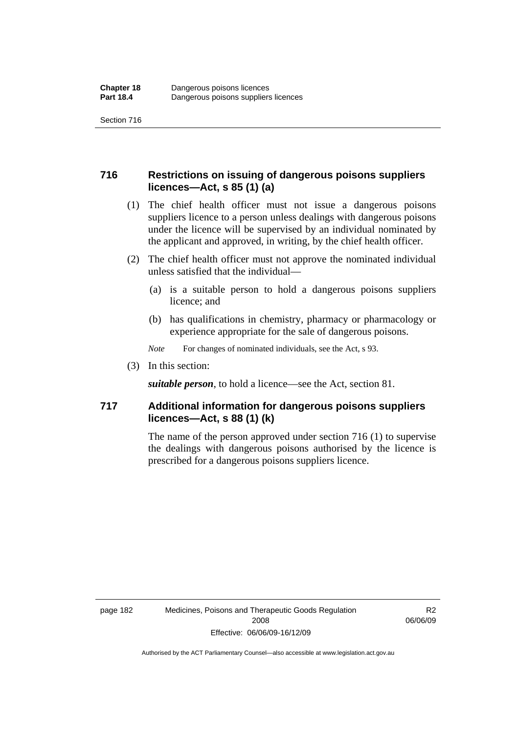# **716 Restrictions on issuing of dangerous poisons suppliers licences—Act, s 85 (1) (a)**

- (1) The chief health officer must not issue a dangerous poisons suppliers licence to a person unless dealings with dangerous poisons under the licence will be supervised by an individual nominated by the applicant and approved, in writing, by the chief health officer.
- (2) The chief health officer must not approve the nominated individual unless satisfied that the individual—
	- (a) is a suitable person to hold a dangerous poisons suppliers licence; and
	- (b) has qualifications in chemistry, pharmacy or pharmacology or experience appropriate for the sale of dangerous poisons.
	- *Note* For changes of nominated individuals, see the Act, s 93.
- (3) In this section:

*suitable person*, to hold a licence—see the Act, section 81.

# **717 Additional information for dangerous poisons suppliers licences—Act, s 88 (1) (k)**

The name of the person approved under section 716 (1) to supervise the dealings with dangerous poisons authorised by the licence is prescribed for a dangerous poisons suppliers licence.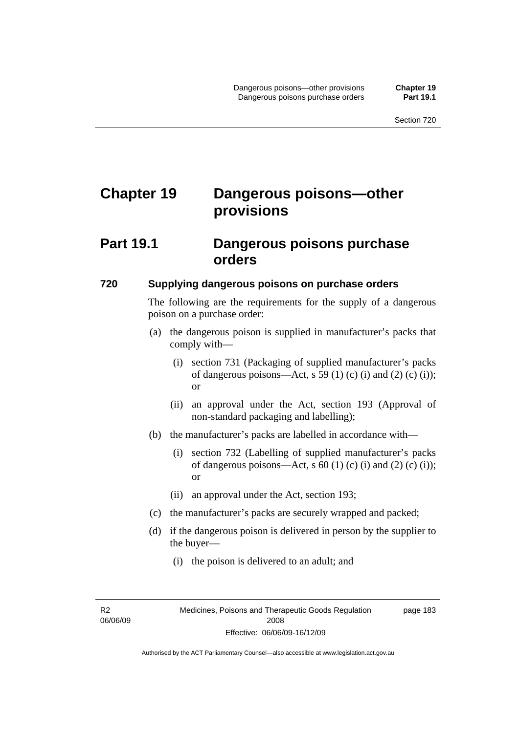# **Chapter 19 Dangerous poisons—other provisions**

# **Part 19.1 Dangerous poisons purchase orders**

### **720 Supplying dangerous poisons on purchase orders**

The following are the requirements for the supply of a dangerous poison on a purchase order:

- (a) the dangerous poison is supplied in manufacturer's packs that comply with—
	- (i) section 731 (Packaging of supplied manufacturer's packs of dangerous poisons—Act, s 59 (1) (c) (i) and (2) (c) (i)); or
	- (ii) an approval under the Act, section 193 (Approval of non-standard packaging and labelling);
- (b) the manufacturer's packs are labelled in accordance with—
	- (i) section 732 (Labelling of supplied manufacturer's packs of dangerous poisons—Act, s  $60$  (1) (c) (i) and (2) (c) (i)); or
	- (ii) an approval under the Act, section 193;
- (c) the manufacturer's packs are securely wrapped and packed;
- (d) if the dangerous poison is delivered in person by the supplier to the buyer—
	- (i) the poison is delivered to an adult; and

R2 06/06/09 page 183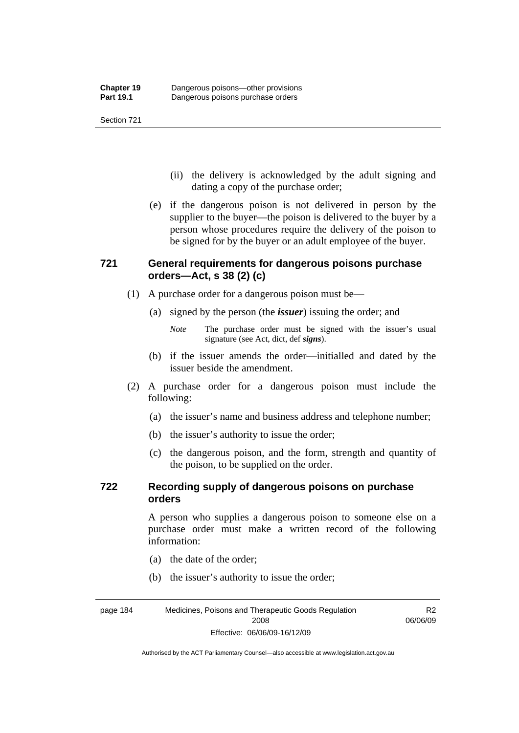- (ii) the delivery is acknowledged by the adult signing and dating a copy of the purchase order;
- (e) if the dangerous poison is not delivered in person by the supplier to the buyer—the poison is delivered to the buyer by a person whose procedures require the delivery of the poison to be signed for by the buyer or an adult employee of the buyer.

# **721 General requirements for dangerous poisons purchase orders—Act, s 38 (2) (c)**

- (1) A purchase order for a dangerous poison must be—
	- (a) signed by the person (the *issuer*) issuing the order; and
		- *Note* The purchase order must be signed with the issuer's usual signature (see Act, dict, def *signs*).
	- (b) if the issuer amends the order—initialled and dated by the issuer beside the amendment.
- (2) A purchase order for a dangerous poison must include the following:
	- (a) the issuer's name and business address and telephone number;
	- (b) the issuer's authority to issue the order;
	- (c) the dangerous poison, and the form, strength and quantity of the poison, to be supplied on the order.

# **722 Recording supply of dangerous poisons on purchase orders**

A person who supplies a dangerous poison to someone else on a purchase order must make a written record of the following information:

R2

- (a) the date of the order;
- (b) the issuer's authority to issue the order;

page 184 Medicines, Poisons and Therapeutic Goods Regulation 2008 Effective: 06/06/09-16/12/09 06/06/09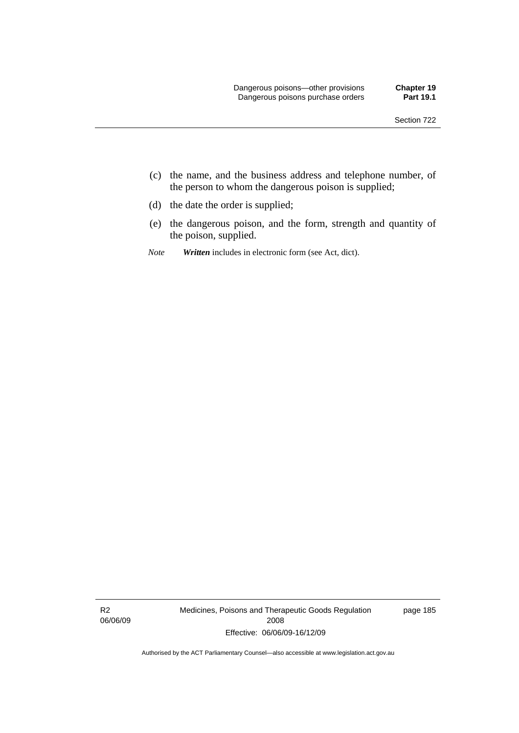- (c) the name, and the business address and telephone number, of the person to whom the dangerous poison is supplied;
- (d) the date the order is supplied;
- (e) the dangerous poison, and the form, strength and quantity of the poison, supplied.
- *Note Written* includes in electronic form (see Act, dict).

R2 06/06/09 Medicines, Poisons and Therapeutic Goods Regulation 2008 Effective: 06/06/09-16/12/09

page 185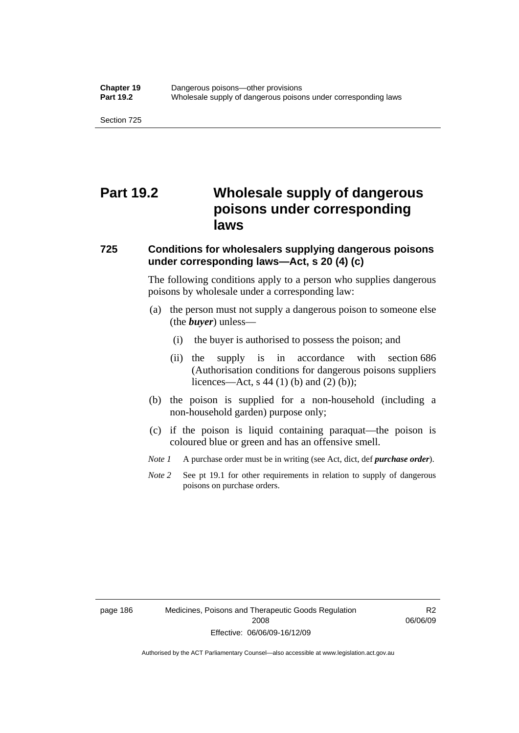# **Part 19.2 Wholesale supply of dangerous poisons under corresponding laws**

### **725 Conditions for wholesalers supplying dangerous poisons under corresponding laws—Act, s 20 (4) (c)**

The following conditions apply to a person who supplies dangerous poisons by wholesale under a corresponding law:

- (a) the person must not supply a dangerous poison to someone else (the *buyer*) unless—
	- (i) the buyer is authorised to possess the poison; and
	- (ii) the supply is in accordance with section 686 (Authorisation conditions for dangerous poisons suppliers licences—Act, s 44 (1) (b) and (2) (b));
- (b) the poison is supplied for a non-household (including a non-household garden) purpose only;
- (c) if the poison is liquid containing paraquat—the poison is coloured blue or green and has an offensive smell.
- *Note 1* A purchase order must be in writing (see Act, dict, def *purchase order*).
- *Note* 2 See pt 19.1 for other requirements in relation to supply of dangerous poisons on purchase orders.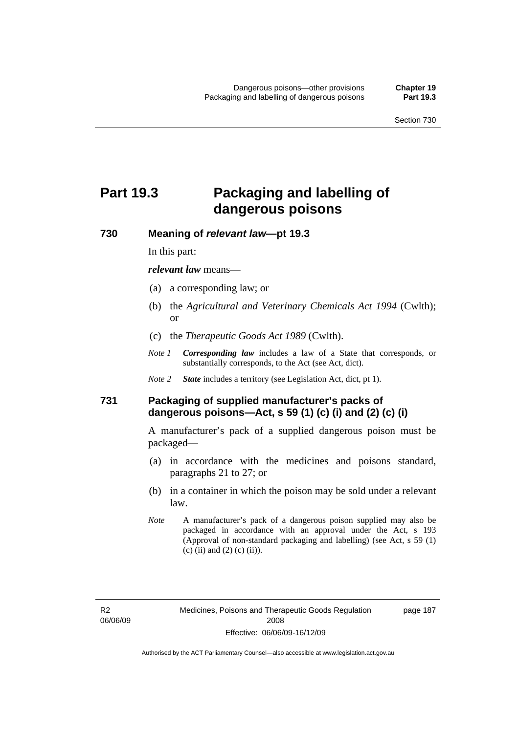# **Part 19.3 Packaging and labelling of dangerous poisons**

**730 Meaning of** *relevant law***—pt 19.3** 

In this part:

*relevant law* means—

- (a) a corresponding law; or
- (b) the *Agricultural and Veterinary Chemicals Act 1994* (Cwlth); or
- (c) the *Therapeutic Goods Act 1989* (Cwlth).
- *Note 1 Corresponding law* includes a law of a State that corresponds, or substantially corresponds, to the Act (see Act, dict).
- *Note 2 State* includes a territory (see Legislation Act, dict, pt 1).

# **731 Packaging of supplied manufacturer's packs of dangerous poisons—Act, s 59 (1) (c) (i) and (2) (c) (i)**

A manufacturer's pack of a supplied dangerous poison must be packaged—

- (a) in accordance with the medicines and poisons standard, paragraphs 21 to 27; or
- (b) in a container in which the poison may be sold under a relevant law.
- *Note* A manufacturer's pack of a dangerous poison supplied may also be packaged in accordance with an approval under the Act, s 193 (Approval of non-standard packaging and labelling) (see Act, s 59 (1) (c) (ii) and (2) (c) (ii)).

page 187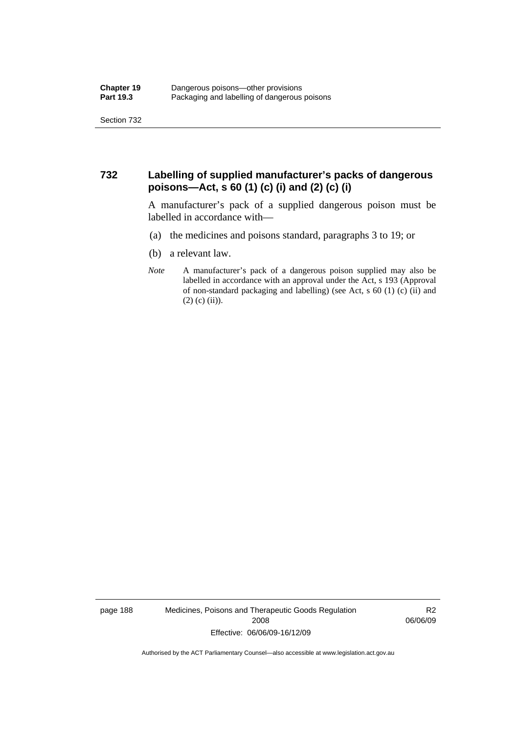# **732 Labelling of supplied manufacturer's packs of dangerous poisons—Act, s 60 (1) (c) (i) and (2) (c) (i)**

A manufacturer's pack of a supplied dangerous poison must be labelled in accordance with—

- (a) the medicines and poisons standard, paragraphs 3 to 19; or
- (b) a relevant law.
- *Note* A manufacturer's pack of a dangerous poison supplied may also be labelled in accordance with an approval under the Act, s 193 (Approval of non-standard packaging and labelling) (see Act, s 60 (1) (c) (ii) and  $(2)$  (c) (ii)).

page 188 Medicines, Poisons and Therapeutic Goods Regulation 2008 Effective: 06/06/09-16/12/09

R2 06/06/09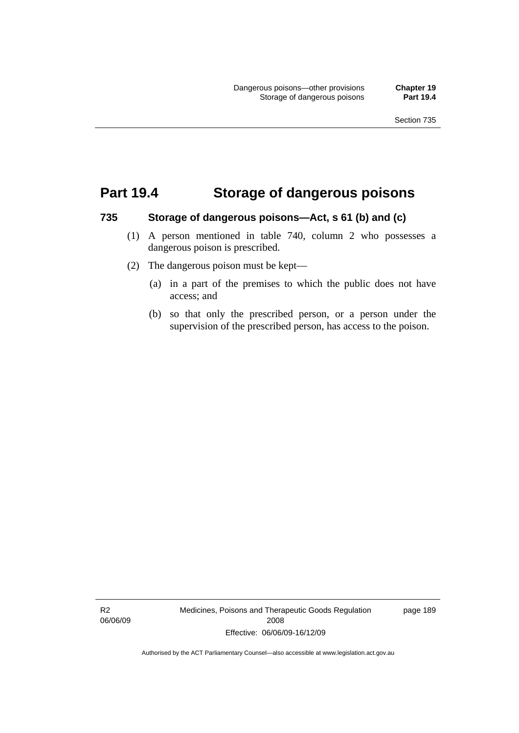# **Part 19.4 Storage of dangerous poisons**

#### **735 Storage of dangerous poisons—Act, s 61 (b) and (c)**

- (1) A person mentioned in table 740, column 2 who possesses a dangerous poison is prescribed.
- (2) The dangerous poison must be kept—
	- (a) in a part of the premises to which the public does not have access; and
	- (b) so that only the prescribed person, or a person under the supervision of the prescribed person, has access to the poison.

R2 06/06/09 Medicines, Poisons and Therapeutic Goods Regulation 2008 Effective: 06/06/09-16/12/09

page 189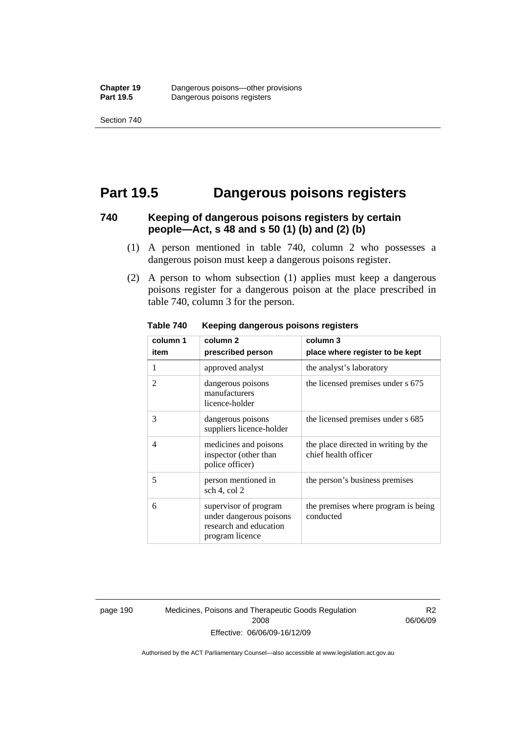# **Part 19.5 Dangerous poisons registers**

### **740 Keeping of dangerous poisons registers by certain people—Act, s 48 and s 50 (1) (b) and (2) (b)**

- (1) A person mentioned in table 740, column 2 who possesses a dangerous poison must keep a dangerous poisons register.
- (2) A person to whom subsection (1) applies must keep a dangerous poisons register for a dangerous poison at the place prescribed in table 740, column 3 for the person.

| column 1                 | column <sub>2</sub>                                                                           | column 3                                                     |
|--------------------------|-----------------------------------------------------------------------------------------------|--------------------------------------------------------------|
| item                     | prescribed person                                                                             | place where register to be kept                              |
| 1                        | approved analyst                                                                              | the analyst's laboratory                                     |
| $\overline{\mathcal{L}}$ | dangerous poisons<br>manufacturers<br>licence-holder                                          | the licensed premises under s 675                            |
| 3                        | dangerous poisons<br>suppliers licence-holder                                                 | the licensed premises under s 685                            |
| $\overline{4}$           | medicines and poisons<br>inspector (other than<br>police officer)                             | the place directed in writing by the<br>chief health officer |
| 5                        | person mentioned in<br>sch 4, col 2                                                           | the person's business premises                               |
| 6                        | supervisor of program<br>under dangerous poisons<br>research and education<br>program licence | the premises where program is being<br>conducted             |

**Table 740 Keeping dangerous poisons registers** 

page 190 Medicines, Poisons and Therapeutic Goods Regulation 2008 Effective: 06/06/09-16/12/09

R2 06/06/09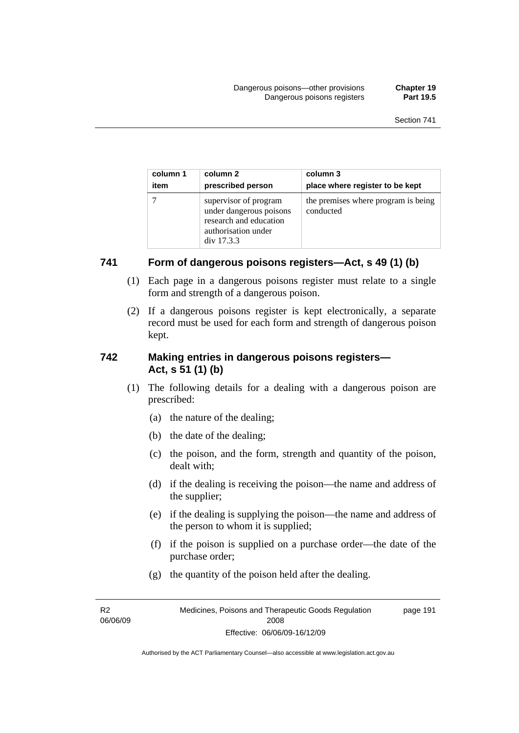| column 1 | column 2                                                                                                        | column 3                                         |
|----------|-----------------------------------------------------------------------------------------------------------------|--------------------------------------------------|
| item     | prescribed person                                                                                               | place where register to be kept                  |
|          | supervisor of program<br>under dangerous poisons<br>research and education<br>authorisation under<br>div 17.3.3 | the premises where program is being<br>conducted |

# **741 Form of dangerous poisons registers—Act, s 49 (1) (b)**

- (1) Each page in a dangerous poisons register must relate to a single form and strength of a dangerous poison.
- (2) If a dangerous poisons register is kept electronically, a separate record must be used for each form and strength of dangerous poison kept.

# **742 Making entries in dangerous poisons registers— Act, s 51 (1) (b)**

- (1) The following details for a dealing with a dangerous poison are prescribed:
	- (a) the nature of the dealing;
	- (b) the date of the dealing;
	- (c) the poison, and the form, strength and quantity of the poison, dealt with;
	- (d) if the dealing is receiving the poison—the name and address of the supplier;
	- (e) if the dealing is supplying the poison—the name and address of the person to whom it is supplied;
	- (f) if the poison is supplied on a purchase order—the date of the purchase order;
	- (g) the quantity of the poison held after the dealing.

R2 06/06/09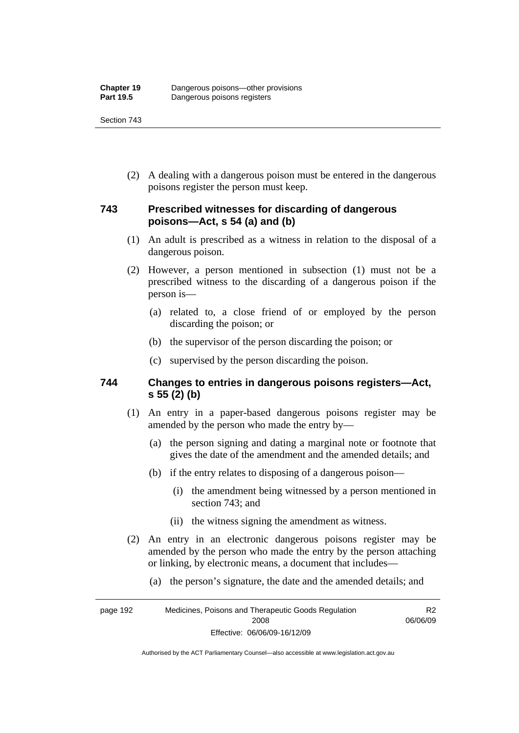(2) A dealing with a dangerous poison must be entered in the dangerous poisons register the person must keep.

# **743 Prescribed witnesses for discarding of dangerous poisons—Act, s 54 (a) and (b)**

- (1) An adult is prescribed as a witness in relation to the disposal of a dangerous poison.
- (2) However, a person mentioned in subsection (1) must not be a prescribed witness to the discarding of a dangerous poison if the person is—
	- (a) related to, a close friend of or employed by the person discarding the poison; or
	- (b) the supervisor of the person discarding the poison; or
	- (c) supervised by the person discarding the poison.

### **744 Changes to entries in dangerous poisons registers—Act, s 55 (2) (b)**

- (1) An entry in a paper-based dangerous poisons register may be amended by the person who made the entry by—
	- (a) the person signing and dating a marginal note or footnote that gives the date of the amendment and the amended details; and
	- (b) if the entry relates to disposing of a dangerous poison—
		- (i) the amendment being witnessed by a person mentioned in section 743; and
		- (ii) the witness signing the amendment as witness.
- (2) An entry in an electronic dangerous poisons register may be amended by the person who made the entry by the person attaching or linking, by electronic means, a document that includes—
	- (a) the person's signature, the date and the amended details; and

page 192 Medicines, Poisons and Therapeutic Goods Regulation 2008 Effective: 06/06/09-16/12/09 R2 06/06/09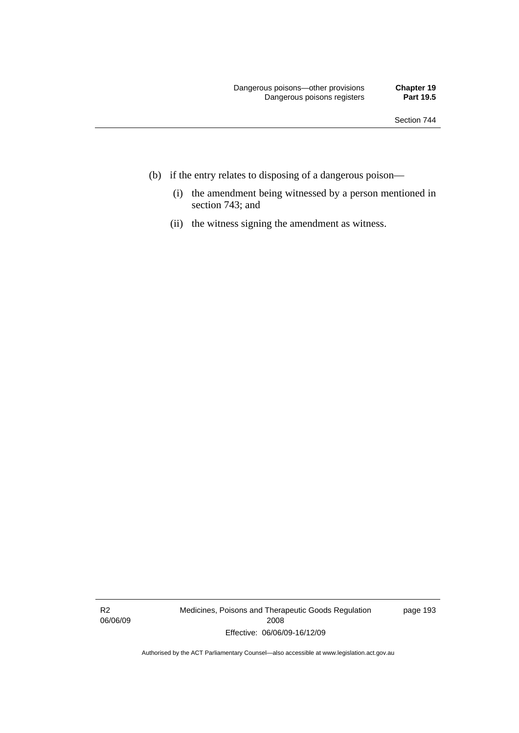- (b) if the entry relates to disposing of a dangerous poison—
	- (i) the amendment being witnessed by a person mentioned in section 743; and
	- (ii) the witness signing the amendment as witness.

R2 06/06/09 Medicines, Poisons and Therapeutic Goods Regulation 2008 Effective: 06/06/09-16/12/09

page 193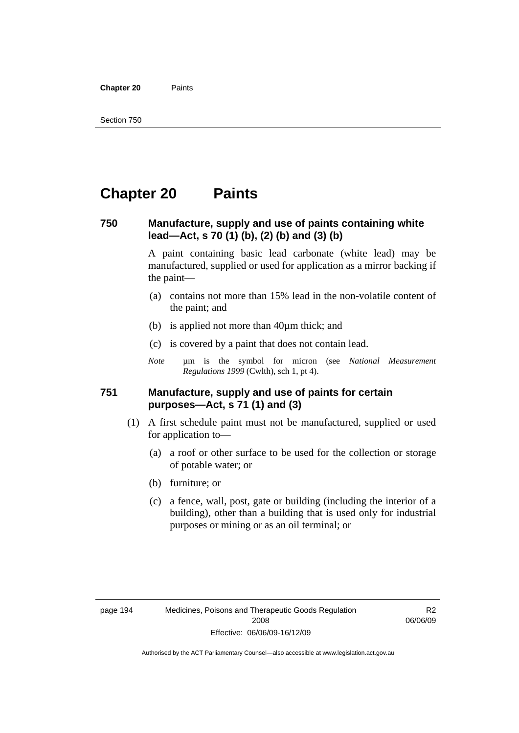**Chapter 20** Paints

## **Chapter 20 Paints**

### **750 Manufacture, supply and use of paints containing white lead—Act, s 70 (1) (b), (2) (b) and (3) (b)**

A paint containing basic lead carbonate (white lead) may be manufactured, supplied or used for application as a mirror backing if the paint—

- (a) contains not more than 15% lead in the non-volatile content of the paint; and
- (b) is applied not more than 40µm thick; and
- (c) is covered by a paint that does not contain lead.
- *Note* um is the symbol for micron (see *National Measurement Regulations 1999* (Cwlth), sch 1, pt 4).

### **751 Manufacture, supply and use of paints for certain purposes—Act, s 71 (1) and (3)**

- (1) A first schedule paint must not be manufactured, supplied or used for application to—
	- (a) a roof or other surface to be used for the collection or storage of potable water; or
	- (b) furniture; or
	- (c) a fence, wall, post, gate or building (including the interior of a building), other than a building that is used only for industrial purposes or mining or as an oil terminal; or

R2 06/06/09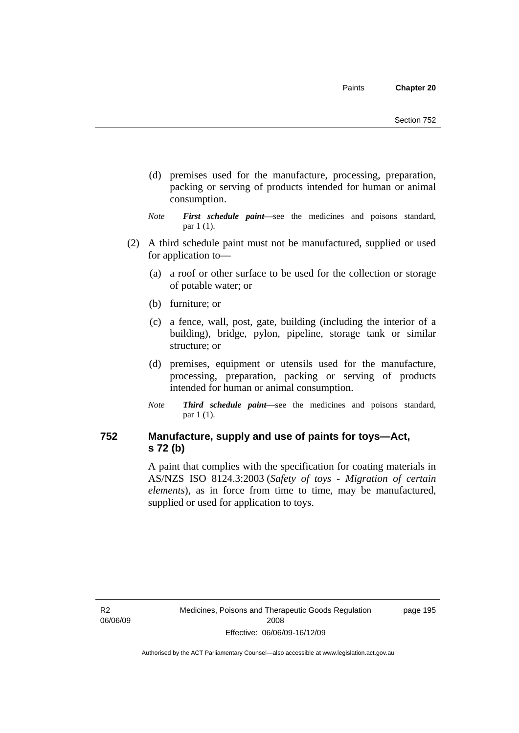- (d) premises used for the manufacture, processing, preparation, packing or serving of products intended for human or animal consumption.
- *Note First schedule paint*—see the medicines and poisons standard, par 1 (1).
- (2) A third schedule paint must not be manufactured, supplied or used for application to—
	- (a) a roof or other surface to be used for the collection or storage of potable water; or
	- (b) furniture; or
	- (c) a fence, wall, post, gate, building (including the interior of a building), bridge, pylon, pipeline, storage tank or similar structure; or
	- (d) premises, equipment or utensils used for the manufacture, processing, preparation, packing or serving of products intended for human or animal consumption.
	- *Note Third schedule paint*—see the medicines and poisons standard, par 1 (1).

## **752 Manufacture, supply and use of paints for toys—Act, s 72 (b)**

A paint that complies with the specification for coating materials in AS/NZS ISO 8124.3:2003 (*Safety of toys - Migration of certain elements*), as in force from time to time, may be manufactured, supplied or used for application to toys.

R2 06/06/09 page 195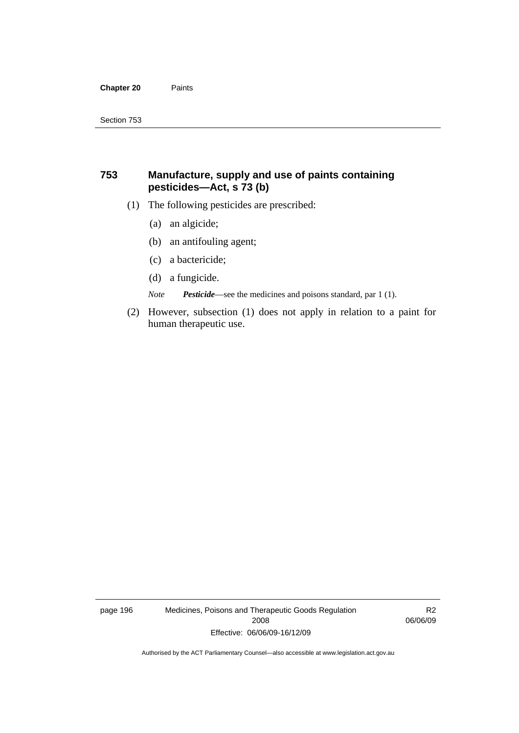#### **Chapter 20** Paints

## **753 Manufacture, supply and use of paints containing pesticides—Act, s 73 (b)**

- (1) The following pesticides are prescribed:
	- (a) an algicide;
	- (b) an antifouling agent;
	- (c) a bactericide;
	- (d) a fungicide.

*Note Pesticide*—see the medicines and poisons standard, par 1 (1).

 (2) However, subsection (1) does not apply in relation to a paint for human therapeutic use.

page 196 Medicines, Poisons and Therapeutic Goods Regulation 2008 Effective: 06/06/09-16/12/09

R2 06/06/09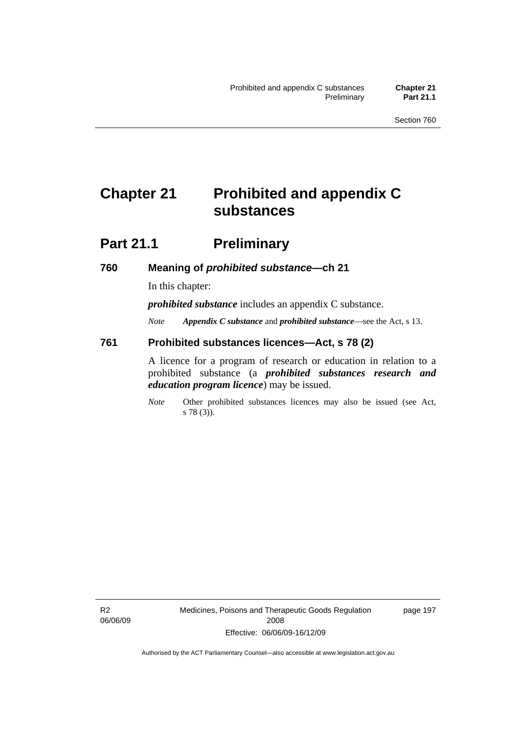## **Chapter 21 Prohibited and appendix C substances**

## **Part 21.1 Preliminary**

### **760 Meaning of** *prohibited substance***—ch 21**

In this chapter:

*prohibited substance* includes an appendix C substance.

*Note Appendix C substance* and *prohibited substance*—see the Act, s 13.

### **761 Prohibited substances licences—Act, s 78 (2)**

A licence for a program of research or education in relation to a prohibited substance (a *prohibited substances research and education program licence*) may be issued.

*Note* Other prohibited substances licences may also be issued (see Act, s 78 (3)).

R2 06/06/09 page 197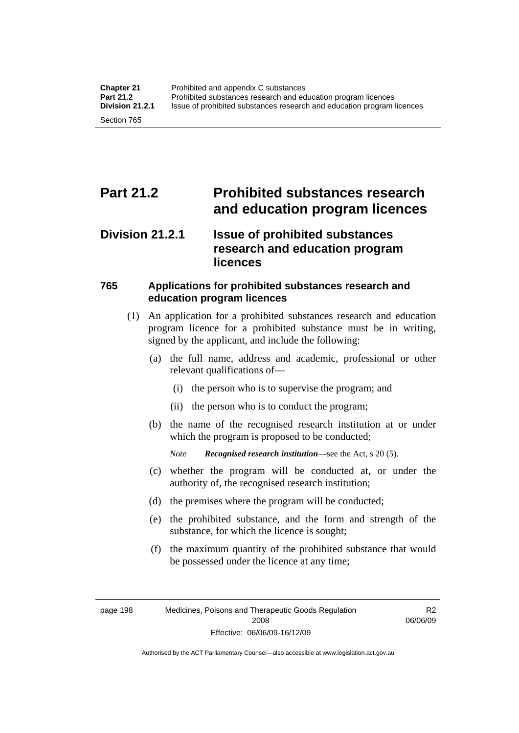## **Part 21.2 Prohibited substances research and education program licences**

## **Division 21.2.1 Issue of prohibited substances research and education program licences**

## **765 Applications for prohibited substances research and education program licences**

- (1) An application for a prohibited substances research and education program licence for a prohibited substance must be in writing, signed by the applicant, and include the following:
	- (a) the full name, address and academic, professional or other relevant qualifications of—
		- (i) the person who is to supervise the program; and
		- (ii) the person who is to conduct the program;
	- (b) the name of the recognised research institution at or under which the program is proposed to be conducted;

*Note Recognised research institution*—see the Act, s 20 (5).

- (c) whether the program will be conducted at, or under the authority of, the recognised research institution;
- (d) the premises where the program will be conducted;
- (e) the prohibited substance, and the form and strength of the substance, for which the licence is sought;
- (f) the maximum quantity of the prohibited substance that would be possessed under the licence at any time;

page 198 Medicines, Poisons and Therapeutic Goods Regulation 2008 Effective: 06/06/09-16/12/09

R2 06/06/09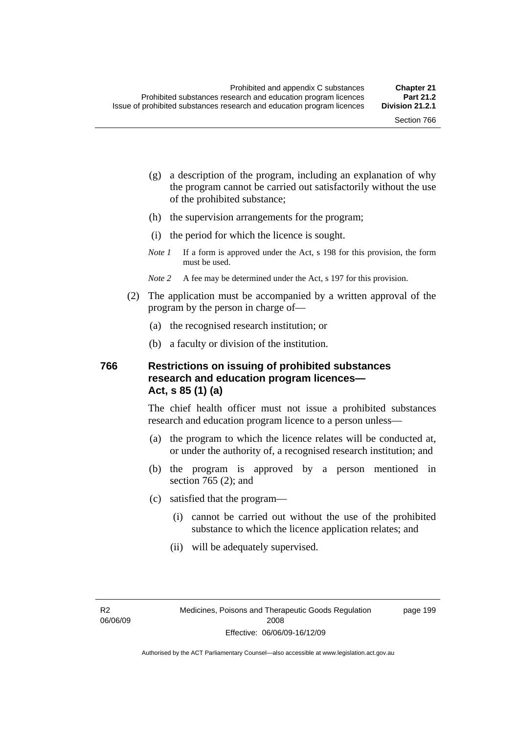page 199

- (g) a description of the program, including an explanation of why the program cannot be carried out satisfactorily without the use of the prohibited substance;
- (h) the supervision arrangements for the program;
- (i) the period for which the licence is sought.
- *Note 1* If a form is approved under the Act, s 198 for this provision, the form must be used.
- *Note* 2 A fee may be determined under the Act, s 197 for this provision.
- (2) The application must be accompanied by a written approval of the program by the person in charge of—
	- (a) the recognised research institution; or
	- (b) a faculty or division of the institution.

## **766 Restrictions on issuing of prohibited substances research and education program licences— Act, s 85 (1) (a)**

The chief health officer must not issue a prohibited substances research and education program licence to a person unless—

- (a) the program to which the licence relates will be conducted at, or under the authority of, a recognised research institution; and
- (b) the program is approved by a person mentioned in section 765 (2); and
- (c) satisfied that the program—
	- (i) cannot be carried out without the use of the prohibited substance to which the licence application relates; and
	- (ii) will be adequately supervised.

R2 06/06/09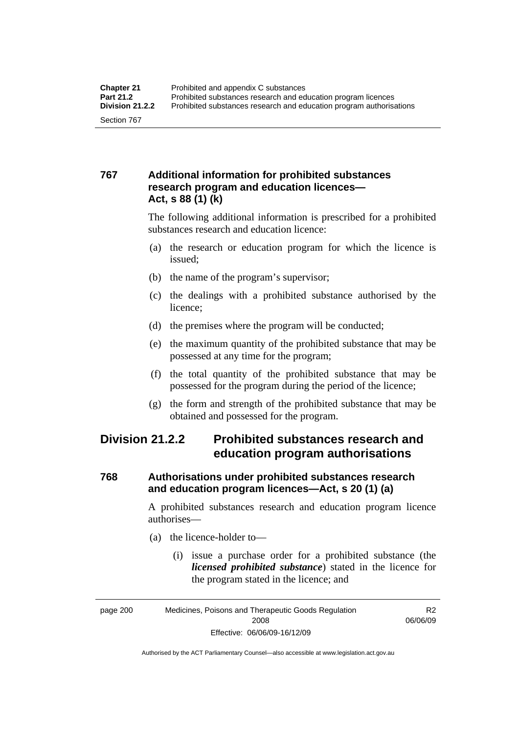## **767 Additional information for prohibited substances research program and education licences— Act, s 88 (1) (k)**

The following additional information is prescribed for a prohibited substances research and education licence:

- (a) the research or education program for which the licence is issued;
- (b) the name of the program's supervisor;
- (c) the dealings with a prohibited substance authorised by the licence;
- (d) the premises where the program will be conducted;
- (e) the maximum quantity of the prohibited substance that may be possessed at any time for the program;
- (f) the total quantity of the prohibited substance that may be possessed for the program during the period of the licence;
- (g) the form and strength of the prohibited substance that may be obtained and possessed for the program.

## **Division 21.2.2 Prohibited substances research and education program authorisations**

## **768 Authorisations under prohibited substances research and education program licences—Act, s 20 (1) (a)**

A prohibited substances research and education program licence authorises—

- (a) the licence-holder to—
	- (i) issue a purchase order for a prohibited substance (the *licensed prohibited substance*) stated in the licence for the program stated in the licence; and

R2 06/06/09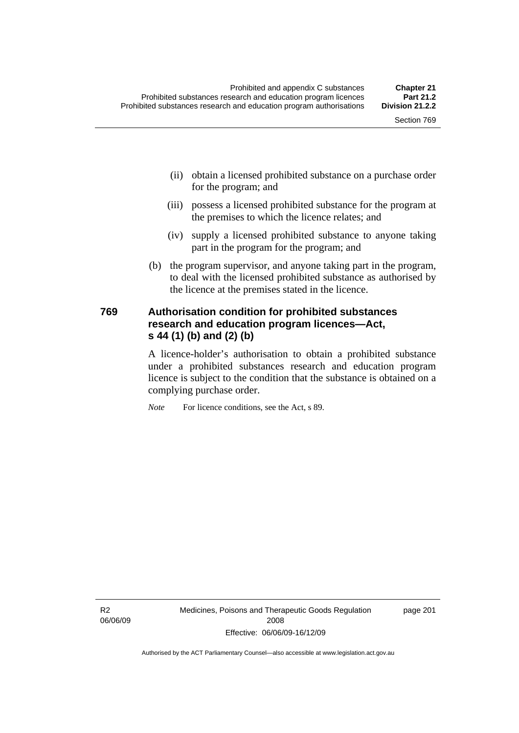- (ii) obtain a licensed prohibited substance on a purchase order for the program; and
- (iii) possess a licensed prohibited substance for the program at the premises to which the licence relates; and
- (iv) supply a licensed prohibited substance to anyone taking part in the program for the program; and
- (b) the program supervisor, and anyone taking part in the program, to deal with the licensed prohibited substance as authorised by the licence at the premises stated in the licence.

## **769 Authorisation condition for prohibited substances research and education program licences—Act, s 44 (1) (b) and (2) (b)**

A licence-holder's authorisation to obtain a prohibited substance under a prohibited substances research and education program licence is subject to the condition that the substance is obtained on a complying purchase order.

*Note* For licence conditions, see the Act, s 89.

R2 06/06/09 Medicines, Poisons and Therapeutic Goods Regulation 2008 Effective: 06/06/09-16/12/09

page 201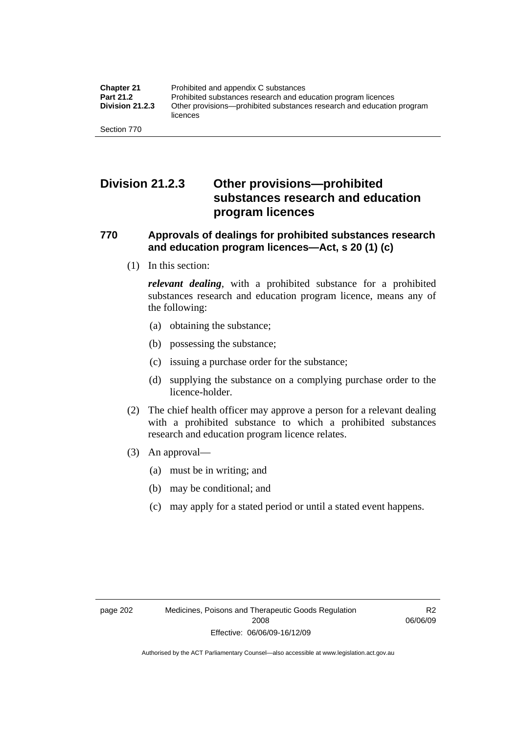## **Division 21.2.3 Other provisions—prohibited substances research and education program licences**

## **770 Approvals of dealings for prohibited substances research and education program licences—Act, s 20 (1) (c)**

(1) In this section:

*relevant dealing*, with a prohibited substance for a prohibited substances research and education program licence, means any of the following:

- (a) obtaining the substance;
- (b) possessing the substance;
- (c) issuing a purchase order for the substance;
- (d) supplying the substance on a complying purchase order to the licence-holder.
- (2) The chief health officer may approve a person for a relevant dealing with a prohibited substance to which a prohibited substances research and education program licence relates.
- (3) An approval—
	- (a) must be in writing; and
	- (b) may be conditional; and
	- (c) may apply for a stated period or until a stated event happens.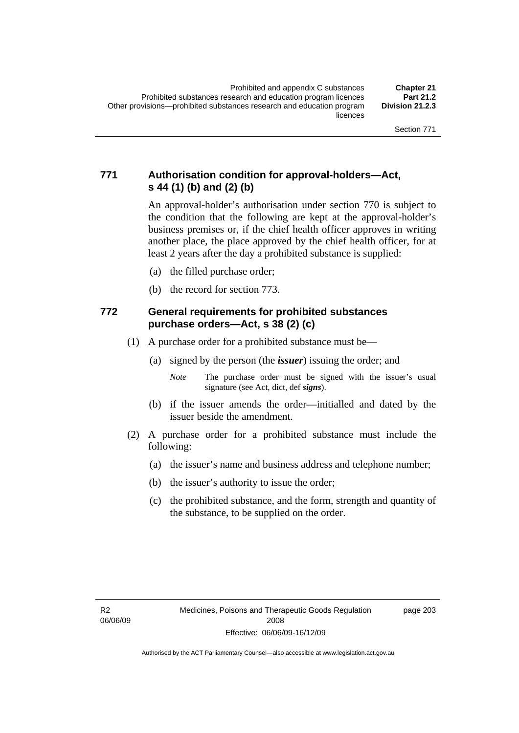## **771 Authorisation condition for approval-holders—Act, s 44 (1) (b) and (2) (b)**

An approval-holder's authorisation under section 770 is subject to the condition that the following are kept at the approval-holder's business premises or, if the chief health officer approves in writing another place, the place approved by the chief health officer, for at least 2 years after the day a prohibited substance is supplied:

- (a) the filled purchase order;
- (b) the record for section 773.

## **772 General requirements for prohibited substances purchase orders—Act, s 38 (2) (c)**

- (1) A purchase order for a prohibited substance must be—
	- (a) signed by the person (the *issuer*) issuing the order; and
		- *Note* The purchase order must be signed with the issuer's usual signature (see Act, dict, def *signs*).
	- (b) if the issuer amends the order—initialled and dated by the issuer beside the amendment.
- (2) A purchase order for a prohibited substance must include the following:
	- (a) the issuer's name and business address and telephone number;
	- (b) the issuer's authority to issue the order;
	- (c) the prohibited substance, and the form, strength and quantity of the substance, to be supplied on the order.

page 203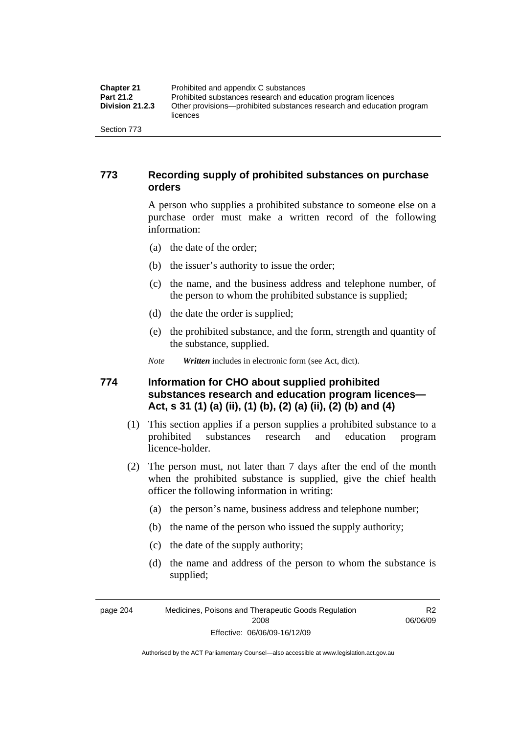| <b>Chapter 21</b>      | Prohibited and appendix C substances                                              |
|------------------------|-----------------------------------------------------------------------------------|
| <b>Part 21.2</b>       | Prohibited substances research and education program licences                     |
| <b>Division 21.2.3</b> | Other provisions—prohibited substances research and education program<br>licences |
| Section 773            |                                                                                   |

## **773 Recording supply of prohibited substances on purchase orders**

A person who supplies a prohibited substance to someone else on a purchase order must make a written record of the following information:

- (a) the date of the order;
- (b) the issuer's authority to issue the order;
- (c) the name, and the business address and telephone number, of the person to whom the prohibited substance is supplied;
- (d) the date the order is supplied;
- (e) the prohibited substance, and the form, strength and quantity of the substance, supplied.

*Note Written* includes in electronic form (see Act, dict).

## **774 Information for CHO about supplied prohibited substances research and education program licences— Act, s 31 (1) (a) (ii), (1) (b), (2) (a) (ii), (2) (b) and (4)**

- (1) This section applies if a person supplies a prohibited substance to a prohibited substances research and education program licence-holder.
- (2) The person must, not later than 7 days after the end of the month when the prohibited substance is supplied, give the chief health officer the following information in writing:
	- (a) the person's name, business address and telephone number;
	- (b) the name of the person who issued the supply authority;
	- (c) the date of the supply authority;
	- (d) the name and address of the person to whom the substance is supplied;

page 204 Medicines, Poisons and Therapeutic Goods Regulation 2008 Effective: 06/06/09-16/12/09

R2 06/06/09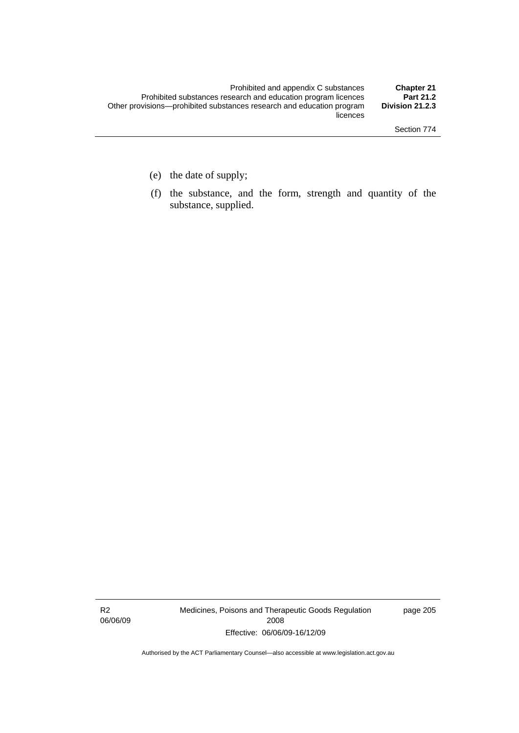- (e) the date of supply;
- (f) the substance, and the form, strength and quantity of the substance, supplied.

R2 06/06/09 Medicines, Poisons and Therapeutic Goods Regulation 2008 Effective: 06/06/09-16/12/09

page 205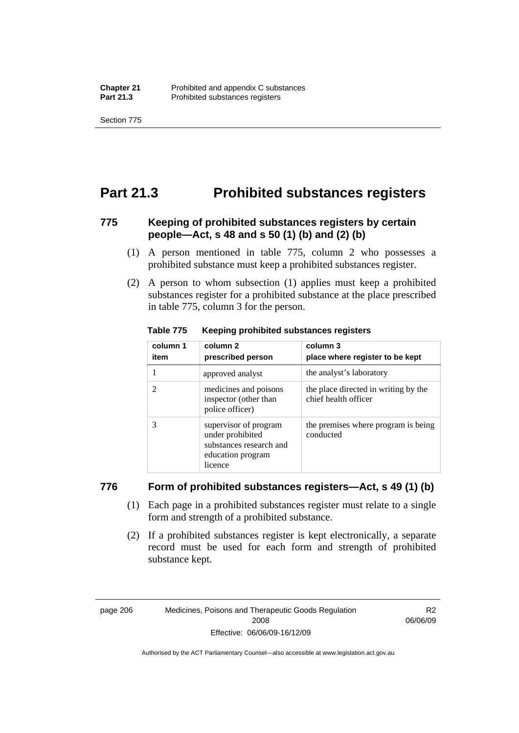Section 775

## **Part 21.3 Prohibited substances registers**

## **775 Keeping of prohibited substances registers by certain people—Act, s 48 and s 50 (1) (b) and (2) (b)**

- (1) A person mentioned in table 775, column 2 who possesses a prohibited substance must keep a prohibited substances register.
- (2) A person to whom subsection (1) applies must keep a prohibited substances register for a prohibited substance at the place prescribed in table 775, column 3 for the person.

| column 1<br>item | column 2<br>prescribed person                                                                        | column 3<br>place where register to be kept                  |
|------------------|------------------------------------------------------------------------------------------------------|--------------------------------------------------------------|
|                  | approved analyst                                                                                     | the analyst's laboratory                                     |
| 2                | medicines and poisons<br>inspector (other than<br>police officer)                                    | the place directed in writing by the<br>chief health officer |
| 3                | supervisor of program<br>under prohibited<br>substances research and<br>education program<br>licence | the premises where program is being<br>conducted             |

#### **Table 775 Keeping prohibited substances registers**

### **776 Form of prohibited substances registers—Act, s 49 (1) (b)**

- (1) Each page in a prohibited substances register must relate to a single form and strength of a prohibited substance.
- (2) If a prohibited substances register is kept electronically, a separate record must be used for each form and strength of prohibited substance kept.

page 206 Medicines, Poisons and Therapeutic Goods Regulation 2008 Effective: 06/06/09-16/12/09

R2 06/06/09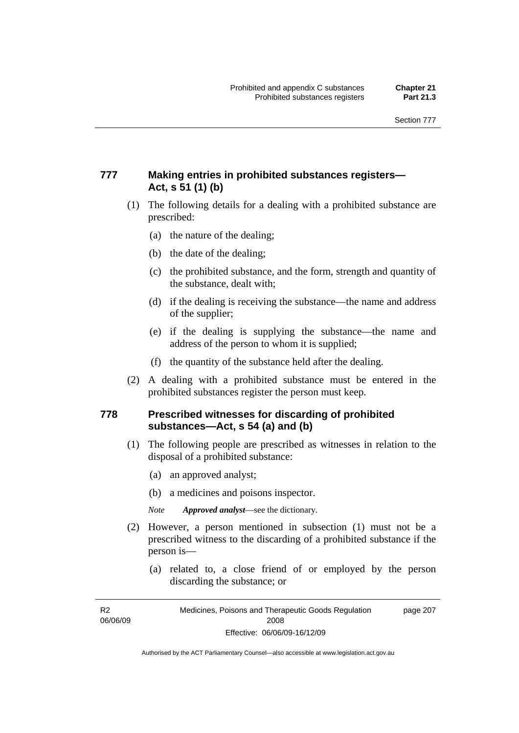## **777 Making entries in prohibited substances registers— Act, s 51 (1) (b)**

- (1) The following details for a dealing with a prohibited substance are prescribed:
	- (a) the nature of the dealing;
	- (b) the date of the dealing;
	- (c) the prohibited substance, and the form, strength and quantity of the substance, dealt with;
	- (d) if the dealing is receiving the substance—the name and address of the supplier;
	- (e) if the dealing is supplying the substance—the name and address of the person to whom it is supplied;
	- (f) the quantity of the substance held after the dealing.
- (2) A dealing with a prohibited substance must be entered in the prohibited substances register the person must keep.

## **778 Prescribed witnesses for discarding of prohibited substances—Act, s 54 (a) and (b)**

- (1) The following people are prescribed as witnesses in relation to the disposal of a prohibited substance:
	- (a) an approved analyst;
	- (b) a medicines and poisons inspector.

*Note Approved analyst*—see the dictionary.

- (2) However, a person mentioned in subsection (1) must not be a prescribed witness to the discarding of a prohibited substance if the person is—
	- (a) related to, a close friend of or employed by the person discarding the substance; or

R2 06/06/09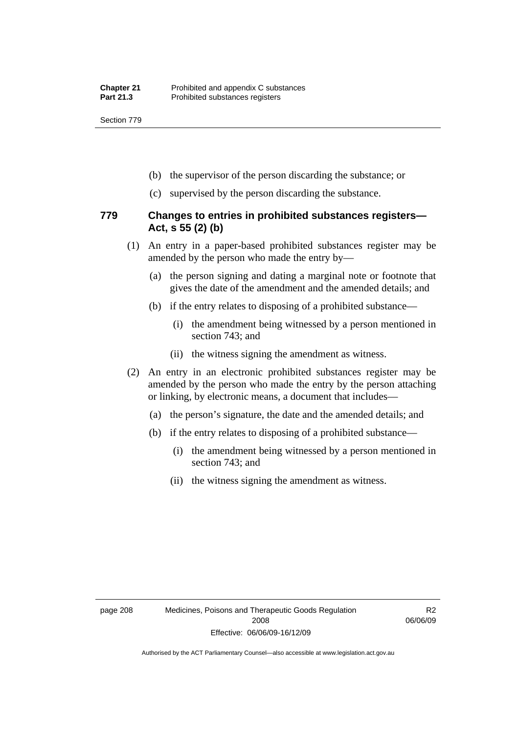Section 779

- (b) the supervisor of the person discarding the substance; or
- (c) supervised by the person discarding the substance.

### **779 Changes to entries in prohibited substances registers— Act, s 55 (2) (b)**

- (1) An entry in a paper-based prohibited substances register may be amended by the person who made the entry by—
	- (a) the person signing and dating a marginal note or footnote that gives the date of the amendment and the amended details; and
	- (b) if the entry relates to disposing of a prohibited substance—
		- (i) the amendment being witnessed by a person mentioned in section 743; and
		- (ii) the witness signing the amendment as witness.
- (2) An entry in an electronic prohibited substances register may be amended by the person who made the entry by the person attaching or linking, by electronic means, a document that includes—
	- (a) the person's signature, the date and the amended details; and
	- (b) if the entry relates to disposing of a prohibited substance—
		- (i) the amendment being witnessed by a person mentioned in section 743; and
		- (ii) the witness signing the amendment as witness.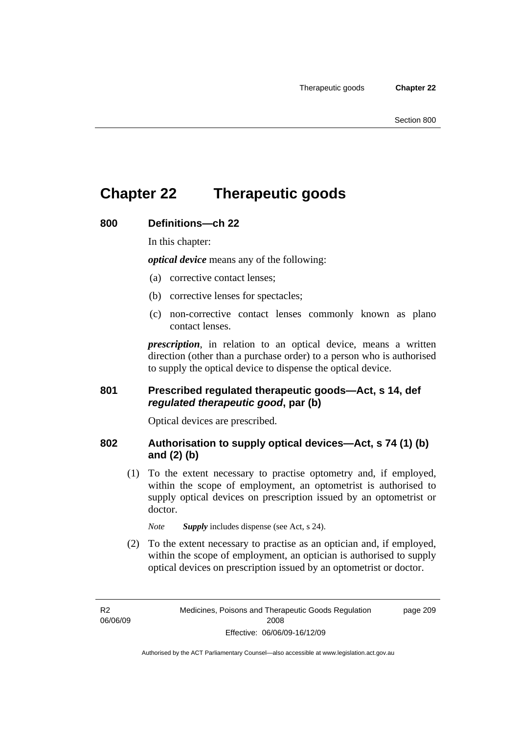## **Chapter 22 Therapeutic goods**

### **800 Definitions—ch 22**

In this chapter:

*optical device* means any of the following:

- (a) corrective contact lenses;
- (b) corrective lenses for spectacles;
- (c) non-corrective contact lenses commonly known as plano contact lenses.

*prescription*, in relation to an optical device, means a written direction (other than a purchase order) to a person who is authorised to supply the optical device to dispense the optical device.

### **801 Prescribed regulated therapeutic goods—Act, s 14, def**  *regulated therapeutic good***, par (b)**

Optical devices are prescribed.

## **802 Authorisation to supply optical devices—Act, s 74 (1) (b) and (2) (b)**

 (1) To the extent necessary to practise optometry and, if employed, within the scope of employment, an optometrist is authorised to supply optical devices on prescription issued by an optometrist or doctor.

*Note Supply* includes dispense (see Act, s 24).

 (2) To the extent necessary to practise as an optician and, if employed, within the scope of employment, an optician is authorised to supply optical devices on prescription issued by an optometrist or doctor.

R2 06/06/09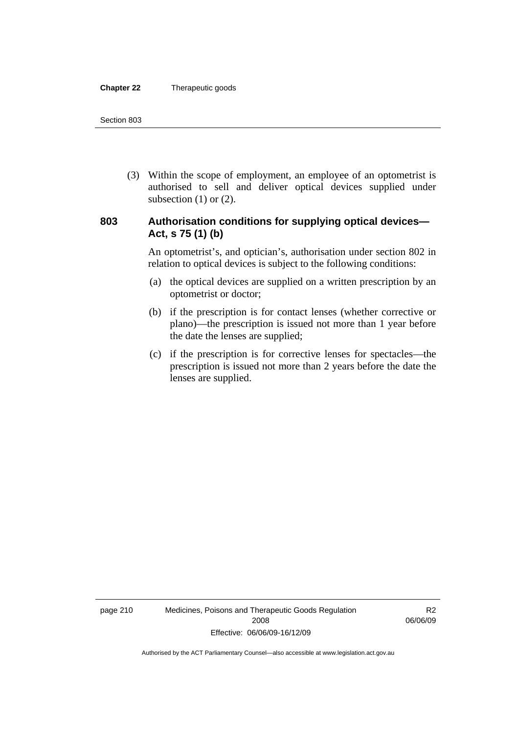#### **Chapter 22** Therapeutic goods

 (3) Within the scope of employment, an employee of an optometrist is authorised to sell and deliver optical devices supplied under subsection  $(1)$  or  $(2)$ .

## **803 Authorisation conditions for supplying optical devices— Act, s 75 (1) (b)**

An optometrist's, and optician's, authorisation under section 802 in relation to optical devices is subject to the following conditions:

- (a) the optical devices are supplied on a written prescription by an optometrist or doctor;
- (b) if the prescription is for contact lenses (whether corrective or plano)—the prescription is issued not more than 1 year before the date the lenses are supplied;
- (c) if the prescription is for corrective lenses for spectacles—the prescription is issued not more than 2 years before the date the lenses are supplied.

page 210 Medicines, Poisons and Therapeutic Goods Regulation 2008 Effective: 06/06/09-16/12/09

R2 06/06/09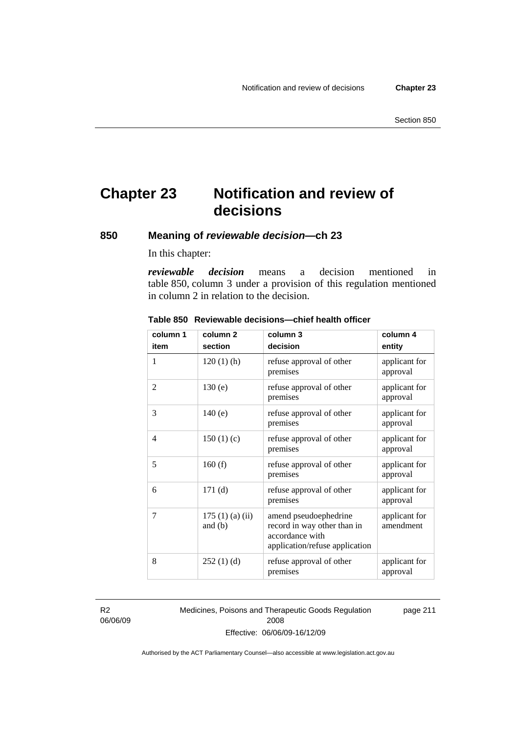## **Chapter 23 Notification and review of decisions**

**850 Meaning of** *reviewable decision—***ch 23** 

In this chapter:

*reviewable decision* means a decision mentioned in table 850, column 3 under a provision of this regulation mentioned in column 2 in relation to the decision.

| column 1       | column <sub>2</sub>        | column 3                                                                                                  | column 4                   |
|----------------|----------------------------|-----------------------------------------------------------------------------------------------------------|----------------------------|
| item           | section                    | decision                                                                                                  | entity                     |
| 1              | $120(1)$ (h)               | refuse approval of other<br>premises                                                                      | applicant for<br>approval  |
| $\overline{2}$ | 130(e)                     | refuse approval of other<br>premises                                                                      | applicant for<br>approval  |
| 3              | 140(e)                     | refuse approval of other<br>premises                                                                      | applicant for<br>approval  |
| 4              | 150(1)(c)                  | refuse approval of other<br>premises                                                                      | applicant for<br>approval  |
| 5              | 160(f)                     | refuse approval of other<br>premises                                                                      | applicant for<br>approval  |
| 6              | 171(d)                     | refuse approval of other<br>premises                                                                      | applicant for<br>approval  |
| 7              | 175(1)(a)(ii)<br>and $(b)$ | amend pseudoephedrine<br>record in way other than in<br>accordance with<br>application/refuse application | applicant for<br>amendment |
| 8              | 252(1)(d)                  | refuse approval of other<br>premises                                                                      | applicant for<br>approval  |

#### **Table 850 Reviewable decisions—chief health officer**

R2 06/06/09 Medicines, Poisons and Therapeutic Goods Regulation 2008 Effective: 06/06/09-16/12/09 page 211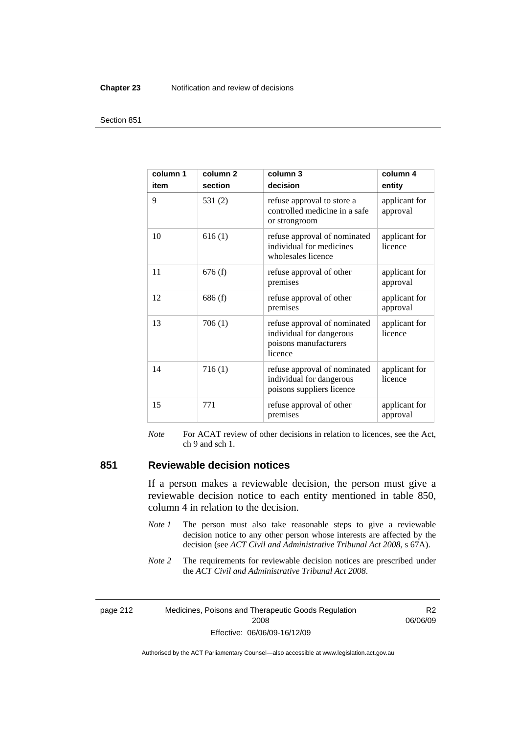#### **Chapter 23** Notification and review of decisions

#### Section 851

| column 1<br>item | column <sub>2</sub><br>section | column <sub>3</sub><br>decision                                                              | column 4<br>entity        |
|------------------|--------------------------------|----------------------------------------------------------------------------------------------|---------------------------|
| 9                | 531 $(2)$                      | refuse approval to store a<br>controlled medicine in a safe<br>or strongroom                 | applicant for<br>approval |
| 10               | 616(1)                         | refuse approval of nominated<br>individual for medicines<br>wholesales licence               | applicant for<br>licence  |
| 11               | 676(f)                         | refuse approval of other<br>premises                                                         | applicant for<br>approval |
| 12               | 686(f)                         | refuse approval of other<br>premises                                                         | applicant for<br>approval |
| 13               | 706(1)                         | refuse approval of nominated<br>individual for dangerous<br>poisons manufacturers<br>licence | applicant for<br>licence  |
| 14               | 716(1)                         | refuse approval of nominated<br>individual for dangerous<br>poisons suppliers licence        | applicant for<br>licence  |
| 15               | 771                            | refuse approval of other<br>premises                                                         | applicant for<br>approval |

*Note* For ACAT review of other decisions in relation to licences, see the Act, ch 9 and sch 1.

## **851 Reviewable decision notices**

If a person makes a reviewable decision, the person must give a reviewable decision notice to each entity mentioned in table 850, column 4 in relation to the decision.

- *Note 1* The person must also take reasonable steps to give a reviewable decision notice to any other person whose interests are affected by the decision (see *ACT Civil and Administrative Tribunal Act 2008*, s 67A).
- *Note* 2 The requirements for reviewable decision notices are prescribed under the *ACT Civil and Administrative Tribunal Act 2008*.

page 212 Medicines, Poisons and Therapeutic Goods Regulation 2008 Effective: 06/06/09-16/12/09

R2 06/06/09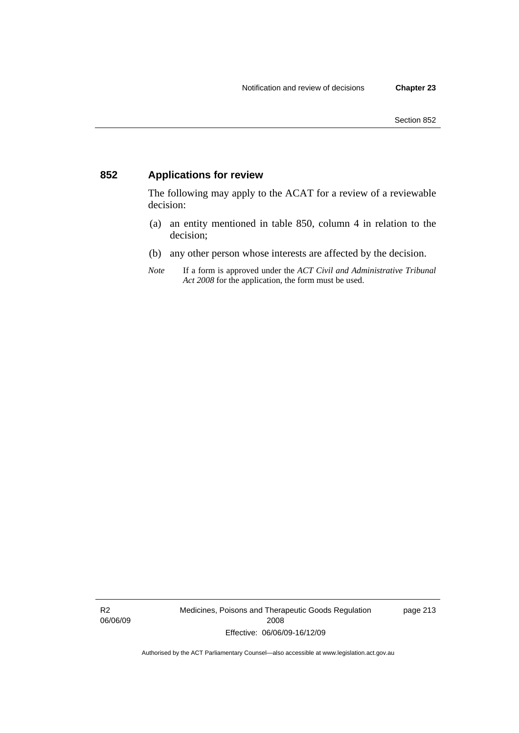## **852 Applications for review**

The following may apply to the ACAT for a review of a reviewable decision:

- (a) an entity mentioned in table 850, column 4 in relation to the decision;
- (b) any other person whose interests are affected by the decision.
- *Note* If a form is approved under the *ACT Civil and Administrative Tribunal Act 2008* for the application, the form must be used.

R2 06/06/09 Medicines, Poisons and Therapeutic Goods Regulation 2008 Effective: 06/06/09-16/12/09

page 213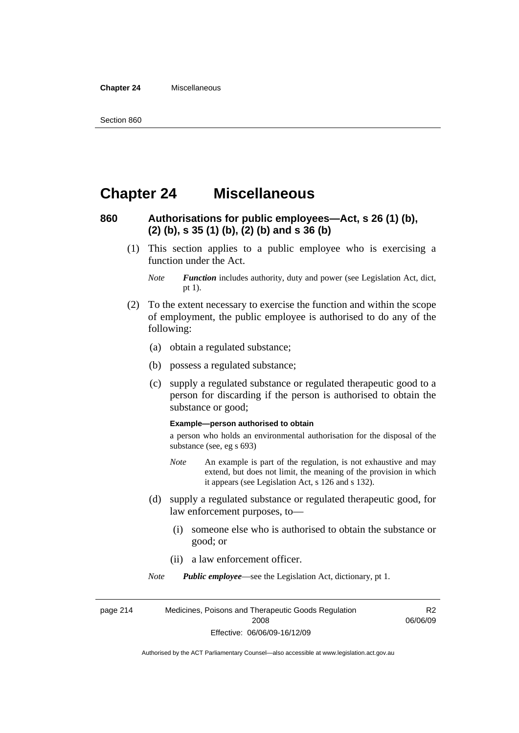#### **Chapter 24** Miscellaneous

## **Chapter 24 Miscellaneous**

## **860 Authorisations for public employees—Act, s 26 (1) (b), (2) (b), s 35 (1) (b), (2) (b) and s 36 (b)**

 (1) This section applies to a public employee who is exercising a function under the Act.

- (2) To the extent necessary to exercise the function and within the scope of employment, the public employee is authorised to do any of the following:
	- (a) obtain a regulated substance;
	- (b) possess a regulated substance;
	- (c) supply a regulated substance or regulated therapeutic good to a person for discarding if the person is authorised to obtain the substance or good;

#### **Example—person authorised to obtain**

a person who holds an environmental authorisation for the disposal of the substance (see, eg s 693)

- *Note* An example is part of the regulation, is not exhaustive and may extend, but does not limit, the meaning of the provision in which it appears (see Legislation Act, s 126 and s 132).
- (d) supply a regulated substance or regulated therapeutic good, for law enforcement purposes, to—
	- (i) someone else who is authorised to obtain the substance or good; or
	- (ii) a law enforcement officer.

*Note Public employee*—see the Legislation Act, dictionary, pt 1.

page 214 Medicines, Poisons and Therapeutic Goods Regulation 2008 Effective: 06/06/09-16/12/09 R2 06/06/09

*Note Function* includes authority, duty and power (see Legislation Act, dict, pt 1).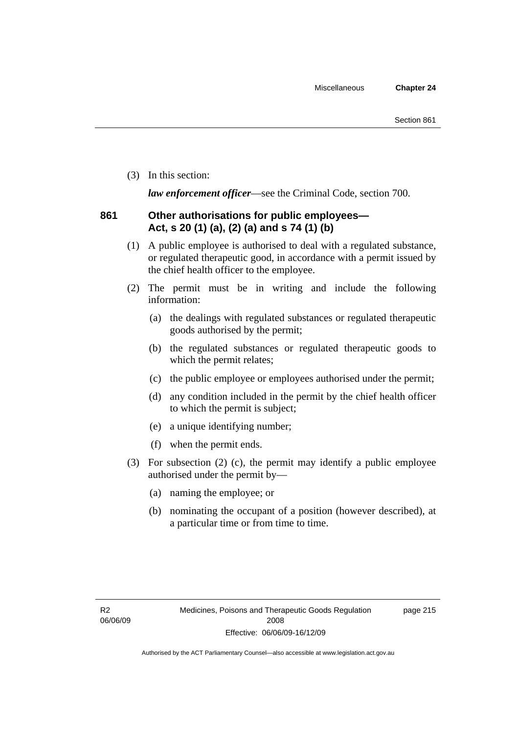(3) In this section:

*law enforcement officer*—see the Criminal Code, section 700.

## **861 Other authorisations for public employees— Act, s 20 (1) (a), (2) (a) and s 74 (1) (b)**

- (1) A public employee is authorised to deal with a regulated substance, or regulated therapeutic good, in accordance with a permit issued by the chief health officer to the employee.
- (2) The permit must be in writing and include the following information:
	- (a) the dealings with regulated substances or regulated therapeutic goods authorised by the permit;
	- (b) the regulated substances or regulated therapeutic goods to which the permit relates;
	- (c) the public employee or employees authorised under the permit;
	- (d) any condition included in the permit by the chief health officer to which the permit is subject;
	- (e) a unique identifying number;
	- (f) when the permit ends.
- (3) For subsection (2) (c), the permit may identify a public employee authorised under the permit by—
	- (a) naming the employee; or
	- (b) nominating the occupant of a position (however described), at a particular time or from time to time.

page 215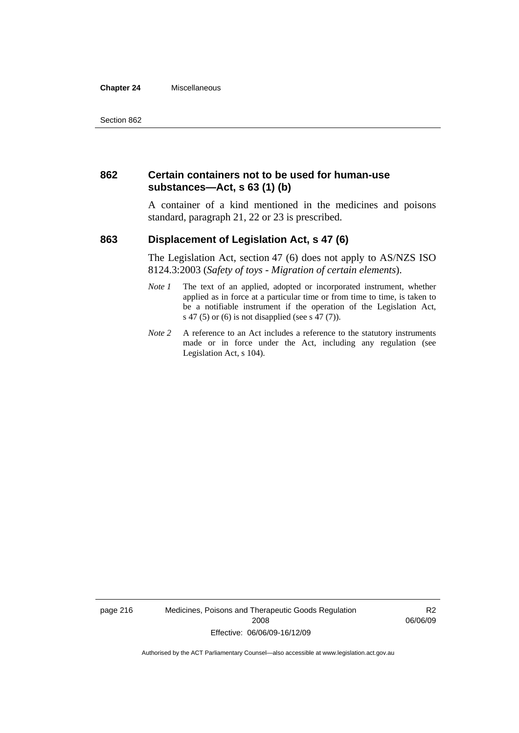#### **Chapter 24** Miscellaneous

### **862 Certain containers not to be used for human-use substances—Act, s 63 (1) (b)**

A container of a kind mentioned in the medicines and poisons standard, paragraph 21, 22 or 23 is prescribed.

### **863 Displacement of Legislation Act, s 47 (6)**

The Legislation Act, section 47 (6) does not apply to AS/NZS ISO 8124.3:2003 (*Safety of toys - Migration of certain elements*).

- *Note 1* The text of an applied, adopted or incorporated instrument, whether applied as in force at a particular time or from time to time, is taken to be a notifiable instrument if the operation of the Legislation Act, s 47 (5) or (6) is not disapplied (see s 47 (7)).
- *Note 2* A reference to an Act includes a reference to the statutory instruments made or in force under the Act, including any regulation (see Legislation Act, s 104).

page 216 Medicines, Poisons and Therapeutic Goods Regulation 2008 Effective: 06/06/09-16/12/09

R2 06/06/09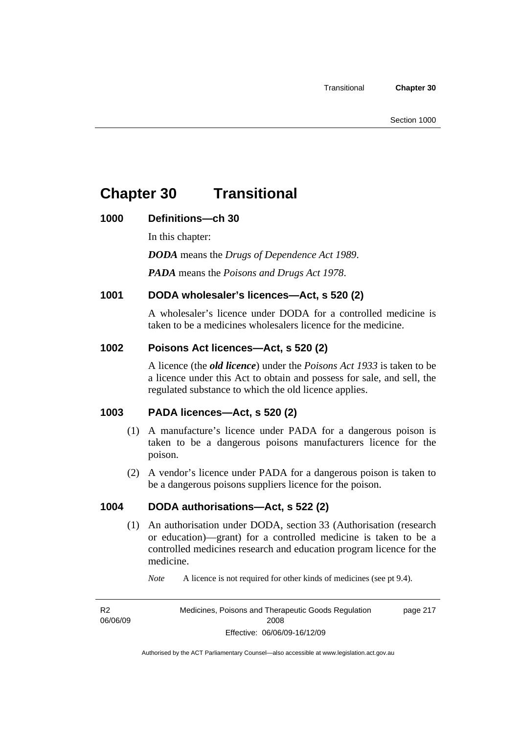## **Chapter 30 Transitional**

## **1000 Definitions—ch 30**

In this chapter:

*DODA* means the *Drugs of Dependence Act 1989*.

*PADA* means the *Poisons and Drugs Act 1978*.

## **1001 DODA wholesaler's licences—Act, s 520 (2)**

A wholesaler's licence under DODA for a controlled medicine is taken to be a medicines wholesalers licence for the medicine.

## **1002 Poisons Act licences—Act, s 520 (2)**

A licence (the *old licence*) under the *Poisons Act 1933* is taken to be a licence under this Act to obtain and possess for sale, and sell, the regulated substance to which the old licence applies.

## **1003 PADA licences—Act, s 520 (2)**

- (1) A manufacture's licence under PADA for a dangerous poison is taken to be a dangerous poisons manufacturers licence for the poison.
- (2) A vendor's licence under PADA for a dangerous poison is taken to be a dangerous poisons suppliers licence for the poison.

## **1004 DODA authorisations—Act, s 522 (2)**

- (1) An authorisation under DODA, section 33 (Authorisation (research or education)—grant) for a controlled medicine is taken to be a controlled medicines research and education program licence for the medicine.
	- *Note* A licence is not required for other kinds of medicines (see pt 9.4).

R2 06/06/09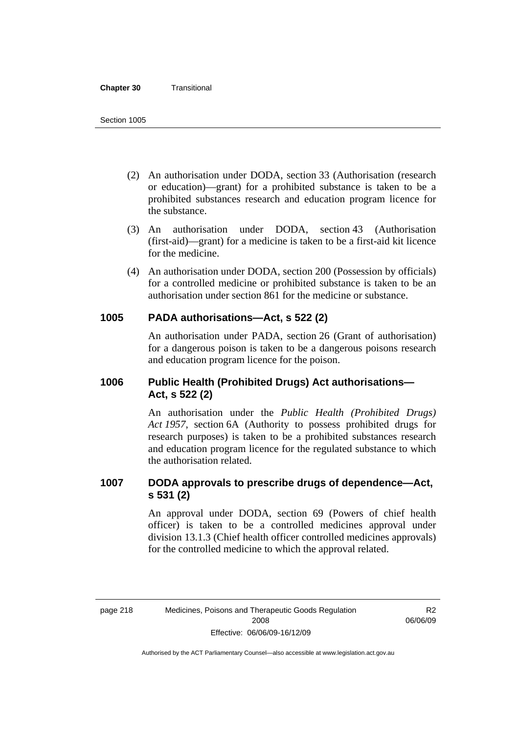#### **Chapter 30** Transitional

- (2) An authorisation under DODA, section 33 (Authorisation (research or education)—grant) for a prohibited substance is taken to be a prohibited substances research and education program licence for the substance.
- (3) An authorisation under DODA, section 43 (Authorisation (first-aid)—grant) for a medicine is taken to be a first-aid kit licence for the medicine.
- (4) An authorisation under DODA, section 200 (Possession by officials) for a controlled medicine or prohibited substance is taken to be an authorisation under section 861 for the medicine or substance.

### **1005 PADA authorisations—Act, s 522 (2)**

An authorisation under PADA, section 26 (Grant of authorisation) for a dangerous poison is taken to be a dangerous poisons research and education program licence for the poison.

## **1006 Public Health (Prohibited Drugs) Act authorisations— Act, s 522 (2)**

An authorisation under the *Public Health (Prohibited Drugs) Act 1957*, section 6A (Authority to possess prohibited drugs for research purposes) is taken to be a prohibited substances research and education program licence for the regulated substance to which the authorisation related.

## **1007 DODA approvals to prescribe drugs of dependence—Act, s 531 (2)**

An approval under DODA, section 69 (Powers of chief health officer) is taken to be a controlled medicines approval under division 13.1.3 (Chief health officer controlled medicines approvals) for the controlled medicine to which the approval related.

R2 06/06/09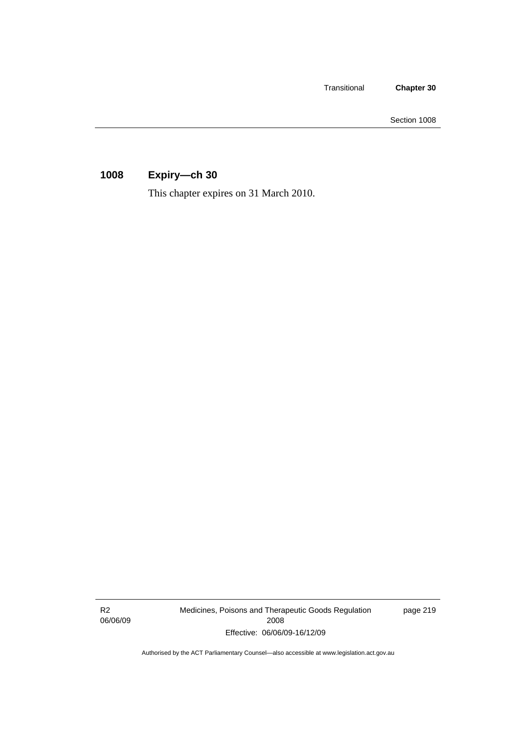Transitional **Chapter 30** 

Section 1008

## **1008 Expiry—ch 30**

This chapter expires on 31 March 2010.

R2 06/06/09 Medicines, Poisons and Therapeutic Goods Regulation 2008 Effective: 06/06/09-16/12/09

page 219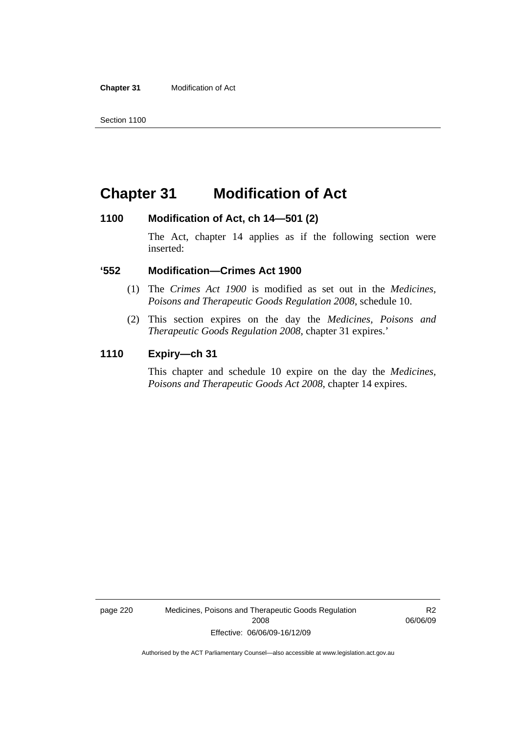**Chapter 31** Modification of Act

## **Chapter 31 Modification of Act**

### **1100 Modification of Act, ch 14—501 (2)**

The Act, chapter 14 applies as if the following section were inserted:

### **'552 Modification—Crimes Act 1900**

- (1) The *Crimes Act 1900* is modified as set out in the *Medicines, Poisons and Therapeutic Goods Regulation 2008*, schedule 10.
- (2) This section expires on the day the *Medicines, Poisons and Therapeutic Goods Regulation 2008*, chapter 31 expires.'

### **1110 Expiry—ch 31**

This chapter and schedule 10 expire on the day the *Medicines, Poisons and Therapeutic Goods Act 2008*, chapter 14 expires.

page 220 Medicines, Poisons and Therapeutic Goods Regulation 2008 Effective: 06/06/09-16/12/09

R2 06/06/09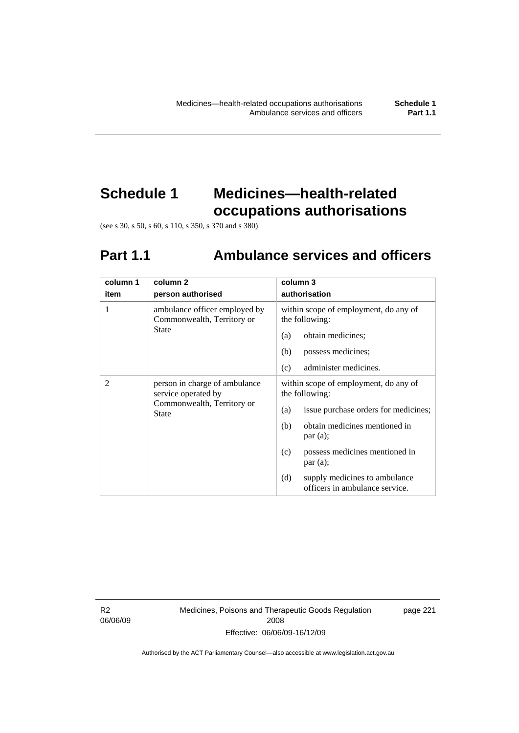## **Schedule 1 Medicines—health-related occupations authorisations**

(see s 30, s 50, s 60, s 110, s 350, s 370 and s 380)

# **Part 1.1 Ambulance services and officers**

| column 1 | column 2                                                                                    | column 3                                                               |
|----------|---------------------------------------------------------------------------------------------|------------------------------------------------------------------------|
| item     | person authorised                                                                           | authorisation                                                          |
| 1        | ambulance officer employed by<br>Commonwealth, Territory or                                 | within scope of employment, do any of<br>the following:                |
|          | State                                                                                       | obtain medicines;<br>(a)                                               |
|          |                                                                                             | (b)<br>possess medicines;                                              |
|          |                                                                                             | (c)<br>administer medicines.                                           |
| 2        | person in charge of ambulance<br>service operated by<br>Commonwealth, Territory or<br>State | within scope of employment, do any of<br>the following:                |
|          |                                                                                             | issue purchase orders for medicines;<br>(a)                            |
|          |                                                                                             | obtain medicines mentioned in<br>(b)<br>par(a);                        |
|          |                                                                                             | possess medicines mentioned in<br>(c)<br>par(a);                       |
|          |                                                                                             | (d)<br>supply medicines to ambulance<br>officers in ambulance service. |

R2 06/06/09 Medicines, Poisons and Therapeutic Goods Regulation 2008 Effective: 06/06/09-16/12/09

page 221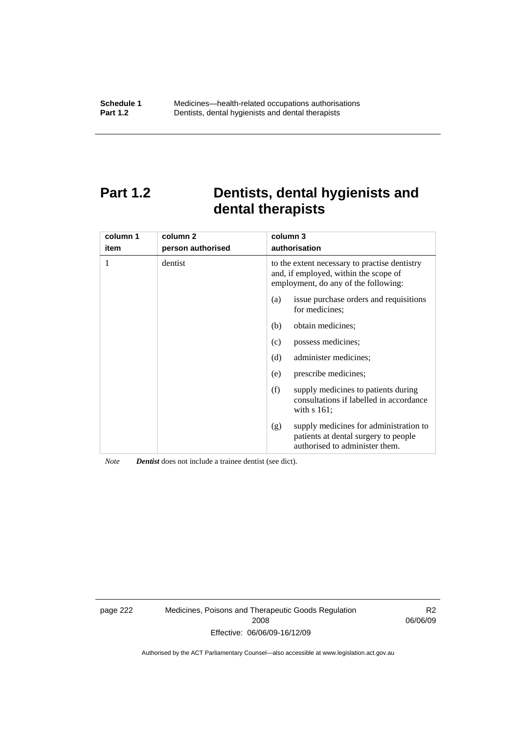## **Part 1.2 Dentists, dental hygienists and dental therapists**

| column 1<br>item | column <sub>2</sub><br>person authorised | column 3<br>authorisation                                                                                                      |
|------------------|------------------------------------------|--------------------------------------------------------------------------------------------------------------------------------|
|                  | dentist                                  | to the extent necessary to practise dentistry<br>and, if employed, within the scope of<br>employment, do any of the following: |
|                  |                                          | issue purchase orders and requisitions<br>(a)<br>for medicines:                                                                |
|                  |                                          | obtain medicines;<br>(b)                                                                                                       |
|                  |                                          | possess medicines;<br>(c)                                                                                                      |
|                  |                                          | (d)<br>administer medicines;                                                                                                   |
|                  |                                          | prescribe medicines;<br>(e)                                                                                                    |
|                  |                                          | (f)<br>supply medicines to patients during<br>consultations if labelled in accordance<br>with $s$ 161;                         |
|                  |                                          | supply medicines for administration to<br>(g)<br>patients at dental surgery to people<br>authorised to administer them.        |

*Note Dentist* does not include a trainee dentist (see dict).

page 222 Medicines, Poisons and Therapeutic Goods Regulation 2008 Effective: 06/06/09-16/12/09

R2 06/06/09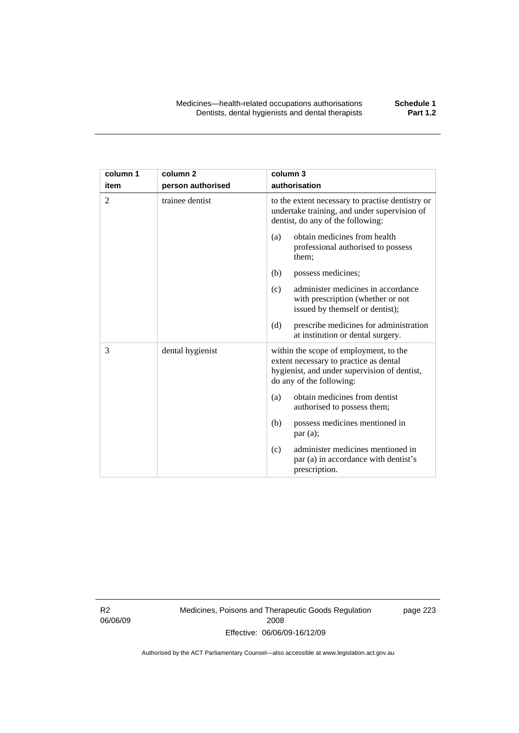| column 1       | column <sub>2</sub> | column 3                                                                                                                                                     |
|----------------|---------------------|--------------------------------------------------------------------------------------------------------------------------------------------------------------|
| item           | person authorised   | authorisation                                                                                                                                                |
| $\overline{2}$ | trainee dentist     | to the extent necessary to practise dentistry or<br>undertake training, and under supervision of<br>dentist, do any of the following:                        |
|                |                     | obtain medicines from health<br>(a)<br>professional authorised to possess<br>them;                                                                           |
|                |                     | (b)<br>possess medicines;                                                                                                                                    |
|                |                     | administer medicines in accordance<br>(c)<br>with prescription (whether or not<br>issued by themself or dentist);                                            |
|                |                     | (d)<br>prescribe medicines for administration<br>at institution or dental surgery.                                                                           |
| 3              | dental hygienist    | within the scope of employment, to the<br>extent necessary to practice as dental<br>hygienist, and under supervision of dentist,<br>do any of the following: |
|                |                     | obtain medicines from dentist<br>(a)<br>authorised to possess them;                                                                                          |
|                |                     | possess medicines mentioned in<br>(b)<br>par(a);                                                                                                             |
|                |                     | administer medicines mentioned in<br>(c)<br>par (a) in accordance with dentist's<br>prescription.                                                            |

R2 06/06/09 Medicines, Poisons and Therapeutic Goods Regulation 2008 Effective: 06/06/09-16/12/09

page 223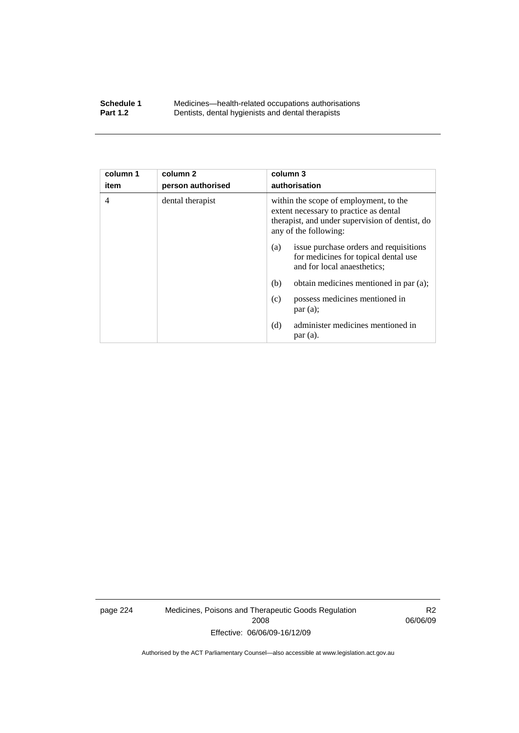### **Schedule 1** Medicines—health-related occupations authorisations<br>**Part 1.2** Dentists, dental hygienists and dental therapists **Part 1.2** Dentists, dental hygienists and dental therapists

| column 1<br>item | column <sub>2</sub><br>person authorised | column 3<br>authorisation                                                                                                                                    |
|------------------|------------------------------------------|--------------------------------------------------------------------------------------------------------------------------------------------------------------|
|                  |                                          |                                                                                                                                                              |
| $\overline{4}$   | dental therapist                         | within the scope of employment, to the<br>extent necessary to practice as dental<br>therapist, and under supervision of dentist, do<br>any of the following: |
|                  |                                          | issue purchase orders and requisitions<br>(a)<br>for medicines for topical dental use<br>and for local anaesthetics;                                         |
|                  |                                          | (b)<br>obtain medicines mentioned in par (a);                                                                                                                |
|                  |                                          | possess medicines mentioned in<br>(c)<br>par(a);                                                                                                             |
|                  |                                          | administer medicines mentioned in<br>(d)<br>par(a).                                                                                                          |

page 224 Medicines, Poisons and Therapeutic Goods Regulation 2008 Effective: 06/06/09-16/12/09

R2 06/06/09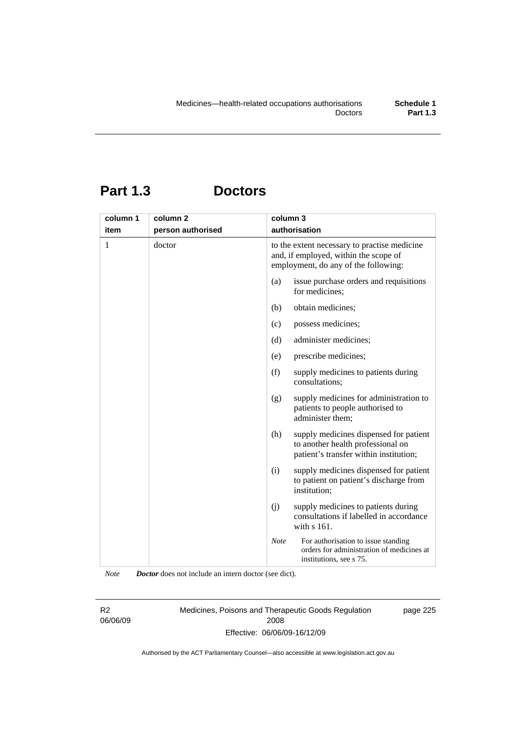## **Part 1.3 Doctors**

| column 1 | column <sub>2</sub> | column 3                                                                                                                      |
|----------|---------------------|-------------------------------------------------------------------------------------------------------------------------------|
| item     | person authorised   | authorisation                                                                                                                 |
| 1        | doctor              | to the extent necessary to practise medicine<br>and, if employed, within the scope of<br>employment, do any of the following: |
|          |                     | issue purchase orders and requisitions<br>(a)<br>for medicines;                                                               |
|          |                     | obtain medicines;<br>(b)                                                                                                      |
|          |                     | possess medicines;<br>(c)                                                                                                     |
|          |                     | administer medicines;<br>(d)                                                                                                  |
|          |                     | prescribe medicines;<br>(e)                                                                                                   |
|          |                     | (f)<br>supply medicines to patients during<br>consultations;                                                                  |
|          |                     | supply medicines for administration to<br>(g)<br>patients to people authorised to<br>administer them;                         |
|          |                     | (h)<br>supply medicines dispensed for patient<br>to another health professional on<br>patient's transfer within institution;  |
|          |                     | (i)<br>supply medicines dispensed for patient<br>to patient on patient's discharge from<br>institution;                       |
|          |                     | (j)<br>supply medicines to patients during<br>consultations if labelled in accordance<br>with s 161.                          |
|          |                     | <b>Note</b><br>For authorisation to issue standing<br>orders for administration of medicines at<br>institutions, see s 75.    |

*Note Doctor* does not include an intern doctor (see dict).

R2 06/06/09 Medicines, Poisons and Therapeutic Goods Regulation 2008 Effective: 06/06/09-16/12/09

page 225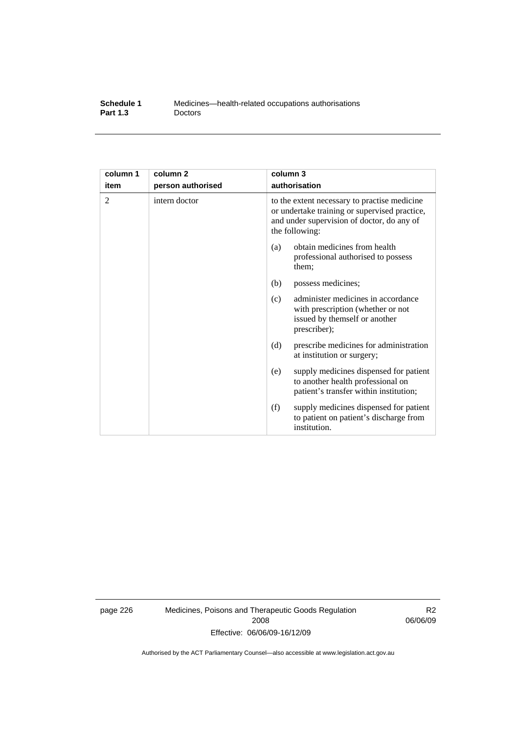| Schedule 1      | Medicines—health-related occupations authorisations |
|-----------------|-----------------------------------------------------|
| <b>Part 1.3</b> | <b>Doctors</b>                                      |

| column 1<br>item | column <sub>2</sub><br>person authorised | column 3<br>authorisation                                                                                                                                     |
|------------------|------------------------------------------|---------------------------------------------------------------------------------------------------------------------------------------------------------------|
| 2                | intern doctor                            | to the extent necessary to practise medicine<br>or undertake training or supervised practice,<br>and under supervision of doctor, do any of<br>the following: |
|                  |                                          | obtain medicines from health<br>(a)<br>professional authorised to possess<br>them;                                                                            |
|                  |                                          | (b)<br>possess medicines;                                                                                                                                     |
|                  |                                          | administer medicines in accordance<br>(c)<br>with prescription (whether or not<br>issued by themself or another<br>prescriber);                               |
|                  |                                          | (d)<br>prescribe medicines for administration<br>at institution or surgery;                                                                                   |
|                  |                                          | supply medicines dispensed for patient<br>(e)<br>to another health professional on<br>patient's transfer within institution;                                  |
|                  |                                          | (f)<br>supply medicines dispensed for patient<br>to patient on patient's discharge from<br>institution.                                                       |

page 226 Medicines, Poisons and Therapeutic Goods Regulation 2008 Effective: 06/06/09-16/12/09

R2 06/06/09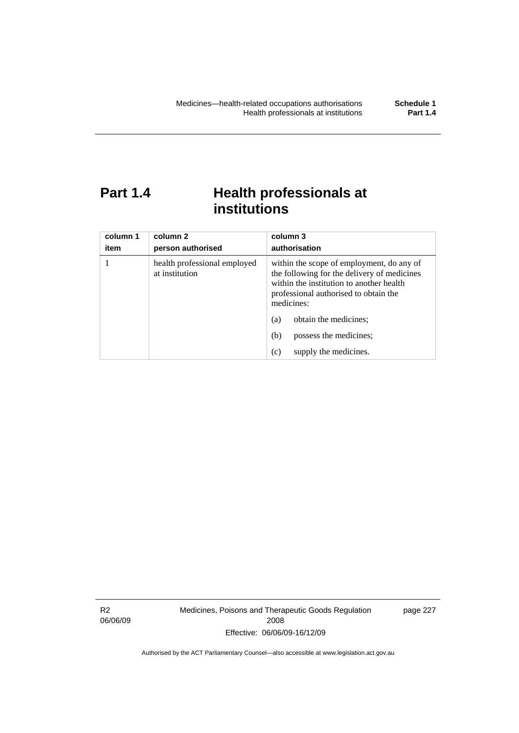## **Part 1.4 Health professionals at institutions**

| column 1<br>item | column 2<br>person authorised                  | column 3<br>authorisation                                                                                                                                                                   |
|------------------|------------------------------------------------|---------------------------------------------------------------------------------------------------------------------------------------------------------------------------------------------|
|                  | health professional employed<br>at institution | within the scope of employment, do any of<br>the following for the delivery of medicines<br>within the institution to another health<br>professional authorised to obtain the<br>medicines: |
|                  |                                                | obtain the medicines;<br>(a)                                                                                                                                                                |
|                  |                                                | possess the medicines;<br>(b)                                                                                                                                                               |
|                  |                                                | supply the medicines.<br>(c)                                                                                                                                                                |

R2 06/06/09 Medicines, Poisons and Therapeutic Goods Regulation 2008 Effective: 06/06/09-16/12/09

page 227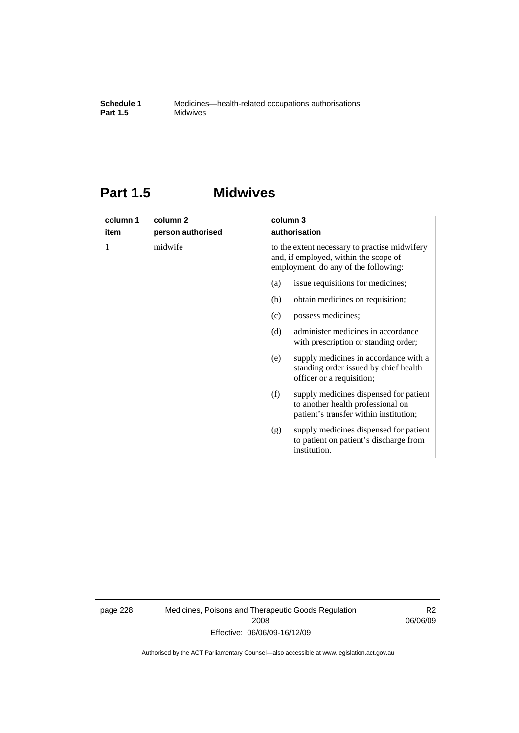## **Part 1.5 Midwives**

| column 1 | column <sub>2</sub> | column 3                                                                                                                       |
|----------|---------------------|--------------------------------------------------------------------------------------------------------------------------------|
| item     | person authorised   | authorisation                                                                                                                  |
| 1        | midwife             | to the extent necessary to practise midwifery<br>and, if employed, within the scope of<br>employment, do any of the following: |
|          |                     | issue requisitions for medicines;<br>(a)                                                                                       |
|          |                     | (b)<br>obtain medicines on requisition;                                                                                        |
|          |                     | possess medicines;<br>(c)                                                                                                      |
|          |                     | (d)<br>administer medicines in accordance<br>with prescription or standing order;                                              |
|          |                     | supply medicines in accordance with a<br>(e)<br>standing order issued by chief health<br>officer or a requisition;             |
|          |                     | supply medicines dispensed for patient<br>(f)<br>to another health professional on<br>patient's transfer within institution;   |
|          |                     | supply medicines dispensed for patient<br>(g)<br>to patient on patient's discharge from<br>institution.                        |

page 228 Medicines, Poisons and Therapeutic Goods Regulation 2008 Effective: 06/06/09-16/12/09

R2 06/06/09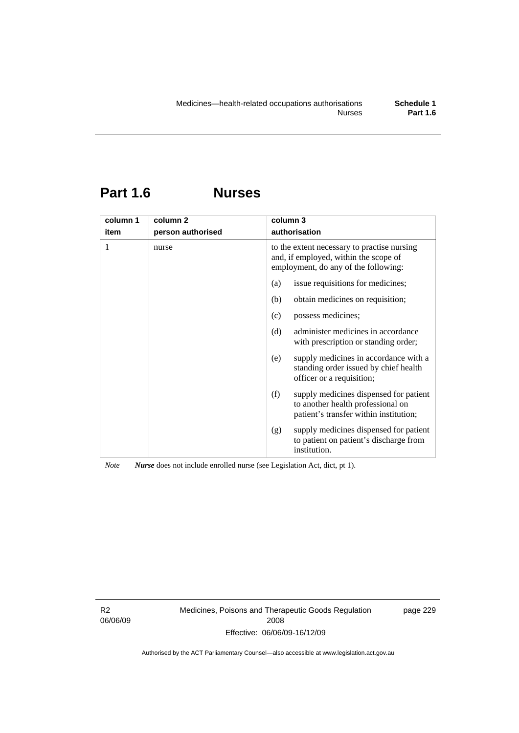## **Part 1.6 Nurses**

| column 1 | column <sub>2</sub> | column 3                                                                                                                     |
|----------|---------------------|------------------------------------------------------------------------------------------------------------------------------|
| item     | person authorised   | authorisation                                                                                                                |
| 1        | nurse               | to the extent necessary to practise nursing<br>and, if employed, within the scope of<br>employment, do any of the following: |
|          |                     | issue requisitions for medicines;<br>(a)                                                                                     |
|          |                     | obtain medicines on requisition;<br>(b)                                                                                      |
|          |                     | possess medicines;<br>(c)                                                                                                    |
|          |                     | administer medicines in accordance<br>(d)<br>with prescription or standing order;                                            |
|          |                     | supply medicines in accordance with a<br>(e)<br>standing order issued by chief health<br>officer or a requisition;           |
|          |                     | (f)<br>supply medicines dispensed for patient<br>to another health professional on<br>patient's transfer within institution; |
|          |                     | supply medicines dispensed for patient<br>(g)<br>to patient on patient's discharge from<br>institution.                      |

*Note Nurse* does not include enrolled nurse (see Legislation Act, dict, pt 1).

R2 06/06/09 Medicines, Poisons and Therapeutic Goods Regulation 2008 Effective: 06/06/09-16/12/09

page 229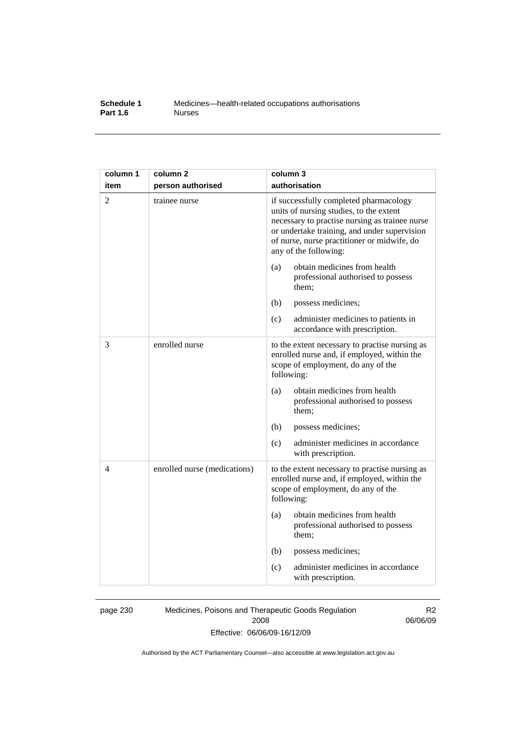## **Schedule 1** Medicines—health-related occupations authorisations<br>**Part 1.6** Murses **Part 1.6**

| column 1       | column <sub>2</sub>          | column 3                                                                                                                                                                                                                                                    |
|----------------|------------------------------|-------------------------------------------------------------------------------------------------------------------------------------------------------------------------------------------------------------------------------------------------------------|
| item           | person authorised            | authorisation                                                                                                                                                                                                                                               |
| $\overline{2}$ | trainee nurse                | if successfully completed pharmacology<br>units of nursing studies, to the extent<br>necessary to practise nursing as trainee nurse<br>or undertake training, and under supervision<br>of nurse, nurse practitioner or midwife, do<br>any of the following: |
|                |                              | obtain medicines from health<br>(a)<br>professional authorised to possess<br>them;                                                                                                                                                                          |
|                |                              | (b)<br>possess medicines;                                                                                                                                                                                                                                   |
|                |                              | (c)<br>administer medicines to patients in<br>accordance with prescription.                                                                                                                                                                                 |
| 3              | enrolled nurse               | to the extent necessary to practise nursing as<br>enrolled nurse and, if employed, within the<br>scope of employment, do any of the<br>following:                                                                                                           |
|                |                              | obtain medicines from health<br>(a)<br>professional authorised to possess<br>them;                                                                                                                                                                          |
|                |                              | (b)<br>possess medicines;                                                                                                                                                                                                                                   |
|                |                              | administer medicines in accordance<br>(c)<br>with prescription.                                                                                                                                                                                             |
| 4              | enrolled nurse (medications) | to the extent necessary to practise nursing as<br>enrolled nurse and, if employed, within the<br>scope of employment, do any of the<br>following:                                                                                                           |
|                |                              | obtain medicines from health<br>(a)<br>professional authorised to possess<br>them;                                                                                                                                                                          |
|                |                              | (b)<br>possess medicines;                                                                                                                                                                                                                                   |
|                |                              | administer medicines in accordance<br>(c)<br>with prescription.                                                                                                                                                                                             |

page 230 Medicines, Poisons and Therapeutic Goods Regulation 2008 Effective: 06/06/09-16/12/09

R2 06/06/09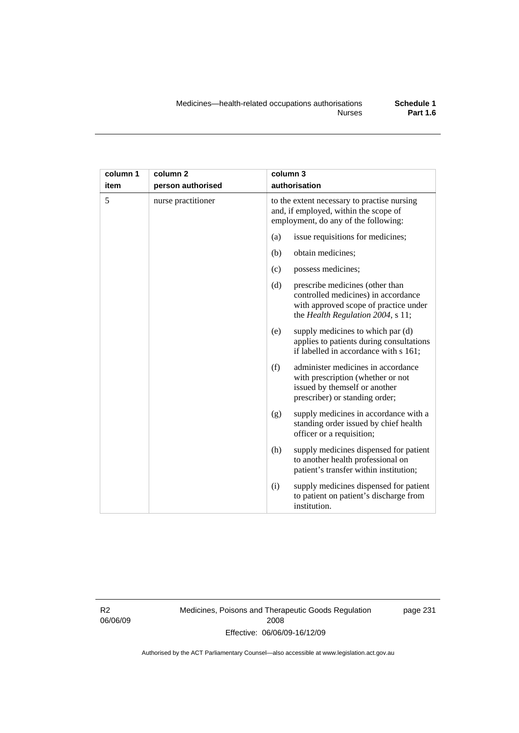| column 1 | column <sub>2</sub> | column 3                                                                                                                                                    |
|----------|---------------------|-------------------------------------------------------------------------------------------------------------------------------------------------------------|
| item     | person authorised   | authorisation                                                                                                                                               |
| 5        | nurse practitioner  | to the extent necessary to practise nursing<br>and, if employed, within the scope of<br>employment, do any of the following:                                |
|          |                     | issue requisitions for medicines;<br>(a)                                                                                                                    |
|          |                     | obtain medicines;<br>(b)                                                                                                                                    |
|          |                     | possess medicines;<br>(c)                                                                                                                                   |
|          |                     | (d)<br>prescribe medicines (other than<br>controlled medicines) in accordance<br>with approved scope of practice under<br>the Health Regulation 2004, s 11; |
|          |                     | supply medicines to which par (d)<br>(e)<br>applies to patients during consultations<br>if labelled in accordance with s 161;                               |
|          |                     | (f)<br>administer medicines in accordance<br>with prescription (whether or not<br>issued by themself or another<br>prescriber) or standing order;           |
|          |                     | supply medicines in accordance with a<br>(g)<br>standing order issued by chief health<br>officer or a requisition;                                          |
|          |                     | supply medicines dispensed for patient<br>(h)<br>to another health professional on<br>patient's transfer within institution;                                |
|          |                     | (i)<br>supply medicines dispensed for patient<br>to patient on patient's discharge from<br>institution.                                                     |

R2 06/06/09 Medicines, Poisons and Therapeutic Goods Regulation 2008 Effective: 06/06/09-16/12/09

page 231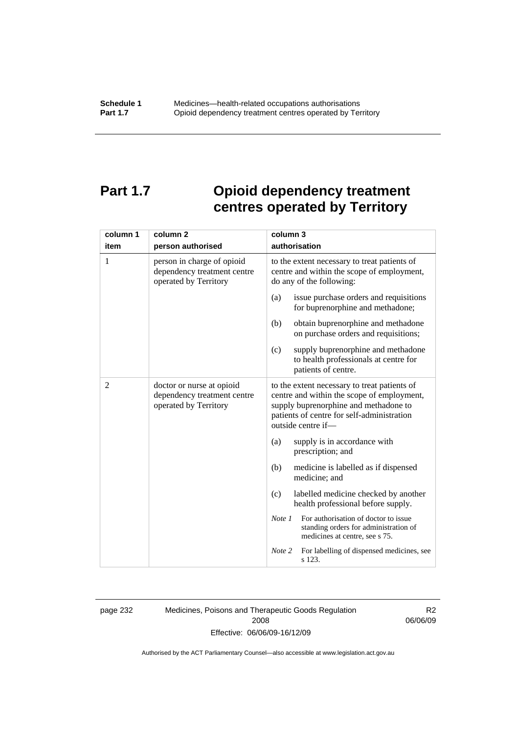# **Part 1.7 Opioid dependency treatment centres operated by Territory**

| column 1 | column 2                                                                           | column 3                                                                                                                                                                                                |  |
|----------|------------------------------------------------------------------------------------|---------------------------------------------------------------------------------------------------------------------------------------------------------------------------------------------------------|--|
| item     | person authorised                                                                  | authorisation                                                                                                                                                                                           |  |
| 1        | person in charge of opioid<br>dependency treatment centre<br>operated by Territory | to the extent necessary to treat patients of<br>centre and within the scope of employment,<br>do any of the following:                                                                                  |  |
|          |                                                                                    | issue purchase orders and requisitions<br>(a)<br>for buprenorphine and methadone;                                                                                                                       |  |
|          |                                                                                    | obtain buprenorphine and methadone<br>(b)<br>on purchase orders and requisitions;                                                                                                                       |  |
|          |                                                                                    | supply buprenorphine and methadone<br>(c)<br>to health professionals at centre for<br>patients of centre.                                                                                               |  |
| 2        | doctor or nurse at opioid<br>dependency treatment centre<br>operated by Territory  | to the extent necessary to treat patients of<br>centre and within the scope of employment,<br>supply buprenorphine and methadone to<br>patients of centre for self-administration<br>outside centre if- |  |
|          |                                                                                    | (a)<br>supply is in accordance with<br>prescription; and                                                                                                                                                |  |
|          |                                                                                    | (b)<br>medicine is labelled as if dispensed<br>medicine; and                                                                                                                                            |  |
|          |                                                                                    | labelled medicine checked by another<br>(c)<br>health professional before supply.                                                                                                                       |  |
|          |                                                                                    | For authorisation of doctor to issue<br>Note 1<br>standing orders for administration of<br>medicines at centre, see s 75.                                                                               |  |
|          |                                                                                    | For labelling of dispensed medicines, see<br>Note 2<br>s 123.                                                                                                                                           |  |

page 232 Medicines, Poisons and Therapeutic Goods Regulation 2008 Effective: 06/06/09-16/12/09

R2 06/06/09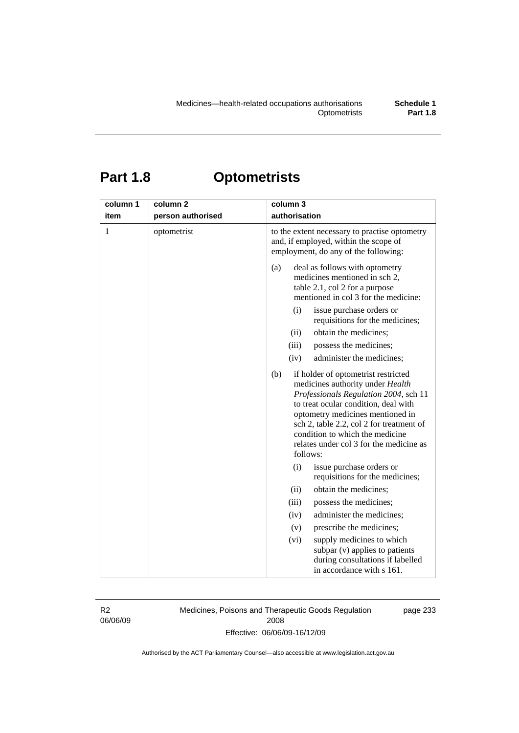# **Part 1.8 Optometrists**

| column 1<br>item | column <sub>2</sub><br>person authorised | column 3<br>authorisation                                                                                                                                                                                                                                                                                                                 |
|------------------|------------------------------------------|-------------------------------------------------------------------------------------------------------------------------------------------------------------------------------------------------------------------------------------------------------------------------------------------------------------------------------------------|
| 1                | optometrist                              | to the extent necessary to practise optometry<br>and, if employed, within the scope of<br>employment, do any of the following:                                                                                                                                                                                                            |
|                  |                                          | deal as follows with optometry<br>(a)<br>medicines mentioned in sch 2,<br>table 2.1, col 2 for a purpose<br>mentioned in col 3 for the medicine:<br>(i)<br>issue purchase orders or                                                                                                                                                       |
|                  |                                          | requisitions for the medicines;                                                                                                                                                                                                                                                                                                           |
|                  |                                          | obtain the medicines;<br>(ii)                                                                                                                                                                                                                                                                                                             |
|                  |                                          | (iii)<br>possess the medicines;                                                                                                                                                                                                                                                                                                           |
|                  |                                          | (iv)<br>administer the medicines;                                                                                                                                                                                                                                                                                                         |
|                  |                                          | (b)<br>if holder of optometrist restricted<br>medicines authority under Health<br>Professionals Regulation 2004, sch 11<br>to treat ocular condition, deal with<br>optometry medicines mentioned in<br>sch 2, table 2.2, col 2 for treatment of<br>condition to which the medicine<br>relates under col 3 for the medicine as<br>follows: |
|                  |                                          | (i)<br>issue purchase orders or<br>requisitions for the medicines;                                                                                                                                                                                                                                                                        |
|                  |                                          | obtain the medicines;<br>(ii)                                                                                                                                                                                                                                                                                                             |
|                  |                                          | possess the medicines;<br>(iii)                                                                                                                                                                                                                                                                                                           |
|                  |                                          | administer the medicines;<br>(iv)                                                                                                                                                                                                                                                                                                         |
|                  |                                          | prescribe the medicines;<br>(v)                                                                                                                                                                                                                                                                                                           |
|                  |                                          | (vi)<br>supply medicines to which<br>subpar (v) applies to patients<br>during consultations if labelled<br>in accordance with s 161.                                                                                                                                                                                                      |

R2 06/06/09 Medicines, Poisons and Therapeutic Goods Regulation 2008 Effective: 06/06/09-16/12/09

page 233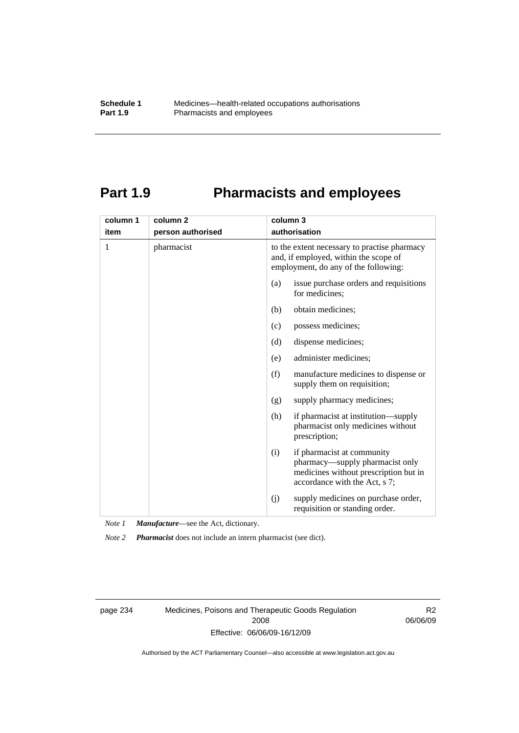# **Part 1.9 Pharmacists and employees**

| column 1 | column <sub>2</sub> | column 3                                                                                                                                       |
|----------|---------------------|------------------------------------------------------------------------------------------------------------------------------------------------|
| item     | person authorised   | authorisation                                                                                                                                  |
| 1        | pharmacist          | to the extent necessary to practise pharmacy<br>and, if employed, within the scope of<br>employment, do any of the following:                  |
|          |                     | issue purchase orders and requisitions<br>(a)<br>for medicines;                                                                                |
|          |                     | obtain medicines;<br>(b)                                                                                                                       |
|          |                     | (c)<br>possess medicines;                                                                                                                      |
|          |                     | dispense medicines;<br>(d)                                                                                                                     |
|          |                     | administer medicines;<br>(e)                                                                                                                   |
|          |                     | (f)<br>manufacture medicines to dispense or<br>supply them on requisition;                                                                     |
|          |                     | supply pharmacy medicines;<br>(g)                                                                                                              |
|          |                     | (h)<br>if pharmacist at institution—supply<br>pharmacist only medicines without<br>prescription;                                               |
|          |                     | if pharmacist at community<br>(i)<br>pharmacy-supply pharmacist only<br>medicines without prescription but in<br>accordance with the Act, s 7; |
|          |                     | supply medicines on purchase order,<br>(j)<br>requisition or standing order.                                                                   |

*Note 1 Manufacture*—see the Act, dictionary.

*Note 2 Pharmacist* does not include an intern pharmacist (see dict).

page 234 Medicines, Poisons and Therapeutic Goods Regulation 2008 Effective: 06/06/09-16/12/09

R2 06/06/09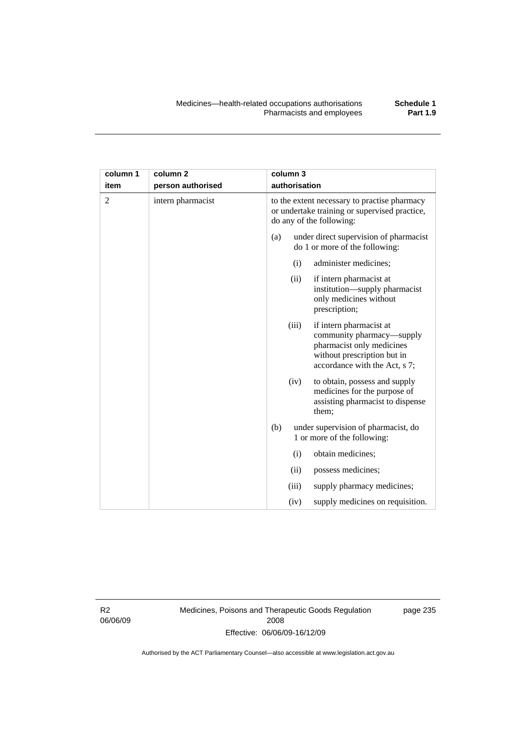| column 1       | column <sub>2</sub> |     | column 3      |                                                                                                                                                   |
|----------------|---------------------|-----|---------------|---------------------------------------------------------------------------------------------------------------------------------------------------|
| item           | person authorised   |     | authorisation |                                                                                                                                                   |
| $\overline{2}$ | intern pharmacist   |     |               | to the extent necessary to practise pharmacy<br>or undertake training or supervised practice,<br>do any of the following:                         |
|                |                     | (a) |               | under direct supervision of pharmacist<br>do 1 or more of the following:                                                                          |
|                |                     |     | (i)           | administer medicines;                                                                                                                             |
|                |                     |     | (ii)          | if intern pharmacist at<br>institution-supply pharmacist<br>only medicines without<br>prescription;                                               |
|                |                     |     | (iii)         | if intern pharmacist at<br>community pharmacy—supply<br>pharmacist only medicines<br>without prescription but in<br>accordance with the Act, s 7; |
|                |                     |     | (iv)          | to obtain, possess and supply<br>medicines for the purpose of<br>assisting pharmacist to dispense<br>them;                                        |
|                |                     | (b) |               | under supervision of pharmacist, do<br>1 or more of the following:                                                                                |
|                |                     |     | (i)           | obtain medicines;                                                                                                                                 |
|                |                     |     | (ii)          | possess medicines;                                                                                                                                |
|                |                     |     | (iii)         | supply pharmacy medicines;                                                                                                                        |
|                |                     |     | (iv)          | supply medicines on requisition.                                                                                                                  |

R2 06/06/09 Medicines, Poisons and Therapeutic Goods Regulation 2008 Effective: 06/06/09-16/12/09

page 235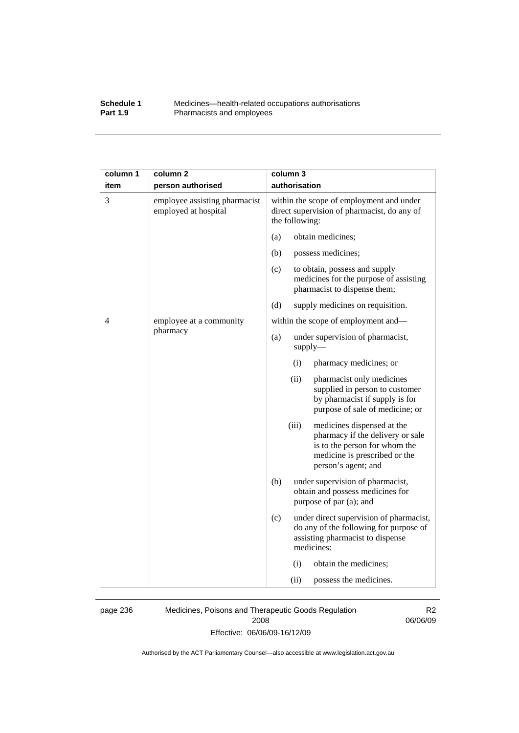## **Schedule 1** Medicines—health-related occupations authorisations<br>**Part 1.9** Pharmacists and employees Pharmacists and employees

| column 1 | column <sub>2</sub>                                   | column 3                                                                                                                                                         |
|----------|-------------------------------------------------------|------------------------------------------------------------------------------------------------------------------------------------------------------------------|
| item     | person authorised                                     | authorisation                                                                                                                                                    |
| 3        | employee assisting pharmacist<br>employed at hospital | within the scope of employment and under<br>direct supervision of pharmacist, do any of<br>the following:                                                        |
|          |                                                       | obtain medicines;<br>(a)                                                                                                                                         |
|          |                                                       | (b)<br>possess medicines;                                                                                                                                        |
|          |                                                       | (c)<br>to obtain, possess and supply<br>medicines for the purpose of assisting<br>pharmacist to dispense them;                                                   |
|          |                                                       | (d)<br>supply medicines on requisition.                                                                                                                          |
| 4        | employee at a community                               | within the scope of employment and—                                                                                                                              |
|          | pharmacy                                              | under supervision of pharmacist,<br>(a)<br>$supply$ —                                                                                                            |
|          |                                                       | (i)<br>pharmacy medicines; or                                                                                                                                    |
|          |                                                       | (ii)<br>pharmacist only medicines<br>supplied in person to customer<br>by pharmacist if supply is for<br>purpose of sale of medicine; or                         |
|          |                                                       | (iii)<br>medicines dispensed at the<br>pharmacy if the delivery or sale<br>is to the person for whom the<br>medicine is prescribed or the<br>person's agent; and |
|          |                                                       | (b)<br>under supervision of pharmacist,<br>obtain and possess medicines for<br>purpose of par (a); and                                                           |
|          |                                                       | (c)<br>under direct supervision of pharmacist,<br>do any of the following for purpose of<br>assisting pharmacist to dispense<br>medicines:                       |
|          |                                                       | (i)<br>obtain the medicines;                                                                                                                                     |
|          |                                                       | possess the medicines.<br>(ii)                                                                                                                                   |

page 236 Medicines, Poisons and Therapeutic Goods Regulation 2008 Effective: 06/06/09-16/12/09

R2 06/06/09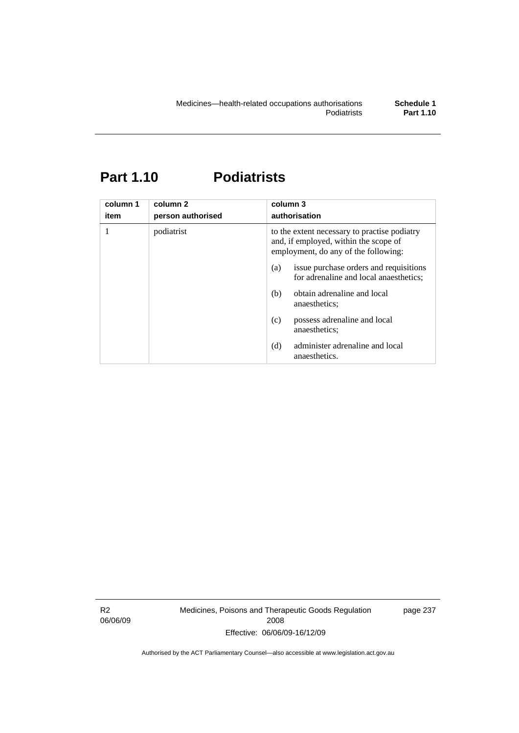# **Part 1.10 Podiatrists**

| column 1<br>item | column <sub>2</sub><br>person authorised | column 3<br>authorisation                                                                                                     |  |
|------------------|------------------------------------------|-------------------------------------------------------------------------------------------------------------------------------|--|
|                  | podiatrist                               | to the extent necessary to practise podiatry<br>and, if employed, within the scope of<br>employment, do any of the following: |  |
|                  |                                          | issue purchase orders and requisitions<br>(a)<br>for adrenaline and local anaesthetics;                                       |  |
|                  |                                          | obtain adrenaline and local<br>(b)<br>anaesthetics:                                                                           |  |
|                  |                                          | possess adrenaline and local<br>(c)<br>anaesthetics:                                                                          |  |
|                  |                                          | administer adrenaline and local<br>(d)<br>anaesthetics.                                                                       |  |

R2 06/06/09 Medicines, Poisons and Therapeutic Goods Regulation 2008 Effective: 06/06/09-16/12/09

page 237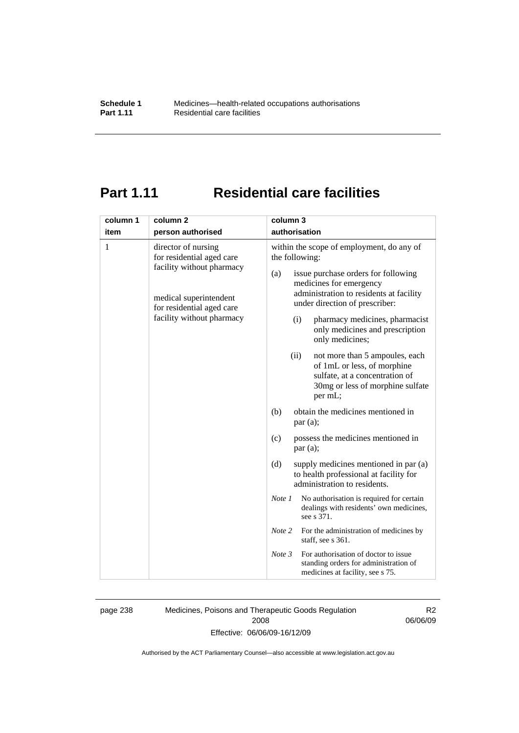# **Part 1.11 Residential care facilities**

| authorisation<br>item<br>person authorised<br>1<br>within the scope of employment, do any of<br>director of nursing<br>for residential aged care<br>the following:<br>facility without pharmacy<br>issue purchase orders for following<br>(a)<br>medicines for emergency<br>administration to residents at facility<br>medical superintendent<br>under direction of prescriber:<br>for residential aged care<br>facility without pharmacy<br>pharmacy medicines, pharmacist<br>(i)<br>only medicines and prescription<br>only medicines;<br>(ii)<br>not more than 5 ampoules, each<br>of 1mL or less, of morphine<br>sulfate, at a concentration of<br>30mg or less of morphine sulfate<br>per mL;<br>obtain the medicines mentioned in<br>(b)<br>par(a);<br>possess the medicines mentioned in<br>(c)<br>par(a);<br>supply medicines mentioned in par (a)<br>(d)<br>to health professional at facility for<br>administration to residents.<br>No authorisation is required for certain<br>Note 1<br>dealings with residents' own medicines,<br>see s 371.<br>Note 2<br>For the administration of medicines by<br>staff, see s 361.<br>For authorisation of doctor to issue<br>Note 3<br>standing orders for administration of | column 1 | column <sub>2</sub> | column 3 |
|--------------------------------------------------------------------------------------------------------------------------------------------------------------------------------------------------------------------------------------------------------------------------------------------------------------------------------------------------------------------------------------------------------------------------------------------------------------------------------------------------------------------------------------------------------------------------------------------------------------------------------------------------------------------------------------------------------------------------------------------------------------------------------------------------------------------------------------------------------------------------------------------------------------------------------------------------------------------------------------------------------------------------------------------------------------------------------------------------------------------------------------------------------------------------------------------------------------------------------|----------|---------------------|----------|
|                                                                                                                                                                                                                                                                                                                                                                                                                                                                                                                                                                                                                                                                                                                                                                                                                                                                                                                                                                                                                                                                                                                                                                                                                                |          |                     |          |
|                                                                                                                                                                                                                                                                                                                                                                                                                                                                                                                                                                                                                                                                                                                                                                                                                                                                                                                                                                                                                                                                                                                                                                                                                                |          |                     |          |
|                                                                                                                                                                                                                                                                                                                                                                                                                                                                                                                                                                                                                                                                                                                                                                                                                                                                                                                                                                                                                                                                                                                                                                                                                                |          |                     |          |
| medicines at facility, see s 75.                                                                                                                                                                                                                                                                                                                                                                                                                                                                                                                                                                                                                                                                                                                                                                                                                                                                                                                                                                                                                                                                                                                                                                                               |          |                     |          |

page 238 Medicines, Poisons and Therapeutic Goods Regulation 2008 Effective: 06/06/09-16/12/09

R2 06/06/09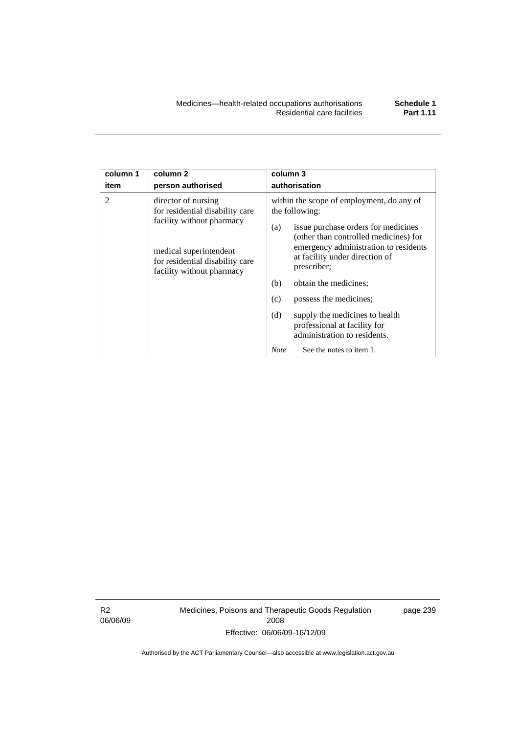| column 1<br>item | column <sub>2</sub><br>person authorised                                                                                                                                      | column 3<br>authorisation                                                                                                                                                                                                                                                                                                                                                                                              |  |
|------------------|-------------------------------------------------------------------------------------------------------------------------------------------------------------------------------|------------------------------------------------------------------------------------------------------------------------------------------------------------------------------------------------------------------------------------------------------------------------------------------------------------------------------------------------------------------------------------------------------------------------|--|
| $\mathfrak{D}$   | director of nursing<br>for residential disability care<br>facility without pharmacy<br>medical superintendent<br>for residential disability care<br>facility without pharmacy | within the scope of employment, do any of<br>the following:<br>issue purchase orders for medicines<br>(a)<br>(other than controlled medicines) for<br>emergency administration to residents<br>at facility under direction of<br>prescriber;<br>obtain the medicines;<br>(b)<br>possess the medicines;<br>(c)<br>(d)<br>supply the medicines to health<br>professional at facility for<br>administration to residents. |  |
|                  |                                                                                                                                                                               | See the notes to item 1.<br><b>Note</b>                                                                                                                                                                                                                                                                                                                                                                                |  |

R2 06/06/09 Medicines, Poisons and Therapeutic Goods Regulation 2008 Effective: 06/06/09-16/12/09

page 239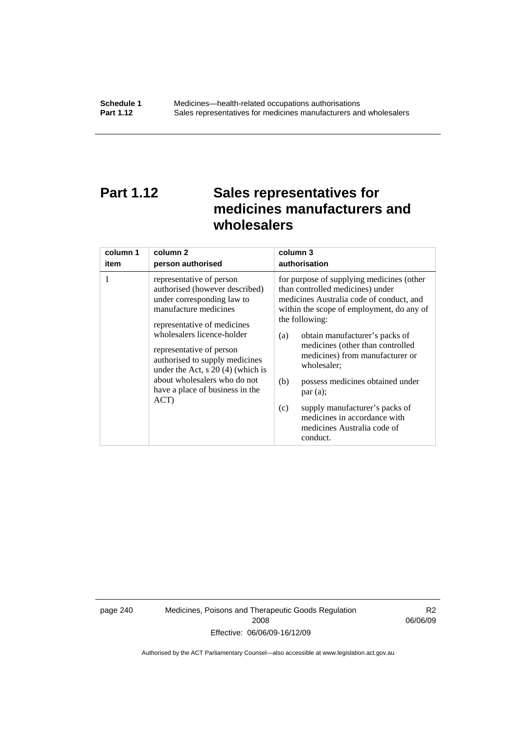# **Part 1.12 Sales representatives for medicines manufacturers and wholesalers**

| column 1 | column 2                                                                                                                                                                                                                                                                                                                                                       | column 3                                                                                                                                                                                                                                                                                                                                                                                                                                                                                          |
|----------|----------------------------------------------------------------------------------------------------------------------------------------------------------------------------------------------------------------------------------------------------------------------------------------------------------------------------------------------------------------|---------------------------------------------------------------------------------------------------------------------------------------------------------------------------------------------------------------------------------------------------------------------------------------------------------------------------------------------------------------------------------------------------------------------------------------------------------------------------------------------------|
| item     | person authorised                                                                                                                                                                                                                                                                                                                                              | authorisation                                                                                                                                                                                                                                                                                                                                                                                                                                                                                     |
| 1        | representative of person<br>authorised (however described)<br>under corresponding law to<br>manufacture medicines<br>representative of medicines<br>wholesalers licence-holder<br>representative of person<br>authorised to supply medicines<br>under the Act, $s$ 20 (4) (which is<br>about wholesalers who do not<br>have a place of business in the<br>ACT) | for purpose of supplying medicines (other<br>than controlled medicines) under<br>medicines Australia code of conduct, and<br>within the scope of employment, do any of<br>the following:<br>obtain manufacturer's packs of<br>(a)<br>medicines (other than controlled<br>medicines) from manufacturer or<br>wholesaler;<br>(b)<br>possess medicines obtained under<br>par(a);<br>supply manufacturer's packs of<br>(c)<br>medicines in accordance with<br>medicines Australia code of<br>conduct. |

page 240 Medicines, Poisons and Therapeutic Goods Regulation 2008 Effective: 06/06/09-16/12/09

R2 06/06/09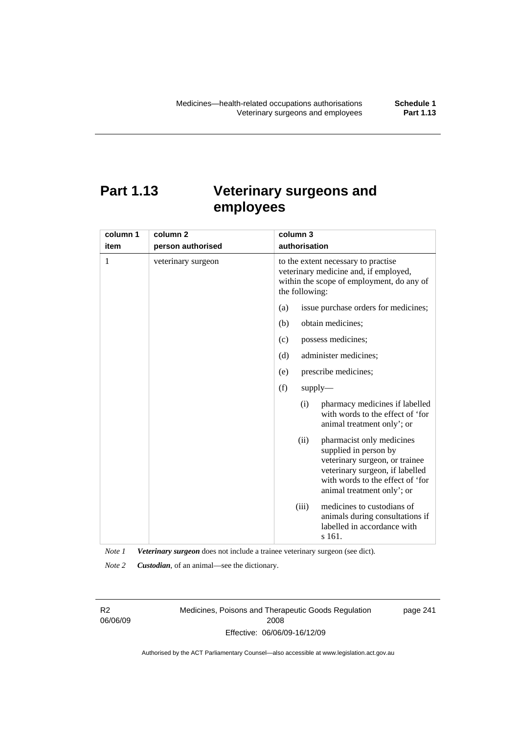# **Part 1.13 Veterinary surgeons and employees**

| column 1 | column 2           | column 3                                                                                                                                                                                          |  |  |
|----------|--------------------|---------------------------------------------------------------------------------------------------------------------------------------------------------------------------------------------------|--|--|
| item     | person authorised  | authorisation                                                                                                                                                                                     |  |  |
| 1        | veterinary surgeon | to the extent necessary to practise<br>veterinary medicine and, if employed,<br>within the scope of employment, do any of<br>the following:                                                       |  |  |
|          |                    | (a)<br>issue purchase orders for medicines;                                                                                                                                                       |  |  |
|          |                    | (b)<br>obtain medicines;                                                                                                                                                                          |  |  |
|          |                    | possess medicines;<br>(c)                                                                                                                                                                         |  |  |
|          |                    | administer medicines;<br>(d)                                                                                                                                                                      |  |  |
|          |                    | prescribe medicines;<br>(e)                                                                                                                                                                       |  |  |
|          |                    | (f)<br>$supply$ —                                                                                                                                                                                 |  |  |
|          |                    | pharmacy medicines if labelled<br>(i)<br>with words to the effect of 'for<br>animal treatment only'; or                                                                                           |  |  |
|          |                    | (ii)<br>pharmacist only medicines<br>supplied in person by<br>veterinary surgeon, or trainee<br>veterinary surgeon, if labelled<br>with words to the effect of 'for<br>animal treatment only'; or |  |  |
|          |                    | medicines to custodians of<br>(iii)<br>animals during consultations if<br>labelled in accordance with<br>s 161.                                                                                   |  |  |

*Note 1 Veterinary surgeon* does not include a trainee veterinary surgeon (see dict).

*Note 2 Custodian*, of an animal—see the dictionary.

R2 06/06/09 Medicines, Poisons and Therapeutic Goods Regulation 2008 Effective: 06/06/09-16/12/09

page 241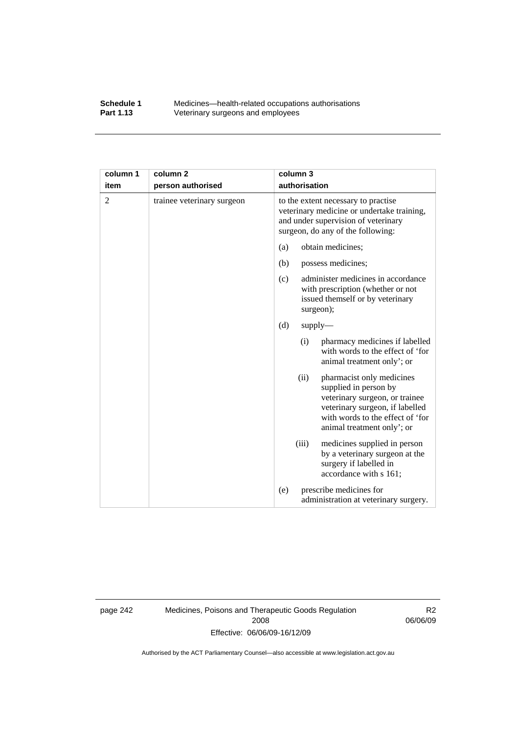## **Schedule 1** Medicines—health-related occupations authorisations<br>**Part 1.13** Veterinary surgeons and employees Veterinary surgeons and employees

| column 1       | column <sub>2</sub>        | column 3                                                                                                                                                                                          |  |
|----------------|----------------------------|---------------------------------------------------------------------------------------------------------------------------------------------------------------------------------------------------|--|
| item           | person authorised          | authorisation                                                                                                                                                                                     |  |
| $\overline{2}$ | trainee veterinary surgeon | to the extent necessary to practise<br>veterinary medicine or undertake training,<br>and under supervision of veterinary<br>surgeon, do any of the following:                                     |  |
|                |                            | obtain medicines;<br>(a)                                                                                                                                                                          |  |
|                |                            | (b)<br>possess medicines;                                                                                                                                                                         |  |
|                |                            | administer medicines in accordance<br>(c)<br>with prescription (whether or not<br>issued themself or by veterinary<br>surgeon);                                                                   |  |
|                |                            | (d)<br>$supply$ —                                                                                                                                                                                 |  |
|                |                            | pharmacy medicines if labelled<br>(i)<br>with words to the effect of 'for<br>animal treatment only'; or                                                                                           |  |
|                |                            | (ii)<br>pharmacist only medicines<br>supplied in person by<br>veterinary surgeon, or trainee<br>veterinary surgeon, if labelled<br>with words to the effect of 'for<br>animal treatment only'; or |  |
|                |                            | medicines supplied in person<br>(iii)<br>by a veterinary surgeon at the<br>surgery if labelled in<br>accordance with s 161;                                                                       |  |
|                |                            | prescribe medicines for<br>(e)<br>administration at veterinary surgery.                                                                                                                           |  |

page 242 Medicines, Poisons and Therapeutic Goods Regulation 2008 Effective: 06/06/09-16/12/09

R2 06/06/09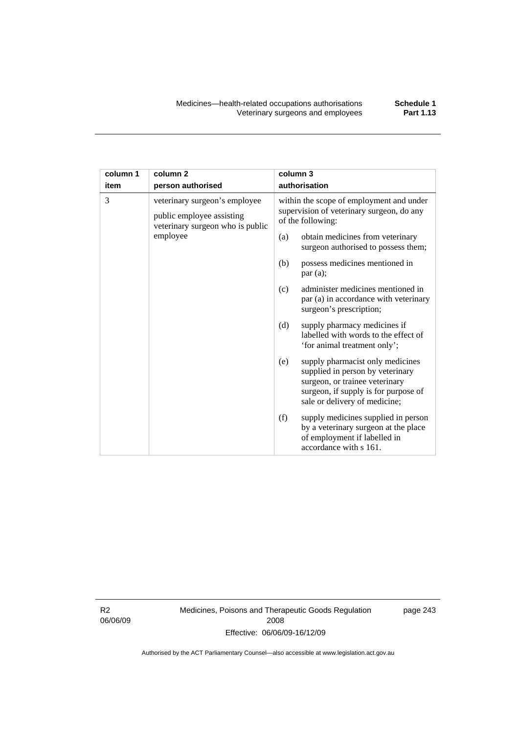| column 1 | column <sub>2</sub>                                                                                        | column 3 |                                                                                                                                                                                 |
|----------|------------------------------------------------------------------------------------------------------------|----------|---------------------------------------------------------------------------------------------------------------------------------------------------------------------------------|
| item     | person authorised                                                                                          |          | authorisation                                                                                                                                                                   |
| 3        | veterinary surgeon's employee<br>public employee assisting<br>veterinary surgeon who is public<br>employee |          | within the scope of employment and under<br>supervision of veterinary surgeon, do any<br>of the following:                                                                      |
|          |                                                                                                            | (a)      | obtain medicines from veterinary<br>surgeon authorised to possess them;                                                                                                         |
|          |                                                                                                            | (b)      | possess medicines mentioned in<br>par(a);                                                                                                                                       |
|          |                                                                                                            | (c)      | administer medicines mentioned in<br>par (a) in accordance with veterinary<br>surgeon's prescription;                                                                           |
|          |                                                                                                            | (d)      | supply pharmacy medicines if<br>labelled with words to the effect of<br>'for animal treatment only';                                                                            |
|          |                                                                                                            | (e)      | supply pharmacist only medicines<br>supplied in person by veterinary<br>surgeon, or trainee veterinary<br>surgeon, if supply is for purpose of<br>sale or delivery of medicine; |
|          |                                                                                                            | (f)      | supply medicines supplied in person<br>by a veterinary surgeon at the place<br>of employment if labelled in<br>accordance with s 161.                                           |

R2 06/06/09 Medicines, Poisons and Therapeutic Goods Regulation 2008 Effective: 06/06/09-16/12/09

page 243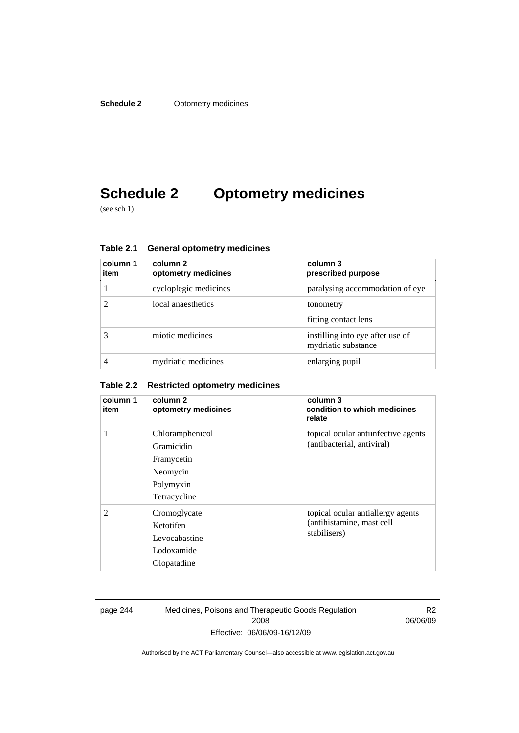# **Schedule 2 Optometry medicines**

(see sch 1)

| column 1<br>item | column 2<br>optometry medicines | column 3<br>prescribed purpose                          |
|------------------|---------------------------------|---------------------------------------------------------|
|                  | cycloplegic medicines           | paralysing accommodation of eye                         |
|                  | local anaesthetics              | tonometry<br>fitting contact lens                       |
|                  | miotic medicines                | instilling into eye after use of<br>mydriatic substance |
|                  | mydriatic medicines             | enlarging pupil                                         |

**Table 2.1 General optometry medicines** 

## **Table 2.2 Restricted optometry medicines**

| column 1<br>item | column 2<br>optometry medicines                                                      | column 3<br>condition to which medicines<br>relate                             |
|------------------|--------------------------------------------------------------------------------------|--------------------------------------------------------------------------------|
| 1                | Chloramphenicol<br>Gramicidin<br>Framycetin<br>Neomycin<br>Polymyxin<br>Tetracycline | topical ocular antiinfective agents<br>(antibacterial, antiviral)              |
| $\mathfrak{D}$   | Cromoglycate<br>Ketotifen<br>Levocabastine<br>Lodoxamide<br>Olopatadine              | topical ocular antiallergy agents<br>(antihistamine, mast cell<br>stabilisers) |

page 244 Medicines, Poisons and Therapeutic Goods Regulation 2008 Effective: 06/06/09-16/12/09

R2 06/06/09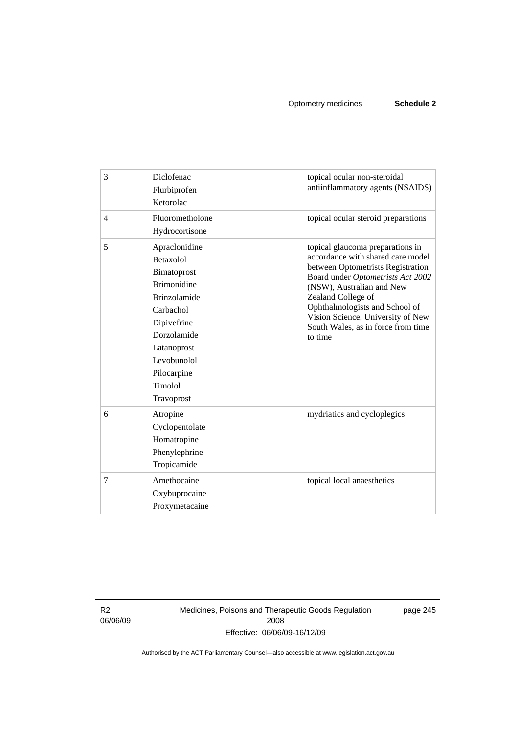| 3              | Diclofenac<br>Flurbiprofen<br>Ketorolac                                                                                                                                                                 | topical ocular non-steroidal<br>antiinflammatory agents (NSAIDS)                                                                                                                                                                                                                                                           |
|----------------|---------------------------------------------------------------------------------------------------------------------------------------------------------------------------------------------------------|----------------------------------------------------------------------------------------------------------------------------------------------------------------------------------------------------------------------------------------------------------------------------------------------------------------------------|
| $\overline{4}$ | Fluorometholone<br>Hydrocortisone                                                                                                                                                                       | topical ocular steroid preparations                                                                                                                                                                                                                                                                                        |
| 5              | Apraclonidine<br>Betaxolol<br>Bimatoprost<br><b>Brimonidine</b><br><b>Brinzolamide</b><br>Carbachol<br>Dipivefrine<br>Dorzolamide<br>Latanoprost<br>Levobunolol<br>Pilocarpine<br>Timolol<br>Travoprost | topical glaucoma preparations in<br>accordance with shared care model<br>between Optometrists Registration<br>Board under Optometrists Act 2002<br>(NSW), Australian and New<br>Zealand College of<br>Ophthalmologists and School of<br>Vision Science, University of New<br>South Wales, as in force from time<br>to time |
| 6              | Atropine<br>Cyclopentolate<br>Homatropine<br>Phenylephrine<br>Tropicamide                                                                                                                               | mydriatics and cycloplegics                                                                                                                                                                                                                                                                                                |
| $\tau$         | Amethocaine<br>Oxybuprocaine<br>Proxymetacaine                                                                                                                                                          | topical local anaesthetics                                                                                                                                                                                                                                                                                                 |

R2 06/06/09 Medicines, Poisons and Therapeutic Goods Regulation 2008 Effective: 06/06/09-16/12/09

page 245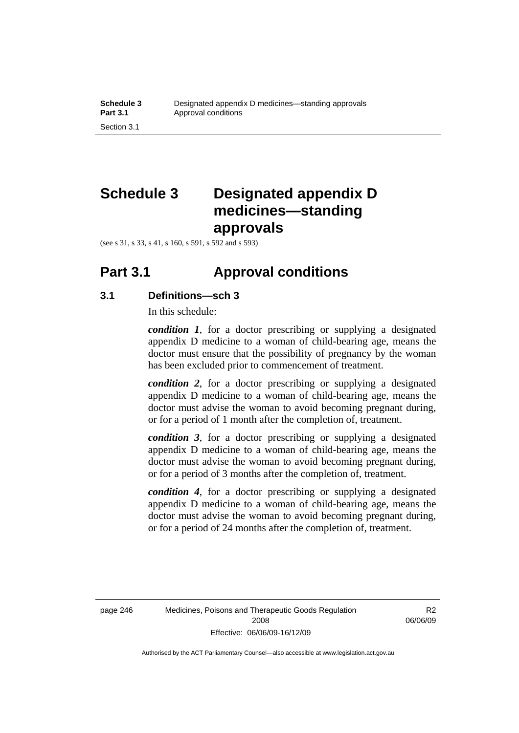# **Schedule 3 Designated appendix D medicines—standing approvals**

(see s 31, s 33, s 41, s 160, s 591, s 592 and s 593)

## **Part 3.1 Approval conditions**

## **3.1 Definitions—sch 3**

In this schedule:

*condition 1*, for a doctor prescribing or supplying a designated appendix D medicine to a woman of child-bearing age, means the doctor must ensure that the possibility of pregnancy by the woman has been excluded prior to commencement of treatment.

*condition 2*, for a doctor prescribing or supplying a designated appendix D medicine to a woman of child-bearing age, means the doctor must advise the woman to avoid becoming pregnant during, or for a period of 1 month after the completion of, treatment.

*condition 3*, for a doctor prescribing or supplying a designated appendix D medicine to a woman of child-bearing age, means the doctor must advise the woman to avoid becoming pregnant during, or for a period of 3 months after the completion of, treatment.

*condition 4*, for a doctor prescribing or supplying a designated appendix D medicine to a woman of child-bearing age, means the doctor must advise the woman to avoid becoming pregnant during, or for a period of 24 months after the completion of, treatment.

R<sub>2</sub> 06/06/09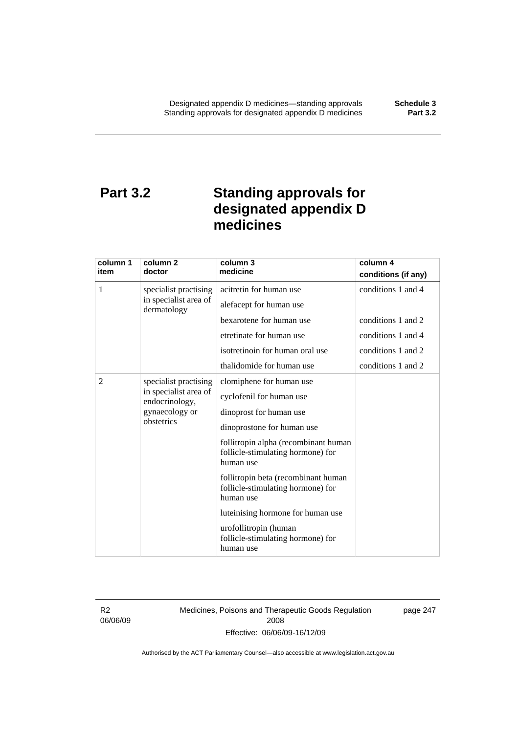# **Part 3.2 Standing approvals for designated appendix D medicines**

| column 1                                                                | column 2                             | column 3                                                                               | column 4            |
|-------------------------------------------------------------------------|--------------------------------------|----------------------------------------------------------------------------------------|---------------------|
| item                                                                    | doctor                               | medicine                                                                               | conditions (if any) |
| 1                                                                       | specialist practising                | acitretin for human use                                                                | conditions 1 and 4  |
|                                                                         | in specialist area of<br>dermatology | alefacept for human use                                                                |                     |
|                                                                         |                                      | bexarotene for human use                                                               | conditions 1 and 2  |
|                                                                         |                                      | etretinate for human use                                                               | conditions 1 and 4  |
|                                                                         |                                      | isotretinoin for human oral use                                                        | conditions 1 and 2  |
|                                                                         |                                      | thalidomide for human use                                                              | conditions 1 and 2  |
| $\overline{2}$                                                          | specialist practising                | clomiphene for human use                                                               |                     |
| in specialist area of<br>endocrinology,<br>gynaecology or<br>obstetrics |                                      | cyclofenil for human use                                                               |                     |
|                                                                         | dinoprost for human use              |                                                                                        |                     |
|                                                                         | dinoprostone for human use           |                                                                                        |                     |
|                                                                         |                                      | follitropin alpha (recombinant human<br>follicle-stimulating hormone) for<br>human use |                     |
|                                                                         |                                      | follitropin beta (recombinant human<br>follicle-stimulating hormone) for<br>human use  |                     |
|                                                                         |                                      | luteinising hormone for human use                                                      |                     |
|                                                                         |                                      | urofollitropin (human<br>follicle-stimulating hormone) for<br>human use                |                     |

R2 06/06/09 Medicines, Poisons and Therapeutic Goods Regulation 2008 Effective: 06/06/09-16/12/09

page 247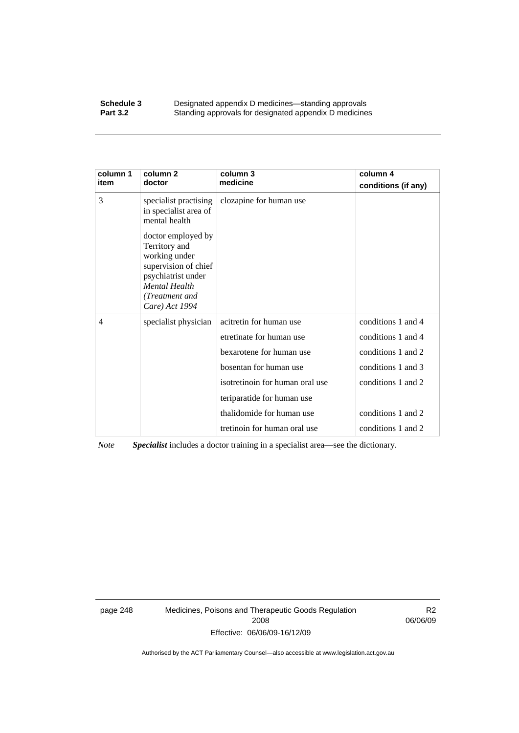### **Schedule 3 Designated appendix D medicines—standing approvals**<br>**Part 3.2 Standing approvals for designated appendix D medicine** Standing approvals for designated appendix D medicines

| column 1<br>item | column 2<br>doctor                                                                                                                                             | column 3<br>medicine            | column 4<br>conditions (if any) |
|------------------|----------------------------------------------------------------------------------------------------------------------------------------------------------------|---------------------------------|---------------------------------|
| 3                | specialist practising<br>in specialist area of<br>mental health                                                                                                | clozapine for human use         |                                 |
|                  | doctor employed by<br>Territory and<br>working under<br>supervision of chief<br>psychiatrist under<br><b>Mental Health</b><br>(Treatment and<br>Care) Act 1994 |                                 |                                 |
| 4                | specialist physician                                                                                                                                           | acitretin for human use         | conditions 1 and 4              |
|                  |                                                                                                                                                                | etretinate for human use        | conditions 1 and 4              |
|                  |                                                                                                                                                                | bexarotene for human use        | conditions 1 and 2              |
|                  |                                                                                                                                                                | bosentan for human use          | conditions 1 and 3              |
|                  |                                                                                                                                                                | isotretinoin for human oral use | conditions 1 and 2              |
|                  |                                                                                                                                                                | teriparatide for human use      |                                 |
|                  |                                                                                                                                                                | thalidomide for human use       | conditions 1 and 2              |
|                  |                                                                                                                                                                | tretinoin for human oral use    | conditions 1 and 2              |

*Note Specialist* includes a doctor training in a specialist area—see the dictionary.

page 248 Medicines, Poisons and Therapeutic Goods Regulation 2008 Effective: 06/06/09-16/12/09

R2 06/06/09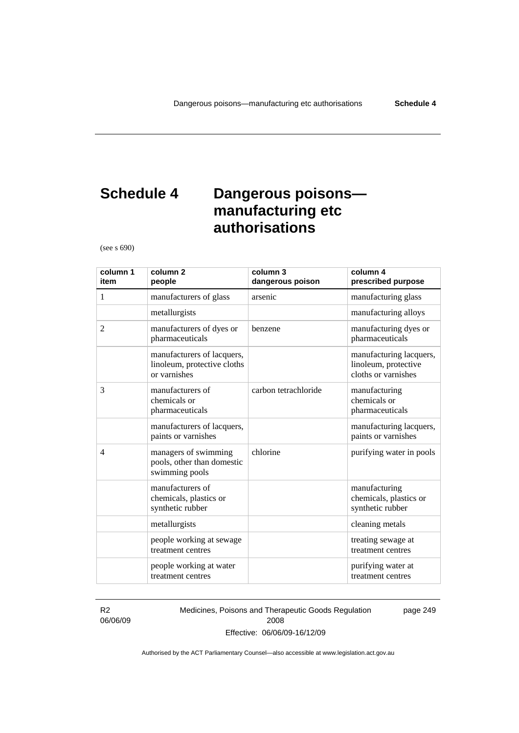# **Schedule 4 Dangerous poisons manufacturing etc authorisations**

(see s 690)

| column 1<br>item | column <sub>2</sub><br>people                                             | column 3<br>dangerous poison | column 4<br>prescribed purpose                                         |
|------------------|---------------------------------------------------------------------------|------------------------------|------------------------------------------------------------------------|
| 1                | manufacturers of glass                                                    | arsenic                      | manufacturing glass                                                    |
|                  | metallurgists                                                             |                              | manufacturing alloys                                                   |
| 2                | manufacturers of dyes or<br>pharmaceuticals                               | benzene                      | manufacturing dyes or<br>pharmaceuticals                               |
|                  | manufacturers of lacquers,<br>linoleum, protective cloths<br>or varnishes |                              | manufacturing lacquers,<br>linoleum, protective<br>cloths or varnishes |
| 3                | manufacturers of<br>chemicals or<br>pharmaceuticals                       | carbon tetrachloride         | manufacturing<br>chemicals or<br>pharmaceuticals                       |
|                  | manufacturers of lacquers,<br>paints or varnishes                         |                              | manufacturing lacquers,<br>paints or varnishes                         |
| $\overline{4}$   | managers of swimming<br>pools, other than domestic<br>swimming pools      | chlorine                     | purifying water in pools                                               |
|                  | manufacturers of<br>chemicals, plastics or<br>synthetic rubber            |                              | manufacturing<br>chemicals, plastics or<br>synthetic rubber            |
|                  | metallurgists                                                             |                              | cleaning metals                                                        |
|                  | people working at sewage<br>treatment centres                             |                              | treating sewage at<br>treatment centres                                |
|                  | people working at water<br>treatment centres                              |                              | purifying water at<br>treatment centres                                |

R2 06/06/09 Medicines, Poisons and Therapeutic Goods Regulation 2008 Effective: 06/06/09-16/12/09

page 249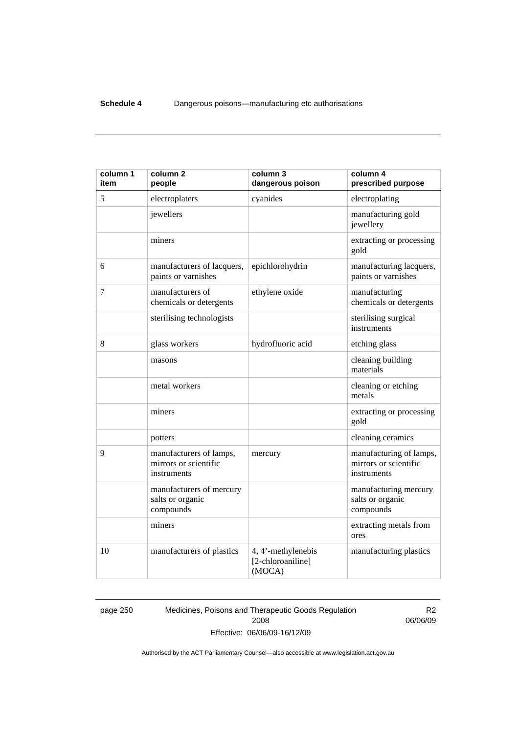| column 1<br>item | column <sub>2</sub><br>people                                   | column 3<br>dangerous poison                      | column 4<br>prescribed purpose                                  |
|------------------|-----------------------------------------------------------------|---------------------------------------------------|-----------------------------------------------------------------|
| 5                | electroplaters                                                  | cyanides                                          | electroplating                                                  |
|                  | jewellers                                                       |                                                   | manufacturing gold<br>jewellery                                 |
|                  | miners                                                          |                                                   | extracting or processing<br>gold                                |
| 6                | manufacturers of lacquers,<br>paints or varnishes               | epichlorohydrin                                   | manufacturing lacquers,<br>paints or varnishes                  |
| 7                | manufacturers of<br>chemicals or detergents                     | ethylene oxide                                    | manufacturing<br>chemicals or detergents                        |
|                  | sterilising technologists                                       |                                                   | sterilising surgical<br>instruments                             |
| 8                | glass workers                                                   | hydrofluoric acid                                 | etching glass                                                   |
|                  | masons                                                          |                                                   | cleaning building<br>materials                                  |
|                  | metal workers                                                   |                                                   | cleaning or etching<br>metals                                   |
|                  | miners                                                          |                                                   | extracting or processing<br>gold                                |
|                  | potters                                                         |                                                   | cleaning ceramics                                               |
| 9                | manufacturers of lamps,<br>mirrors or scientific<br>instruments | mercury                                           | manufacturing of lamps,<br>mirrors or scientific<br>instruments |
|                  | manufacturers of mercury<br>salts or organic<br>compounds       |                                                   | manufacturing mercury<br>salts or organic<br>compounds          |
|                  | miners                                                          |                                                   | extracting metals from<br>ores                                  |
| 10               | manufacturers of plastics                                       | 4, 4'-methylenebis<br>[2-chloroaniline]<br>(MOCA) | manufacturing plastics                                          |

page 250 Medicines, Poisons and Therapeutic Goods Regulation 2008 Effective: 06/06/09-16/12/09

R2 06/06/09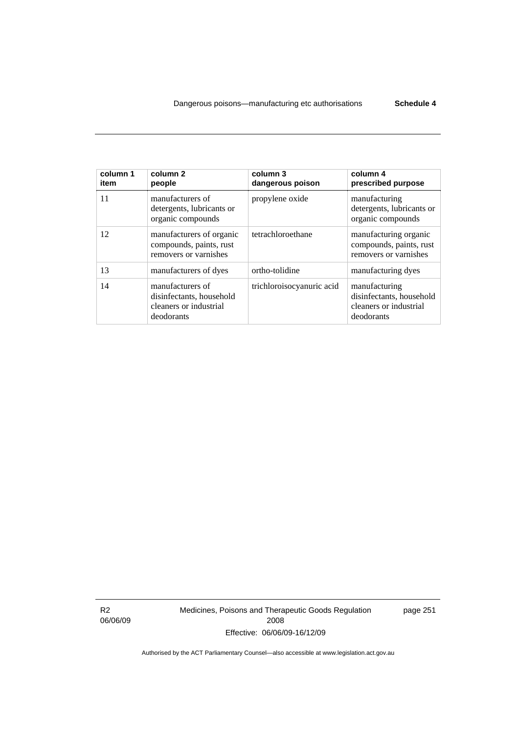| column 1<br>item | column 2<br>people                                                                   | column 3<br>dangerous poison | column 4<br>prescribed purpose                                                    |
|------------------|--------------------------------------------------------------------------------------|------------------------------|-----------------------------------------------------------------------------------|
| 11               | manufacturers of<br>detergents, lubricants or<br>organic compounds                   | propylene oxide              | manufacturing<br>detergents, lubricants or<br>organic compounds                   |
| 12               | manufacturers of organic<br>compounds, paints, rust<br>removers or varnishes         | tetrachloroethane            | manufacturing organic<br>compounds, paints, rust<br>removers or varnishes         |
| 13               | manufacturers of dyes                                                                | ortho-tolidine               | manufacturing dyes                                                                |
| 14               | manufacturers of<br>disinfectants, household<br>cleaners or industrial<br>deodorants | trichloroisocyanuric acid    | manufacturing<br>disinfectants, household<br>cleaners or industrial<br>deodorants |

R2 06/06/09 Medicines, Poisons and Therapeutic Goods Regulation 2008 Effective: 06/06/09-16/12/09

page 251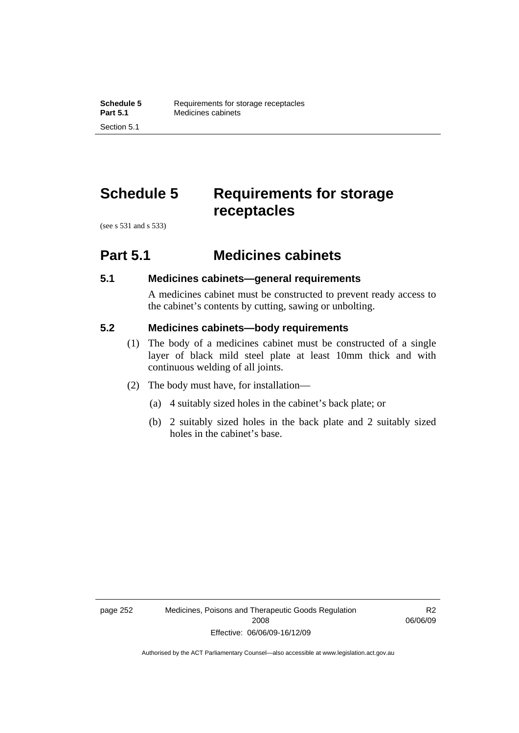# **Schedule 5 Requirements for storage receptacles**

(see s 531 and s 533)

## **Part 5.1 Medicines cabinets**

## **5.1 Medicines cabinets—general requirements**

A medicines cabinet must be constructed to prevent ready access to the cabinet's contents by cutting, sawing or unbolting.

## **5.2 Medicines cabinets—body requirements**

- (1) The body of a medicines cabinet must be constructed of a single layer of black mild steel plate at least 10mm thick and with continuous welding of all joints.
- (2) The body must have, for installation—
	- (a) 4 suitably sized holes in the cabinet's back plate; or
	- (b) 2 suitably sized holes in the back plate and 2 suitably sized holes in the cabinet's base.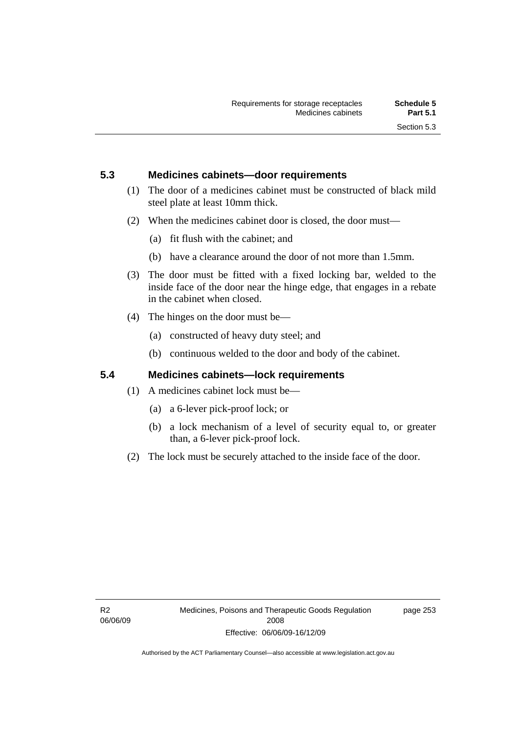## **5.3 Medicines cabinets—door requirements**

- (1) The door of a medicines cabinet must be constructed of black mild steel plate at least 10mm thick.
- (2) When the medicines cabinet door is closed, the door must—
	- (a) fit flush with the cabinet; and
	- (b) have a clearance around the door of not more than 1.5mm.
- (3) The door must be fitted with a fixed locking bar, welded to the inside face of the door near the hinge edge, that engages in a rebate in the cabinet when closed.
- (4) The hinges on the door must be—
	- (a) constructed of heavy duty steel; and
	- (b) continuous welded to the door and body of the cabinet.

## **5.4 Medicines cabinets—lock requirements**

- (1) A medicines cabinet lock must be—
	- (a) a 6-lever pick-proof lock; or
	- (b) a lock mechanism of a level of security equal to, or greater than, a 6-lever pick-proof lock.
- (2) The lock must be securely attached to the inside face of the door.

page 253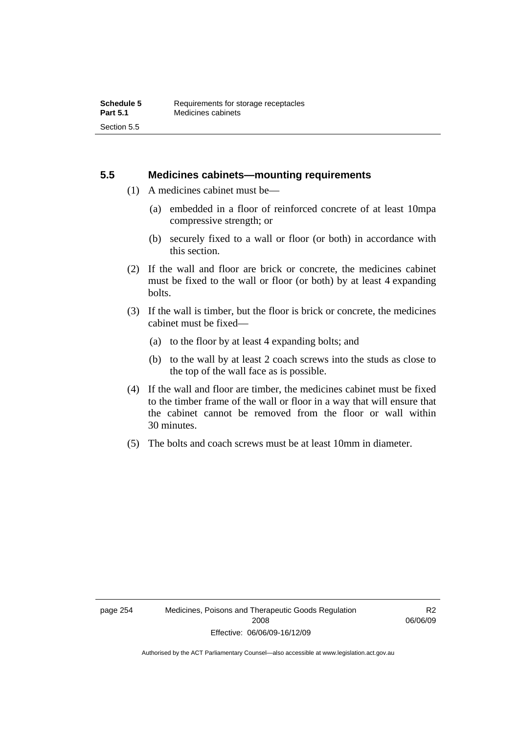## **5.5 Medicines cabinets—mounting requirements**

- (1) A medicines cabinet must be—
	- (a) embedded in a floor of reinforced concrete of at least 10mpa compressive strength; or
	- (b) securely fixed to a wall or floor (or both) in accordance with this section.
- (2) If the wall and floor are brick or concrete, the medicines cabinet must be fixed to the wall or floor (or both) by at least 4 expanding bolts.
- (3) If the wall is timber, but the floor is brick or concrete, the medicines cabinet must be fixed—
	- (a) to the floor by at least 4 expanding bolts; and
	- (b) to the wall by at least 2 coach screws into the studs as close to the top of the wall face as is possible.
- (4) If the wall and floor are timber, the medicines cabinet must be fixed to the timber frame of the wall or floor in a way that will ensure that the cabinet cannot be removed from the floor or wall within 30 minutes.
- (5) The bolts and coach screws must be at least 10mm in diameter.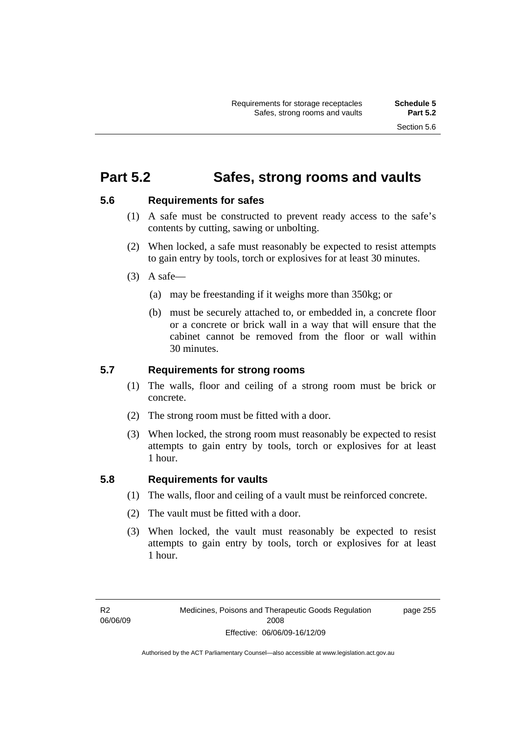## **Part 5.2 Safes, strong rooms and vaults**

## **5.6 Requirements for safes**

- (1) A safe must be constructed to prevent ready access to the safe's contents by cutting, sawing or unbolting.
- (2) When locked, a safe must reasonably be expected to resist attempts to gain entry by tools, torch or explosives for at least 30 minutes.
- $(3)$  A safe-
	- (a) may be freestanding if it weighs more than 350kg; or
	- (b) must be securely attached to, or embedded in, a concrete floor or a concrete or brick wall in a way that will ensure that the cabinet cannot be removed from the floor or wall within 30 minutes.

## **5.7 Requirements for strong rooms**

- (1) The walls, floor and ceiling of a strong room must be brick or concrete.
- (2) The strong room must be fitted with a door.
- (3) When locked, the strong room must reasonably be expected to resist attempts to gain entry by tools, torch or explosives for at least 1 hour.

## **5.8 Requirements for vaults**

- (1) The walls, floor and ceiling of a vault must be reinforced concrete.
- (2) The vault must be fitted with a door.
- (3) When locked, the vault must reasonably be expected to resist attempts to gain entry by tools, torch or explosives for at least 1 hour.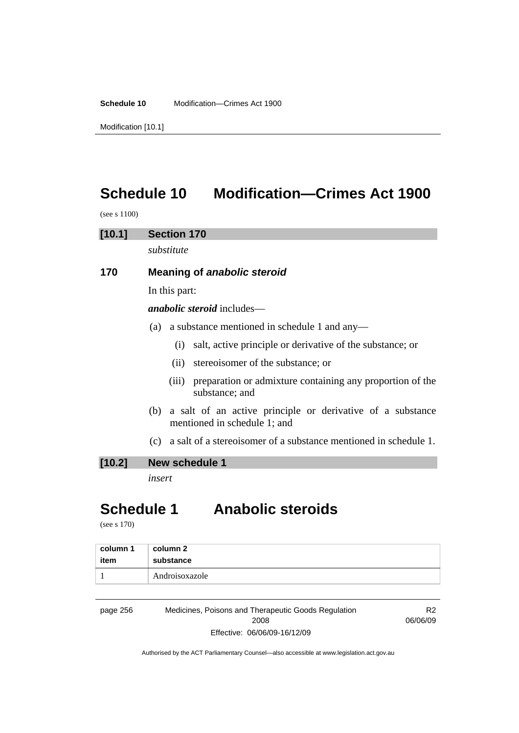**Schedule 10** Modification—Crimes Act 1900

Modification [10.1]

# **Schedule 10 Modification—Crimes Act 1900**

(see s 1100)

## **[10.1] Section 170**

*substitute* 

## **170 Meaning of** *anabolic steroid*

In this part:

*anabolic steroid* includes—

- (a) a substance mentioned in schedule 1 and any—
	- (i) salt, active principle or derivative of the substance; or
	- (ii) stereoisomer of the substance; or
	- (iii) preparation or admixture containing any proportion of the substance; and
- (b) a salt of an active principle or derivative of a substance mentioned in schedule 1; and
- (c) a salt of a stereoisomer of a substance mentioned in schedule 1.

## **[10.2] New schedule 1**

*insert* 

# **Schedule 1 Anabolic steroids**

(see s 170)

| column 1 | column 2       |
|----------|----------------|
| item     | substance      |
|          | Androisoxazole |

page 256 Medicines, Poisons and Therapeutic Goods Regulation 2008 Effective: 06/06/09-16/12/09

R2 06/06/09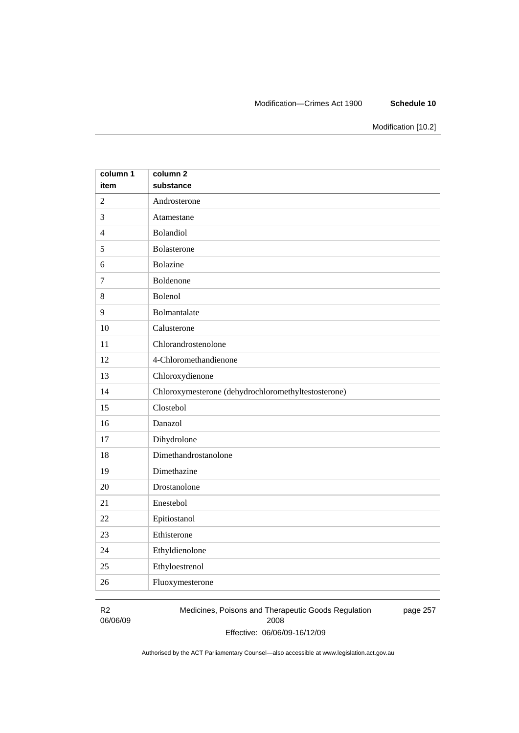### Modification—Crimes Act 1900 **Schedule 10**

Modification [10.2]

| column 1       | column <sub>2</sub>                                 |
|----------------|-----------------------------------------------------|
| item           | substance                                           |
| $\overline{2}$ | Androsterone                                        |
| 3              | Atamestane                                          |
| $\overline{4}$ | Bolandiol                                           |
| 5              | Bolasterone                                         |
| 6              | Bolazine                                            |
| $\overline{7}$ | Boldenone                                           |
| 8              | Bolenol                                             |
| 9              | Bolmantalate                                        |
| 10             | Calusterone                                         |
| 11             | Chlorandrostenolone                                 |
| 12             | 4-Chloromethandienone                               |
| 13             | Chloroxydienone                                     |
| 14             | Chloroxymesterone (dehydrochloromethyltestosterone) |
| 15             | Clostebol                                           |
| 16             | Danazol                                             |
| 17             | Dihydrolone                                         |
| 18             | Dimethandrostanolone                                |
| 19             | Dimethazine                                         |
| 20             | Drostanolone                                        |
| 21             | Enestebol                                           |
| 22             | Epitiostanol                                        |
| 23             | Ethisterone                                         |
| 24             | Ethyldienolone                                      |
| 25             | Ethyloestrenol                                      |
| 26             | Fluoxymesterone                                     |

R2 06/06/09 Medicines, Poisons and Therapeutic Goods Regulation 2008 Effective: 06/06/09-16/12/09 page 257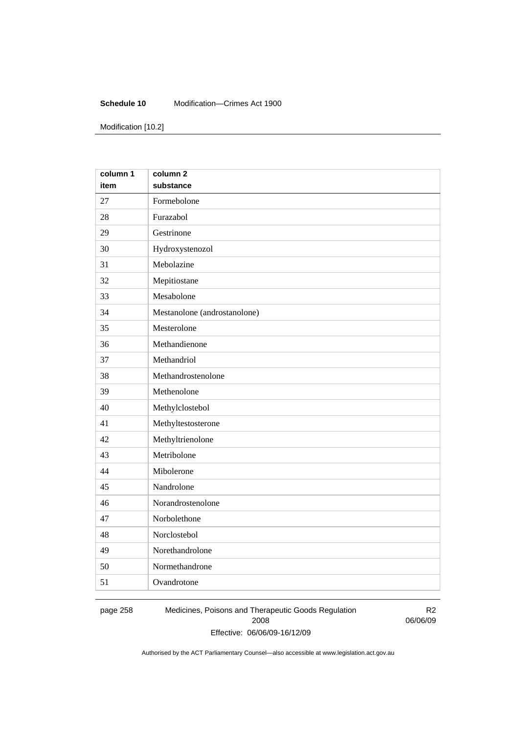### **Schedule 10** Modification—Crimes Act 1900

Modification [10.2]

| column 1 | column <sub>2</sub>          |
|----------|------------------------------|
| item     | substance                    |
| 27       | Formebolone                  |
| 28       | Furazabol                    |
| 29       | Gestrinone                   |
| 30       | Hydroxystenozol              |
| 31       | Mebolazine                   |
| 32       | Mepitiostane                 |
| 33       | Mesabolone                   |
| 34       | Mestanolone (androstanolone) |
| 35       | Mesterolone                  |
| 36       | Methandienone                |
| 37       | Methandriol                  |
| 38       | Methandrostenolone           |
| 39       | Methenolone                  |
| 40       | Methylclostebol              |
| 41       | Methyltestosterone           |
| 42       | Methyltrienolone             |
| 43       | Metribolone                  |
| 44       | Mibolerone                   |
| 45       | Nandrolone                   |
| 46       | Norandrostenolone            |
| 47       | Norbolethone                 |
| 48       | Norclostebol                 |
| 49       | Norethandrolone              |
| 50       | Normethandrone               |
| 51       | Ovandrotone                  |

page 258 Medicines, Poisons and Therapeutic Goods Regulation 2008 Effective: 06/06/09-16/12/09

R2 06/06/09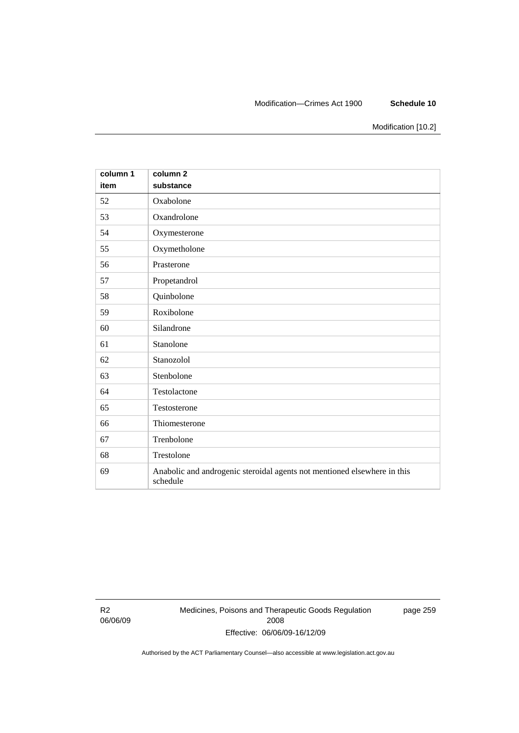### Modification—Crimes Act 1900 **Schedule 10**

Modification [10.2]

| column 1<br>item | column <sub>2</sub><br>substance                                                     |
|------------------|--------------------------------------------------------------------------------------|
| 52               | Oxabolone                                                                            |
| 53               | Oxandrolone                                                                          |
| 54               | Oxymesterone                                                                         |
| 55               | Oxymetholone                                                                         |
| 56               | Prasterone                                                                           |
| 57               | Propetandrol                                                                         |
| 58               | Quinbolone                                                                           |
| 59               | Roxibolone                                                                           |
| 60               | Silandrone                                                                           |
| 61               | Stanolone                                                                            |
| 62               | Stanozolol                                                                           |
| 63               | Stenbolone                                                                           |
| 64               | Testolactone                                                                         |
| 65               | Testosterone                                                                         |
| 66               | Thiomesterone                                                                        |
| 67               | Trenbolone                                                                           |
| 68               | Trestolone                                                                           |
| 69               | Anabolic and androgenic steroidal agents not mentioned elsewhere in this<br>schedule |

R2 06/06/09 Medicines, Poisons and Therapeutic Goods Regulation 2008 Effective: 06/06/09-16/12/09

page 259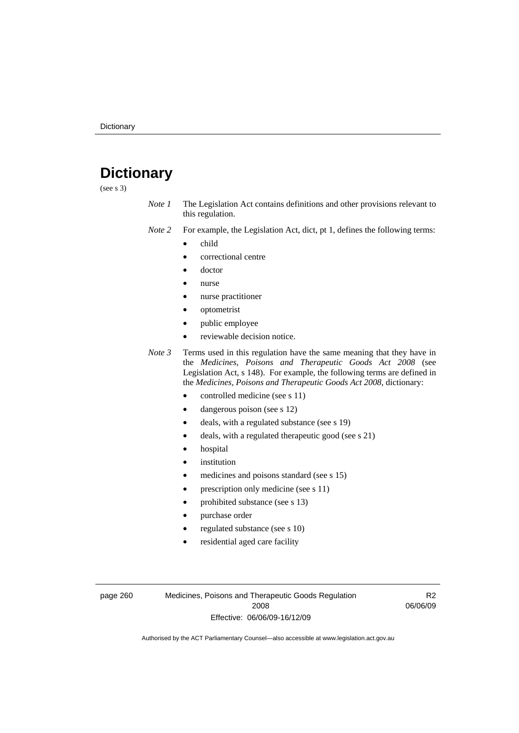# **Dictionary**

(see s 3)

- *Note 1* The Legislation Act contains definitions and other provisions relevant to this regulation.
- *Note 2* For example, the Legislation Act, dict, pt 1, defines the following terms:
	- child
		- correctional centre
		- doctor
		- nurse
		- nurse practitioner
		- optometrist
		- public employee
		- reviewable decision notice.
- *Note 3* Terms used in this regulation have the same meaning that they have in the *Medicines, Poisons and Therapeutic Goods Act 2008* (see Legislation Act, s 148). For example, the following terms are defined in the *Medicines, Poisons and Therapeutic Goods Act 2008*, dictionary:
	- controlled medicine (see s 11)
	- dangerous poison (see s 12)
	- deals, with a regulated substance (see s 19)
	- deals, with a regulated therapeutic good (see s 21)
	- hospital
	- *institution*
	- medicines and poisons standard (see s 15)
	- prescription only medicine (see s 11)
	- prohibited substance (see s 13)
	- purchase order
	- regulated substance (see s 10)
	- residential aged care facility

page 260 Medicines, Poisons and Therapeutic Goods Regulation 2008 Effective: 06/06/09-16/12/09

R2 06/06/09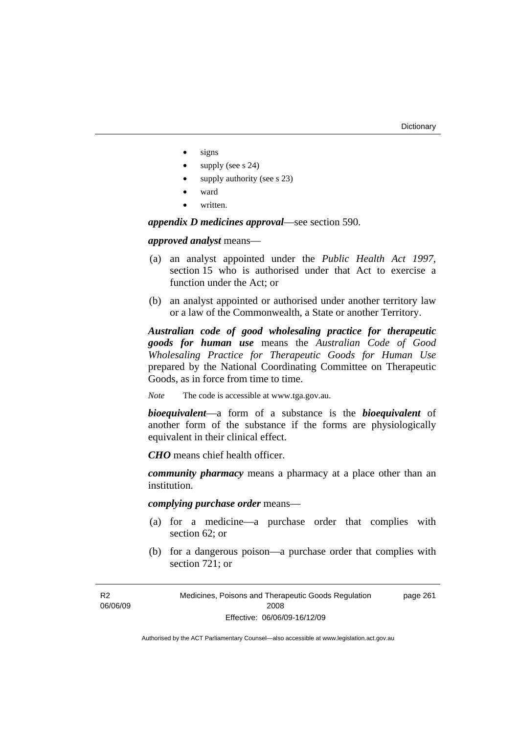- signs
- supply (see s 24)
- supply authority (see s 23)
- ward
- written.

*appendix D medicines approval*—see section 590.

*approved analyst* means—

- (a) an analyst appointed under the *Public Health Act 1997*, section 15 who is authorised under that Act to exercise a function under the Act; or
- (b) an analyst appointed or authorised under another territory law or a law of the Commonwealth, a State or another Territory.

*Australian code of good wholesaling practice for therapeutic goods for human use* means the *Australian Code of Good Wholesaling Practice for Therapeutic Goods for Human Use*  prepared by the National Coordinating Committee on Therapeutic Goods, as in force from time to time.

*Note* The code is accessible at www.tga.gov.au.

*bioequivalent*—a form of a substance is the *bioequivalent* of another form of the substance if the forms are physiologically equivalent in their clinical effect.

*CHO* means chief health officer.

*community pharmacy* means a pharmacy at a place other than an institution.

*complying purchase order* means—

- (a) for a medicine—a purchase order that complies with section 62; or
- (b) for a dangerous poison—a purchase order that complies with section 721; or

Medicines, Poisons and Therapeutic Goods Regulation 2008 Effective: 06/06/09-16/12/09 page 261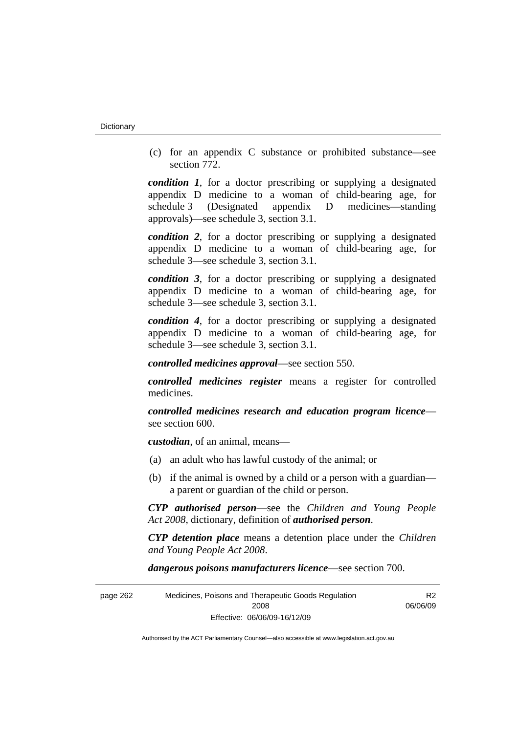(c) for an appendix C substance or prohibited substance—see section 772.

*condition 1*, for a doctor prescribing or supplying a designated appendix D medicine to a woman of child-bearing age, for schedule 3 (Designated appendix D medicines—standing approvals)—see schedule 3, section 3.1.

*condition 2*, for a doctor prescribing or supplying a designated appendix D medicine to a woman of child-bearing age, for schedule 3—see schedule 3, section 3.1.

*condition 3*, for a doctor prescribing or supplying a designated appendix D medicine to a woman of child-bearing age, for schedule 3—see schedule 3, section 3.1.

*condition 4*, for a doctor prescribing or supplying a designated appendix D medicine to a woman of child-bearing age, for schedule 3—see schedule 3, section 3.1.

*controlled medicines approval*—see section 550.

*controlled medicines register* means a register for controlled medicines.

*controlled medicines research and education program licence* see section 600.

*custodian*, of an animal, means—

- (a) an adult who has lawful custody of the animal; or
- (b) if the animal is owned by a child or a person with a guardian a parent or guardian of the child or person.

*CYP authorised person*—see the *Children and Young People Act 2008*, dictionary, definition of *authorised person*.

*CYP detention place* means a detention place under the *Children and Young People Act 2008*.

*dangerous poisons manufacturers licence*—see section 700.

| page 262 | Medicines, Poisons and Therapeutic Goods Regulation | R2       |
|----------|-----------------------------------------------------|----------|
|          | 2008                                                | 06/06/09 |
|          | Effective: 06/06/09-16/12/09                        |          |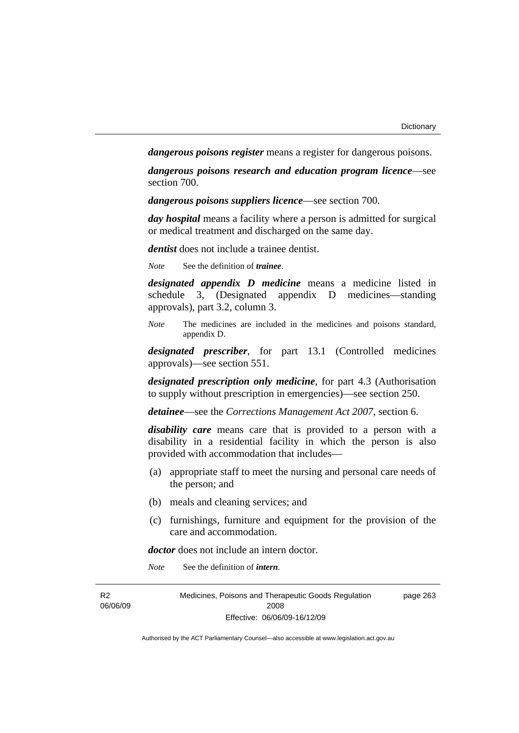*dangerous poisons register* means a register for dangerous poisons.

*dangerous poisons research and education program licence*—see section 700.

*dangerous poisons suppliers licence*—see section 700.

*day hospital* means a facility where a person is admitted for surgical or medical treatment and discharged on the same day.

*dentist* does not include a trainee dentist.

*Note* See the definition of *trainee*.

*designated appendix D medicine* means a medicine listed in schedule 3, (Designated appendix D medicines—standing approvals), part 3.2, column 3.

*Note* The medicines are included in the medicines and poisons standard, appendix D.

*designated prescriber*, for part 13.1 (Controlled medicines approvals)—see section 551.

*designated prescription only medicine*, for part 4.3 (Authorisation to supply without prescription in emergencies)—see section 250.

*detainee*—see the *Corrections Management Act 2007*, section 6.

*disability care* means care that is provided to a person with a disability in a residential facility in which the person is also provided with accommodation that includes—

- (a) appropriate staff to meet the nursing and personal care needs of the person; and
- (b) meals and cleaning services; and
- (c) furnishings, furniture and equipment for the provision of the care and accommodation.

*doctor* does not include an intern doctor.

*Note* See the definition of *intern*.

| R <sub>2</sub> | Medicines, Poisons and Therapeutic Goods Regulation | page 263 |
|----------------|-----------------------------------------------------|----------|
| 06/06/09       | 2008                                                |          |
|                | Effective: 06/06/09-16/12/09                        |          |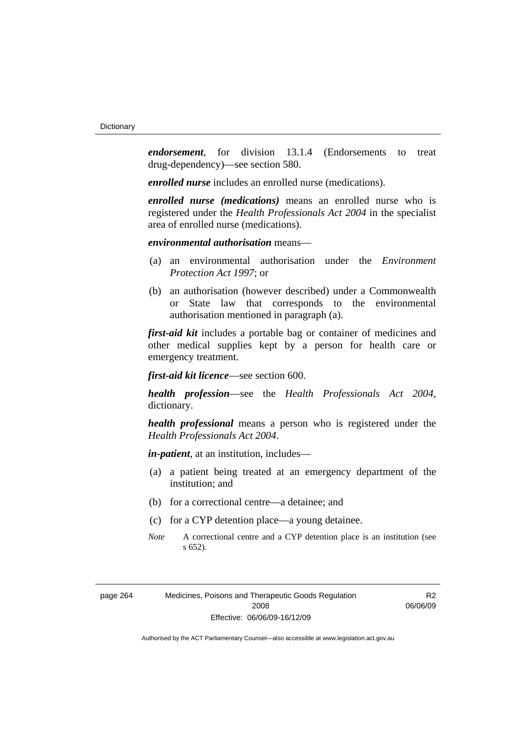*endorsement*, for division 13.1.4 (Endorsements to treat drug-dependency)—see section 580.

*enrolled nurse* includes an enrolled nurse (medications).

*enrolled nurse (medications)* means an enrolled nurse who is registered under the *Health Professionals Act 2004* in the specialist area of enrolled nurse (medications).

## *environmental authorisation* means—

- (a) an environmental authorisation under the *Environment Protection Act 1997*; or
- (b) an authorisation (however described) under a Commonwealth or State law that corresponds to the environmental authorisation mentioned in paragraph (a).

*first-aid kit* includes a portable bag or container of medicines and other medical supplies kept by a person for health care or emergency treatment.

*first-aid kit licence*—see section 600.

*health profession*—see the *Health Professionals Act 2004*, dictionary.

*health professional* means a person who is registered under the *Health Professionals Act 2004*.

*in-patient*, at an institution, includes—

- (a) a patient being treated at an emergency department of the institution; and
- (b) for a correctional centre—a detainee; and
- (c) for a CYP detention place—a young detainee.
- *Note* A correctional centre and a CYP detention place is an institution (see s 652).

R<sub>2</sub> 06/06/09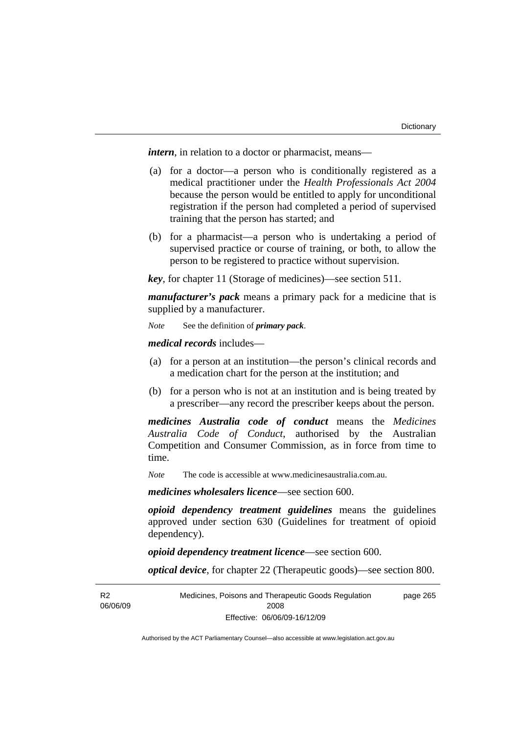*intern*, in relation to a doctor or pharmacist, means—

- (a) for a doctor—a person who is conditionally registered as a medical practitioner under the *Health Professionals Act 2004* because the person would be entitled to apply for unconditional registration if the person had completed a period of supervised training that the person has started; and
- (b) for a pharmacist—a person who is undertaking a period of supervised practice or course of training, or both, to allow the person to be registered to practice without supervision.

*key*, for chapter 11 (Storage of medicines)—see section 511.

*manufacturer's pack* means a primary pack for a medicine that is supplied by a manufacturer.

*Note* See the definition of *primary pack*.

*medical records* includes—

- (a) for a person at an institution—the person's clinical records and a medication chart for the person at the institution; and
- (b) for a person who is not at an institution and is being treated by a prescriber—any record the prescriber keeps about the person.

*medicines Australia code of conduct* means the *Medicines Australia Code of Conduct*, authorised by the Australian Competition and Consumer Commission, as in force from time to time.

*Note* The code is accessible at www.medicinesaustralia.com.au.

*medicines wholesalers licence*—see section 600.

*opioid dependency treatment guidelines* means the guidelines approved under section 630 (Guidelines for treatment of opioid dependency).

*opioid dependency treatment licence*—see section 600.

*optical device*, for chapter 22 (Therapeutic goods)—see section 800.

R<sub>2</sub> 06/06/09 Medicines, Poisons and Therapeutic Goods Regulation 2008 Effective: 06/06/09-16/12/09 page 265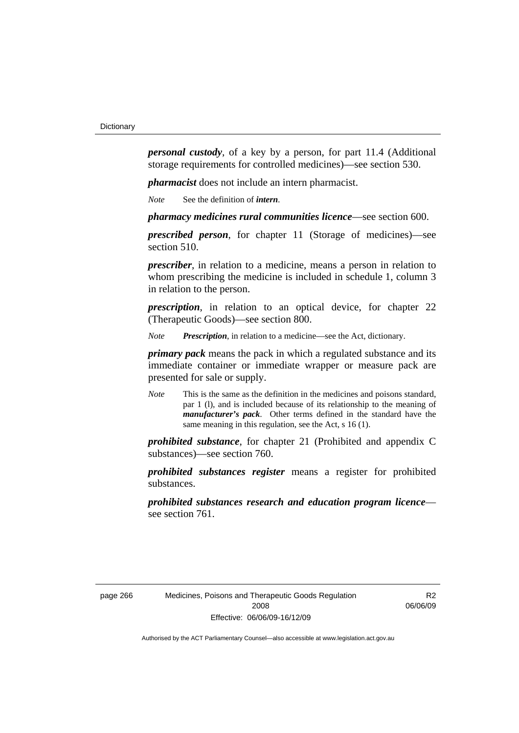*personal custody*, of a key by a person, for part 11.4 (Additional storage requirements for controlled medicines)—see section 530.

*pharmacist* does not include an intern pharmacist.

*Note* See the definition of *intern*.

*pharmacy medicines rural communities licence*—see section 600.

*prescribed person*, for chapter 11 (Storage of medicines)—see section 510.

*prescriber*, in relation to a medicine, means a person in relation to whom prescribing the medicine is included in schedule 1, column 3 in relation to the person.

*prescription*, in relation to an optical device, for chapter 22 (Therapeutic Goods)—see section 800.

*Note Prescription*, in relation to a medicine—see the Act, dictionary.

*primary pack* means the pack in which a regulated substance and its immediate container or immediate wrapper or measure pack are presented for sale or supply.

*Note* This is the same as the definition in the medicines and poisons standard, par 1 (l), and is included because of its relationship to the meaning of *manufacturer's pack*. Other terms defined in the standard have the same meaning in this regulation, see the Act, s 16 (1).

*prohibited substance*, for chapter 21 (Prohibited and appendix C substances)—see section 760.

*prohibited substances register* means a register for prohibited substances.

*prohibited substances research and education program licence* see section 761.

R<sub>2</sub> 06/06/09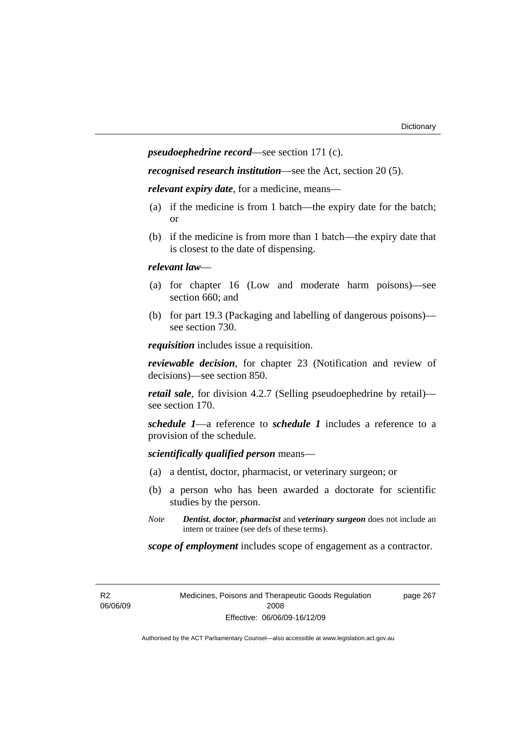*pseudoephedrine record*—see section 171 (c).

*recognised research institution*—see the Act, section 20 (5).

*relevant expiry date*, for a medicine, means—

- (a) if the medicine is from 1 batch—the expiry date for the batch; or
- (b) if the medicine is from more than 1 batch—the expiry date that is closest to the date of dispensing.

### *relevant law*—

- (a) for chapter 16 (Low and moderate harm poisons)—see section 660; and
- (b) for part 19.3 (Packaging and labelling of dangerous poisons) see section 730.

*requisition* includes issue a requisition.

*reviewable decision*, for chapter 23 (Notification and review of decisions)—see section 850.

*retail sale*, for division 4.2.7 (Selling pseudoephedrine by retail) see section 170.

*schedule 1*—a reference to *schedule 1* includes a reference to a provision of the schedule.

*scientifically qualified person* means—

- (a) a dentist, doctor, pharmacist, or veterinary surgeon; or
- (b) a person who has been awarded a doctorate for scientific studies by the person.
- *Note Dentist*, *doctor*, *pharmacist* and *veterinary surgeon* does not include an intern or trainee (see defs of these terms).

*scope of employment* includes scope of engagement as a contractor.

R2 06/06/09 Medicines, Poisons and Therapeutic Goods Regulation 2008 Effective: 06/06/09-16/12/09

page 267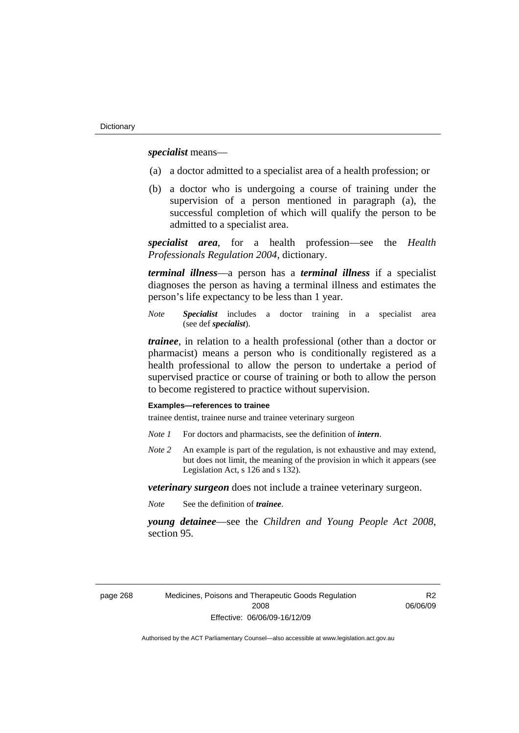*specialist* means—

- (a) a doctor admitted to a specialist area of a health profession; or
- (b) a doctor who is undergoing a course of training under the supervision of a person mentioned in paragraph (a), the successful completion of which will qualify the person to be admitted to a specialist area.

*specialist area*, for a health profession—see the *Health Professionals Regulation 2004*, dictionary.

*terminal illness*—a person has a *terminal illness* if a specialist diagnoses the person as having a terminal illness and estimates the person's life expectancy to be less than 1 year.

*Note Specialist* includes a doctor training in a specialist area (see def *specialist*).

*trainee*, in relation to a health professional (other than a doctor or pharmacist) means a person who is conditionally registered as a health professional to allow the person to undertake a period of supervised practice or course of training or both to allow the person to become registered to practice without supervision.

#### **Examples—references to trainee**

trainee dentist, trainee nurse and trainee veterinary surgeon

- *Note 1* For doctors and pharmacists, see the definition of *intern*.
- *Note 2* An example is part of the regulation, is not exhaustive and may extend, but does not limit, the meaning of the provision in which it appears (see Legislation Act, s 126 and s 132).

*veterinary surgeon* does not include a trainee veterinary surgeon.

*Note* See the definition of *trainee*.

*young detainee*—see the *Children and Young People Act 2008*, section 95.

R<sub>2</sub> 06/06/09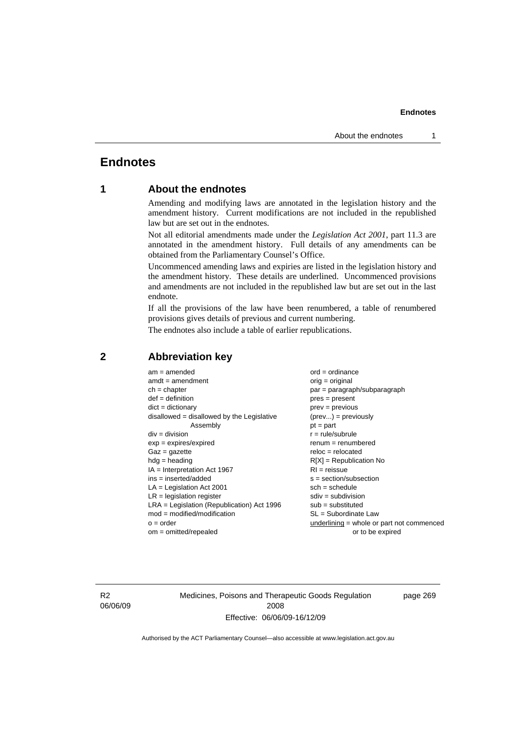# **Endnotes**

# **1 About the endnotes**

Amending and modifying laws are annotated in the legislation history and the amendment history. Current modifications are not included in the republished law but are set out in the endnotes.

Not all editorial amendments made under the *Legislation Act 2001*, part 11.3 are annotated in the amendment history. Full details of any amendments can be obtained from the Parliamentary Counsel's Office.

Uncommenced amending laws and expiries are listed in the legislation history and the amendment history. These details are underlined. Uncommenced provisions and amendments are not included in the republished law but are set out in the last endnote.

If all the provisions of the law have been renumbered, a table of renumbered provisions gives details of previous and current numbering.

The endnotes also include a table of earlier republications.

| $am = amended$                               | $ord = ordinance$                         |  |
|----------------------------------------------|-------------------------------------------|--|
| $amdt = amendment$                           | $orig = original$                         |  |
| $ch = chapter$                               | par = paragraph/subparagraph              |  |
| $def = definition$                           | $pres = present$                          |  |
| $dict = dictionary$                          | $prev = previous$                         |  |
| $disallowed = disallowed by the Legislative$ | $(\text{prev}) = \text{previously}$       |  |
| Assembly                                     | $pt = part$                               |  |
| $div = division$                             | $r = rule/subrule$                        |  |
| $exp = expires/expired$                      | $renum = renumbered$                      |  |
| $Gaz = gazette$                              | $reloc = relocated$                       |  |
| $hdg =$ heading                              | $R[X]$ = Republication No                 |  |
| $IA = Interpretation Act 1967$               | $RI = reissue$                            |  |
| $ins = inserted/added$                       | $s = section/subsection$                  |  |
| $LA =$ Legislation Act 2001                  | $sch = schedule$                          |  |
| $LR =$ legislation register                  | $sdiv = subdivision$                      |  |
| $LRA =$ Legislation (Republication) Act 1996 | $sub = substituted$                       |  |
| $mod = modified/modification$                | SL = Subordinate Law                      |  |
| $o = order$                                  | underlining = whole or part not commenced |  |
| $om = omitted/repealed$                      | or to be expired                          |  |
|                                              |                                           |  |

## **2 Abbreviation key**

R2 06/06/09 Medicines, Poisons and Therapeutic Goods Regulation 2008 Effective: 06/06/09-16/12/09

page 269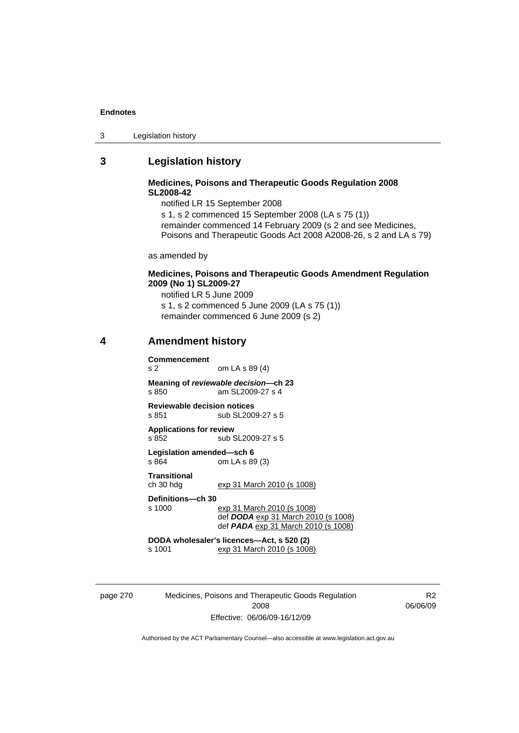| Legislation history<br>3 |
|--------------------------|
|--------------------------|

# **3 Legislation history**

### **Medicines, Poisons and Therapeutic Goods Regulation 2008 SL2008-42**

notified LR 15 September 2008 s 1, s 2 commenced 15 September 2008 (LA s 75 (1)) remainder commenced 14 February 2009 (s 2 and see Medicines, Poisons and Therapeutic Goods Act 2008 A2008-26, s 2 and LA s 79)

as amended by

### **Medicines, Poisons and Therapeutic Goods Amendment Regulation 2009 (No 1) SL2009-27**

notified LR 5 June 2009 s 1, s 2 commenced 5 June 2009 (LA s 75 (1)) remainder commenced 6 June 2009 (s 2)

# **4 Amendment history**

**Commencement** 

s 2 om LA s 89 (4)

**Meaning of** *reviewable decision—***ch 23**  s 850 am SL2009-27 s 4

**Reviewable decision notices**  s 851 sub SL2009-27 s 5

**Applications for review**  s 852 sub SL2009-27 s 5

**Legislation amended—sch 6**  s 864 om LA s 89 (3)

**Transitional** 

exp 31 March 2010 (s 1008)

**Definitions—ch 30** 

exp 31 March 2010 (s 1008) def *DODA* exp 31 March 2010 (s 1008) def *PADA* exp 31 March 2010 (s 1008)

**DODA wholesaler's licences—Act, s 520 (2)**  s 1001 exp 31 March 2010 (s 1008)

page 270 Medicines, Poisons and Therapeutic Goods Regulation 2008 Effective: 06/06/09-16/12/09

R2 06/06/09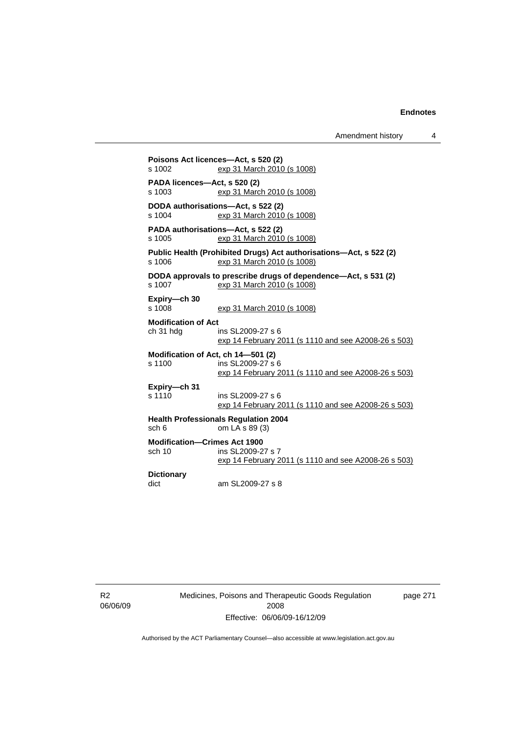**Poisons Act licences—Act, s 520 (2)**  s 1002 exp 31 March 2010 (s 1008) **PADA licences—Act, s 520 (2)**  s 1003 exp 31 March 2010 (s 1008) **DODA authorisations—Act, s 522 (2)**  s 1004 exp 31 March 2010 (s 1008) **PADA authorisations—Act, s 522 (2)**  s 1005 exp 31 March 2010 (s 1008) **Public Health (Prohibited Drugs) Act authorisations—Act, s 522 (2)**  s 1006 exp 31 March 2010 (s 1008) **DODA approvals to prescribe drugs of dependence—Act, s 531 (2)**  s 1007 exp 31 March 2010 (s 1008) **Expiry—ch 30**  s 1008 exp 31 March 2010 (s 1008) **Modification of Act**  ch 31 hdg ins SL2009-27 s 6 exp 14 February 2011 (s 1110 and see A2008-26 s 503) **Modification of Act, ch 14—501 (2)**  s 1100 ins SL2009-27 s 6 exp 14 February 2011 (s 1110 and see A2008-26 s 503) **Expiry—ch 31**  ins SL2009-27 s 6 exp 14 February 2011 (s 1110 and see A2008-26 s 503) **Health Professionals Regulation 2004**   $sch 6$  om  $LA \simeq 89(3)$ **Modification—Crimes Act 1900**  sch 10 ins SL2009-27 s 7 exp 14 February 2011 (s 1110 and see A2008-26 s 503) **Dictionary**  dict am SL2009-27 s 8

R2 06/06/09 Medicines, Poisons and Therapeutic Goods Regulation 2008 Effective: 06/06/09-16/12/09

page 271